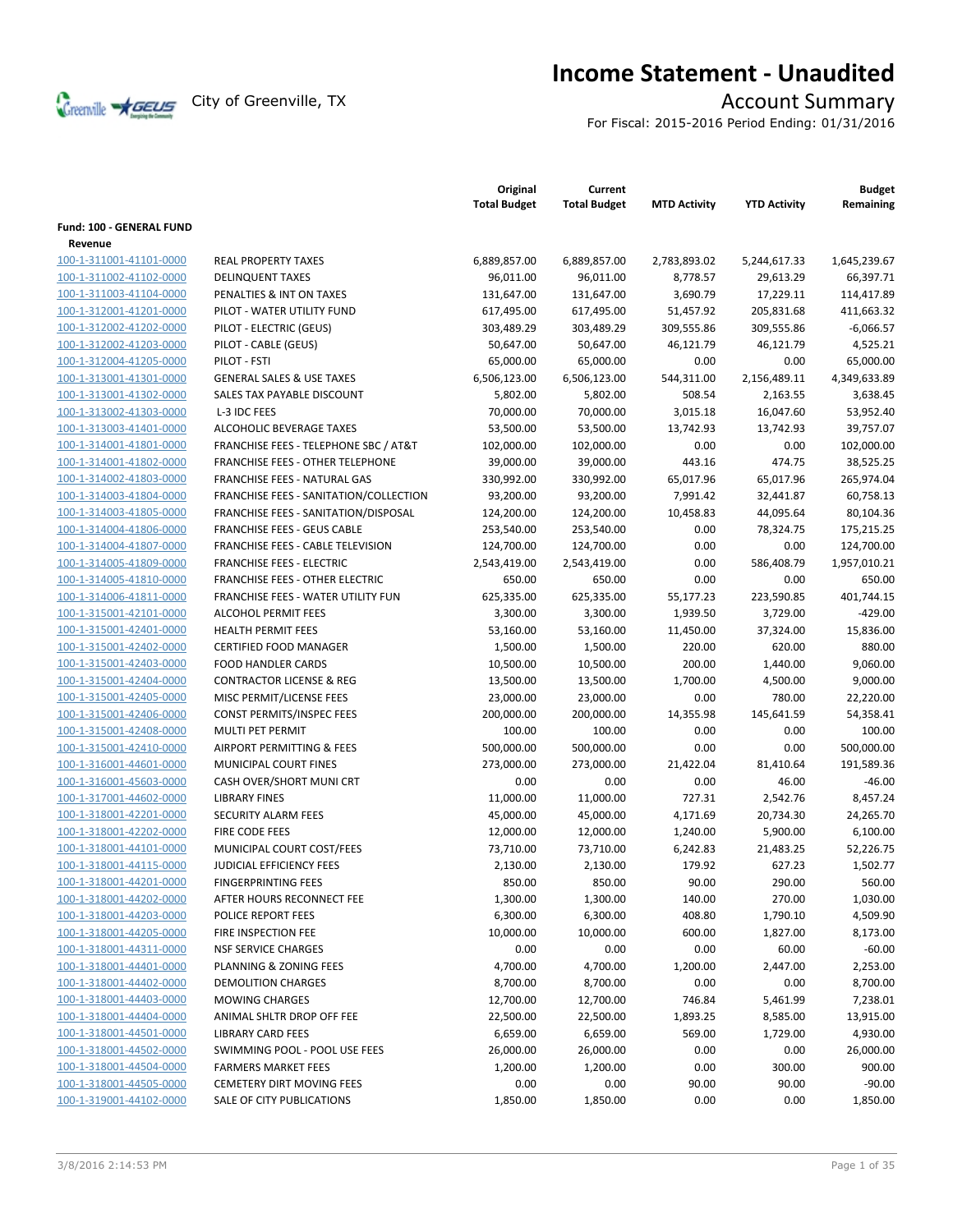

# **Income Statement - Unaudited**

For Fiscal: 2015-2016 Period Ending: 01/31/2016

|                          |                                        | Original<br><b>Total Budget</b> | Current<br><b>Total Budget</b> | <b>MTD Activity</b> | <b>YTD Activity</b> | <b>Budget</b><br>Remaining |
|--------------------------|----------------------------------------|---------------------------------|--------------------------------|---------------------|---------------------|----------------------------|
| Fund: 100 - GENERAL FUND |                                        |                                 |                                |                     |                     |                            |
| Revenue                  |                                        |                                 |                                |                     |                     |                            |
| 100-1-311001-41101-0000  | <b>REAL PROPERTY TAXES</b>             | 6,889,857.00                    | 6,889,857.00                   | 2,783,893.02        | 5,244,617.33        | 1,645,239.67               |
| 100-1-311002-41102-0000  | <b>DELINQUENT TAXES</b>                | 96,011.00                       | 96,011.00                      | 8,778.57            | 29,613.29           | 66,397.71                  |
| 100-1-311003-41104-0000  | PENALTIES & INT ON TAXES               | 131,647.00                      | 131,647.00                     | 3,690.79            | 17,229.11           | 114,417.89                 |
| 100-1-312001-41201-0000  | PILOT - WATER UTILITY FUND             | 617,495.00                      | 617,495.00                     | 51,457.92           | 205,831.68          | 411,663.32                 |
| 100-1-312002-41202-0000  | PILOT - ELECTRIC (GEUS)                | 303,489.29                      | 303,489.29                     | 309,555.86          | 309,555.86          | $-6,066.57$                |
| 100-1-312002-41203-0000  | PILOT - CABLE (GEUS)                   | 50,647.00                       | 50,647.00                      | 46,121.79           | 46,121.79           | 4,525.21                   |
| 100-1-312004-41205-0000  | PILOT - FSTI                           | 65,000.00                       | 65,000.00                      | 0.00                | 0.00                | 65,000.00                  |
| 100-1-313001-41301-0000  | <b>GENERAL SALES &amp; USE TAXES</b>   | 6,506,123.00                    | 6,506,123.00                   | 544,311.00          | 2,156,489.11        | 4,349,633.89               |
| 100-1-313001-41302-0000  | SALES TAX PAYABLE DISCOUNT             | 5,802.00                        | 5,802.00                       | 508.54              | 2,163.55            | 3,638.45                   |
| 100-1-313002-41303-0000  | L-3 IDC FEES                           | 70,000.00                       | 70,000.00                      | 3,015.18            | 16,047.60           | 53,952.40                  |
| 100-1-313003-41401-0000  | ALCOHOLIC BEVERAGE TAXES               | 53,500.00                       | 53,500.00                      | 13,742.93           | 13,742.93           | 39,757.07                  |
| 100-1-314001-41801-0000  | FRANCHISE FEES - TELEPHONE SBC / AT&T  | 102,000.00                      | 102,000.00                     | 0.00                | 0.00                | 102,000.00                 |
| 100-1-314001-41802-0000  | FRANCHISE FEES - OTHER TELEPHONE       | 39,000.00                       | 39,000.00                      | 443.16              | 474.75              | 38,525.25                  |
|                          | FRANCHISE FEES - NATURAL GAS           |                                 |                                |                     |                     |                            |
| 100-1-314002-41803-0000  |                                        | 330,992.00                      | 330,992.00                     | 65,017.96           | 65,017.96           | 265,974.04                 |
| 100-1-314003-41804-0000  | FRANCHISE FEES - SANITATION/COLLECTION | 93,200.00                       | 93,200.00                      | 7,991.42            | 32,441.87           | 60,758.13                  |
| 100-1-314003-41805-0000  | FRANCHISE FEES - SANITATION/DISPOSAL   | 124,200.00                      | 124,200.00                     | 10,458.83           | 44,095.64           | 80,104.36                  |
| 100-1-314004-41806-0000  | <b>FRANCHISE FEES - GEUS CABLE</b>     | 253,540.00                      | 253,540.00                     | 0.00                | 78,324.75           | 175,215.25                 |
| 100-1-314004-41807-0000  | FRANCHISE FEES - CABLE TELEVISION      | 124,700.00                      | 124,700.00                     | 0.00                | 0.00                | 124,700.00                 |
| 100-1-314005-41809-0000  | <b>FRANCHISE FEES - ELECTRIC</b>       | 2,543,419.00                    | 2,543,419.00                   | 0.00                | 586,408.79          | 1,957,010.21               |
| 100-1-314005-41810-0000  | <b>FRANCHISE FEES - OTHER ELECTRIC</b> | 650.00                          | 650.00                         | 0.00                | 0.00                | 650.00                     |
| 100-1-314006-41811-0000  | FRANCHISE FEES - WATER UTILITY FUN     | 625,335.00                      | 625,335.00                     | 55,177.23           | 223,590.85          | 401,744.15                 |
| 100-1-315001-42101-0000  | <b>ALCOHOL PERMIT FEES</b>             | 3,300.00                        | 3,300.00                       | 1,939.50            | 3,729.00            | -429.00                    |
| 100-1-315001-42401-0000  | <b>HEALTH PERMIT FEES</b>              | 53,160.00                       | 53,160.00                      | 11,450.00           | 37,324.00           | 15,836.00                  |
| 100-1-315001-42402-0000  | <b>CERTIFIED FOOD MANAGER</b>          | 1,500.00                        | 1,500.00                       | 220.00              | 620.00              | 880.00                     |
| 100-1-315001-42403-0000  | <b>FOOD HANDLER CARDS</b>              | 10,500.00                       | 10,500.00                      | 200.00              | 1,440.00            | 9,060.00                   |
| 100-1-315001-42404-0000  | <b>CONTRACTOR LICENSE &amp; REG</b>    | 13,500.00                       | 13,500.00                      | 1,700.00            | 4,500.00            | 9,000.00                   |
| 100-1-315001-42405-0000  | MISC PERMIT/LICENSE FEES               | 23,000.00                       | 23,000.00                      | 0.00                | 780.00              | 22,220.00                  |
| 100-1-315001-42406-0000  | <b>CONST PERMITS/INSPEC FEES</b>       | 200,000.00                      | 200,000.00                     | 14,355.98           | 145,641.59          | 54,358.41                  |
| 100-1-315001-42408-0000  | MULTI PET PERMIT                       | 100.00                          | 100.00                         | 0.00                | 0.00                | 100.00                     |
| 100-1-315001-42410-0000  | AIRPORT PERMITTING & FEES              | 500,000.00                      | 500,000.00                     | 0.00                | 0.00                | 500,000.00                 |
| 100-1-316001-44601-0000  | MUNICIPAL COURT FINES                  | 273,000.00                      | 273,000.00                     | 21,422.04           | 81,410.64           | 191,589.36                 |
| 100-1-316001-45603-0000  | CASH OVER/SHORT MUNI CRT               | 0.00                            | 0.00                           | 0.00                | 46.00               | $-46.00$                   |
| 100-1-317001-44602-0000  | <b>LIBRARY FINES</b>                   | 11,000.00                       | 11,000.00                      | 727.31              | 2,542.76            | 8,457.24                   |
| 100-1-318001-42201-0000  | <b>SECURITY ALARM FEES</b>             | 45,000.00                       | 45,000.00                      | 4,171.69            | 20,734.30           | 24,265.70                  |
| 100-1-318001-42202-0000  | FIRE CODE FEES                         | 12,000.00                       | 12,000.00                      | 1,240.00            | 5,900.00            | 6,100.00                   |
| 100-1-318001-44101-0000  | MUNICIPAL COURT COST/FEES              | 73,710.00                       | 73,710.00                      | 6,242.83            | 21,483.25           | 52,226.75                  |
| 100-1-318001-44115-0000  | <b>JUDICIAL EFFICIENCY FEES</b>        | 2,130.00                        | 2,130.00                       | 179.92              | 627.23              | 1,502.77                   |
| 100-1-318001-44201-0000  | <b>FINGERPRINTING FEES</b>             | 850.00                          | 850.00                         | 90.00               | 290.00              | 560.00                     |
| 100-1-318001-44202-0000  | AFTER HOURS RECONNECT FEE              | 1,300.00                        | 1,300.00                       | 140.00              | 270.00              | 1,030.00                   |
| 100-1-318001-44203-0000  | POLICE REPORT FEES                     | 6,300.00                        | 6,300.00                       | 408.80              | 1,790.10            | 4,509.90                   |
| 100-1-318001-44205-0000  | FIRE INSPECTION FEE                    | 10,000.00                       | 10,000.00                      | 600.00              | 1,827.00            | 8,173.00                   |
| 100-1-318001-44311-0000  | <b>NSF SERVICE CHARGES</b>             | 0.00                            | 0.00                           | 0.00                | 60.00               | $-60.00$                   |
| 100-1-318001-44401-0000  | PLANNING & ZONING FEES                 | 4,700.00                        | 4,700.00                       | 1,200.00            | 2,447.00            | 2,253.00                   |
| 100-1-318001-44402-0000  | <b>DEMOLITION CHARGES</b>              | 8,700.00                        | 8,700.00                       | 0.00                | 0.00                | 8,700.00                   |
| 100-1-318001-44403-0000  | <b>MOWING CHARGES</b>                  | 12,700.00                       | 12,700.00                      | 746.84              | 5,461.99            | 7,238.01                   |
| 100-1-318001-44404-0000  | ANIMAL SHLTR DROP OFF FEE              | 22,500.00                       | 22,500.00                      | 1,893.25            | 8,585.00            | 13,915.00                  |
| 100-1-318001-44501-0000  | <b>LIBRARY CARD FEES</b>               | 6,659.00                        | 6,659.00                       | 569.00              | 1,729.00            | 4,930.00                   |
| 100-1-318001-44502-0000  | SWIMMING POOL - POOL USE FEES          | 26,000.00                       | 26,000.00                      | 0.00                | 0.00                | 26,000.00                  |
| 100-1-318001-44504-0000  | <b>FARMERS MARKET FEES</b>             | 1,200.00                        | 1,200.00                       | 0.00                | 300.00              | 900.00                     |
| 100-1-318001-44505-0000  | <b>CEMETERY DIRT MOVING FEES</b>       | 0.00                            | 0.00                           | 90.00               | 90.00               | $-90.00$                   |
| 100-1-319001-44102-0000  | SALE OF CITY PUBLICATIONS              | 1,850.00                        | 1,850.00                       | 0.00                | 0.00                | 1,850.00                   |
|                          |                                        |                                 |                                |                     |                     |                            |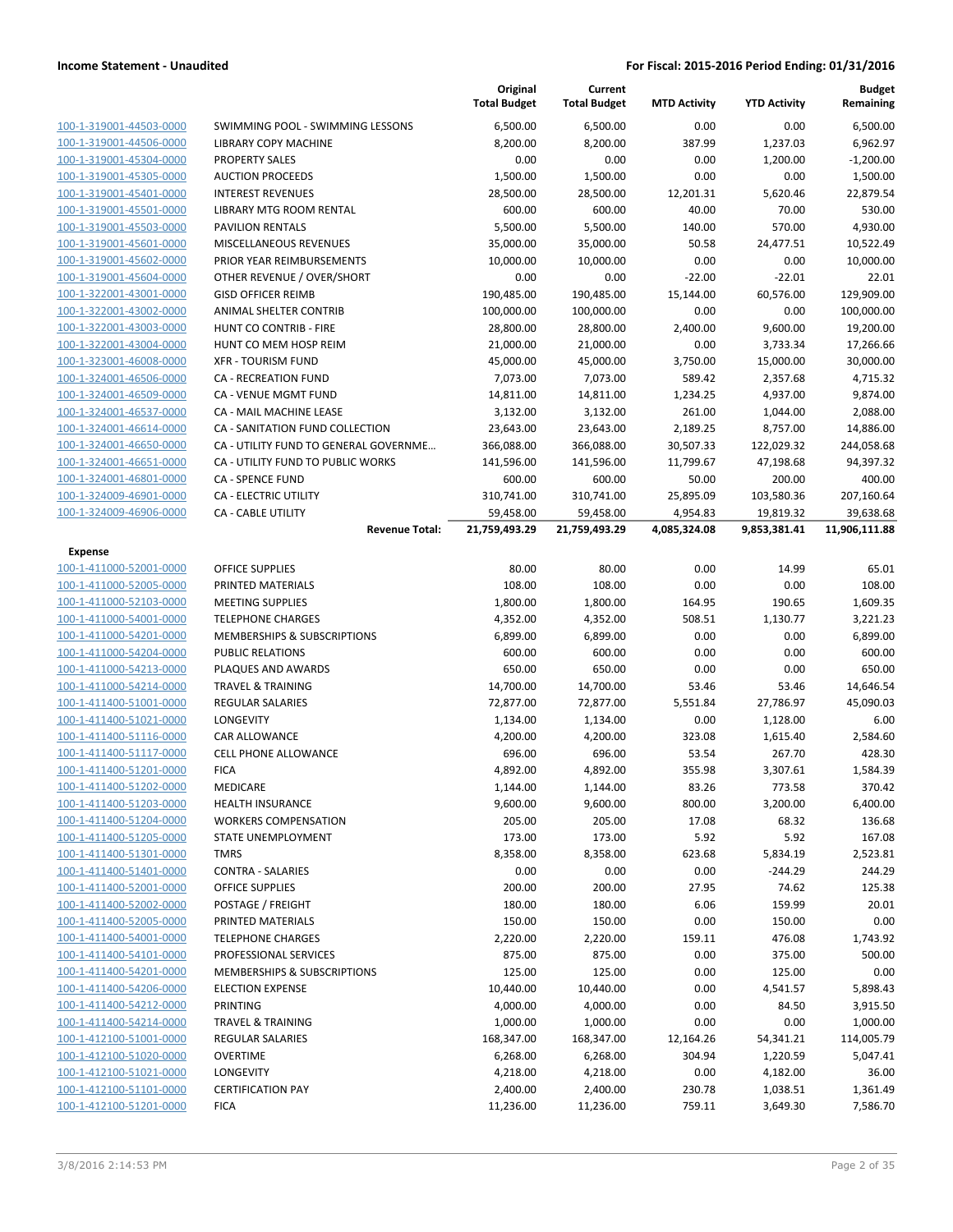|                                                    |                                       | Original<br><b>Total Budget</b> | Current<br><b>Total Budget</b> | <b>MTD Activity</b> | <b>YTD Activity</b> | Budget<br>Remaining |
|----------------------------------------------------|---------------------------------------|---------------------------------|--------------------------------|---------------------|---------------------|---------------------|
| 100-1-319001-44503-0000                            | SWIMMING POOL - SWIMMING LESSONS      | 6,500.00                        | 6,500.00                       | 0.00                | 0.00                | 6,500.00            |
| 100-1-319001-44506-0000                            | LIBRARY COPY MACHINE                  | 8,200.00                        | 8,200.00                       | 387.99              | 1,237.03            | 6,962.97            |
| 100-1-319001-45304-0000                            | <b>PROPERTY SALES</b>                 | 0.00                            | 0.00                           | 0.00                | 1,200.00            | -1,200.00           |
| 100-1-319001-45305-0000                            | <b>AUCTION PROCEEDS</b>               | 1,500.00                        | 1,500.00                       | 0.00                | 0.00                | 1,500.00            |
| 100-1-319001-45401-0000                            | <b>INTEREST REVENUES</b>              | 28,500.00                       | 28,500.00                      | 12,201.31           | 5,620.46            | 22,879.54           |
| 100-1-319001-45501-0000                            | LIBRARY MTG ROOM RENTAL               | 600.00                          | 600.00                         | 40.00               | 70.00               | 530.00              |
| 100-1-319001-45503-0000                            | <b>PAVILION RENTALS</b>               | 5,500.00                        | 5,500.00                       | 140.00              | 570.00              | 4,930.00            |
| 100-1-319001-45601-0000                            | MISCELLANEOUS REVENUES                | 35,000.00                       | 35,000.00                      | 50.58               | 24,477.51           | 10,522.49           |
| 100-1-319001-45602-0000                            | PRIOR YEAR REIMBURSEMENTS             | 10,000.00                       | 10,000.00                      | 0.00                | 0.00                | 10,000.00           |
| 100-1-319001-45604-0000                            | OTHER REVENUE / OVER/SHORT            | 0.00                            | 0.00                           | $-22.00$            | $-22.01$            | 22.01               |
| 100-1-322001-43001-0000                            | <b>GISD OFFICER REIMB</b>             | 190,485.00                      | 190,485.00                     | 15,144.00           | 60,576.00           | 129,909.00          |
| 100-1-322001-43002-0000                            | <b>ANIMAL SHELTER CONTRIB</b>         | 100,000.00                      | 100,000.00                     | 0.00                | 0.00                | 100,000.00          |
| 100-1-322001-43003-0000                            | HUNT CO CONTRIB - FIRE                | 28,800.00                       | 28,800.00                      | 2,400.00            | 9,600.00            | 19,200.00           |
| 100-1-322001-43004-0000                            | HUNT CO MEM HOSP REIM                 | 21,000.00                       | 21,000.00                      | 0.00                | 3,733.34            | 17,266.66           |
| 100-1-323001-46008-0000                            | <b>XFR - TOURISM FUND</b>             | 45,000.00                       | 45,000.00                      | 3,750.00            | 15,000.00           | 30,000.00           |
| 100-1-324001-46506-0000                            | <b>CA - RECREATION FUND</b>           | 7,073.00                        | 7,073.00                       | 589.42              | 2,357.68            | 4,715.32            |
| 100-1-324001-46509-0000                            | CA - VENUE MGMT FUND                  | 14,811.00                       | 14,811.00                      | 1,234.25            | 4,937.00            | 9,874.00            |
| 100-1-324001-46537-0000                            | <b>CA - MAIL MACHINE LEASE</b>        | 3,132.00                        | 3,132.00                       | 261.00              | 1,044.00            | 2,088.00            |
| 100-1-324001-46614-0000                            | CA - SANITATION FUND COLLECTION       | 23,643.00                       | 23,643.00                      | 2,189.25            | 8,757.00            | 14,886.00           |
| 100-1-324001-46650-0000                            | CA - UTILITY FUND TO GENERAL GOVERNME | 366,088.00                      | 366,088.00                     | 30,507.33           | 122,029.32          | 244,058.68          |
| 100-1-324001-46651-0000                            | CA - UTILITY FUND TO PUBLIC WORKS     | 141,596.00                      | 141,596.00                     | 11,799.67           | 47,198.68           | 94,397.32           |
| 100-1-324001-46801-0000                            | <b>CA - SPENCE FUND</b>               | 600.00                          | 600.00                         | 50.00               | 200.00              | 400.00              |
| 100-1-324009-46901-0000                            | CA - ELECTRIC UTILITY                 | 310,741.00                      | 310,741.00                     | 25,895.09           | 103,580.36          | 207,160.64          |
| 100-1-324009-46906-0000                            | <b>CA - CABLE UTILITY</b>             | 59,458.00                       | 59,458.00                      | 4,954.83            | 19,819.32           | 39,638.68           |
|                                                    | <b>Revenue Total:</b>                 | 21,759,493.29                   | 21,759,493.29                  | 4,085,324.08        | 9,853,381.41        | 11,906,111.88       |
| <b>Expense</b>                                     |                                       |                                 |                                |                     |                     |                     |
| 100-1-411000-52001-0000                            | <b>OFFICE SUPPLIES</b>                | 80.00                           | 80.00                          | 0.00                | 14.99               | 65.01               |
| 100-1-411000-52005-0000                            | PRINTED MATERIALS                     | 108.00                          | 108.00                         | 0.00                | 0.00                | 108.00              |
| 100-1-411000-52103-0000                            | <b>MEETING SUPPLIES</b>               | 1,800.00                        | 1,800.00                       | 164.95              | 190.65              | 1,609.35            |
| 100-1-411000-54001-0000                            | <b>TELEPHONE CHARGES</b>              | 4,352.00                        | 4,352.00                       | 508.51              | 1,130.77            | 3,221.23            |
| 100-1-411000-54201-0000                            | MEMBERSHIPS & SUBSCRIPTIONS           | 6,899.00                        | 6,899.00                       | 0.00                | 0.00                | 6,899.00            |
| 100-1-411000-54204-0000                            | <b>PUBLIC RELATIONS</b>               | 600.00                          | 600.00                         | 0.00                | 0.00                | 600.00              |
| 100-1-411000-54213-0000                            | PLAQUES AND AWARDS                    | 650.00                          | 650.00                         | 0.00                | 0.00                | 650.00              |
| 100-1-411000-54214-0000                            | <b>TRAVEL &amp; TRAINING</b>          | 14,700.00                       | 14,700.00                      | 53.46               | 53.46               | 14,646.54           |
| 100-1-411400-51001-0000                            | <b>REGULAR SALARIES</b>               | 72,877.00                       | 72,877.00                      | 5,551.84            | 27,786.97           | 45,090.03           |
| 100-1-411400-51021-0000<br>100-1-411400-51116-0000 | LONGEVITY<br><b>CAR ALLOWANCE</b>     | 1,134.00                        | 1,134.00                       | 0.00                | 1,128.00            | 6.00                |
| 100-1-411400-51117-0000                            | <b>CELL PHONE ALLOWANCE</b>           | 4,200.00<br>696.00              | 4,200.00<br>696.00             | 323.08<br>53.54     | 1,615.40<br>267.70  | 2,584.60<br>428.30  |
| 100-1-411400-51201-0000                            | <b>FICA</b>                           | 4,892.00                        | 4,892.00                       | 355.98              | 3,307.61            | 1,584.39            |
| 100-1-411400-51202-0000                            | MEDICARE                              | 1,144.00                        | 1,144.00                       | 83.26               | 773.58              | 370.42              |
| 100-1-411400-51203-0000                            | <b>HEALTH INSURANCE</b>               | 9,600.00                        | 9,600.00                       | 800.00              | 3,200.00            | 6,400.00            |
| 100-1-411400-51204-0000                            | <b>WORKERS COMPENSATION</b>           | 205.00                          | 205.00                         | 17.08               | 68.32               | 136.68              |
| 100-1-411400-51205-0000                            | STATE UNEMPLOYMENT                    | 173.00                          | 173.00                         | 5.92                | 5.92                | 167.08              |
| 100-1-411400-51301-0000                            | <b>TMRS</b>                           | 8,358.00                        | 8,358.00                       | 623.68              | 5,834.19            | 2,523.81            |
| 100-1-411400-51401-0000                            | <b>CONTRA - SALARIES</b>              | 0.00                            | 0.00                           | 0.00                | -244.29             | 244.29              |
| 100-1-411400-52001-0000                            | <b>OFFICE SUPPLIES</b>                | 200.00                          | 200.00                         | 27.95               | 74.62               | 125.38              |
| 100-1-411400-52002-0000                            | POSTAGE / FREIGHT                     | 180.00                          | 180.00                         | 6.06                | 159.99              | 20.01               |
| 100-1-411400-52005-0000                            | PRINTED MATERIALS                     | 150.00                          | 150.00                         | 0.00                | 150.00              | 0.00                |
| 100-1-411400-54001-0000                            | <b>TELEPHONE CHARGES</b>              | 2,220.00                        | 2,220.00                       | 159.11              | 476.08              | 1,743.92            |
| 100-1-411400-54101-0000                            | PROFESSIONAL SERVICES                 | 875.00                          | 875.00                         | 0.00                | 375.00              | 500.00              |
| 100-1-411400-54201-0000                            | MEMBERSHIPS & SUBSCRIPTIONS           | 125.00                          | 125.00                         | 0.00                | 125.00              | 0.00                |
| 100-1-411400-54206-0000                            | <b>ELECTION EXPENSE</b>               | 10,440.00                       | 10,440.00                      | 0.00                | 4,541.57            | 5,898.43            |
| 100-1-411400-54212-0000                            | PRINTING                              | 4,000.00                        | 4,000.00                       | 0.00                | 84.50               | 3,915.50            |
| 100-1-411400-54214-0000                            | <b>TRAVEL &amp; TRAINING</b>          | 1,000.00                        | 1,000.00                       | 0.00                | 0.00                | 1,000.00            |
| 100-1-412100-51001-0000                            | REGULAR SALARIES                      | 168,347.00                      | 168,347.00                     | 12,164.26           | 54,341.21           | 114,005.79          |
| 100-1-412100-51020-0000                            | <b>OVERTIME</b>                       | 6,268.00                        | 6,268.00                       | 304.94              | 1,220.59            | 5,047.41            |
| 100-1-412100-51021-0000                            | LONGEVITY                             | 4,218.00                        | 4,218.00                       | 0.00                | 4,182.00            | 36.00               |
| 100-1-412100-51101-0000                            | <b>CERTIFICATION PAY</b>              | 2,400.00                        | 2,400.00                       | 230.78              | 1,038.51            | 1,361.49            |
| 100-1-412100-51201-0000                            | <b>FICA</b>                           | 11,236.00                       | 11,236.00                      | 759.11              | 3,649.30            | 7,586.70            |
|                                                    |                                       |                                 |                                |                     |                     |                     |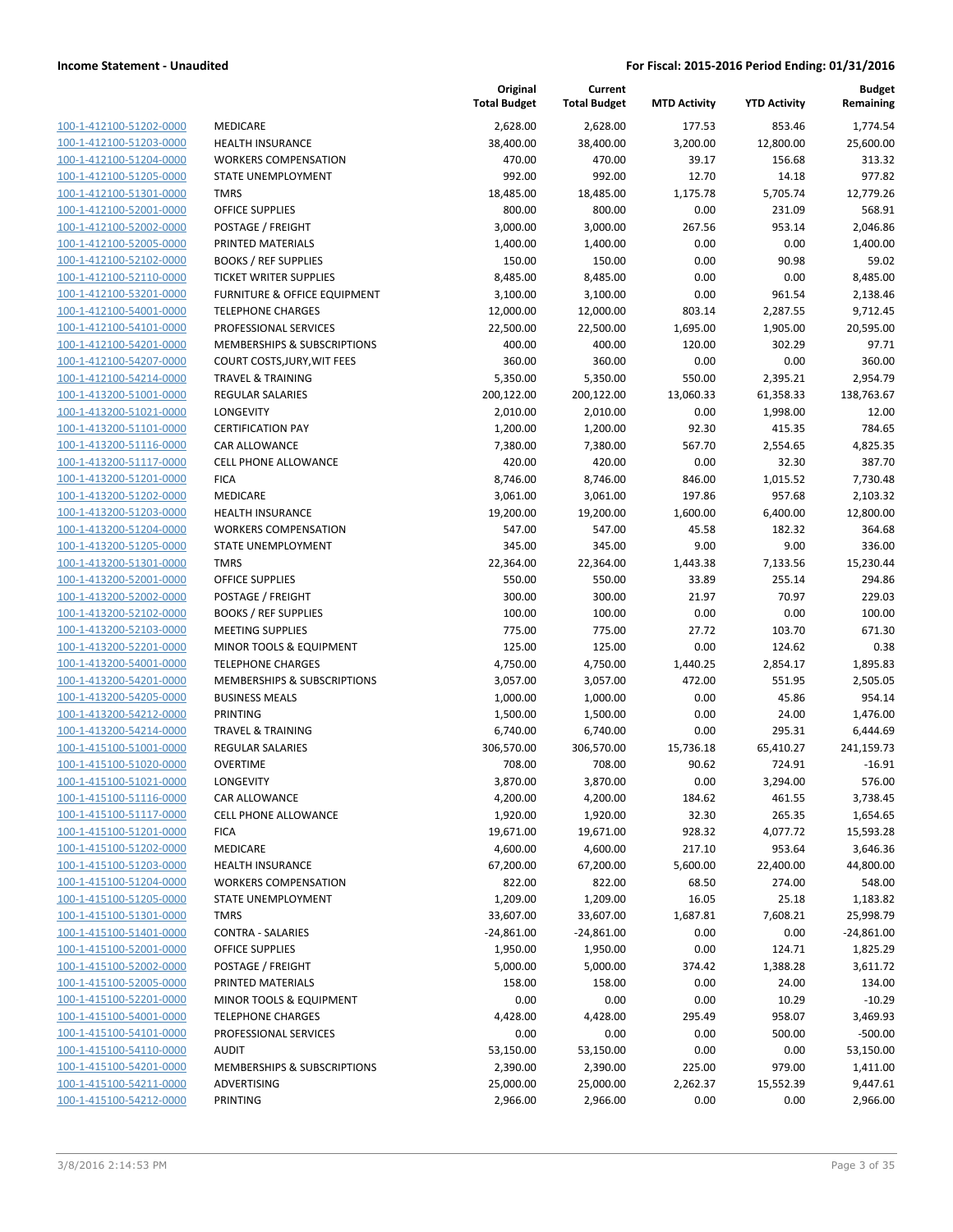|                                                    |                                                   | Original<br><b>Total Budget</b> | Current<br><b>Total Budget</b> | <b>MTD Activity</b> | <b>YTD Activity</b> | <b>Budget</b><br>Remaining |
|----------------------------------------------------|---------------------------------------------------|---------------------------------|--------------------------------|---------------------|---------------------|----------------------------|
| 100-1-412100-51202-0000                            | MEDICARE                                          | 2,628.00                        | 2,628.00                       | 177.53              | 853.46              | 1,774.54                   |
| 100-1-412100-51203-0000                            | <b>HEALTH INSURANCE</b>                           | 38,400.00                       | 38,400.00                      | 3,200.00            | 12,800.00           | 25,600.00                  |
| 100-1-412100-51204-0000                            | <b>WORKERS COMPENSATION</b>                       | 470.00                          | 470.00                         | 39.17               | 156.68              | 313.32                     |
| 100-1-412100-51205-0000                            | <b>STATE UNEMPLOYMENT</b>                         | 992.00                          | 992.00                         | 12.70               | 14.18               | 977.82                     |
| 100-1-412100-51301-0000                            | <b>TMRS</b>                                       | 18,485.00                       | 18,485.00                      | 1,175.78            | 5,705.74            | 12,779.26                  |
| 100-1-412100-52001-0000                            | <b>OFFICE SUPPLIES</b>                            | 800.00                          | 800.00                         | 0.00                | 231.09              | 568.91                     |
| 100-1-412100-52002-0000                            | POSTAGE / FREIGHT                                 | 3,000.00                        | 3,000.00                       | 267.56              | 953.14              | 2,046.86                   |
| 100-1-412100-52005-0000                            | PRINTED MATERIALS                                 | 1,400.00                        | 1,400.00                       | 0.00                | 0.00                | 1,400.00                   |
| 100-1-412100-52102-0000                            | <b>BOOKS / REF SUPPLIES</b>                       | 150.00                          | 150.00                         | 0.00                | 90.98               | 59.02                      |
| 100-1-412100-52110-0000                            | <b>TICKET WRITER SUPPLIES</b>                     | 8,485.00                        | 8,485.00                       | 0.00                | 0.00                | 8,485.00                   |
| 100-1-412100-53201-0000                            | FURNITURE & OFFICE EQUIPMENT                      | 3,100.00                        | 3,100.00                       | 0.00                | 961.54              | 2,138.46                   |
| 100-1-412100-54001-0000                            | <b>TELEPHONE CHARGES</b>                          | 12,000.00                       | 12,000.00                      | 803.14              | 2,287.55            | 9,712.45                   |
| 100-1-412100-54101-0000                            | PROFESSIONAL SERVICES                             | 22,500.00                       | 22,500.00                      | 1,695.00            | 1,905.00            | 20,595.00                  |
| 100-1-412100-54201-0000                            | MEMBERSHIPS & SUBSCRIPTIONS                       | 400.00                          | 400.00                         | 120.00              | 302.29              | 97.71                      |
| 100-1-412100-54207-0000                            | COURT COSTS, JURY, WIT FEES                       | 360.00                          | 360.00                         | 0.00                | 0.00                | 360.00                     |
| 100-1-412100-54214-0000                            | TRAVEL & TRAINING                                 | 5,350.00                        | 5,350.00                       | 550.00              | 2,395.21            | 2,954.79                   |
| 100-1-413200-51001-0000                            | <b>REGULAR SALARIES</b>                           | 200,122.00                      | 200,122.00                     | 13,060.33           | 61,358.33           | 138,763.67                 |
| 100-1-413200-51021-0000                            | LONGEVITY                                         | 2,010.00                        | 2,010.00                       | 0.00                | 1,998.00            | 12.00                      |
| 100-1-413200-51101-0000                            | <b>CERTIFICATION PAY</b>                          | 1,200.00                        | 1,200.00                       | 92.30               | 415.35              | 784.65<br>4,825.35         |
| 100-1-413200-51116-0000                            | CAR ALLOWANCE<br><b>CELL PHONE ALLOWANCE</b>      | 7,380.00                        | 7,380.00                       | 567.70<br>0.00      | 2,554.65            | 387.70                     |
| 100-1-413200-51117-0000<br>100-1-413200-51201-0000 | <b>FICA</b>                                       | 420.00<br>8,746.00              | 420.00<br>8,746.00             | 846.00              | 32.30<br>1,015.52   | 7,730.48                   |
| 100-1-413200-51202-0000                            | MEDICARE                                          | 3,061.00                        | 3,061.00                       | 197.86              | 957.68              | 2,103.32                   |
| 100-1-413200-51203-0000                            | <b>HEALTH INSURANCE</b>                           | 19,200.00                       | 19,200.00                      | 1,600.00            | 6,400.00            | 12,800.00                  |
| 100-1-413200-51204-0000                            | <b>WORKERS COMPENSATION</b>                       | 547.00                          | 547.00                         | 45.58               | 182.32              | 364.68                     |
| 100-1-413200-51205-0000                            | STATE UNEMPLOYMENT                                | 345.00                          | 345.00                         | 9.00                | 9.00                | 336.00                     |
| 100-1-413200-51301-0000                            | <b>TMRS</b>                                       | 22,364.00                       | 22,364.00                      | 1,443.38            | 7,133.56            | 15,230.44                  |
| 100-1-413200-52001-0000                            | <b>OFFICE SUPPLIES</b>                            | 550.00                          | 550.00                         | 33.89               | 255.14              | 294.86                     |
| 100-1-413200-52002-0000                            | POSTAGE / FREIGHT                                 | 300.00                          | 300.00                         | 21.97               | 70.97               | 229.03                     |
| 100-1-413200-52102-0000                            | <b>BOOKS / REF SUPPLIES</b>                       | 100.00                          | 100.00                         | 0.00                | 0.00                | 100.00                     |
| 100-1-413200-52103-0000                            | <b>MEETING SUPPLIES</b>                           | 775.00                          | 775.00                         | 27.72               | 103.70              | 671.30                     |
| 100-1-413200-52201-0000                            | MINOR TOOLS & EQUIPMENT                           | 125.00                          | 125.00                         | 0.00                | 124.62              | 0.38                       |
| 100-1-413200-54001-0000                            | <b>TELEPHONE CHARGES</b>                          | 4,750.00                        | 4,750.00                       | 1,440.25            | 2,854.17            | 1,895.83                   |
| 100-1-413200-54201-0000                            | MEMBERSHIPS & SUBSCRIPTIONS                       | 3,057.00                        | 3,057.00                       | 472.00              | 551.95              | 2,505.05                   |
| 100-1-413200-54205-0000                            | <b>BUSINESS MEALS</b>                             | 1,000.00                        | 1,000.00                       | 0.00                | 45.86               | 954.14                     |
| 100-1-413200-54212-0000                            | PRINTING                                          | 1,500.00                        | 1,500.00                       | 0.00                | 24.00               | 1,476.00                   |
| 100-1-413200-54214-0000                            | <b>TRAVEL &amp; TRAINING</b>                      | 6,740.00                        | 6,740.00                       | 0.00                | 295.31              | 6,444.69                   |
| 100-1-415100-51001-0000                            | <b>REGULAR SALARIES</b>                           | 306,570.00                      | 306,570.00                     | 15,736.18           | 65,410.27           | 241,159.73                 |
| 100-1-415100-51020-0000                            | <b>OVERTIME</b>                                   | 708.00                          | 708.00                         | 90.62               | 724.91              | $-16.91$                   |
| 100-1-415100-51021-0000                            | LONGEVITY                                         | 3,870.00                        | 3,870.00                       | 0.00                | 3,294.00            | 576.00                     |
| 100-1-415100-51116-0000                            | CAR ALLOWANCE                                     | 4,200.00                        | 4,200.00                       | 184.62              | 461.55              | 3,738.45                   |
| 100-1-415100-51117-0000                            | <b>CELL PHONE ALLOWANCE</b>                       | 1,920.00                        | 1,920.00                       | 32.30               | 265.35              | 1,654.65                   |
| 100-1-415100-51201-0000                            | <b>FICA</b>                                       | 19,671.00                       | 19,671.00                      | 928.32              | 4,077.72            | 15,593.28                  |
| 100-1-415100-51202-0000                            | MEDICARE                                          | 4,600.00                        | 4,600.00                       | 217.10              | 953.64              | 3,646.36                   |
| 100-1-415100-51203-0000                            | <b>HEALTH INSURANCE</b>                           | 67,200.00                       | 67,200.00                      | 5,600.00            | 22,400.00           | 44,800.00                  |
| 100-1-415100-51204-0000                            | <b>WORKERS COMPENSATION</b>                       | 822.00                          | 822.00                         | 68.50               | 274.00              | 548.00                     |
| 100-1-415100-51205-0000                            | STATE UNEMPLOYMENT                                | 1,209.00                        | 1,209.00                       | 16.05               | 25.18               | 1,183.82                   |
| 100-1-415100-51301-0000                            | <b>TMRS</b>                                       | 33,607.00                       | 33,607.00                      | 1,687.81            | 7,608.21            | 25,998.79                  |
| 100-1-415100-51401-0000                            | <b>CONTRA - SALARIES</b>                          | $-24,861.00$                    | $-24,861.00$                   | 0.00                | 0.00                | $-24,861.00$               |
| 100-1-415100-52001-0000                            | <b>OFFICE SUPPLIES</b>                            | 1,950.00                        | 1,950.00                       | 0.00                | 124.71              | 1,825.29                   |
| 100-1-415100-52002-0000                            | POSTAGE / FREIGHT                                 | 5,000.00                        | 5,000.00                       | 374.42              | 1,388.28            | 3,611.72                   |
| 100-1-415100-52005-0000                            | PRINTED MATERIALS                                 | 158.00                          | 158.00                         | 0.00                | 24.00               | 134.00                     |
| 100-1-415100-52201-0000<br>100-1-415100-54001-0000 | MINOR TOOLS & EQUIPMENT                           | 0.00                            | 0.00                           | 0.00                | 10.29<br>958.07     | $-10.29$                   |
| 100-1-415100-54101-0000                            | <b>TELEPHONE CHARGES</b><br>PROFESSIONAL SERVICES | 4,428.00<br>0.00                | 4,428.00<br>0.00               | 295.49<br>0.00      | 500.00              | 3,469.93<br>$-500.00$      |
| 100-1-415100-54110-0000                            | <b>AUDIT</b>                                      | 53,150.00                       | 53,150.00                      | 0.00                | 0.00                | 53,150.00                  |
| 100-1-415100-54201-0000                            | MEMBERSHIPS & SUBSCRIPTIONS                       | 2,390.00                        | 2,390.00                       | 225.00              | 979.00              | 1,411.00                   |
| 100-1-415100-54211-0000                            | ADVERTISING                                       | 25,000.00                       | 25,000.00                      | 2,262.37            | 15,552.39           | 9,447.61                   |
| 100-1-415100-54212-0000                            | PRINTING                                          | 2,966.00                        | 2,966.00                       | 0.00                | 0.00                | 2,966.00                   |
|                                                    |                                                   |                                 |                                |                     |                     |                            |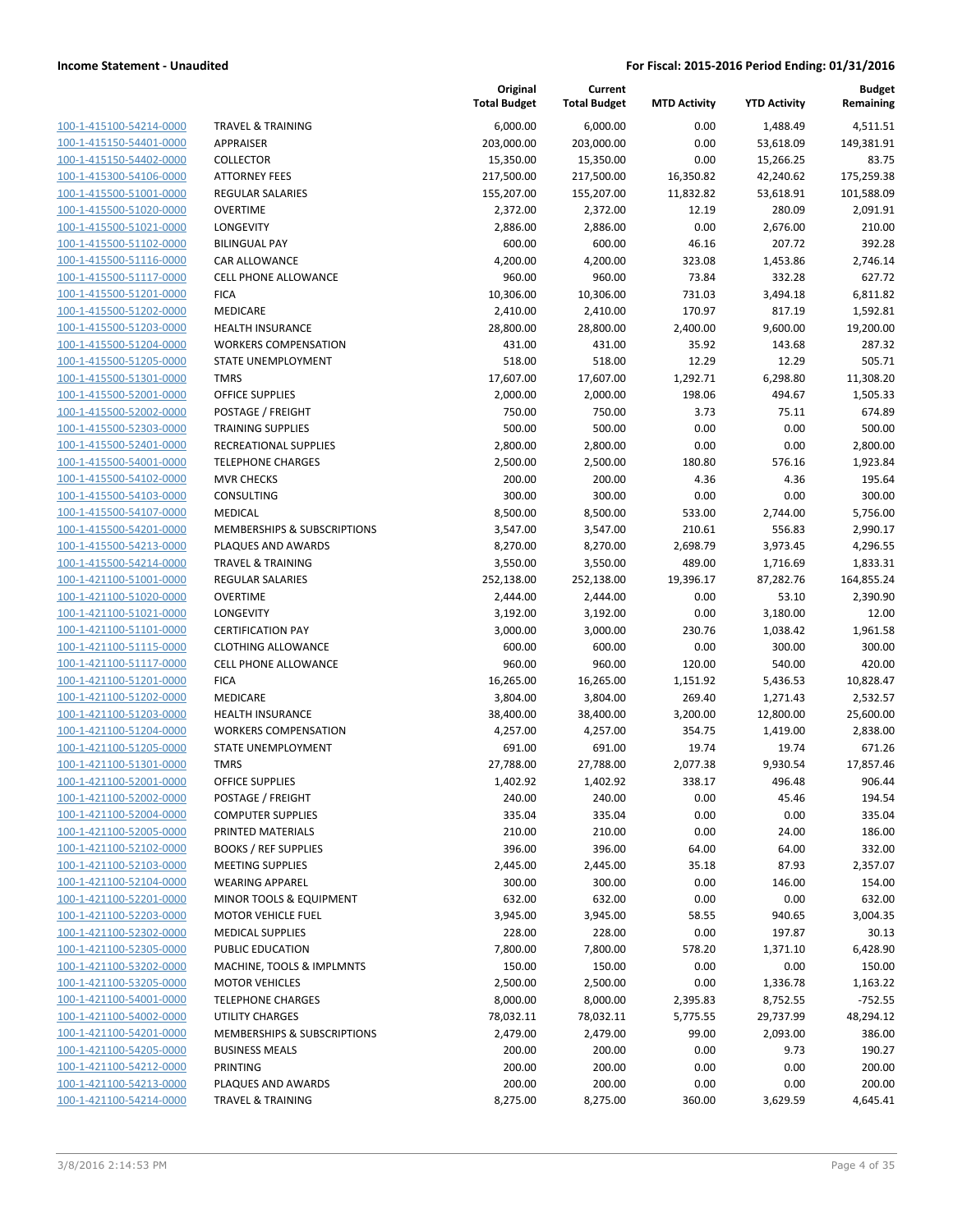| 100-1-415100-54214-0000        |
|--------------------------------|
| 100-1-415150-54401-0000        |
| 100-1-415150-54402-0000        |
| 100-1-415300-54106-0000        |
| 100-1-415500-51001-0000        |
| 100-1-415500-51020-0000        |
| 100-1-415500-51021-0000        |
| 100-1-415500-51102-0000        |
| 100-1-415500-51116-0000        |
|                                |
| 100-1-415500-51117-0000        |
| <u>100-1-415500-51201-0000</u> |
| <u>100-1-415500-51202-0000</u> |
| 100-1-415500-51203-0000        |
| 100-1-415500-51204-0000        |
| 100-1-415500-51205-0000        |
| 100-1-415500-51301-0000        |
| 100-1-415500-52001-0000        |
| 100-1-415500-52002-0000        |
| 100-1-415500-52303-0000        |
| 100-1-415500-52401-0000        |
| <u>100-1-415500-54001-0000</u> |
| 100-1-415500-54102-0000        |
| 100-1-415500-54103-0000        |
| 100-1-415500-54107-0000        |
| 100-1-415500-54201-0000        |
| 100-1-415500-54213-0000        |
| 100-1-415500-54214-0000        |
| 100-1-421100-51001-0000        |
| 100-1-421100-51020-0000        |
| 100-1-421100-51021-0000        |
| <u>100-1-421100-51101-0000</u> |
| <u>100-1-421100-51115-0000</u> |
| 100-1-421100-51117-0000        |
| 100-1-421100-51201-0000        |
| 100-1-421100-51202-0000        |
| 100-1-421100-51203-0000        |
| 100-1-421100-51204-0000        |
| 100-1-421100-51205-0000        |
| 100-1-421100-51301-0000        |
| 100-1-421100-52001-0000        |
| <u>100-1-421100-52002-0000</u> |
| 100-1-421100-52004-0000        |
| 100-1-421100-52005-0000        |
| 100-1-421100-52102-0000        |
| 100-1-421100-52103-0000        |
| 100-1-421100-52104-0000        |
|                                |
| <u>100-1-421100-52201-0000</u> |
| 100-1-421100-52203-0000        |
| 100-1-421100-52302-0000        |
| <u>100-1-421100-52305-0000</u> |
| 100-1-421100-53202-0000        |
| <u>100-1-421100-53205-0000</u> |
| 100-1-421100-54001-0000        |
| 100-1-421100-54002-0000        |
| <u>100-1-421100-54201-0000</u> |
| <u>100-1-421100-54205-0000</u> |
| <u>100-1-421100-54212-0000</u> |
| 100-1-421100-54213-0000        |
| 100-1-421100-54214-0000        |
|                                |

|                                                    |                                                          | Original<br><b>Total Budget</b> | Current<br><b>Total Budget</b> | <b>MTD Activity</b> | <b>YTD Activity</b> | <b>Budget</b><br>Remaining |
|----------------------------------------------------|----------------------------------------------------------|---------------------------------|--------------------------------|---------------------|---------------------|----------------------------|
| 100-1-415100-54214-0000                            | <b>TRAVEL &amp; TRAINING</b>                             | 6,000.00                        | 6,000.00                       | 0.00                | 1,488.49            | 4,511.51                   |
| 100-1-415150-54401-0000                            | <b>APPRAISER</b>                                         | 203,000.00                      | 203,000.00                     | 0.00                | 53,618.09           | 149,381.91                 |
| 100-1-415150-54402-0000                            | <b>COLLECTOR</b>                                         | 15,350.00                       | 15,350.00                      | 0.00                | 15,266.25           | 83.75                      |
| 100-1-415300-54106-0000                            | <b>ATTORNEY FEES</b>                                     | 217,500.00                      | 217,500.00                     | 16,350.82           | 42,240.62           | 175,259.38                 |
| 100-1-415500-51001-0000                            | <b>REGULAR SALARIES</b>                                  | 155,207.00                      | 155,207.00                     | 11,832.82           | 53,618.91           | 101,588.09                 |
| 100-1-415500-51020-0000                            | <b>OVERTIME</b>                                          | 2,372.00                        | 2,372.00                       | 12.19               | 280.09              | 2,091.91                   |
| 100-1-415500-51021-0000                            | <b>LONGEVITY</b>                                         | 2,886.00                        | 2,886.00                       | 0.00                | 2,676.00            | 210.00                     |
| 100-1-415500-51102-0000                            | <b>BILINGUAL PAY</b>                                     | 600.00                          | 600.00                         | 46.16               | 207.72              | 392.28                     |
| 100-1-415500-51116-0000                            | <b>CAR ALLOWANCE</b>                                     | 4,200.00                        | 4,200.00                       | 323.08              | 1,453.86            | 2,746.14                   |
| 100-1-415500-51117-0000                            | <b>CELL PHONE ALLOWANCE</b>                              | 960.00                          | 960.00                         | 73.84               | 332.28              | 627.72                     |
| 100-1-415500-51201-0000                            | <b>FICA</b>                                              | 10,306.00                       | 10,306.00                      | 731.03              | 3,494.18            | 6,811.82                   |
| 100-1-415500-51202-0000                            | MEDICARE                                                 | 2,410.00                        | 2,410.00                       | 170.97              | 817.19              | 1,592.81                   |
| 100-1-415500-51203-0000                            | <b>HEALTH INSURANCE</b>                                  | 28,800.00                       | 28,800.00                      | 2,400.00            | 9,600.00            | 19,200.00                  |
| 100-1-415500-51204-0000                            | <b>WORKERS COMPENSATION</b>                              | 431.00                          | 431.00                         | 35.92               | 143.68              | 287.32                     |
| 100-1-415500-51205-0000                            | STATE UNEMPLOYMENT                                       | 518.00                          | 518.00                         | 12.29               | 12.29               | 505.71                     |
| 100-1-415500-51301-0000                            | <b>TMRS</b>                                              | 17,607.00                       | 17,607.00                      | 1,292.71            | 6,298.80            | 11,308.20                  |
| 100-1-415500-52001-0000                            | <b>OFFICE SUPPLIES</b>                                   | 2,000.00                        | 2,000.00                       | 198.06              | 494.67              | 1,505.33                   |
| 100-1-415500-52002-0000                            | POSTAGE / FREIGHT                                        | 750.00                          | 750.00                         | 3.73                | 75.11               | 674.89                     |
| 100-1-415500-52303-0000                            | <b>TRAINING SUPPLIES</b>                                 | 500.00                          | 500.00                         | 0.00                | 0.00                | 500.00                     |
| 100-1-415500-52401-0000                            | RECREATIONAL SUPPLIES                                    | 2,800.00                        | 2,800.00                       | 0.00                | 0.00                | 2,800.00                   |
| 100-1-415500-54001-0000                            | <b>TELEPHONE CHARGES</b>                                 | 2,500.00                        | 2,500.00                       | 180.80              | 576.16              | 1,923.84                   |
| 100-1-415500-54102-0000                            | <b>MVR CHECKS</b>                                        | 200.00                          | 200.00                         | 4.36                | 4.36                | 195.64                     |
| 100-1-415500-54103-0000                            | <b>CONSULTING</b>                                        | 300.00                          | 300.00                         | 0.00                | 0.00                | 300.00                     |
| 100-1-415500-54107-0000                            | <b>MEDICAL</b><br><b>MEMBERSHIPS &amp; SUBSCRIPTIONS</b> | 8,500.00                        | 8,500.00                       | 533.00              | 2,744.00            | 5,756.00                   |
| 100-1-415500-54201-0000                            |                                                          | 3,547.00                        | 3,547.00                       | 210.61              | 556.83              | 2,990.17                   |
| 100-1-415500-54213-0000                            | PLAQUES AND AWARDS                                       | 8,270.00                        | 8,270.00                       | 2,698.79            | 3,973.45            | 4,296.55                   |
| 100-1-415500-54214-0000<br>100-1-421100-51001-0000 | <b>TRAVEL &amp; TRAINING</b>                             | 3,550.00                        | 3,550.00                       | 489.00              | 1,716.69            | 1,833.31                   |
| 100-1-421100-51020-0000                            | <b>REGULAR SALARIES</b><br><b>OVERTIME</b>               | 252,138.00<br>2,444.00          | 252,138.00<br>2,444.00         | 19,396.17<br>0.00   | 87,282.76<br>53.10  | 164,855.24<br>2,390.90     |
| 100-1-421100-51021-0000                            | LONGEVITY                                                | 3,192.00                        | 3,192.00                       | 0.00                | 3,180.00            | 12.00                      |
| 100-1-421100-51101-0000                            | <b>CERTIFICATION PAY</b>                                 | 3,000.00                        | 3,000.00                       | 230.76              | 1,038.42            | 1,961.58                   |
| 100-1-421100-51115-0000                            | <b>CLOTHING ALLOWANCE</b>                                | 600.00                          | 600.00                         | 0.00                | 300.00              | 300.00                     |
| 100-1-421100-51117-0000                            | <b>CELL PHONE ALLOWANCE</b>                              | 960.00                          | 960.00                         | 120.00              | 540.00              | 420.00                     |
| 100-1-421100-51201-0000                            | <b>FICA</b>                                              | 16,265.00                       | 16,265.00                      | 1,151.92            | 5,436.53            | 10,828.47                  |
| 100-1-421100-51202-0000                            | MEDICARE                                                 | 3,804.00                        | 3,804.00                       | 269.40              | 1,271.43            | 2,532.57                   |
| 100-1-421100-51203-0000                            | <b>HEALTH INSURANCE</b>                                  | 38,400.00                       | 38,400.00                      | 3,200.00            | 12,800.00           | 25,600.00                  |
| 100-1-421100-51204-0000                            | <b>WORKERS COMPENSATION</b>                              | 4,257.00                        | 4,257.00                       | 354.75              | 1,419.00            | 2,838.00                   |
| 100-1-421100-51205-0000                            | STATE UNEMPLOYMENT                                       | 691.00                          | 691.00                         | 19.74               | 19.74               | 671.26                     |
| 100-1-421100-51301-0000                            | <b>TMRS</b>                                              | 27,788.00                       | 27,788.00                      | 2,077.38            | 9,930.54            | 17,857.46                  |
| 100-1-421100-52001-0000                            | OFFICE SUPPLIES                                          | 1,402.92                        | 1,402.92                       | 338.17              | 496.48              | 906.44                     |
| 100-1-421100-52002-0000                            | POSTAGE / FREIGHT                                        | 240.00                          | 240.00                         | 0.00                | 45.46               | 194.54                     |
| 100-1-421100-52004-0000                            | <b>COMPUTER SUPPLIES</b>                                 | 335.04                          | 335.04                         | 0.00                | 0.00                | 335.04                     |
| 100-1-421100-52005-0000                            | PRINTED MATERIALS                                        | 210.00                          | 210.00                         | 0.00                | 24.00               | 186.00                     |
| 100-1-421100-52102-0000                            | <b>BOOKS / REF SUPPLIES</b>                              | 396.00                          | 396.00                         | 64.00               | 64.00               | 332.00                     |
| 100-1-421100-52103-0000                            | <b>MEETING SUPPLIES</b>                                  | 2,445.00                        | 2,445.00                       | 35.18               | 87.93               | 2,357.07                   |
| 100-1-421100-52104-0000                            | <b>WEARING APPAREL</b>                                   | 300.00                          | 300.00                         | 0.00                | 146.00              | 154.00                     |
| 100-1-421100-52201-0000                            | MINOR TOOLS & EQUIPMENT                                  | 632.00                          | 632.00                         | 0.00                | 0.00                | 632.00                     |
| 100-1-421100-52203-0000                            | <b>MOTOR VEHICLE FUEL</b>                                | 3,945.00                        | 3,945.00                       | 58.55               | 940.65              | 3,004.35                   |
| 100-1-421100-52302-0000                            | <b>MEDICAL SUPPLIES</b>                                  | 228.00                          | 228.00                         | 0.00                | 197.87              | 30.13                      |
| 100-1-421100-52305-0000                            | PUBLIC EDUCATION                                         | 7,800.00                        | 7,800.00                       | 578.20              | 1,371.10            | 6,428.90                   |
| 100-1-421100-53202-0000                            | MACHINE, TOOLS & IMPLMNTS                                | 150.00                          | 150.00                         | 0.00                | 0.00                | 150.00                     |
| 100-1-421100-53205-0000                            | <b>MOTOR VEHICLES</b>                                    | 2,500.00                        | 2,500.00                       | 0.00                | 1,336.78            | 1,163.22                   |
| 100-1-421100-54001-0000                            | <b>TELEPHONE CHARGES</b>                                 | 8,000.00                        | 8,000.00                       | 2,395.83            | 8,752.55            | $-752.55$                  |
| 100-1-421100-54002-0000                            | <b>UTILITY CHARGES</b>                                   | 78,032.11                       | 78,032.11                      | 5,775.55            | 29,737.99           | 48,294.12                  |
| 100-1-421100-54201-0000                            | MEMBERSHIPS & SUBSCRIPTIONS                              | 2,479.00                        | 2,479.00                       | 99.00               | 2,093.00            | 386.00                     |
| 100-1-421100-54205-0000                            | <b>BUSINESS MEALS</b>                                    | 200.00                          | 200.00                         | 0.00                | 9.73                | 190.27                     |
| 100-1-421100-54212-0000                            | PRINTING                                                 | 200.00                          | 200.00                         | 0.00                | 0.00                | 200.00                     |
| 100-1-421100-54213-0000                            | PLAQUES AND AWARDS                                       | 200.00                          | 200.00                         | 0.00                | 0.00                | 200.00                     |
| 100-1-421100-54214-0000                            | <b>TRAVEL &amp; TRAINING</b>                             | 8,275.00                        | 8,275.00                       | 360.00              | 3,629.59            | 4,645.41                   |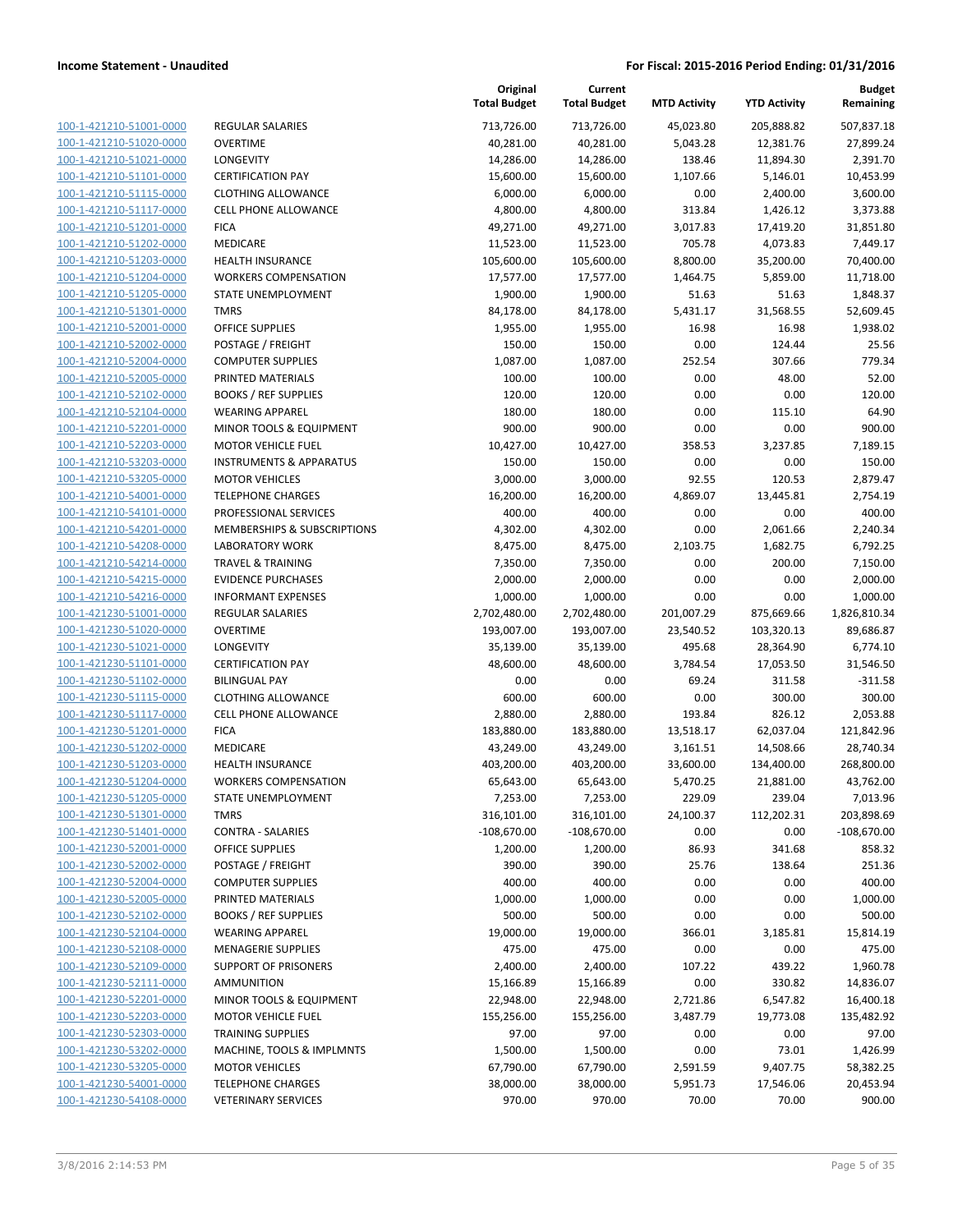| 100-1-421210-51001-0000        |
|--------------------------------|
| 100-1-421210-51020-0000        |
| 100-1-421210-51021-0000        |
| 100-1-421210-51101-0000        |
| 100-1-421210-51115-0000        |
| 100-1-421210-51117-0000        |
| 100-1-421210-51201-0000        |
| 100-1-421210-51202-0000        |
| 100-1-421210-51203-0000        |
| 100-1-421210-51204-0000        |
| 100-1-421210-51205-0000        |
| 100-1-421210-51301-0000        |
| 100-1-421210-52001-0000        |
| 100-1-421210-52002-0000        |
| 100-1-421210-52004-0000        |
| 100-1-421210-52005-0000        |
| 100-1-421210-52102-0000        |
| 100-1-421210-52104-0000        |
| 100-1-421210-52201-0000        |
| 100-1-421210-52203-0000        |
| 100-1-421210-53203-0000        |
| 100-1-421210-53205-0000        |
| 100-1-421210-54001-0000        |
| 100-1-421210-54101-0000        |
| 100-1-421210-54201-0000        |
| 100-1-421210-54208-0000        |
| 100-1-421210-54214-0000        |
| 100-1-421210-54215-0000        |
| 100-1-421210-54216-0000        |
| 100-1-421230-51001-0000        |
| 100-1-421230-51020-0000        |
| 100-1-421230-51021-0000        |
| 100-1-421230-51101-0000        |
| 100-1-421230-51102-0000        |
| 100-1-421230-51115-0000        |
| 100-1-421230-51117-0000        |
| 100-1-421230-51201-0000        |
| 100-1-421230-51202-0000        |
| 100-1-421230-51203-0000        |
| 100-1-421230-51204-0000        |
| 100-1-421230-51205-0000        |
|                                |
| <u>100-1-421230-51301-0000</u> |
| <u>100-1-421230-51401-0000</u> |
| <u>100-1-421230-52001-0000</u> |
| <u>100-1-421230-52002-0000</u> |
| 100-1-421230-52004-0000        |
| 100-1-421230-52005-0000        |
| 100-1-421230-52102-0000        |
| 100-1-421230-52104-0000        |
| <u>100-1-421230-52108-0000</u> |
| 100-1-421230-52109-0000        |
| 100-1-421230-52111-0000        |
| <u>100-1-421230-52201-0000</u> |
| <u>100-1-421230-52203-0000</u> |
| 100-1-421230-52303-0000        |
| <u>100-1-421230-53202-0000</u> |
| 100-1-421230-53205-0000        |
| <u>100-1-421230-54001-0000</u> |
| 100-1-421230-54108-0000        |

| EGULAR SALARIES:                   |
|------------------------------------|
| <b>VERTIME</b>                     |
| ONGEVITY                           |
| <b>ERTIFICATION PAY</b>            |
| LOTHING ALLOWANCE                  |
| ELL PHONE ALLOWANCE:               |
| ICA                                |
| <i><b>IEDICARE</b></i>             |
| IEALTH INSURANCE                   |
| VORKERS COMPENSATION               |
| TATE UNEMPLOYMENT                  |
| <b>MRS</b>                         |
| )FFICE SUPPLIES                    |
| OSTAGE / FREIGHT                   |
| OMPUTER SUPPLIES:                  |
| RINTED MATERIALS                   |
| OOKS / REF SUPPLIES                |
| VEARING APPAREL                    |
| <i>I</i> INOR TOOLS & EQUIPMENT    |
| <b><i>AOTOR VEHICLE FUEL</i></b>   |
| NSTRUMENTS & APPARATUS             |
| <b><i>IOTOR VEHICLES</i></b>       |
| <b>ELEPHONE CHARGES</b>            |
| ROFESSIONAL SERVICES               |
| AEMBERSHIPS & SUBSCRIPTIONS        |
| ABORATORY WORK                     |
| <b>RAVEL &amp; TRAINING</b>        |
|                                    |
| <b>VIDENCE PURCHASES</b>           |
| NFORMANT EXPENSES                  |
| EGULAR SALARIES:                   |
| )VERTIME                           |
| ONGEVITY                           |
| ERTIFICATION PAY                   |
| ILINGUAL PAY                       |
| LOTHING ALLOWANCE                  |
| ELL PHONE ALLOWANCE:               |
| ICA                                |
| <i><b>IEDICARE</b></i>             |
| IEALTH INSURANCE                   |
| VORKERS COMPENSATION               |
| TATE UNEMPLOYMENT                  |
| MRS                                |
| ONTRA - SALARIES:                  |
| <b>PERCE SUPPLIES</b>              |
| OSTAGE / FREIGHT                   |
| OMPUTER SUPPLIES                   |
| RINTED MATERIALS                   |
| OOKS / REF SUPPLIES                |
| <b>VEARING APPAREL</b>             |
| <b><i>AENAGERIE SUPPLIES</i></b>   |
| <b>UPPORT OF PRISONERS</b>         |
| MMUNITION                          |
| <b>IINOR TOOLS &amp; EQUIPMENT</b> |
| <b><i>AOTOR VEHICLE FUEL</i></b>   |
| <b>RAINING SUPPLIES</b>            |
| AACHINE, TOOLS & IMPLMNTS          |
| <b><i>IOTOR VEHICLES</i></b>       |
| <b>ELEPHONE CHARGES</b>            |

|                         |                                    | Original<br><b>Total Budget</b> | Current<br><b>Total Budget</b> | <b>MTD Activity</b> | <b>YTD Activity</b> | <b>Budget</b><br>Remaining |
|-------------------------|------------------------------------|---------------------------------|--------------------------------|---------------------|---------------------|----------------------------|
| 100-1-421210-51001-0000 | REGULAR SALARIES                   | 713,726.00                      | 713,726.00                     | 45,023.80           | 205,888.82          | 507,837.18                 |
| 100-1-421210-51020-0000 | <b>OVERTIME</b>                    | 40,281.00                       | 40,281.00                      | 5,043.28            | 12,381.76           | 27,899.24                  |
| 100-1-421210-51021-0000 | <b>LONGEVITY</b>                   | 14,286.00                       | 14,286.00                      | 138.46              | 11,894.30           | 2,391.70                   |
| 100-1-421210-51101-0000 | <b>CERTIFICATION PAY</b>           | 15,600.00                       | 15,600.00                      | 1,107.66            | 5,146.01            | 10,453.99                  |
| 100-1-421210-51115-0000 | <b>CLOTHING ALLOWANCE</b>          | 6,000.00                        | 6,000.00                       | 0.00                | 2,400.00            | 3,600.00                   |
| 100-1-421210-51117-0000 | <b>CELL PHONE ALLOWANCE</b>        | 4,800.00                        | 4,800.00                       | 313.84              | 1,426.12            | 3,373.88                   |
| 100-1-421210-51201-0000 | <b>FICA</b>                        | 49,271.00                       | 49,271.00                      | 3,017.83            | 17,419.20           | 31,851.80                  |
| 100-1-421210-51202-0000 | MEDICARE                           | 11,523.00                       | 11,523.00                      | 705.78              | 4,073.83            | 7,449.17                   |
| 100-1-421210-51203-0000 | <b>HEALTH INSURANCE</b>            | 105,600.00                      | 105,600.00                     | 8,800.00            | 35,200.00           | 70,400.00                  |
| 100-1-421210-51204-0000 | <b>WORKERS COMPENSATION</b>        | 17,577.00                       | 17,577.00                      | 1,464.75            | 5,859.00            | 11,718.00                  |
| 100-1-421210-51205-0000 | STATE UNEMPLOYMENT                 | 1,900.00                        | 1,900.00                       | 51.63               | 51.63               | 1,848.37                   |
| 100-1-421210-51301-0000 | <b>TMRS</b>                        | 84,178.00                       | 84,178.00                      | 5,431.17            | 31,568.55           | 52,609.45                  |
| 100-1-421210-52001-0000 | <b>OFFICE SUPPLIES</b>             | 1,955.00                        | 1,955.00                       | 16.98               | 16.98               | 1,938.02                   |
| 100-1-421210-52002-0000 | POSTAGE / FREIGHT                  | 150.00                          | 150.00                         | 0.00                | 124.44              | 25.56                      |
| 100-1-421210-52004-0000 | <b>COMPUTER SUPPLIES</b>           | 1,087.00                        | 1,087.00                       | 252.54              | 307.66              | 779.34                     |
| 100-1-421210-52005-0000 | PRINTED MATERIALS                  | 100.00                          | 100.00                         | 0.00                | 48.00               | 52.00                      |
| 100-1-421210-52102-0000 | <b>BOOKS / REF SUPPLIES</b>        | 120.00                          | 120.00                         | 0.00                | 0.00                | 120.00                     |
| 100-1-421210-52104-0000 | <b>WEARING APPAREL</b>             | 180.00                          | 180.00                         | 0.00                | 115.10              | 64.90                      |
| 100-1-421210-52201-0000 | MINOR TOOLS & EQUIPMENT            | 900.00                          | 900.00                         | 0.00                | 0.00                | 900.00                     |
| 100-1-421210-52203-0000 | <b>MOTOR VEHICLE FUEL</b>          | 10,427.00                       | 10,427.00                      | 358.53              | 3,237.85            | 7,189.15                   |
| 100-1-421210-53203-0000 | <b>INSTRUMENTS &amp; APPARATUS</b> | 150.00                          | 150.00                         | 0.00                | 0.00                | 150.00                     |
| 100-1-421210-53205-0000 | <b>MOTOR VEHICLES</b>              | 3,000.00                        | 3,000.00                       | 92.55               | 120.53              | 2,879.47                   |
| 100-1-421210-54001-0000 | <b>TELEPHONE CHARGES</b>           | 16,200.00                       | 16,200.00                      | 4,869.07            | 13,445.81           | 2,754.19                   |
| 100-1-421210-54101-0000 | PROFESSIONAL SERVICES              | 400.00                          | 400.00                         | 0.00                | 0.00                | 400.00                     |
| 100-1-421210-54201-0000 | MEMBERSHIPS & SUBSCRIPTIONS        | 4,302.00                        | 4,302.00                       | 0.00                | 2,061.66            | 2,240.34                   |
| 100-1-421210-54208-0000 | <b>LABORATORY WORK</b>             | 8,475.00                        | 8,475.00                       | 2,103.75            | 1,682.75            | 6,792.25                   |
| 100-1-421210-54214-0000 | <b>TRAVEL &amp; TRAINING</b>       | 7,350.00                        | 7,350.00                       | 0.00                | 200.00              | 7,150.00                   |
| 100-1-421210-54215-0000 | <b>EVIDENCE PURCHASES</b>          | 2,000.00                        | 2,000.00                       | 0.00                | 0.00                | 2,000.00                   |
| 100-1-421210-54216-0000 | <b>INFORMANT EXPENSES</b>          | 1,000.00                        | 1,000.00                       | 0.00                | 0.00                | 1,000.00                   |
| 100-1-421230-51001-0000 | <b>REGULAR SALARIES</b>            | 2,702,480.00                    | 2,702,480.00                   | 201,007.29          | 875,669.66          | 1,826,810.34               |
| 100-1-421230-51020-0000 | <b>OVERTIME</b>                    | 193,007.00                      | 193,007.00                     | 23,540.52           | 103,320.13          | 89,686.87                  |
| 100-1-421230-51021-0000 | LONGEVITY                          | 35,139.00                       | 35,139.00                      | 495.68              | 28,364.90           | 6,774.10                   |
| 100-1-421230-51101-0000 | <b>CERTIFICATION PAY</b>           | 48,600.00                       | 48,600.00                      | 3,784.54            | 17,053.50           | 31,546.50                  |
| 100-1-421230-51102-0000 | <b>BILINGUAL PAY</b>               | 0.00                            | 0.00                           | 69.24               | 311.58              | $-311.58$                  |
| 100-1-421230-51115-0000 | <b>CLOTHING ALLOWANCE</b>          | 600.00                          | 600.00                         | 0.00                | 300.00              | 300.00                     |
| 100-1-421230-51117-0000 | CELL PHONE ALLOWANCE               | 2,880.00                        | 2,880.00                       | 193.84              | 826.12              | 2,053.88                   |
| 100-1-421230-51201-0000 | <b>FICA</b>                        | 183,880.00                      | 183,880.00                     | 13,518.17           | 62,037.04           | 121,842.96                 |
| 100-1-421230-51202-0000 | MEDICARE                           | 43,249.00                       | 43,249.00                      | 3,161.51            | 14,508.66           | 28,740.34                  |
| 100-1-421230-51203-0000 | HEALTH INSURANCE                   | 403,200.00                      | 403,200.00                     | 33,600.00           | 134,400.00          | 268,800.00                 |
| 100-1-421230-51204-0000 | <b>WORKERS COMPENSATION</b>        | 65,643.00                       | 65,643.00                      | 5,470.25            | 21,881.00           | 43,762.00                  |
| 100-1-421230-51205-0000 | STATE UNEMPLOYMENT                 | 7,253.00                        | 7,253.00                       | 229.09              | 239.04              | 7,013.96                   |
| 100-1-421230-51301-0000 | <b>TMRS</b>                        | 316,101.00                      | 316,101.00                     | 24,100.37           | 112,202.31          | 203,898.69                 |
| 100-1-421230-51401-0000 | <b>CONTRA - SALARIES</b>           | $-108,670.00$                   | $-108,670.00$                  | 0.00                | 0.00                | $-108,670.00$              |
| 100-1-421230-52001-0000 | <b>OFFICE SUPPLIES</b>             | 1,200.00                        | 1,200.00                       | 86.93               | 341.68              | 858.32                     |
| 100-1-421230-52002-0000 | POSTAGE / FREIGHT                  | 390.00                          | 390.00                         | 25.76               | 138.64              | 251.36                     |
| 100-1-421230-52004-0000 | <b>COMPUTER SUPPLIES</b>           | 400.00                          | 400.00                         | 0.00                | 0.00                | 400.00                     |
| 100-1-421230-52005-0000 | PRINTED MATERIALS                  | 1,000.00                        | 1,000.00                       | 0.00                | 0.00                | 1,000.00                   |
| 100-1-421230-52102-0000 | <b>BOOKS / REF SUPPLIES</b>        | 500.00                          | 500.00                         | 0.00                | 0.00                | 500.00                     |
| 100-1-421230-52104-0000 | <b>WEARING APPAREL</b>             | 19,000.00                       | 19,000.00                      | 366.01              | 3,185.81            | 15,814.19                  |
| 100-1-421230-52108-0000 | <b>MENAGERIE SUPPLIES</b>          | 475.00                          | 475.00                         | 0.00                | 0.00                | 475.00                     |
| 100-1-421230-52109-0000 | <b>SUPPORT OF PRISONERS</b>        | 2,400.00                        | 2,400.00                       | 107.22              | 439.22              | 1,960.78                   |
| 100-1-421230-52111-0000 | AMMUNITION                         | 15,166.89                       | 15,166.89                      | 0.00                | 330.82              | 14,836.07                  |
| 100-1-421230-52201-0000 | MINOR TOOLS & EQUIPMENT            | 22,948.00                       | 22,948.00                      | 2,721.86            | 6,547.82            | 16,400.18                  |
| 100-1-421230-52203-0000 | <b>MOTOR VEHICLE FUEL</b>          | 155,256.00                      | 155,256.00                     | 3,487.79            | 19,773.08           | 135,482.92                 |
| 100-1-421230-52303-0000 | <b>TRAINING SUPPLIES</b>           | 97.00                           | 97.00                          | 0.00                | 0.00                | 97.00                      |
| 100-1-421230-53202-0000 | MACHINE, TOOLS & IMPLMNTS          | 1,500.00                        | 1,500.00                       | 0.00                | 73.01               | 1,426.99                   |
| 100-1-421230-53205-0000 | <b>MOTOR VEHICLES</b>              | 67,790.00                       | 67,790.00                      | 2,591.59            | 9,407.75            | 58,382.25                  |
| 100-1-421230-54001-0000 | <b>TELEPHONE CHARGES</b>           | 38,000.00                       | 38,000.00                      | 5,951.73            | 17,546.06           | 20,453.94                  |
| 100-1-421230-54108-0000 | <b>VETERINARY SERVICES</b>         | 970.00                          | 970.00                         | 70.00               | 70.00               | 900.00                     |
|                         |                                    |                                 |                                |                     |                     |                            |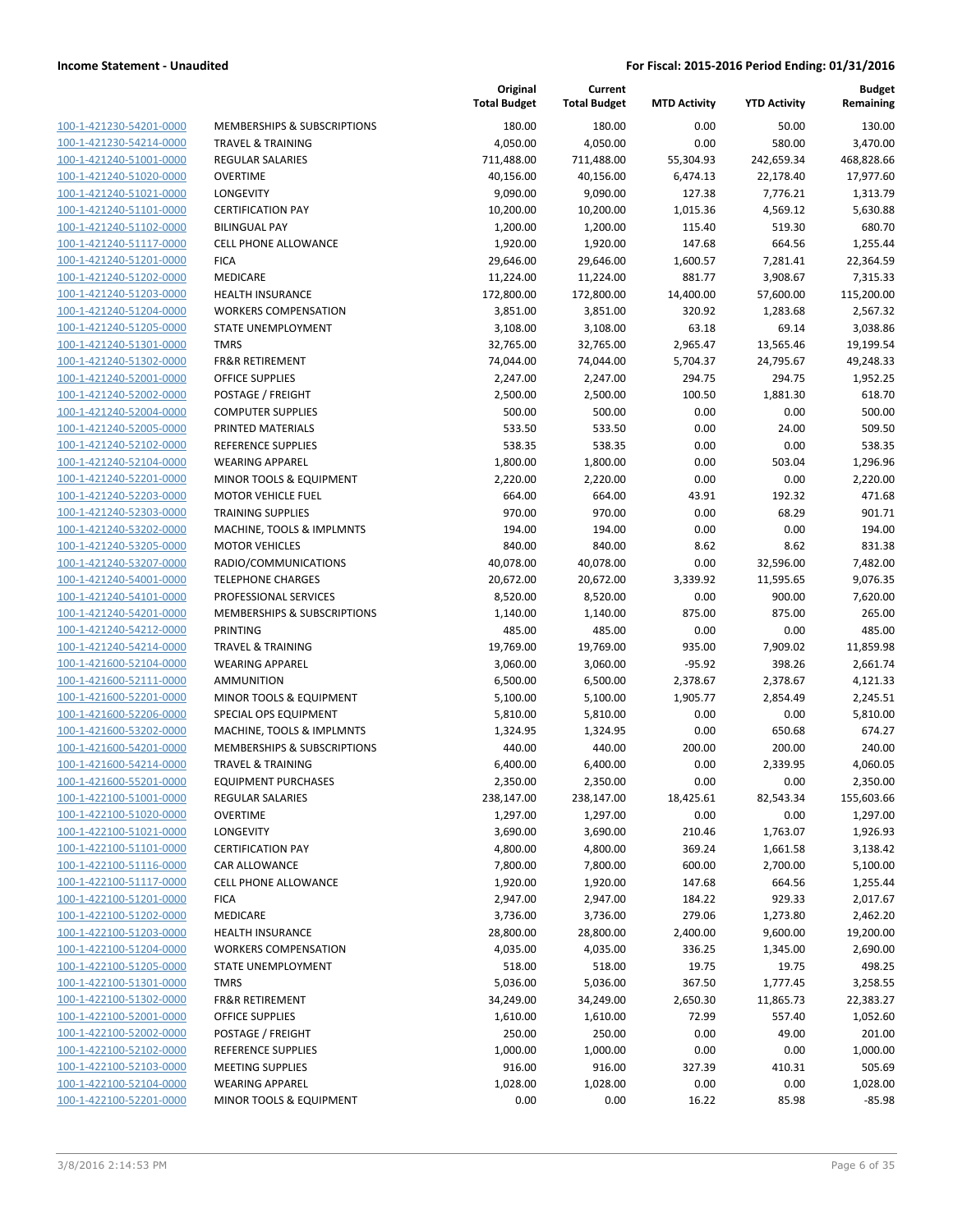| 100-1-421230-54201-0000        | I                        |
|--------------------------------|--------------------------|
| 100-1-421230-54214-0000        | Ī                        |
| 100-1-421240-51001-0000        | f                        |
| 100-1-421240-51020-0000        | $\overline{\phantom{a}}$ |
| <u>100-1-421240-51021-0000</u> | l                        |
|                                | $\overline{\phantom{a}}$ |
| 100-1-421240-51101-0000        |                          |
| 100-1-421240-51102-0000        | ł                        |
| 100-1-421240-51117-0000        | (                        |
| 100-1-421240-51201-0000        | f                        |
| 100-1-421240-51202-0000        | ľ                        |
| 100-1-421240-51203-0000        | ł                        |
| 100-1-421240-51204-0000        | ١                        |
| 100-1-421240-51205-0000        | í                        |
| 100-1-421240-51301-0000        |                          |
| <u>100-1-421240-51302-0000</u> | f                        |
| 100-1-421240-52001-0000        | $\overline{\phantom{a}}$ |
| 100-1-421240-52002-0000        | f                        |
| 100-1-421240-52004-0000        | (                        |
| 100-1-421240-52005-0000        | f                        |
| <u>100-1-421240-52102-0000</u> | f                        |
|                                | ١                        |
| 100-1-421240-52104-0000        |                          |
| 100-1-421240-52201-0000        | I                        |
| 100-1-421240-52203-0000        | ľ                        |
| 100-1-421240-52303-0000        | Ī                        |
| <u>100-1-421240-53202-0000</u> | ľ                        |
| 100-1-421240-53205-0000        | I                        |
| 100-1-421240-53207-0000        | f                        |
| 100-1-421240-54001-0000        | Ī                        |
| 100-1-421240-54101-0000        | f                        |
| <u>100-1-421240-54201-0000</u> | ľ                        |
| 100-1-421240-54212-0000        | I                        |
| 100-1-421240-54214-0000        | Ī                        |
| 100-1-421600-52104-0000        | ١                        |
| <u>100-1-421600-52111-0000</u> | Í                        |
|                                | ľ                        |
| <u>100-1-421600-52201-0000</u> | í                        |
| 100-1-421600-52206-0000        |                          |
| 100-1-421600-53202-0000        | I                        |
| 100-1-421600-54201-0000        | I                        |
| 100-1-421600-54214-0000        | Ī                        |
| 100-1-421600-55201-0000        | ł                        |
| 100-1-422100-51001-0000        | f                        |
| <u>100-1-422100-51020-0000</u> |                          |
| 100-1-422100-51021-0000        | l                        |
| <u>100-1-422100-51101-0000</u> | (                        |
| <u>100-1-422100-51116-0000</u> | Ç                        |
| <u>100-1-422100-51117-0000</u> | (                        |
| <u>100-1-422100-51201-0000</u> | I                        |
| <u>100-1-422100-51202-0000</u> | I                        |
| 100-1-422100-51203-0000        | ł                        |
|                                |                          |
| <u>100-1-422100-51204-0000</u> |                          |
| <u>100-1-422100-51205-0000</u> | ؚ                        |
| 100-1-422100-51301-0000        |                          |
| 100-1-422100-51302-0000        | ľ                        |
| <u>100-1-422100-52001-0000</u> | (                        |
| 100-1-422100-52002-0000        | ł                        |
| <u>100-1-422100-52102-0000</u> | ł                        |
| 100-1-422100-52103-0000        | I                        |
| 100-1-422100-52104-0000        |                          |
| <u>100-1-422100-52201-0000</u> | I                        |
|                                |                          |

|                                                    |                                                | Original<br><b>Total Budget</b> | Current<br><b>Total Budget</b> | <b>MTD Activity</b> | <b>YTD Activity</b> | <b>Budget</b><br>Remaining |
|----------------------------------------------------|------------------------------------------------|---------------------------------|--------------------------------|---------------------|---------------------|----------------------------|
| 100-1-421230-54201-0000                            | <b>MEMBERSHIPS &amp; SUBSCRIPTIONS</b>         | 180.00                          | 180.00                         | 0.00                | 50.00               | 130.00                     |
| 100-1-421230-54214-0000                            | <b>TRAVEL &amp; TRAINING</b>                   | 4,050.00                        | 4,050.00                       | 0.00                | 580.00              | 3,470.00                   |
| 100-1-421240-51001-0000                            | <b>REGULAR SALARIES</b>                        | 711,488.00                      | 711,488.00                     | 55,304.93           | 242,659.34          | 468,828.66                 |
| 100-1-421240-51020-0000                            | <b>OVERTIME</b>                                | 40,156.00                       | 40,156.00                      | 6,474.13            | 22,178.40           | 17,977.60                  |
| 100-1-421240-51021-0000                            | LONGEVITY                                      | 9,090.00                        | 9,090.00                       | 127.38              | 7,776.21            | 1,313.79                   |
| 100-1-421240-51101-0000                            | <b>CERTIFICATION PAY</b>                       | 10,200.00                       | 10,200.00                      | 1,015.36            | 4,569.12            | 5,630.88                   |
| 100-1-421240-51102-0000                            | <b>BILINGUAL PAY</b>                           | 1,200.00                        | 1,200.00                       | 115.40              | 519.30              | 680.70                     |
| 100-1-421240-51117-0000                            | <b>CELL PHONE ALLOWANCE</b>                    | 1,920.00                        | 1,920.00                       | 147.68              | 664.56              | 1,255.44                   |
| 100-1-421240-51201-0000                            | <b>FICA</b>                                    | 29,646.00                       | 29,646.00                      | 1,600.57            | 7,281.41            | 22,364.59                  |
| 100-1-421240-51202-0000                            | MEDICARE                                       | 11,224.00                       | 11,224.00                      | 881.77              | 3,908.67            | 7,315.33                   |
| 100-1-421240-51203-0000                            | <b>HEALTH INSURANCE</b>                        | 172,800.00                      | 172,800.00                     | 14,400.00           | 57,600.00           | 115,200.00                 |
| 100-1-421240-51204-0000                            | <b>WORKERS COMPENSATION</b>                    | 3,851.00                        | 3,851.00                       | 320.92              | 1,283.68            | 2,567.32                   |
| 100-1-421240-51205-0000                            | STATE UNEMPLOYMENT                             | 3,108.00                        | 3,108.00                       | 63.18               | 69.14               | 3,038.86                   |
| 100-1-421240-51301-0000                            | <b>TMRS</b>                                    | 32,765.00                       | 32,765.00                      | 2,965.47            | 13,565.46           | 19,199.54                  |
| 100-1-421240-51302-0000                            | <b>FR&amp;R RETIREMENT</b>                     | 74,044.00                       | 74,044.00                      | 5,704.37            | 24,795.67           | 49,248.33                  |
| 100-1-421240-52001-0000<br>100-1-421240-52002-0000 | <b>OFFICE SUPPLIES</b>                         | 2,247.00                        | 2,247.00                       | 294.75              | 294.75              | 1,952.25                   |
|                                                    | POSTAGE / FREIGHT                              | 2,500.00                        | 2,500.00                       | 100.50              | 1,881.30            | 618.70<br>500.00           |
| 100-1-421240-52004-0000<br>100-1-421240-52005-0000 | <b>COMPUTER SUPPLIES</b>                       | 500.00                          | 500.00                         | 0.00                | 0.00                |                            |
| 100-1-421240-52102-0000                            | PRINTED MATERIALS<br><b>REFERENCE SUPPLIES</b> | 533.50<br>538.35                | 533.50<br>538.35               | 0.00<br>0.00        | 24.00<br>0.00       | 509.50<br>538.35           |
| 100-1-421240-52104-0000                            | <b>WEARING APPAREL</b>                         | 1,800.00                        | 1,800.00                       | 0.00                | 503.04              | 1,296.96                   |
| 100-1-421240-52201-0000                            | MINOR TOOLS & EQUIPMENT                        | 2,220.00                        | 2,220.00                       | 0.00                | 0.00                | 2,220.00                   |
| 100-1-421240-52203-0000                            | <b>MOTOR VEHICLE FUEL</b>                      | 664.00                          | 664.00                         | 43.91               | 192.32              | 471.68                     |
| 100-1-421240-52303-0000                            | <b>TRAINING SUPPLIES</b>                       | 970.00                          | 970.00                         | 0.00                | 68.29               | 901.71                     |
| 100-1-421240-53202-0000                            | MACHINE, TOOLS & IMPLMNTS                      | 194.00                          | 194.00                         | 0.00                | 0.00                | 194.00                     |
| 100-1-421240-53205-0000                            | <b>MOTOR VEHICLES</b>                          | 840.00                          | 840.00                         | 8.62                | 8.62                | 831.38                     |
| 100-1-421240-53207-0000                            | RADIO/COMMUNICATIONS                           | 40,078.00                       | 40,078.00                      | 0.00                | 32,596.00           | 7,482.00                   |
| 100-1-421240-54001-0000                            | <b>TELEPHONE CHARGES</b>                       | 20,672.00                       | 20,672.00                      | 3,339.92            | 11,595.65           | 9,076.35                   |
| 100-1-421240-54101-0000                            | PROFESSIONAL SERVICES                          | 8,520.00                        | 8,520.00                       | 0.00                | 900.00              | 7,620.00                   |
| 100-1-421240-54201-0000                            | MEMBERSHIPS & SUBSCRIPTIONS                    | 1,140.00                        | 1,140.00                       | 875.00              | 875.00              | 265.00                     |
| 100-1-421240-54212-0000                            | <b>PRINTING</b>                                | 485.00                          | 485.00                         | 0.00                | 0.00                | 485.00                     |
| 100-1-421240-54214-0000                            | <b>TRAVEL &amp; TRAINING</b>                   | 19,769.00                       | 19,769.00                      | 935.00              | 7,909.02            | 11,859.98                  |
| 100-1-421600-52104-0000                            | <b>WEARING APPAREL</b>                         | 3,060.00                        | 3,060.00                       | $-95.92$            | 398.26              | 2,661.74                   |
| 100-1-421600-52111-0000                            | <b>AMMUNITION</b>                              | 6,500.00                        | 6,500.00                       | 2,378.67            | 2,378.67            | 4,121.33                   |
| 100-1-421600-52201-0000                            | MINOR TOOLS & EQUIPMENT                        | 5,100.00                        | 5,100.00                       | 1,905.77            | 2,854.49            | 2,245.51                   |
| 100-1-421600-52206-0000                            | SPECIAL OPS EQUIPMENT                          | 5,810.00                        | 5,810.00                       | 0.00                | 0.00                | 5,810.00                   |
| 100-1-421600-53202-0000                            | MACHINE, TOOLS & IMPLMNTS                      | 1,324.95                        | 1,324.95                       | 0.00                | 650.68              | 674.27                     |
| 100-1-421600-54201-0000                            | MEMBERSHIPS & SUBSCRIPTIONS                    | 440.00                          | 440.00                         | 200.00              | 200.00              | 240.00                     |
| 100-1-421600-54214-0000                            | <b>TRAVEL &amp; TRAINING</b>                   | 6,400.00                        | 6,400.00                       | 0.00                | 2,339.95            | 4,060.05                   |
| 100-1-421600-55201-0000                            | <b>EQUIPMENT PURCHASES</b>                     | 2,350.00                        | 2,350.00                       | 0.00                | 0.00                | 2,350.00                   |
| 100-1-422100-51001-0000                            | <b>REGULAR SALARIES</b>                        | 238,147.00                      | 238,147.00                     | 18,425.61           | 82,543.34           | 155,603.66                 |
| 100-1-422100-51020-0000                            | <b>OVERTIME</b>                                | 1,297.00                        | 1,297.00                       | 0.00                | 0.00                | 1,297.00                   |
| 100-1-422100-51021-0000                            | LONGEVITY                                      | 3,690.00                        | 3,690.00                       | 210.46              | 1,763.07            | 1,926.93                   |
| 100-1-422100-51101-0000                            | <b>CERTIFICATION PAY</b>                       | 4,800.00                        | 4,800.00                       | 369.24              | 1,661.58            | 3,138.42                   |
| 100-1-422100-51116-0000                            | CAR ALLOWANCE                                  | 7,800.00                        | 7,800.00                       | 600.00              | 2,700.00            | 5,100.00                   |
| 100-1-422100-51117-0000                            | CELL PHONE ALLOWANCE                           | 1,920.00                        | 1,920.00                       | 147.68              | 664.56              | 1,255.44                   |
| 100-1-422100-51201-0000                            | <b>FICA</b>                                    | 2,947.00                        | 2,947.00                       | 184.22              | 929.33              | 2,017.67                   |
| 100-1-422100-51202-0000                            | <b>MEDICARE</b>                                | 3,736.00                        | 3,736.00                       | 279.06              | 1,273.80            | 2,462.20                   |
| 100-1-422100-51203-0000                            | <b>HEALTH INSURANCE</b>                        | 28,800.00                       | 28,800.00                      | 2,400.00            | 9,600.00            | 19,200.00                  |
| 100-1-422100-51204-0000                            | <b>WORKERS COMPENSATION</b>                    | 4,035.00                        | 4,035.00                       | 336.25              | 1,345.00            | 2,690.00                   |
| 100-1-422100-51205-0000                            | STATE UNEMPLOYMENT                             | 518.00                          | 518.00                         | 19.75               | 19.75               | 498.25                     |
| 100-1-422100-51301-0000                            | <b>TMRS</b>                                    | 5,036.00                        | 5,036.00                       | 367.50              | 1,777.45            | 3,258.55                   |
| 100-1-422100-51302-0000                            | <b>FR&amp;R RETIREMENT</b>                     | 34,249.00                       | 34,249.00                      | 2,650.30            | 11,865.73           | 22,383.27                  |
| 100-1-422100-52001-0000                            | <b>OFFICE SUPPLIES</b>                         | 1,610.00                        | 1,610.00                       | 72.99               | 557.40              | 1,052.60                   |
| 100-1-422100-52002-0000                            | POSTAGE / FREIGHT                              | 250.00                          | 250.00                         | 0.00                | 49.00               | 201.00                     |
| 100-1-422100-52102-0000                            | REFERENCE SUPPLIES                             | 1,000.00                        | 1,000.00                       | 0.00                | 0.00                | 1,000.00                   |
| 100-1-422100-52103-0000                            | <b>MEETING SUPPLIES</b>                        | 916.00                          | 916.00                         | 327.39              | 410.31              | 505.69                     |
| 100-1-422100-52104-0000                            | <b>WEARING APPAREL</b>                         | 1,028.00                        | 1,028.00                       | 0.00                | 0.00                | 1,028.00                   |
| 100-1-422100-52201-0000                            | MINOR TOOLS & EQUIPMENT                        | 0.00                            | 0.00                           | 16.22               | 85.98               | $-85.98$                   |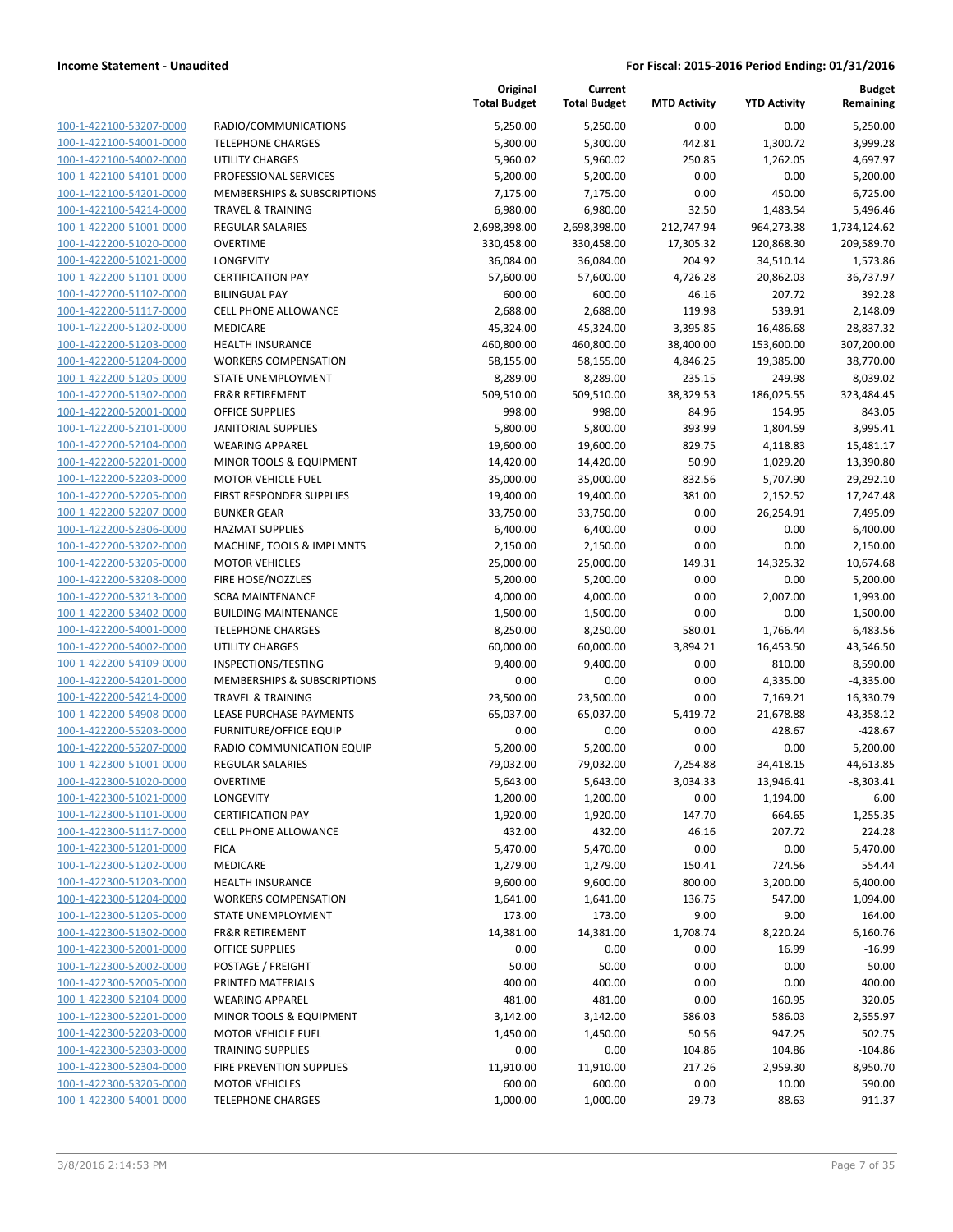| 100-1-422100-53207-0000                                   |
|-----------------------------------------------------------|
| <u>100-1-422100-54001-0000</u>                            |
| 100-1-422100-54002-0000                                   |
| 100-1-422100-54101-0000                                   |
| 100-1-422100-54201-0000                                   |
| 100-1-422100-54214-0000                                   |
| <u>100-1-422200-51001-0000</u>                            |
| 100-1-422200-51020-0000                                   |
| 100-1-422200-51021-0000                                   |
|                                                           |
| 100-1-422200-51101-0000                                   |
| 100-1-422200-51102-0000                                   |
| <u>100-1-422200-51117-0000</u>                            |
| 100-1-422200-51202-0000                                   |
| 100-1-422200-51203-0000                                   |
| 100-1-422200-51204-0000                                   |
| 100-1-422200-51205-0000                                   |
| <u>100-1-422200-51302-0000</u>                            |
| 100-1-422200-52001-0000                                   |
| 100-1-422200-52101-0000                                   |
| 100-1-422200-52104-0000                                   |
| 100-1-422200-52201-0000                                   |
| <u>100-1-422200-52203-0000</u>                            |
|                                                           |
| 100-1-422200-52205-0000                                   |
| 100-1-422200-52207-0000                                   |
| 100-1-422200-52306-0000                                   |
| 100-1-422200-53202-0000                                   |
| <u>100-1-422200-53205-0000</u>                            |
| 100-1-422200-53208-0000                                   |
| 100-1-422200-53213-0000                                   |
| 100-1-422200-53402-0000                                   |
| 100-1-422200-54001-0000                                   |
| <u>100-1-422200-54002-0000</u>                            |
| 100-1-422200-54109-0000                                   |
| 100-1-422200-54201-0000                                   |
| 100-1-422200-54214-0000                                   |
| 100-1-422200-54908-0000                                   |
| <u>100-1-422200-55203-0000</u>                            |
| 100-1-422200-55207-0000                                   |
|                                                           |
| 100-1-422300-51001-0000                                   |
| 100-1-422300-51020-0000                                   |
| 100-1-422300-51021-0000                                   |
| <u>100-1-422300-51101-0000</u>                            |
| 100-1-422300-51117-0000                                   |
| 100-1-422300-51201-0000                                   |
| 100-1-422300-51202-0000                                   |
| <u>100-1-422300-51203-0000</u>                            |
| <u>100-1-422300-51204-0000</u>                            |
| <u>100-1-422300-51205-0000</u>                            |
| 100-1-422300-51302-0000                                   |
| 100-1-422300-52001-0000                                   |
| <u>100-1-422300-52002-0000</u>                            |
|                                                           |
| <u>100-1-422300-52005-0000</u>                            |
| <u>100-1-422300-52104-0000</u>                            |
| 100-1-422300-52201-0000                                   |
| 100-1-422300-52203-0000                                   |
| <u>100-1-422300-52303-0000</u>                            |
|                                                           |
| 100-1-422300-52304-0000                                   |
| <u>100-1-422300-53205-0000</u><br>100-1-422300-54001-0000 |

|                         |                               | Original<br><b>Total Budget</b> | Current<br><b>Total Budget</b> | <b>MTD Activity</b> | <b>YTD Activity</b> | <b>Budget</b><br>Remaining |
|-------------------------|-------------------------------|---------------------------------|--------------------------------|---------------------|---------------------|----------------------------|
| 100-1-422100-53207-0000 | RADIO/COMMUNICATIONS          | 5,250.00                        | 5,250.00                       | 0.00                | 0.00                | 5,250.00                   |
| 100-1-422100-54001-0000 | <b>TELEPHONE CHARGES</b>      | 5,300.00                        | 5,300.00                       | 442.81              | 1,300.72            | 3,999.28                   |
| 100-1-422100-54002-0000 | <b>UTILITY CHARGES</b>        | 5,960.02                        | 5,960.02                       | 250.85              | 1,262.05            | 4,697.97                   |
| 100-1-422100-54101-0000 | PROFESSIONAL SERVICES         | 5,200.00                        | 5,200.00                       | 0.00                | 0.00                | 5,200.00                   |
| 100-1-422100-54201-0000 | MEMBERSHIPS & SUBSCRIPTIONS   | 7,175.00                        | 7,175.00                       | 0.00                | 450.00              | 6,725.00                   |
| 100-1-422100-54214-0000 | <b>TRAVEL &amp; TRAINING</b>  | 6,980.00                        | 6,980.00                       | 32.50               | 1,483.54            | 5,496.46                   |
| 100-1-422200-51001-0000 | <b>REGULAR SALARIES</b>       | 2,698,398.00                    | 2,698,398.00                   | 212,747.94          | 964,273.38          | 1,734,124.62               |
| 100-1-422200-51020-0000 | <b>OVERTIME</b>               | 330,458.00                      | 330,458.00                     | 17,305.32           | 120,868.30          | 209,589.70                 |
| 100-1-422200-51021-0000 | <b>LONGEVITY</b>              | 36,084.00                       | 36,084.00                      | 204.92              | 34,510.14           | 1,573.86                   |
| 100-1-422200-51101-0000 | <b>CERTIFICATION PAY</b>      | 57,600.00                       | 57,600.00                      | 4,726.28            | 20,862.03           | 36,737.97                  |
| 100-1-422200-51102-0000 | <b>BILINGUAL PAY</b>          | 600.00                          | 600.00                         | 46.16               | 207.72              | 392.28                     |
| 100-1-422200-51117-0000 | <b>CELL PHONE ALLOWANCE</b>   | 2,688.00                        | 2,688.00                       | 119.98              | 539.91              | 2,148.09                   |
| 100-1-422200-51202-0000 | MEDICARE                      | 45,324.00                       | 45,324.00                      | 3,395.85            | 16,486.68           | 28,837.32                  |
| 100-1-422200-51203-0000 | <b>HEALTH INSURANCE</b>       | 460,800.00                      | 460,800.00                     | 38,400.00           | 153,600.00          | 307,200.00                 |
| 100-1-422200-51204-0000 | <b>WORKERS COMPENSATION</b>   | 58,155.00                       | 58,155.00                      | 4,846.25            | 19,385.00           | 38,770.00                  |
| 100-1-422200-51205-0000 | STATE UNEMPLOYMENT            | 8,289.00                        | 8,289.00                       | 235.15              | 249.98              | 8,039.02                   |
| 100-1-422200-51302-0000 | <b>FR&amp;R RETIREMENT</b>    | 509,510.00                      | 509,510.00                     | 38,329.53           | 186,025.55          | 323,484.45                 |
| 100-1-422200-52001-0000 | <b>OFFICE SUPPLIES</b>        | 998.00                          | 998.00                         | 84.96               | 154.95              | 843.05                     |
| 100-1-422200-52101-0000 | <b>JANITORIAL SUPPLIES</b>    | 5,800.00                        | 5,800.00                       | 393.99              | 1,804.59            | 3,995.41                   |
| 100-1-422200-52104-0000 | <b>WEARING APPAREL</b>        | 19,600.00                       | 19,600.00                      | 829.75              | 4,118.83            | 15,481.17                  |
| 100-1-422200-52201-0000 | MINOR TOOLS & EQUIPMENT       | 14,420.00                       | 14,420.00                      | 50.90               | 1,029.20            | 13,390.80                  |
| 100-1-422200-52203-0000 | <b>MOTOR VEHICLE FUEL</b>     | 35,000.00                       | 35,000.00                      | 832.56              | 5,707.90            | 29,292.10                  |
| 100-1-422200-52205-0000 | FIRST RESPONDER SUPPLIES      | 19,400.00                       | 19,400.00                      | 381.00              | 2,152.52            | 17,247.48                  |
| 100-1-422200-52207-0000 | <b>BUNKER GEAR</b>            | 33,750.00                       | 33,750.00                      | 0.00                | 26,254.91           | 7,495.09                   |
| 100-1-422200-52306-0000 | <b>HAZMAT SUPPLIES</b>        | 6,400.00                        | 6,400.00                       | 0.00                | 0.00                | 6,400.00                   |
| 100-1-422200-53202-0000 | MACHINE, TOOLS & IMPLMNTS     | 2,150.00                        | 2,150.00                       | 0.00                | 0.00                | 2,150.00                   |
| 100-1-422200-53205-0000 | <b>MOTOR VEHICLES</b>         | 25,000.00                       | 25,000.00                      | 149.31              | 14,325.32           | 10,674.68                  |
| 100-1-422200-53208-0000 | FIRE HOSE/NOZZLES             | 5,200.00                        | 5,200.00                       | 0.00                | 0.00                | 5,200.00                   |
| 100-1-422200-53213-0000 | <b>SCBA MAINTENANCE</b>       | 4,000.00                        | 4,000.00                       | 0.00                | 2,007.00            | 1,993.00                   |
| 100-1-422200-53402-0000 | <b>BUILDING MAINTENANCE</b>   | 1,500.00                        | 1,500.00                       | 0.00                | 0.00                | 1,500.00                   |
| 100-1-422200-54001-0000 | <b>TELEPHONE CHARGES</b>      | 8,250.00                        | 8,250.00                       | 580.01              | 1,766.44            | 6,483.56                   |
| 100-1-422200-54002-0000 | <b>UTILITY CHARGES</b>        | 60,000.00                       | 60,000.00                      | 3,894.21            | 16,453.50           | 43,546.50                  |
| 100-1-422200-54109-0000 | INSPECTIONS/TESTING           | 9,400.00                        | 9,400.00                       | 0.00                | 810.00              | 8,590.00                   |
| 100-1-422200-54201-0000 | MEMBERSHIPS & SUBSCRIPTIONS   | 0.00                            | 0.00                           | 0.00                | 4,335.00            | $-4,335.00$                |
| 100-1-422200-54214-0000 | <b>TRAVEL &amp; TRAINING</b>  | 23,500.00                       | 23,500.00                      | 0.00                | 7,169.21            | 16,330.79                  |
| 100-1-422200-54908-0000 | LEASE PURCHASE PAYMENTS       | 65,037.00                       | 65,037.00                      | 5,419.72            | 21,678.88           | 43,358.12                  |
| 100-1-422200-55203-0000 | <b>FURNITURE/OFFICE EQUIP</b> | 0.00                            | 0.00                           | 0.00                | 428.67              | $-428.67$                  |
| 100-1-422200-55207-0000 | RADIO COMMUNICATION EQUIP     | 5,200.00                        | 5,200.00                       | 0.00                | 0.00                | 5,200.00                   |
| 100-1-422300-51001-0000 | <b>REGULAR SALARIES</b>       | 79,032.00                       | 79,032.00                      | 7,254.88            | 34,418.15           | 44,613.85                  |
| 100-1-422300-51020-0000 | <b>OVERTIME</b>               | 5,643.00                        | 5,643.00                       | 3,034.33            | 13,946.41           | -8,303.41                  |
| 100-1-422300-51021-0000 | LONGEVITY                     | 1,200.00                        | 1,200.00                       | 0.00                | 1,194.00            | 6.00                       |
| 100-1-422300-51101-0000 | <b>CERTIFICATION PAY</b>      | 1,920.00                        | 1,920.00                       | 147.70              | 664.65              | 1,255.35                   |
| 100-1-422300-51117-0000 | <b>CELL PHONE ALLOWANCE</b>   | 432.00                          | 432.00                         | 46.16               | 207.72              | 224.28                     |
| 100-1-422300-51201-0000 | <b>FICA</b>                   | 5,470.00                        | 5,470.00                       | 0.00                | 0.00                | 5,470.00                   |
| 100-1-422300-51202-0000 | MEDICARE                      | 1,279.00                        | 1,279.00                       | 150.41              | 724.56              | 554.44                     |
| 100-1-422300-51203-0000 | <b>HEALTH INSURANCE</b>       | 9,600.00                        | 9,600.00                       | 800.00              | 3,200.00            | 6,400.00                   |
| 100-1-422300-51204-0000 | <b>WORKERS COMPENSATION</b>   | 1,641.00                        | 1,641.00                       | 136.75              | 547.00              | 1,094.00                   |
| 100-1-422300-51205-0000 | STATE UNEMPLOYMENT            | 173.00                          | 173.00                         | 9.00                | 9.00                | 164.00                     |
| 100-1-422300-51302-0000 | <b>FR&amp;R RETIREMENT</b>    | 14,381.00                       | 14,381.00                      | 1,708.74            | 8,220.24            | 6,160.76                   |
| 100-1-422300-52001-0000 | OFFICE SUPPLIES               | 0.00                            | 0.00                           | 0.00                | 16.99               | $-16.99$                   |
| 100-1-422300-52002-0000 | POSTAGE / FREIGHT             | 50.00                           | 50.00                          | 0.00                | 0.00                | 50.00                      |
| 100-1-422300-52005-0000 | PRINTED MATERIALS             | 400.00                          | 400.00                         | 0.00                | 0.00                | 400.00                     |
| 100-1-422300-52104-0000 | <b>WEARING APPAREL</b>        | 481.00                          | 481.00                         | 0.00                | 160.95              | 320.05                     |
| 100-1-422300-52201-0000 | MINOR TOOLS & EQUIPMENT       | 3,142.00                        | 3,142.00                       | 586.03              | 586.03              | 2,555.97                   |
| 100-1-422300-52203-0000 | <b>MOTOR VEHICLE FUEL</b>     | 1,450.00                        | 1,450.00                       | 50.56               | 947.25              | 502.75                     |
| 100-1-422300-52303-0000 | <b>TRAINING SUPPLIES</b>      | 0.00                            | 0.00                           | 104.86              | 104.86              | $-104.86$                  |
| 100-1-422300-52304-0000 | FIRE PREVENTION SUPPLIES      | 11,910.00                       | 11,910.00                      | 217.26              | 2,959.30            | 8,950.70                   |
| 100-1-422300-53205-0000 | <b>MOTOR VEHICLES</b>         | 600.00                          | 600.00                         | 0.00                | 10.00               | 590.00                     |
| 100-1-422300-54001-0000 | <b>TELEPHONE CHARGES</b>      | 1,000.00                        | 1,000.00                       | 29.73               | 88.63               | 911.37                     |
|                         |                               |                                 |                                |                     |                     |                            |

**Original**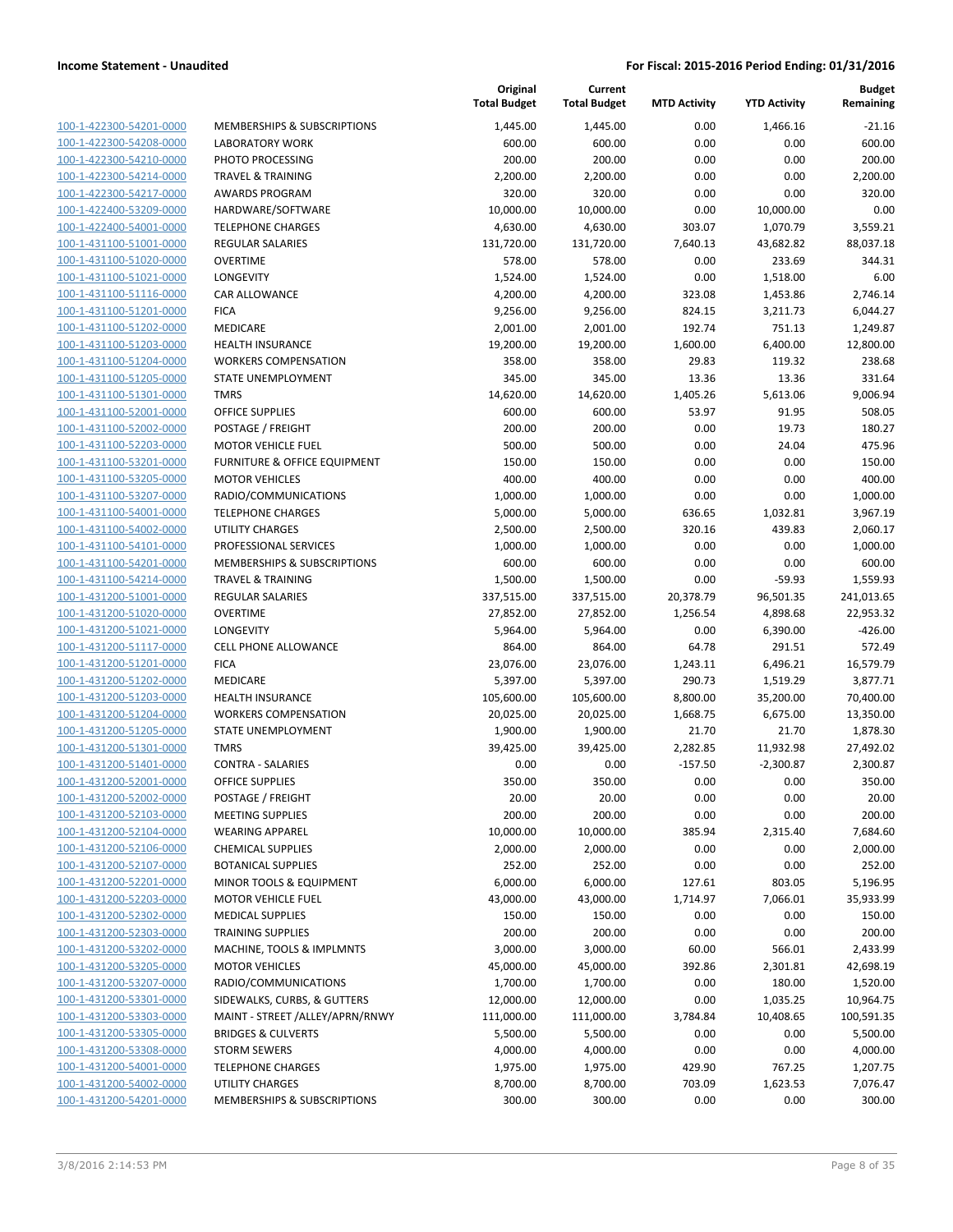| 100-1-422300-54201-0000        |
|--------------------------------|
| 100-1-422300-54208-0000        |
| 100-1-422300-54210-0000        |
| 100-1-422300-54214-0000        |
| 100-1-422300-54217-0000        |
| 100-1-422400-53209-0000        |
| 100-1-422400-54001-0000        |
| 100-1-431100-51001-0000        |
| 100-1-431100-51020-0000        |
| 100-1-431100-51021-0000        |
| 100-1-431100-51116-0000        |
| 100-1-431100-51201-0000        |
| 100-1-431100-51202-0000        |
| 100-1-431100-51203-0000        |
| 100-1-431100-51204-0000        |
| 100-1-431100-51205-0000        |
|                                |
| 100-1-431100-51301-0000        |
| 100-1-431100-52001-0000        |
| 100-1-431100-52002-0000        |
| 100-1-431100-52203-0000        |
| 100-1-431100-53201-0000        |
| 100-1-431100-53205-0000        |
| 100-1-431100-53207-0000        |
| 100-1-431100-54001-0000        |
| 100-1-431100-54002-0000        |
| 100-1-431100-54101-0000        |
| 100-1-431100-54201-0000        |
| 100-1-431100-54214-0000        |
| 100-1-431200-51001-0000        |
| 100-1-431200-51020-0000        |
| 100-1-431200-51021-0000        |
| 100-1-431200-51117-0000        |
| 100-1-431200-51201-0000        |
| 100-1-431200-51202-0000        |
| 100-1-431200-51203-0000        |
| 100-1-431200-51204-0000        |
|                                |
| 100-1-431200-51205-0000        |
| 100-1-431200-51301-0000        |
| 100-1-431200-51401-0000        |
| 100-1-431200-52001-0000        |
| 100-1-431200-52002-0000        |
| 100-1-431200-52103-0000        |
| <u>100-1-431200-52104-0000</u> |
| <u>100-1-431200-52106-0000</u> |
| 100-1-431200-52107-0000        |
| <u>100-1-431200-52201-0000</u> |
| 100-1-431200-52203-0000        |
| 100-1-431200-52302-0000        |
| 100-1-431200-52303-0000        |
| 100-1-431200-53202-0000        |
| 100-1-431200-53205-0000        |
| 100-1-431200-53207-0000        |
| 100-1-431200-53301-0000        |
| <u>100-1-431200-53303-0000</u> |
|                                |
| 100-1-431200-53305-0000        |
| 100-1-431200-53308-0000        |
| 100-1-431200-54001-0000        |
| 100-1-431200-54002-0000        |
| <u>100-1-431200-54201-0000</u> |

|                         |                                        | Original<br><b>Total Budget</b> | Current<br><b>Total Budget</b> | <b>MTD Activity</b> | <b>YTD Activity</b> | <b>Budget</b><br>Remaining |
|-------------------------|----------------------------------------|---------------------------------|--------------------------------|---------------------|---------------------|----------------------------|
| 100-1-422300-54201-0000 | <b>MEMBERSHIPS &amp; SUBSCRIPTIONS</b> | 1,445.00                        | 1,445.00                       | 0.00                | 1,466.16            | $-21.16$                   |
| 100-1-422300-54208-0000 | <b>LABORATORY WORK</b>                 | 600.00                          | 600.00                         | 0.00                | 0.00                | 600.00                     |
| 100-1-422300-54210-0000 | PHOTO PROCESSING                       | 200.00                          | 200.00                         | 0.00                | 0.00                | 200.00                     |
| 100-1-422300-54214-0000 | <b>TRAVEL &amp; TRAINING</b>           | 2,200.00                        | 2,200.00                       | 0.00                | 0.00                | 2,200.00                   |
| 100-1-422300-54217-0000 | <b>AWARDS PROGRAM</b>                  | 320.00                          | 320.00                         | 0.00                | 0.00                | 320.00                     |
| 100-1-422400-53209-0000 | HARDWARE/SOFTWARE                      | 10,000.00                       | 10,000.00                      | 0.00                | 10,000.00           | 0.00                       |
| 100-1-422400-54001-0000 | <b>TELEPHONE CHARGES</b>               | 4,630.00                        | 4,630.00                       | 303.07              | 1,070.79            | 3,559.21                   |
| 100-1-431100-51001-0000 | REGULAR SALARIES                       | 131,720.00                      | 131,720.00                     | 7,640.13            | 43,682.82           | 88,037.18                  |
| 100-1-431100-51020-0000 | <b>OVERTIME</b>                        | 578.00                          | 578.00                         | 0.00                | 233.69              | 344.31                     |
| 100-1-431100-51021-0000 | <b>LONGEVITY</b>                       | 1,524.00                        | 1,524.00                       | 0.00                | 1,518.00            | 6.00                       |
| 100-1-431100-51116-0000 | CAR ALLOWANCE                          | 4,200.00                        | 4,200.00                       | 323.08              | 1,453.86            | 2,746.14                   |
| 100-1-431100-51201-0000 | <b>FICA</b>                            | 9,256.00                        | 9,256.00                       | 824.15              | 3,211.73            | 6,044.27                   |
| 100-1-431100-51202-0000 | MEDICARE                               | 2,001.00                        | 2,001.00                       | 192.74              | 751.13              | 1,249.87                   |
| 100-1-431100-51203-0000 | HEALTH INSURANCE                       | 19,200.00                       | 19,200.00                      | 1,600.00            | 6,400.00            | 12,800.00                  |
| 100-1-431100-51204-0000 | <b>WORKERS COMPENSATION</b>            | 358.00                          | 358.00                         | 29.83               | 119.32              | 238.68                     |
| 100-1-431100-51205-0000 | STATE UNEMPLOYMENT                     | 345.00                          | 345.00                         | 13.36               | 13.36               | 331.64                     |
| 100-1-431100-51301-0000 | <b>TMRS</b>                            | 14,620.00                       | 14,620.00                      | 1,405.26            | 5,613.06            | 9,006.94                   |
| 100-1-431100-52001-0000 | <b>OFFICE SUPPLIES</b>                 | 600.00                          | 600.00                         | 53.97               | 91.95               | 508.05                     |
| 100-1-431100-52002-0000 | POSTAGE / FREIGHT                      | 200.00                          | 200.00                         | 0.00                | 19.73               | 180.27                     |
| 100-1-431100-52203-0000 | <b>MOTOR VEHICLE FUEL</b>              | 500.00                          | 500.00                         | 0.00                | 24.04               | 475.96                     |
| 100-1-431100-53201-0000 | FURNITURE & OFFICE EQUIPMENT           | 150.00                          | 150.00                         | 0.00                | 0.00                | 150.00                     |
| 100-1-431100-53205-0000 | <b>MOTOR VEHICLES</b>                  | 400.00                          | 400.00                         | 0.00                | 0.00                | 400.00                     |
| 100-1-431100-53207-0000 | RADIO/COMMUNICATIONS                   | 1,000.00                        | 1,000.00                       | 0.00                | 0.00                | 1,000.00                   |
| 100-1-431100-54001-0000 | <b>TELEPHONE CHARGES</b>               | 5,000.00                        | 5,000.00                       | 636.65              | 1,032.81            | 3,967.19                   |
| 100-1-431100-54002-0000 | UTILITY CHARGES                        | 2,500.00                        | 2,500.00                       | 320.16              | 439.83              | 2,060.17                   |
| 100-1-431100-54101-0000 | PROFESSIONAL SERVICES                  | 1,000.00                        | 1,000.00                       | 0.00                | 0.00                | 1,000.00                   |
| 100-1-431100-54201-0000 | MEMBERSHIPS & SUBSCRIPTIONS            | 600.00                          | 600.00                         | 0.00                | 0.00                | 600.00                     |
| 100-1-431100-54214-0000 | <b>TRAVEL &amp; TRAINING</b>           | 1,500.00                        | 1,500.00                       | 0.00                | $-59.93$            | 1,559.93                   |
| 100-1-431200-51001-0000 | REGULAR SALARIES                       | 337,515.00                      | 337,515.00                     | 20,378.79           | 96,501.35           | 241,013.65                 |
| 100-1-431200-51020-0000 | <b>OVERTIME</b>                        | 27,852.00                       | 27,852.00                      | 1,256.54            | 4,898.68            | 22,953.32                  |
| 100-1-431200-51021-0000 | LONGEVITY                              | 5,964.00                        | 5,964.00                       | 0.00                | 6,390.00            | $-426.00$                  |
| 100-1-431200-51117-0000 | <b>CELL PHONE ALLOWANCE</b>            | 864.00                          | 864.00                         | 64.78               | 291.51              | 572.49                     |
| 100-1-431200-51201-0000 | <b>FICA</b>                            | 23,076.00                       | 23,076.00                      | 1,243.11            | 6,496.21            | 16,579.79                  |
| 100-1-431200-51202-0000 | MEDICARE                               | 5,397.00                        | 5,397.00                       | 290.73              | 1,519.29            | 3,877.71                   |
| 100-1-431200-51203-0000 | <b>HEALTH INSURANCE</b>                | 105,600.00                      | 105,600.00                     | 8,800.00            | 35,200.00           | 70,400.00                  |
| 100-1-431200-51204-0000 | <b>WORKERS COMPENSATION</b>            | 20,025.00                       | 20,025.00                      | 1,668.75            | 6,675.00            | 13,350.00                  |
| 100-1-431200-51205-0000 | <b>STATE UNEMPLOYMENT</b>              | 1,900.00                        | 1,900.00                       | 21.70               | 21.70               | 1,878.30                   |
| 100-1-431200-51301-0000 | <b>TMRS</b>                            | 39,425.00                       | 39,425.00                      | 2,282.85            | 11,932.98           | 27,492.02                  |
| 100-1-431200-51401-0000 | <b>CONTRA - SALARIES</b>               | 0.00                            | 0.00                           | $-157.50$           | $-2,300.87$         | 2,300.87                   |
| 100-1-431200-52001-0000 | <b>OFFICE SUPPLIES</b>                 | 350.00                          | 350.00                         | 0.00                | 0.00                | 350.00                     |
| 100-1-431200-52002-0000 | POSTAGE / FREIGHT                      | 20.00                           | 20.00                          | 0.00                | 0.00                | 20.00                      |
| 100-1-431200-52103-0000 | <b>MEETING SUPPLIES</b>                | 200.00                          | 200.00                         | 0.00                | 0.00                | 200.00                     |
| 100-1-431200-52104-0000 | <b>WEARING APPAREL</b>                 | 10,000.00                       | 10,000.00                      | 385.94              | 2,315.40            | 7,684.60                   |
| 100-1-431200-52106-0000 | <b>CHEMICAL SUPPLIES</b>               | 2,000.00                        | 2,000.00                       | 0.00                | 0.00                | 2,000.00                   |
| 100-1-431200-52107-0000 | <b>BOTANICAL SUPPLIES</b>              | 252.00                          | 252.00                         | 0.00                | 0.00                | 252.00                     |
| 100-1-431200-52201-0000 | MINOR TOOLS & EQUIPMENT                | 6,000.00                        | 6,000.00                       | 127.61              | 803.05              | 5,196.95                   |
| 100-1-431200-52203-0000 | <b>MOTOR VEHICLE FUEL</b>              | 43,000.00                       | 43,000.00                      | 1,714.97            | 7,066.01            | 35,933.99                  |
| 100-1-431200-52302-0000 | <b>MEDICAL SUPPLIES</b>                | 150.00                          | 150.00                         | 0.00                | 0.00                | 150.00                     |
| 100-1-431200-52303-0000 | <b>TRAINING SUPPLIES</b>               | 200.00                          | 200.00                         | 0.00                | 0.00                | 200.00                     |
| 100-1-431200-53202-0000 | MACHINE, TOOLS & IMPLMNTS              | 3,000.00                        | 3,000.00                       | 60.00               | 566.01              | 2,433.99                   |
| 100-1-431200-53205-0000 | <b>MOTOR VEHICLES</b>                  | 45,000.00                       | 45,000.00                      | 392.86              | 2,301.81            | 42,698.19                  |
| 100-1-431200-53207-0000 | RADIO/COMMUNICATIONS                   | 1,700.00                        | 1,700.00                       | 0.00                | 180.00              | 1,520.00                   |
| 100-1-431200-53301-0000 | SIDEWALKS, CURBS, & GUTTERS            | 12,000.00                       | 12,000.00                      | 0.00                | 1,035.25            | 10,964.75                  |
| 100-1-431200-53303-0000 | MAINT - STREET /ALLEY/APRN/RNWY        | 111,000.00                      | 111,000.00                     | 3,784.84            | 10,408.65           | 100,591.35                 |
| 100-1-431200-53305-0000 | <b>BRIDGES &amp; CULVERTS</b>          | 5,500.00                        | 5,500.00                       | 0.00                | 0.00                | 5,500.00                   |
| 100-1-431200-53308-0000 | <b>STORM SEWERS</b>                    | 4,000.00                        | 4,000.00                       | 0.00                | 0.00                | 4,000.00                   |
| 100-1-431200-54001-0000 | <b>TELEPHONE CHARGES</b>               | 1,975.00                        | 1,975.00                       | 429.90              | 767.25              | 1,207.75                   |
| 100-1-431200-54002-0000 | UTILITY CHARGES                        | 8,700.00                        | 8,700.00                       | 703.09              | 1,623.53            | 7,076.47                   |
| 100-1-431200-54201-0000 | MEMBERSHIPS & SUBSCRIPTIONS            | 300.00                          | 300.00                         | 0.00                | 0.00                | 300.00                     |
|                         |                                        |                                 |                                |                     |                     |                            |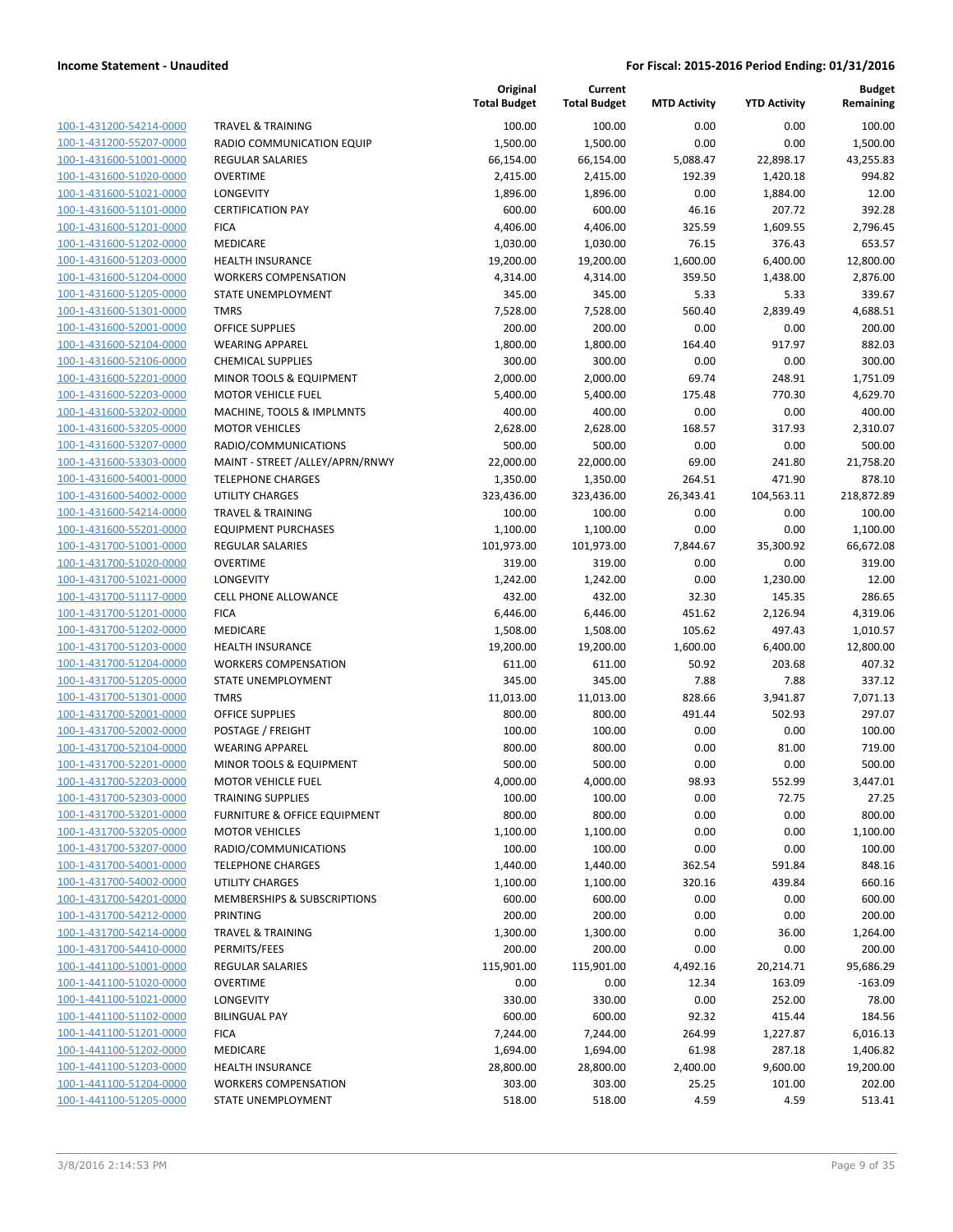|                                                    |                                                    | Original<br><b>Total Budget</b> | Current<br><b>Total Budget</b> | <b>MTD Activity</b> | <b>YTD Activity</b> | <b>Budget</b><br>Remaining |
|----------------------------------------------------|----------------------------------------------------|---------------------------------|--------------------------------|---------------------|---------------------|----------------------------|
| 100-1-431200-54214-0000                            | <b>TRAVEL &amp; TRAINING</b>                       | 100.00                          | 100.00                         | 0.00                | 0.00                | 100.00                     |
| 100-1-431200-55207-0000                            | RADIO COMMUNICATION EQUIP                          | 1,500.00                        | 1,500.00                       | 0.00                | 0.00                | 1,500.00                   |
| 100-1-431600-51001-0000                            | <b>REGULAR SALARIES</b>                            | 66,154.00                       | 66,154.00                      | 5,088.47            | 22,898.17           | 43,255.83                  |
| 100-1-431600-51020-0000                            | <b>OVERTIME</b>                                    | 2,415.00                        | 2,415.00                       | 192.39              | 1,420.18            | 994.82                     |
| 100-1-431600-51021-0000                            | LONGEVITY                                          | 1,896.00                        | 1,896.00                       | 0.00                | 1,884.00            | 12.00                      |
| 100-1-431600-51101-0000                            | <b>CERTIFICATION PAY</b>                           | 600.00                          | 600.00                         | 46.16               | 207.72              | 392.28                     |
| 100-1-431600-51201-0000                            | <b>FICA</b>                                        | 4,406.00                        | 4,406.00                       | 325.59              | 1,609.55            | 2,796.45                   |
| 100-1-431600-51202-0000                            | MEDICARE                                           | 1,030.00                        | 1,030.00                       | 76.15               | 376.43              | 653.57                     |
| 100-1-431600-51203-0000                            | <b>HEALTH INSURANCE</b>                            | 19,200.00                       | 19,200.00                      | 1,600.00            | 6,400.00            | 12,800.00                  |
| 100-1-431600-51204-0000                            | <b>WORKERS COMPENSATION</b>                        | 4,314.00                        | 4,314.00                       | 359.50              | 1,438.00            | 2,876.00                   |
| 100-1-431600-51205-0000                            | STATE UNEMPLOYMENT                                 | 345.00                          | 345.00                         | 5.33                | 5.33                | 339.67                     |
| 100-1-431600-51301-0000                            | <b>TMRS</b>                                        | 7,528.00                        | 7,528.00                       | 560.40              | 2,839.49            | 4,688.51                   |
| 100-1-431600-52001-0000                            | <b>OFFICE SUPPLIES</b>                             | 200.00                          | 200.00                         | 0.00                | 0.00                | 200.00                     |
| 100-1-431600-52104-0000                            | <b>WEARING APPAREL</b>                             | 1,800.00                        | 1,800.00                       | 164.40              | 917.97              | 882.03                     |
| 100-1-431600-52106-0000                            | <b>CHEMICAL SUPPLIES</b>                           | 300.00                          | 300.00                         | 0.00                | 0.00                | 300.00                     |
| 100-1-431600-52201-0000                            | MINOR TOOLS & EQUIPMENT                            | 2,000.00                        | 2,000.00                       | 69.74               | 248.91              | 1,751.09                   |
| 100-1-431600-52203-0000                            | <b>MOTOR VEHICLE FUEL</b>                          | 5,400.00                        | 5,400.00                       | 175.48              | 770.30              | 4,629.70                   |
| 100-1-431600-53202-0000<br>100-1-431600-53205-0000 | MACHINE, TOOLS & IMPLMNTS<br><b>MOTOR VEHICLES</b> | 400.00                          | 400.00                         | 0.00                | 0.00                | 400.00                     |
| 100-1-431600-53207-0000                            | RADIO/COMMUNICATIONS                               | 2,628.00<br>500.00              | 2,628.00<br>500.00             | 168.57<br>0.00      | 317.93<br>0.00      | 2,310.07<br>500.00         |
| 100-1-431600-53303-0000                            | MAINT - STREET /ALLEY/APRN/RNWY                    | 22,000.00                       | 22,000.00                      | 69.00               | 241.80              | 21,758.20                  |
| 100-1-431600-54001-0000                            | <b>TELEPHONE CHARGES</b>                           | 1,350.00                        | 1,350.00                       | 264.51              | 471.90              | 878.10                     |
| 100-1-431600-54002-0000                            | <b>UTILITY CHARGES</b>                             | 323,436.00                      | 323,436.00                     | 26,343.41           | 104,563.11          | 218,872.89                 |
| 100-1-431600-54214-0000                            | <b>TRAVEL &amp; TRAINING</b>                       | 100.00                          | 100.00                         | 0.00                | 0.00                | 100.00                     |
| 100-1-431600-55201-0000                            | <b>EQUIPMENT PURCHASES</b>                         | 1,100.00                        | 1,100.00                       | 0.00                | 0.00                | 1,100.00                   |
| 100-1-431700-51001-0000                            | <b>REGULAR SALARIES</b>                            | 101,973.00                      | 101,973.00                     | 7,844.67            | 35,300.92           | 66,672.08                  |
| 100-1-431700-51020-0000                            | <b>OVERTIME</b>                                    | 319.00                          | 319.00                         | 0.00                | 0.00                | 319.00                     |
| 100-1-431700-51021-0000                            | LONGEVITY                                          | 1,242.00                        | 1,242.00                       | 0.00                | 1,230.00            | 12.00                      |
| 100-1-431700-51117-0000                            | <b>CELL PHONE ALLOWANCE</b>                        | 432.00                          | 432.00                         | 32.30               | 145.35              | 286.65                     |
| 100-1-431700-51201-0000                            | <b>FICA</b>                                        | 6,446.00                        | 6,446.00                       | 451.62              | 2,126.94            | 4,319.06                   |
| 100-1-431700-51202-0000                            | MEDICARE                                           | 1,508.00                        | 1,508.00                       | 105.62              | 497.43              | 1,010.57                   |
| 100-1-431700-51203-0000                            | <b>HEALTH INSURANCE</b>                            | 19,200.00                       | 19,200.00                      | 1,600.00            | 6,400.00            | 12,800.00                  |
| 100-1-431700-51204-0000                            | <b>WORKERS COMPENSATION</b>                        | 611.00                          | 611.00                         | 50.92               | 203.68              | 407.32                     |
| 100-1-431700-51205-0000                            | STATE UNEMPLOYMENT                                 | 345.00                          | 345.00                         | 7.88                | 7.88                | 337.12                     |
| 100-1-431700-51301-0000                            | <b>TMRS</b>                                        | 11,013.00                       | 11,013.00                      | 828.66              | 3,941.87            | 7,071.13                   |
| 100-1-431700-52001-0000                            | <b>OFFICE SUPPLIES</b>                             | 800.00                          | 800.00                         | 491.44              | 502.93              | 297.07                     |
| 100-1-431700-52002-0000                            | POSTAGE / FREIGHT                                  | 100.00                          | 100.00                         | 0.00                | 0.00                | 100.00                     |
| 100-1-431700-52104-0000                            | <b>WEARING APPAREL</b>                             | 800.00                          | 800.00                         | 0.00                | 81.00               | 719.00                     |
| 100-1-431700-52201-0000                            | <b>MINOR TOOLS &amp; EQUIPMENT</b>                 | 500.00                          | 500.00                         | 0.00                | 0.00                | 500.00                     |
| 100-1-431700-52203-0000                            | <b>MOTOR VEHICLE FUEL</b>                          | 4,000.00                        | 4,000.00                       | 98.93               | 552.99              | 3,447.01                   |
| 100-1-431700-52303-0000                            | <b>TRAINING SUPPLIES</b>                           | 100.00                          | 100.00                         | 0.00                | 72.75               | 27.25                      |
| 100-1-431700-53201-0000                            | <b>FURNITURE &amp; OFFICE EQUIPMENT</b>            | 800.00                          | 800.00                         | 0.00                | 0.00                | 800.00                     |
| 100-1-431700-53205-0000                            | <b>MOTOR VEHICLES</b>                              | 1,100.00                        | 1,100.00                       | 0.00                | 0.00                | 1,100.00                   |
| 100-1-431700-53207-0000                            | RADIO/COMMUNICATIONS                               | 100.00                          | 100.00                         | 0.00                | 0.00                | 100.00                     |
| 100-1-431700-54001-0000                            | <b>TELEPHONE CHARGES</b>                           | 1,440.00                        | 1,440.00                       | 362.54              | 591.84              | 848.16                     |
| 100-1-431700-54002-0000                            | UTILITY CHARGES                                    | 1,100.00                        | 1,100.00                       | 320.16              | 439.84              | 660.16                     |
| 100-1-431700-54201-0000                            | MEMBERSHIPS & SUBSCRIPTIONS                        | 600.00                          | 600.00                         | 0.00                | 0.00                | 600.00                     |
| 100-1-431700-54212-0000                            | PRINTING                                           | 200.00                          | 200.00                         | 0.00                | 0.00                | 200.00                     |
| 100-1-431700-54214-0000                            | <b>TRAVEL &amp; TRAINING</b>                       | 1,300.00                        | 1,300.00                       | 0.00                | 36.00               | 1,264.00                   |
| 100-1-431700-54410-0000                            | PERMITS/FEES                                       | 200.00                          | 200.00                         | 0.00                | 0.00                | 200.00                     |
| 100-1-441100-51001-0000                            | <b>REGULAR SALARIES</b>                            | 115,901.00                      | 115,901.00                     | 4,492.16            | 20,214.71           | 95,686.29                  |
| 100-1-441100-51020-0000                            | <b>OVERTIME</b>                                    | 0.00                            | 0.00                           | 12.34               | 163.09              | $-163.09$                  |
| 100-1-441100-51021-0000                            | LONGEVITY                                          | 330.00                          | 330.00                         | 0.00                | 252.00              | 78.00                      |
| 100-1-441100-51102-0000<br>100-1-441100-51201-0000 | <b>BILINGUAL PAY</b><br><b>FICA</b>                | 600.00<br>7,244.00              | 600.00                         | 92.32<br>264.99     | 415.44              | 184.56                     |
| 100-1-441100-51202-0000                            | MEDICARE                                           | 1,694.00                        | 7,244.00<br>1,694.00           | 61.98               | 1,227.87<br>287.18  | 6,016.13<br>1,406.82       |
| 100-1-441100-51203-0000                            | <b>HEALTH INSURANCE</b>                            | 28,800.00                       | 28,800.00                      | 2,400.00            | 9,600.00            | 19,200.00                  |
| 100-1-441100-51204-0000                            | <b>WORKERS COMPENSATION</b>                        | 303.00                          | 303.00                         | 25.25               | 101.00              | 202.00                     |
| 100-1-441100-51205-0000                            | STATE UNEMPLOYMENT                                 | 518.00                          | 518.00                         | 4.59                | 4.59                | 513.41                     |
|                                                    |                                                    |                                 |                                |                     |                     |                            |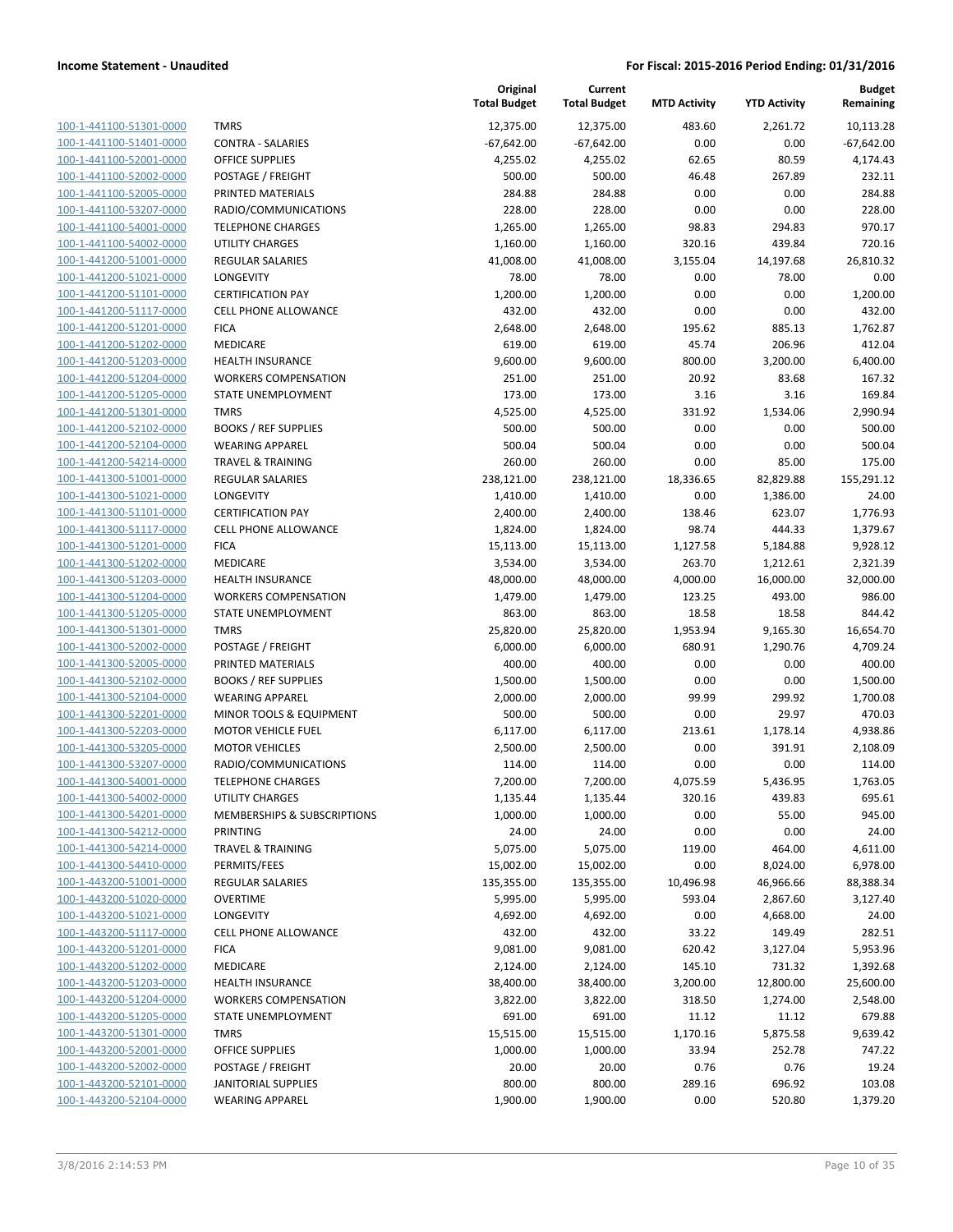| 100-1-441100-51301-0000        |
|--------------------------------|
| 100-1-441100-51401-0000        |
| 100-1-441100-52001-0000        |
| 100-1-441100-52002-0000        |
| 100-1-441100-52005-0000        |
| 100-1-441100-53207-0000        |
| 100-1-441100-54001-0000        |
| 100-1-441100-54002-0000        |
| 100-1-441200-51001-0000        |
| 100-1-441200-51021-0000        |
| 100-1-441200-51101-0000        |
| 100-1-441200-51117-0000        |
| 100-1-441200-51201-0000        |
| 100-1-441200-51202-0000        |
| 100-1-441200-51203-0000        |
| 100-1-441200-51204-0000        |
| 100-1-441200-51205-0000        |
| 100-1-441200-51301-0000        |
| 100-1-441200-52102-0000        |
| 100-1-441200-52104-0000        |
| 100-1-441200-54214-0000        |
| 100-1-441300-51001-0000        |
| 100-1-441300-51021-0000        |
| 100-1-441300-51101-0000        |
| 100-1-441300-51117-0000        |
| 100-1-441300-51201-0000        |
| 100-1-441300-51202-0000        |
|                                |
| 100-1-441300-51203-0000        |
| <u>100-1-441300-51204-0000</u> |
| 100-1-441300-51205-0000        |
| 100-1-441300-51301-0000        |
| 100-1-441300-52002-0000        |
| 100-1-441300-52005-0000        |
| 100-1-441300-52102-0000        |
| 100-1-441300-52104-0000        |
| 100-1-441300-52201-0000        |
| 100-1-441300-52203-0000        |
| 100-1-441300-53205-0000        |
| 100-1-441300-53207-0000        |
| 100-1-441300-54001-0000        |
| 100-1-441300-54002-0000        |
| <u>100-1-441300-54201-0000</u> |
| <u>100-1-441300-54212-0000</u> |
| 100-1-441300-54214-0000        |
| 100-1-441300-54410-0000        |
| 100-1-443200-51001-0000        |
| 100-1-443200-51020-0000        |
| 100-1-443200-51021-0000        |
| <u>100-1-443200-51117-0000</u> |
| <u>100-1-443200-51201-0000</u> |
| 100-1-443200-51202-0000        |
| 100-1-443200-51203-0000        |
| <u>100-1-443200-51204-0000</u> |
| <u>100-1-443200-51205-0000</u> |
| <u>100-1-443200-51301-0000</u> |
| <u>100-1-443200-52001-0000</u> |
| 100-1-443200-52002-0000        |
|                                |
| <u>100-1-443200-52101-0000</u> |
| <u>100-1-443200-52104-0000</u> |

|                         |                              | Original<br><b>Total Budget</b> | Current<br><b>Total Budget</b> | <b>MTD Activity</b> | <b>YTD Activity</b> | Budget<br>Remaining |
|-------------------------|------------------------------|---------------------------------|--------------------------------|---------------------|---------------------|---------------------|
| 100-1-441100-51301-0000 | <b>TMRS</b>                  | 12,375.00                       | 12,375.00                      | 483.60              | 2,261.72            | 10,113.28           |
| 100-1-441100-51401-0000 | <b>CONTRA - SALARIES</b>     | $-67,642.00$                    | $-67,642.00$                   | 0.00                | 0.00                | $-67,642.00$        |
| 100-1-441100-52001-0000 | <b>OFFICE SUPPLIES</b>       | 4,255.02                        | 4,255.02                       | 62.65               | 80.59               | 4,174.43            |
| 100-1-441100-52002-0000 | POSTAGE / FREIGHT            | 500.00                          | 500.00                         | 46.48               | 267.89              | 232.11              |
| 100-1-441100-52005-0000 | PRINTED MATERIALS            | 284.88                          | 284.88                         | 0.00                | 0.00                | 284.88              |
| 100-1-441100-53207-0000 | RADIO/COMMUNICATIONS         | 228.00                          | 228.00                         | 0.00                | 0.00                | 228.00              |
| 100-1-441100-54001-0000 | <b>TELEPHONE CHARGES</b>     | 1,265.00                        | 1,265.00                       | 98.83               | 294.83              | 970.17              |
| 100-1-441100-54002-0000 | UTILITY CHARGES              | 1,160.00                        | 1,160.00                       | 320.16              | 439.84              | 720.16              |
| 100-1-441200-51001-0000 | <b>REGULAR SALARIES</b>      | 41,008.00                       | 41,008.00                      | 3,155.04            | 14,197.68           | 26,810.32           |
| 100-1-441200-51021-0000 | <b>LONGEVITY</b>             | 78.00                           | 78.00                          | 0.00                | 78.00               | 0.00                |
| 100-1-441200-51101-0000 | <b>CERTIFICATION PAY</b>     | 1,200.00                        | 1,200.00                       | 0.00                | 0.00                | 1,200.00            |
| 100-1-441200-51117-0000 | <b>CELL PHONE ALLOWANCE</b>  | 432.00                          | 432.00                         | 0.00                | 0.00                | 432.00              |
| 100-1-441200-51201-0000 | <b>FICA</b>                  | 2,648.00                        | 2,648.00                       | 195.62              | 885.13              | 1,762.87            |
| 100-1-441200-51202-0000 | MEDICARE                     | 619.00                          | 619.00                         | 45.74               | 206.96              | 412.04              |
| 100-1-441200-51203-0000 | <b>HEALTH INSURANCE</b>      | 9,600.00                        | 9,600.00                       | 800.00              | 3,200.00            | 6,400.00            |
| 100-1-441200-51204-0000 | <b>WORKERS COMPENSATION</b>  | 251.00                          | 251.00                         | 20.92               | 83.68               | 167.32              |
| 100-1-441200-51205-0000 | <b>STATE UNEMPLOYMENT</b>    | 173.00                          | 173.00                         | 3.16                | 3.16                | 169.84              |
| 100-1-441200-51301-0000 | <b>TMRS</b>                  | 4,525.00                        | 4,525.00                       | 331.92              | 1,534.06            | 2,990.94            |
| 100-1-441200-52102-0000 | <b>BOOKS / REF SUPPLIES</b>  | 500.00                          | 500.00                         | 0.00                | 0.00                | 500.00              |
| 100-1-441200-52104-0000 | <b>WEARING APPAREL</b>       | 500.04                          | 500.04                         | 0.00                | 0.00                | 500.04              |
| 100-1-441200-54214-0000 | <b>TRAVEL &amp; TRAINING</b> | 260.00                          | 260.00                         | 0.00                | 85.00               | 175.00              |
| 100-1-441300-51001-0000 | REGULAR SALARIES             | 238,121.00                      | 238,121.00                     | 18,336.65           | 82,829.88           | 155,291.12          |
| 100-1-441300-51021-0000 | LONGEVITY                    | 1,410.00                        | 1,410.00                       | 0.00                | 1,386.00            | 24.00               |
| 100-1-441300-51101-0000 | <b>CERTIFICATION PAY</b>     | 2,400.00                        | 2,400.00                       | 138.46              | 623.07              | 1,776.93            |
| 100-1-441300-51117-0000 | CELL PHONE ALLOWANCE         | 1,824.00                        | 1,824.00                       | 98.74               | 444.33              | 1,379.67            |
| 100-1-441300-51201-0000 | <b>FICA</b>                  | 15,113.00                       | 15,113.00                      | 1,127.58            | 5,184.88            | 9,928.12            |
| 100-1-441300-51202-0000 | MEDICARE                     | 3,534.00                        | 3,534.00                       | 263.70              | 1,212.61            | 2,321.39            |
| 100-1-441300-51203-0000 | <b>HEALTH INSURANCE</b>      | 48,000.00                       | 48,000.00                      | 4,000.00            | 16,000.00           | 32,000.00           |
| 100-1-441300-51204-0000 | <b>WORKERS COMPENSATION</b>  | 1,479.00                        | 1,479.00                       | 123.25              | 493.00              | 986.00              |
| 100-1-441300-51205-0000 | STATE UNEMPLOYMENT           | 863.00                          | 863.00                         | 18.58               | 18.58               | 844.42              |
| 100-1-441300-51301-0000 | <b>TMRS</b>                  | 25,820.00                       | 25,820.00                      | 1,953.94            | 9,165.30            | 16,654.70           |
| 100-1-441300-52002-0000 | POSTAGE / FREIGHT            | 6,000.00                        | 6,000.00                       | 680.91              | 1,290.76            | 4,709.24            |
| 100-1-441300-52005-0000 | PRINTED MATERIALS            | 400.00                          | 400.00                         | 0.00                | 0.00                | 400.00              |
| 100-1-441300-52102-0000 | <b>BOOKS / REF SUPPLIES</b>  | 1,500.00                        | 1,500.00                       | 0.00                | 0.00                | 1,500.00            |
| 100-1-441300-52104-0000 | <b>WEARING APPAREL</b>       | 2,000.00                        | 2,000.00                       | 99.99               | 299.92              | 1,700.08            |
| 100-1-441300-52201-0000 | MINOR TOOLS & EQUIPMENT      | 500.00                          | 500.00                         | 0.00                | 29.97               | 470.03              |
| 100-1-441300-52203-0000 | <b>MOTOR VEHICLE FUEL</b>    | 6,117.00                        | 6,117.00                       | 213.61              | 1,178.14            | 4,938.86            |
| 100-1-441300-53205-0000 | <b>MOTOR VEHICLES</b>        | 2,500.00                        | 2,500.00                       | 0.00                | 391.91              | 2,108.09            |
| 100-1-441300-53207-0000 | RADIO/COMMUNICATIONS         | 114.00                          | 114.00                         | 0.00                | 0.00                | 114.00              |
| 100-1-441300-54001-0000 | <b>TELEPHONE CHARGES</b>     | 7,200.00                        | 7,200.00                       | 4,075.59            | 5,436.95            | 1,763.05            |
| 100-1-441300-54002-0000 | UTILITY CHARGES              | 1,135.44                        | 1,135.44                       | 320.16              | 439.83              | 695.61              |
| 100-1-441300-54201-0000 | MEMBERSHIPS & SUBSCRIPTIONS  | 1,000.00                        | 1,000.00                       | 0.00                | 55.00               | 945.00              |
| 100-1-441300-54212-0000 | <b>PRINTING</b>              | 24.00                           | 24.00                          | 0.00                | 0.00                | 24.00               |
| 100-1-441300-54214-0000 | <b>TRAVEL &amp; TRAINING</b> | 5,075.00                        | 5,075.00                       | 119.00              | 464.00              | 4,611.00            |
| 100-1-441300-54410-0000 | PERMITS/FEES                 | 15,002.00                       | 15,002.00                      | 0.00                | 8,024.00            | 6,978.00            |
| 100-1-443200-51001-0000 | <b>REGULAR SALARIES</b>      | 135,355.00                      | 135,355.00                     | 10,496.98           | 46,966.66           | 88,388.34           |
| 100-1-443200-51020-0000 | <b>OVERTIME</b>              | 5,995.00                        | 5,995.00                       | 593.04              | 2,867.60            | 3,127.40            |
| 100-1-443200-51021-0000 | LONGEVITY                    | 4,692.00                        | 4,692.00                       | 0.00                | 4,668.00            | 24.00               |
| 100-1-443200-51117-0000 | <b>CELL PHONE ALLOWANCE</b>  | 432.00                          | 432.00                         | 33.22               | 149.49              | 282.51              |
| 100-1-443200-51201-0000 | <b>FICA</b>                  | 9,081.00                        | 9,081.00                       | 620.42              | 3,127.04            | 5,953.96            |
| 100-1-443200-51202-0000 | MEDICARE                     | 2,124.00                        | 2,124.00                       | 145.10              | 731.32              | 1,392.68            |
| 100-1-443200-51203-0000 | <b>HEALTH INSURANCE</b>      | 38,400.00                       | 38,400.00                      | 3,200.00            | 12,800.00           | 25,600.00           |
| 100-1-443200-51204-0000 | <b>WORKERS COMPENSATION</b>  | 3,822.00                        | 3,822.00                       | 318.50              | 1,274.00            | 2,548.00            |
| 100-1-443200-51205-0000 | STATE UNEMPLOYMENT           | 691.00                          | 691.00                         | 11.12               | 11.12               | 679.88              |
| 100-1-443200-51301-0000 | <b>TMRS</b>                  | 15,515.00                       | 15,515.00                      | 1,170.16            | 5,875.58            | 9,639.42            |
| 100-1-443200-52001-0000 | <b>OFFICE SUPPLIES</b>       | 1,000.00                        | 1,000.00                       | 33.94               | 252.78              | 747.22              |
| 100-1-443200-52002-0000 | POSTAGE / FREIGHT            | 20.00                           | 20.00                          | 0.76                | 0.76                | 19.24               |
| 100-1-443200-52101-0000 | <b>JANITORIAL SUPPLIES</b>   | 800.00                          | 800.00                         | 289.16              | 696.92              | 103.08              |
| 100-1-443200-52104-0000 | <b>WEARING APPAREL</b>       | 1,900.00                        | 1,900.00                       | 0.00                | 520.80              | 1,379.20            |
|                         |                              |                                 |                                |                     |                     |                     |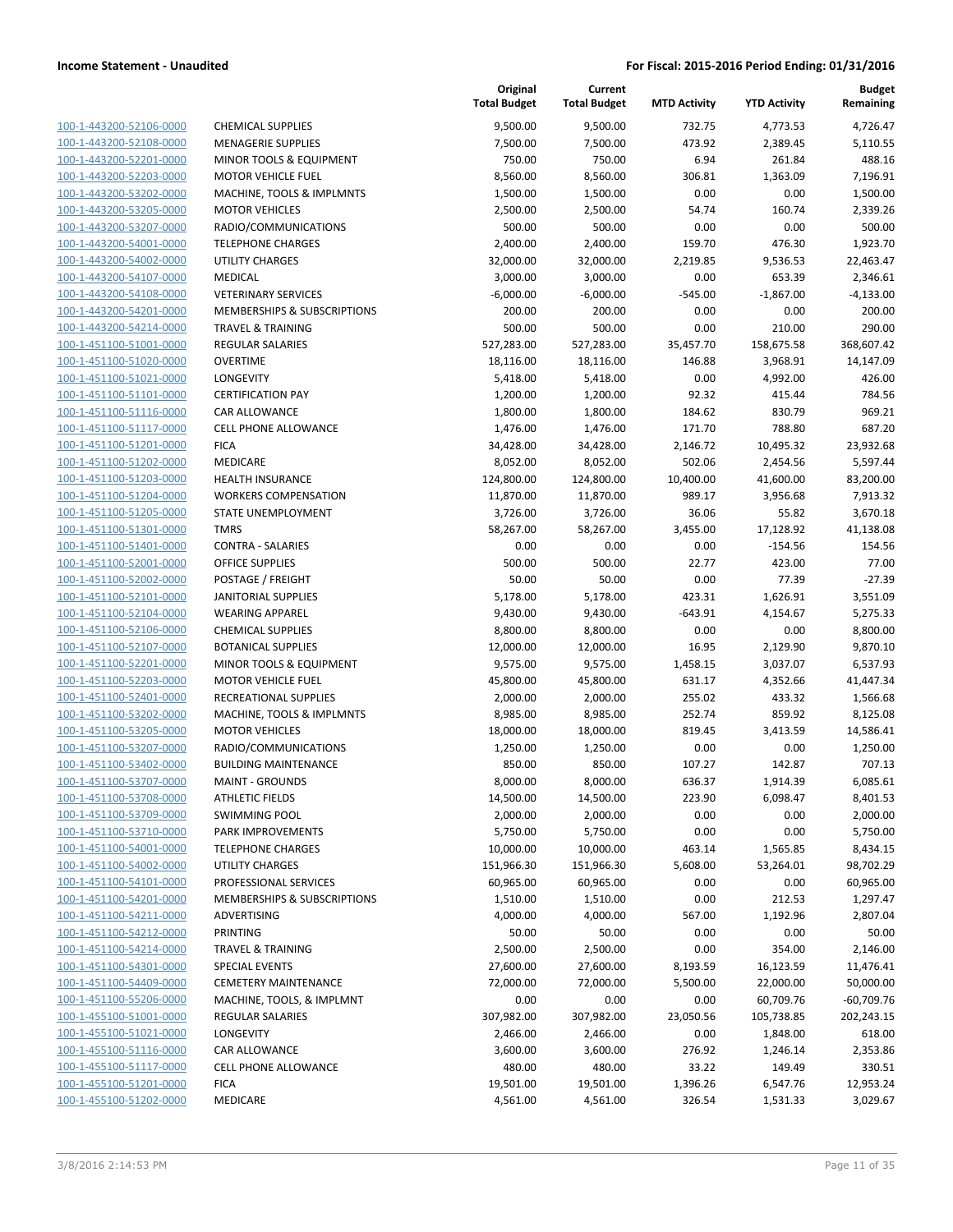|                                                    |                                                | Original<br><b>Total Budget</b> | Current<br><b>Total Budget</b> | <b>MTD Activity</b> | <b>YTD Activity</b>  | Budget<br>Remaining  |
|----------------------------------------------------|------------------------------------------------|---------------------------------|--------------------------------|---------------------|----------------------|----------------------|
| 100-1-443200-52106-0000                            | <b>CHEMICAL SUPPLIES</b>                       | 9,500.00                        | 9,500.00                       | 732.75              | 4,773.53             | 4,726.47             |
| 100-1-443200-52108-0000                            | <b>MENAGERIE SUPPLIES</b>                      | 7,500.00                        | 7,500.00                       | 473.92              | 2,389.45             | 5,110.55             |
| 100-1-443200-52201-0000                            | MINOR TOOLS & EQUIPMENT                        | 750.00                          | 750.00                         | 6.94                | 261.84               | 488.16               |
| 100-1-443200-52203-0000                            | <b>MOTOR VEHICLE FUEL</b>                      | 8,560.00                        | 8,560.00                       | 306.81              | 1,363.09             | 7,196.91             |
| 100-1-443200-53202-0000                            | MACHINE, TOOLS & IMPLMNTS                      | 1,500.00                        | 1,500.00                       | 0.00                | 0.00                 | 1,500.00             |
| 100-1-443200-53205-0000                            | <b>MOTOR VEHICLES</b>                          | 2,500.00                        | 2,500.00                       | 54.74               | 160.74               | 2,339.26             |
| 100-1-443200-53207-0000                            | RADIO/COMMUNICATIONS                           | 500.00                          | 500.00                         | 0.00                | 0.00                 | 500.00               |
| 100-1-443200-54001-0000                            | <b>TELEPHONE CHARGES</b>                       | 2,400.00                        | 2,400.00                       | 159.70              | 476.30               | 1,923.70             |
| 100-1-443200-54002-0000                            | <b>UTILITY CHARGES</b>                         | 32,000.00                       | 32,000.00                      | 2,219.85            | 9,536.53             | 22,463.47            |
| 100-1-443200-54107-0000                            | <b>MEDICAL</b>                                 | 3,000.00                        | 3,000.00                       | 0.00                | 653.39               | 2,346.61             |
| 100-1-443200-54108-0000                            | <b>VETERINARY SERVICES</b>                     | $-6,000.00$                     | $-6,000.00$                    | $-545.00$           | $-1,867.00$          | $-4,133.00$          |
| 100-1-443200-54201-0000                            | MEMBERSHIPS & SUBSCRIPTIONS                    | 200.00                          | 200.00                         | 0.00                | 0.00                 | 200.00               |
| 100-1-443200-54214-0000                            | <b>TRAVEL &amp; TRAINING</b>                   | 500.00                          | 500.00                         | 0.00                | 210.00               | 290.00               |
| 100-1-451100-51001-0000                            | REGULAR SALARIES                               | 527,283.00                      | 527,283.00                     | 35,457.70           | 158,675.58           | 368,607.42           |
| 100-1-451100-51020-0000                            | <b>OVERTIME</b>                                | 18,116.00                       | 18,116.00                      | 146.88              | 3,968.91             | 14,147.09            |
| 100-1-451100-51021-0000                            | LONGEVITY                                      | 5,418.00                        | 5,418.00                       | 0.00                | 4,992.00             | 426.00               |
| 100-1-451100-51101-0000                            | <b>CERTIFICATION PAY</b>                       | 1,200.00                        | 1,200.00                       | 92.32               | 415.44               | 784.56               |
| 100-1-451100-51116-0000                            | CAR ALLOWANCE                                  | 1,800.00                        | 1,800.00                       | 184.62              | 830.79               | 969.21               |
| 100-1-451100-51117-0000                            | CELL PHONE ALLOWANCE                           | 1,476.00                        | 1,476.00                       | 171.70              | 788.80               | 687.20               |
| 100-1-451100-51201-0000                            | <b>FICA</b>                                    | 34,428.00                       | 34,428.00                      | 2,146.72            | 10,495.32            | 23,932.68            |
| 100-1-451100-51202-0000                            | MEDICARE                                       | 8,052.00                        | 8,052.00                       | 502.06              | 2,454.56             | 5,597.44             |
| 100-1-451100-51203-0000                            | <b>HEALTH INSURANCE</b>                        | 124,800.00                      | 124,800.00                     | 10,400.00           | 41,600.00            | 83,200.00            |
| 100-1-451100-51204-0000                            | <b>WORKERS COMPENSATION</b>                    | 11,870.00                       | 11,870.00                      | 989.17              | 3,956.68             | 7,913.32             |
| 100-1-451100-51205-0000                            | <b>STATE UNEMPLOYMENT</b>                      | 3,726.00                        | 3,726.00                       | 36.06               | 55.82                | 3,670.18             |
| 100-1-451100-51301-0000                            | <b>TMRS</b>                                    | 58,267.00                       | 58,267.00                      | 3,455.00            | 17,128.92            | 41,138.08            |
| 100-1-451100-51401-0000                            | <b>CONTRA - SALARIES</b>                       | 0.00                            | 0.00                           | 0.00                | $-154.56$            | 154.56               |
| 100-1-451100-52001-0000                            | <b>OFFICE SUPPLIES</b>                         | 500.00                          | 500.00                         | 22.77               | 423.00               | 77.00                |
| 100-1-451100-52002-0000                            | POSTAGE / FREIGHT                              | 50.00                           | 50.00                          | 0.00                | 77.39                | $-27.39$             |
| 100-1-451100-52101-0000                            | <b>JANITORIAL SUPPLIES</b>                     | 5,178.00                        | 5,178.00                       | 423.31              | 1,626.91             | 3,551.09             |
| 100-1-451100-52104-0000                            | <b>WEARING APPAREL</b>                         | 9,430.00                        | 9,430.00                       | $-643.91$           | 4,154.67             | 5,275.33             |
| 100-1-451100-52106-0000                            | <b>CHEMICAL SUPPLIES</b>                       | 8,800.00                        | 8,800.00                       | 0.00                | 0.00                 | 8,800.00             |
| 100-1-451100-52107-0000                            | <b>BOTANICAL SUPPLIES</b>                      | 12,000.00                       | 12,000.00                      | 16.95               | 2,129.90             | 9,870.10             |
| 100-1-451100-52201-0000                            | MINOR TOOLS & EQUIPMENT                        | 9,575.00                        | 9,575.00                       | 1,458.15            | 3,037.07             | 6,537.93             |
| 100-1-451100-52203-0000                            | <b>MOTOR VEHICLE FUEL</b>                      | 45,800.00                       | 45,800.00                      | 631.17              | 4,352.66             | 41,447.34            |
| 100-1-451100-52401-0000                            | RECREATIONAL SUPPLIES                          | 2,000.00                        | 2,000.00                       | 255.02              | 433.32               | 1,566.68             |
| 100-1-451100-53202-0000                            | MACHINE, TOOLS & IMPLMNTS                      | 8,985.00                        | 8,985.00                       | 252.74              | 859.92               | 8,125.08             |
| 100-1-451100-53205-0000                            | <b>MOTOR VEHICLES</b>                          | 18,000.00                       | 18,000.00                      | 819.45              | 3,413.59             | 14,586.41            |
| 100-1-451100-53207-0000                            | RADIO/COMMUNICATIONS                           | 1,250.00                        | 1,250.00                       | 0.00                | 0.00                 | 1,250.00             |
| 100-1-451100-53402-0000                            | <b>BUILDING MAINTENANCE</b>                    | 850.00                          | 850.00                         | 107.27              | 142.87               | 707.13<br>6,085.61   |
| 100-1-451100-53707-0000                            | <b>MAINT - GROUNDS</b>                         | 8,000.00                        | 8,000.00                       | 636.37              | 1,914.39<br>6,098.47 |                      |
| 100-1-451100-53708-0000<br>100-1-451100-53709-0000 | <b>ATHLETIC FIELDS</b><br><b>SWIMMING POOL</b> | 14,500.00<br>2,000.00           | 14,500.00<br>2,000.00          | 223.90<br>0.00      | 0.00                 | 8,401.53<br>2,000.00 |
| 100-1-451100-53710-0000                            | PARK IMPROVEMENTS                              | 5,750.00                        | 5,750.00                       | 0.00                | 0.00                 | 5,750.00             |
| 100-1-451100-54001-0000                            | <b>TELEPHONE CHARGES</b>                       | 10,000.00                       | 10,000.00                      | 463.14              | 1,565.85             | 8,434.15             |
| 100-1-451100-54002-0000                            | <b>UTILITY CHARGES</b>                         | 151,966.30                      | 151,966.30                     | 5,608.00            | 53,264.01            | 98,702.29            |
| 100-1-451100-54101-0000                            | PROFESSIONAL SERVICES                          | 60,965.00                       | 60,965.00                      | 0.00                | 0.00                 | 60,965.00            |
| 100-1-451100-54201-0000                            | MEMBERSHIPS & SUBSCRIPTIONS                    | 1,510.00                        | 1,510.00                       | 0.00                | 212.53               | 1,297.47             |
| 100-1-451100-54211-0000                            | ADVERTISING                                    | 4,000.00                        | 4,000.00                       | 567.00              | 1,192.96             | 2,807.04             |
| 100-1-451100-54212-0000                            | <b>PRINTING</b>                                | 50.00                           | 50.00                          | 0.00                | 0.00                 | 50.00                |
| 100-1-451100-54214-0000                            | <b>TRAVEL &amp; TRAINING</b>                   | 2,500.00                        | 2,500.00                       | 0.00                | 354.00               | 2,146.00             |
| 100-1-451100-54301-0000                            | <b>SPECIAL EVENTS</b>                          | 27,600.00                       | 27,600.00                      | 8,193.59            | 16,123.59            | 11,476.41            |
| 100-1-451100-54409-0000                            | <b>CEMETERY MAINTENANCE</b>                    | 72,000.00                       | 72,000.00                      | 5,500.00            | 22,000.00            | 50,000.00            |
| 100-1-451100-55206-0000                            | MACHINE, TOOLS, & IMPLMNT                      | 0.00                            | 0.00                           | 0.00                | 60,709.76            | $-60,709.76$         |
| 100-1-455100-51001-0000                            | <b>REGULAR SALARIES</b>                        | 307,982.00                      | 307,982.00                     | 23,050.56           | 105,738.85           | 202,243.15           |
| 100-1-455100-51021-0000                            | LONGEVITY                                      | 2,466.00                        | 2,466.00                       | 0.00                | 1,848.00             | 618.00               |
| 100-1-455100-51116-0000                            | CAR ALLOWANCE                                  | 3,600.00                        | 3,600.00                       | 276.92              | 1,246.14             | 2,353.86             |
| 100-1-455100-51117-0000                            | CELL PHONE ALLOWANCE                           | 480.00                          | 480.00                         | 33.22               | 149.49               | 330.51               |
| 100-1-455100-51201-0000                            | <b>FICA</b>                                    | 19,501.00                       | 19,501.00                      | 1,396.26            | 6,547.76             | 12,953.24            |
| 100-1-455100-51202-0000                            | MEDICARE                                       | 4,561.00                        | 4,561.00                       | 326.54              | 1,531.33             | 3,029.67             |
|                                                    |                                                |                                 |                                |                     |                      |                      |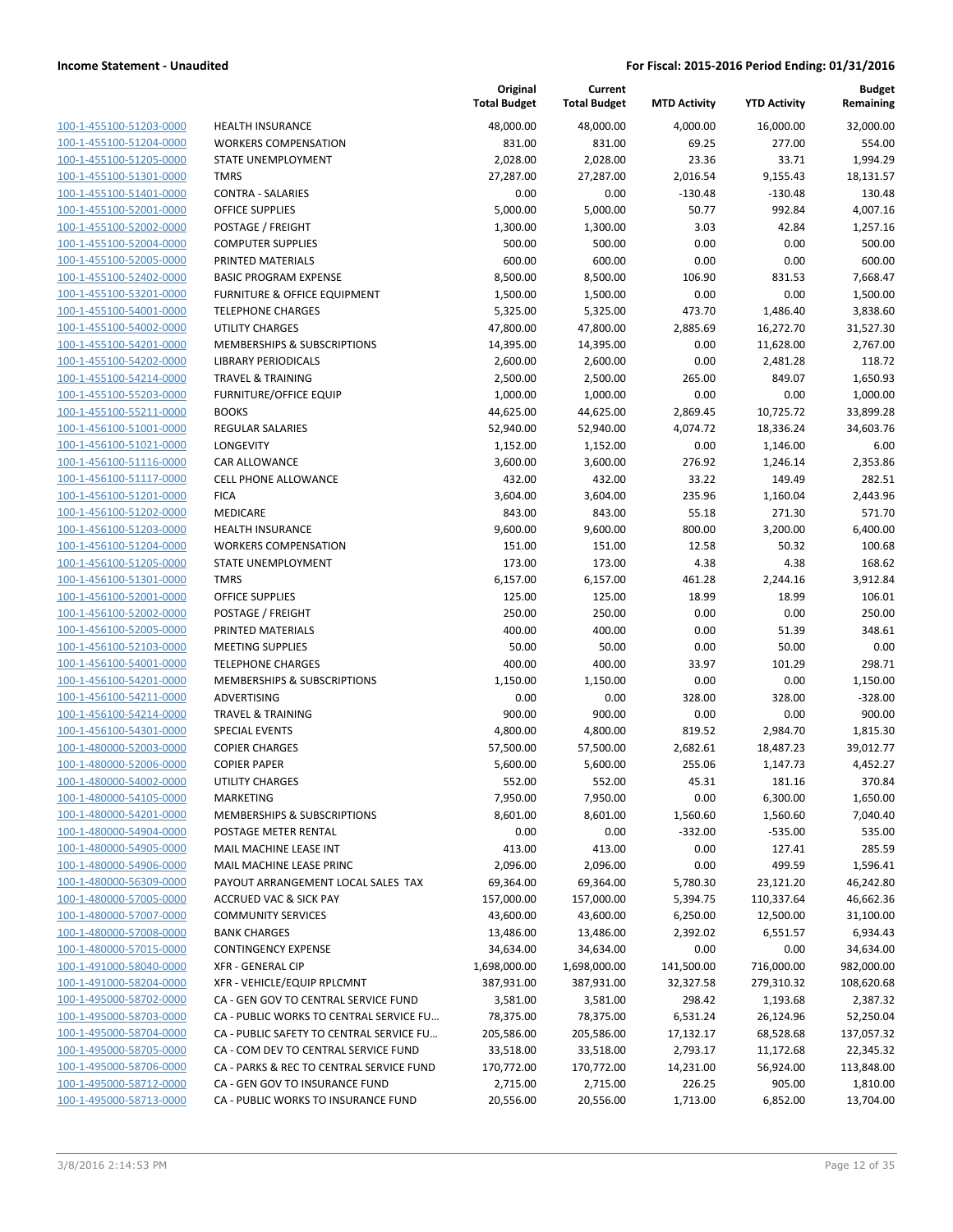| 100-1-455100-51203-0000        |
|--------------------------------|
| 100-1-455100-51204-0000        |
| 100-1-455100-51205-0000        |
| 100-1-455100-51301-0000        |
| 100-1-455100-51401-0000        |
| 100-1-455100-52001-0000        |
| 100-1-455100-52002-0000        |
| 100-1-455100-52004-0000        |
| 100-1-455100-52005-0000        |
| 100-1-455100-52402-0000        |
| 100-1-455100-53201-0000        |
| 100-1-455100-54001-0000        |
| <u>100-1-455100-54002-0000</u> |
| 100-1-455100-54201-0000        |
| 100-1-455100-54202-0000        |
| 100-1-455100-54214-0000        |
|                                |
| 100-1-455100-55203-0000        |
| 100-1-455100-55211-0000        |
| 100-1-456100-51001-0000        |
| 100-1-456100-51021-0000        |
| 100-1-456100-51116-0000        |
| 100-1-456100-51117-0000        |
| <u>100-1-456100-51201-0000</u> |
| 100-1-456100-51202-0000        |
| 100-1-456100-51203-0000        |
| 100-1-456100-51204-0000        |
| 100-1-456100-51205-0000        |
| 100-1-456100-51301-0000        |
| 100-1-456100-52001-0000        |
| 100-1-456100-52002-0000        |
| 100-1-456100-52005-0000        |
| 100-1-456100-52103-0000        |
| <u>100-1-456100-54001-0000</u> |
| 100-1-456100-54201-0000        |
| 100-1-456100-54211-0000        |
| 100-1-456100-54214-0000        |
| 100-1-456100-54301-0000        |
| <u>100-1-480000-52003-0000</u> |
| 100-1-480000-52006-0000        |
| 100-1-480000-54002-0000        |
| 100-1-480000-54105-0000        |
| 100-1-480000-54201-0000        |
| 100-1-480000-54904-0000        |
| <u>100-1-480000-54905-0000</u> |
| 100-1-480000-54906-0000        |
| 100-1-480000-56309-0000        |
|                                |
| <u>100-1-480000-57005-0000</u> |
| <u>100-1-480000-57007-0000</u> |
| <u>100-1-480000-57008-0000</u> |
| 100-1-480000-57015-0000        |
| 100-1-491000-58040-0000        |
| 100-1-491000-58204-0000        |
| 100-1-495000-58702-0000        |
| <u>100-1-495000-58703-0000</u> |
| 100-1-495000-58704-0000        |
| 100-1-495000-58705-0000        |
| 100-1-495000-58706-0000        |
| <u>100-1-495000-58712-0000</u> |
| 100-1-495000-58713-0000        |
|                                |

|                         |                                          | Original<br><b>Total Budget</b> | Current<br><b>Total Budget</b> | <b>MTD Activity</b> | <b>YTD Activity</b> | <b>Budget</b><br>Remaining |
|-------------------------|------------------------------------------|---------------------------------|--------------------------------|---------------------|---------------------|----------------------------|
| 100-1-455100-51203-0000 | <b>HEALTH INSURANCE</b>                  | 48,000.00                       | 48,000.00                      | 4,000.00            | 16,000.00           | 32,000.00                  |
| 100-1-455100-51204-0000 | <b>WORKERS COMPENSATION</b>              | 831.00                          | 831.00                         | 69.25               | 277.00              | 554.00                     |
| 100-1-455100-51205-0000 | <b>STATE UNEMPLOYMENT</b>                | 2,028.00                        | 2,028.00                       | 23.36               | 33.71               | 1,994.29                   |
| 100-1-455100-51301-0000 | <b>TMRS</b>                              | 27,287.00                       | 27,287.00                      | 2,016.54            | 9,155.43            | 18,131.57                  |
| 100-1-455100-51401-0000 | <b>CONTRA - SALARIES</b>                 | 0.00                            | 0.00                           | $-130.48$           | $-130.48$           | 130.48                     |
| 100-1-455100-52001-0000 | <b>OFFICE SUPPLIES</b>                   | 5,000.00                        | 5,000.00                       | 50.77               | 992.84              | 4,007.16                   |
| 100-1-455100-52002-0000 | POSTAGE / FREIGHT                        | 1,300.00                        | 1,300.00                       | 3.03                | 42.84               | 1,257.16                   |
| 100-1-455100-52004-0000 | <b>COMPUTER SUPPLIES</b>                 | 500.00                          | 500.00                         | 0.00                | 0.00                | 500.00                     |
| 100-1-455100-52005-0000 | PRINTED MATERIALS                        | 600.00                          | 600.00                         | 0.00                | 0.00                | 600.00                     |
| 100-1-455100-52402-0000 | <b>BASIC PROGRAM EXPENSE</b>             | 8,500.00                        | 8,500.00                       | 106.90              | 831.53              | 7,668.47                   |
| 100-1-455100-53201-0000 | FURNITURE & OFFICE EQUIPMENT             | 1,500.00                        | 1,500.00                       | 0.00                | 0.00                | 1,500.00                   |
| 100-1-455100-54001-0000 | <b>TELEPHONE CHARGES</b>                 | 5,325.00                        | 5,325.00                       | 473.70              | 1,486.40            | 3,838.60                   |
| 100-1-455100-54002-0000 | <b>UTILITY CHARGES</b>                   | 47,800.00                       | 47,800.00                      | 2,885.69            | 16,272.70           | 31,527.30                  |
| 100-1-455100-54201-0000 | MEMBERSHIPS & SUBSCRIPTIONS              | 14,395.00                       | 14,395.00                      | 0.00                | 11,628.00           | 2,767.00                   |
| 100-1-455100-54202-0000 | <b>LIBRARY PERIODICALS</b>               | 2,600.00                        | 2,600.00                       | 0.00                | 2,481.28            | 118.72                     |
| 100-1-455100-54214-0000 | <b>TRAVEL &amp; TRAINING</b>             | 2,500.00                        | 2,500.00                       | 265.00              | 849.07              | 1,650.93                   |
| 100-1-455100-55203-0000 | <b>FURNITURE/OFFICE EQUIP</b>            | 1,000.00                        | 1,000.00                       | 0.00                | 0.00                | 1,000.00                   |
| 100-1-455100-55211-0000 | <b>BOOKS</b>                             | 44,625.00                       | 44,625.00                      | 2,869.45            | 10,725.72           | 33,899.28                  |
| 100-1-456100-51001-0000 | <b>REGULAR SALARIES</b>                  | 52,940.00                       | 52,940.00                      | 4,074.72            | 18,336.24           | 34,603.76                  |
| 100-1-456100-51021-0000 | LONGEVITY                                | 1,152.00                        | 1,152.00                       | 0.00                | 1,146.00            | 6.00                       |
| 100-1-456100-51116-0000 | CAR ALLOWANCE                            | 3,600.00                        | 3,600.00                       | 276.92              | 1,246.14            | 2,353.86                   |
| 100-1-456100-51117-0000 | <b>CELL PHONE ALLOWANCE</b>              | 432.00                          | 432.00                         | 33.22               | 149.49              | 282.51                     |
| 100-1-456100-51201-0000 | <b>FICA</b>                              | 3,604.00                        | 3,604.00                       | 235.96              | 1,160.04            | 2,443.96                   |
| 100-1-456100-51202-0000 | MEDICARE                                 | 843.00                          | 843.00                         | 55.18               | 271.30              | 571.70                     |
| 100-1-456100-51203-0000 | <b>HEALTH INSURANCE</b>                  | 9,600.00                        | 9,600.00                       | 800.00              | 3,200.00            | 6,400.00                   |
| 100-1-456100-51204-0000 | <b>WORKERS COMPENSATION</b>              | 151.00                          | 151.00                         | 12.58               | 50.32               | 100.68                     |
| 100-1-456100-51205-0000 | STATE UNEMPLOYMENT                       | 173.00                          | 173.00                         | 4.38                | 4.38                | 168.62                     |
| 100-1-456100-51301-0000 | <b>TMRS</b>                              | 6,157.00                        | 6,157.00                       | 461.28              | 2,244.16            | 3,912.84                   |
| 100-1-456100-52001-0000 | <b>OFFICE SUPPLIES</b>                   | 125.00                          | 125.00                         | 18.99               | 18.99               | 106.01                     |
| 100-1-456100-52002-0000 | POSTAGE / FREIGHT                        | 250.00                          | 250.00                         | 0.00                | 0.00                | 250.00                     |
| 100-1-456100-52005-0000 | PRINTED MATERIALS                        | 400.00                          | 400.00                         | 0.00                | 51.39               | 348.61                     |
| 100-1-456100-52103-0000 | <b>MEETING SUPPLIES</b>                  | 50.00                           | 50.00                          | 0.00                | 50.00               | 0.00                       |
| 100-1-456100-54001-0000 | <b>TELEPHONE CHARGES</b>                 | 400.00                          | 400.00                         | 33.97               | 101.29              | 298.71                     |
| 100-1-456100-54201-0000 | MEMBERSHIPS & SUBSCRIPTIONS              | 1,150.00                        | 1,150.00                       | 0.00                | 0.00                | 1,150.00                   |
| 100-1-456100-54211-0000 | ADVERTISING                              | 0.00                            | 0.00                           | 328.00              | 328.00              | $-328.00$                  |
| 100-1-456100-54214-0000 | <b>TRAVEL &amp; TRAINING</b>             | 900.00                          | 900.00                         | 0.00                | 0.00                | 900.00                     |
| 100-1-456100-54301-0000 | <b>SPECIAL EVENTS</b>                    | 4,800.00                        | 4,800.00                       | 819.52              | 2,984.70            | 1,815.30                   |
| 100-1-480000-52003-0000 | <b>COPIER CHARGES</b>                    | 57,500.00                       | 57,500.00                      | 2,682.61            | 18,487.23           | 39,012.77                  |
| 100-1-480000-52006-0000 | <b>COPIER PAPER</b>                      | 5,600.00                        | 5,600.00                       | 255.06              | 1,147.73            | 4,452.27                   |
| 100-1-480000-54002-0000 | UTILITY CHARGES                          | 552.00                          | 552.00                         | 45.31               | 181.16              | 370.84                     |
| 100-1-480000-54105-0000 | <b>MARKETING</b>                         | 7,950.00                        | 7,950.00                       | 0.00                | 6,300.00            | 1,650.00                   |
| 100-1-480000-54201-0000 | MEMBERSHIPS & SUBSCRIPTIONS              | 8,601.00                        | 8,601.00                       | 1,560.60            | 1,560.60            | 7,040.40                   |
| 100-1-480000-54904-0000 | POSTAGE METER RENTAL                     | 0.00                            | 0.00                           | $-332.00$           | $-535.00$           | 535.00                     |
| 100-1-480000-54905-0000 | MAIL MACHINE LEASE INT                   | 413.00                          | 413.00                         | 0.00                | 127.41              | 285.59                     |
| 100-1-480000-54906-0000 | MAIL MACHINE LEASE PRINC                 | 2,096.00                        | 2,096.00                       | 0.00                | 499.59              | 1,596.41                   |
| 100-1-480000-56309-0000 | PAYOUT ARRANGEMENT LOCAL SALES TAX       | 69,364.00                       | 69,364.00                      | 5,780.30            | 23,121.20           | 46,242.80                  |
| 100-1-480000-57005-0000 | <b>ACCRUED VAC &amp; SICK PAY</b>        | 157,000.00                      | 157,000.00                     | 5,394.75            | 110,337.64          | 46,662.36                  |
| 100-1-480000-57007-0000 | <b>COMMUNITY SERVICES</b>                | 43,600.00                       | 43,600.00                      | 6,250.00            | 12,500.00           | 31,100.00                  |
| 100-1-480000-57008-0000 | <b>BANK CHARGES</b>                      | 13,486.00                       | 13,486.00                      | 2,392.02            | 6,551.57            | 6,934.43                   |
| 100-1-480000-57015-0000 | <b>CONTINGENCY EXPENSE</b>               | 34,634.00                       | 34,634.00                      | 0.00                | 0.00                | 34,634.00                  |
| 100-1-491000-58040-0000 | <b>XFR - GENERAL CIP</b>                 | 1,698,000.00                    | 1,698,000.00                   | 141,500.00          | 716,000.00          | 982,000.00                 |
| 100-1-491000-58204-0000 | XFR - VEHICLE/EQUIP RPLCMNT              | 387,931.00                      | 387,931.00                     | 32,327.58           | 279,310.32          | 108,620.68                 |
| 100-1-495000-58702-0000 | CA - GEN GOV TO CENTRAL SERVICE FUND     | 3,581.00                        | 3,581.00                       | 298.42              | 1,193.68            | 2,387.32                   |
| 100-1-495000-58703-0000 | CA - PUBLIC WORKS TO CENTRAL SERVICE FU  | 78,375.00                       | 78,375.00                      | 6,531.24            | 26,124.96           | 52,250.04                  |
| 100-1-495000-58704-0000 | CA - PUBLIC SAFETY TO CENTRAL SERVICE FU | 205,586.00                      | 205,586.00                     | 17,132.17           | 68,528.68           | 137,057.32                 |
| 100-1-495000-58705-0000 | CA - COM DEV TO CENTRAL SERVICE FUND     | 33,518.00                       | 33,518.00                      | 2,793.17            | 11,172.68           | 22,345.32                  |
| 100-1-495000-58706-0000 | CA - PARKS & REC TO CENTRAL SERVICE FUND | 170,772.00                      | 170,772.00                     | 14,231.00           | 56,924.00           | 113,848.00                 |
| 100-1-495000-58712-0000 | CA - GEN GOV TO INSURANCE FUND           | 2,715.00                        | 2,715.00                       | 226.25              | 905.00              | 1,810.00                   |
| 100-1-495000-58713-0000 | CA - PUBLIC WORKS TO INSURANCE FUND      | 20,556.00                       | 20,556.00                      | 1,713.00            | 6,852.00            | 13,704.00                  |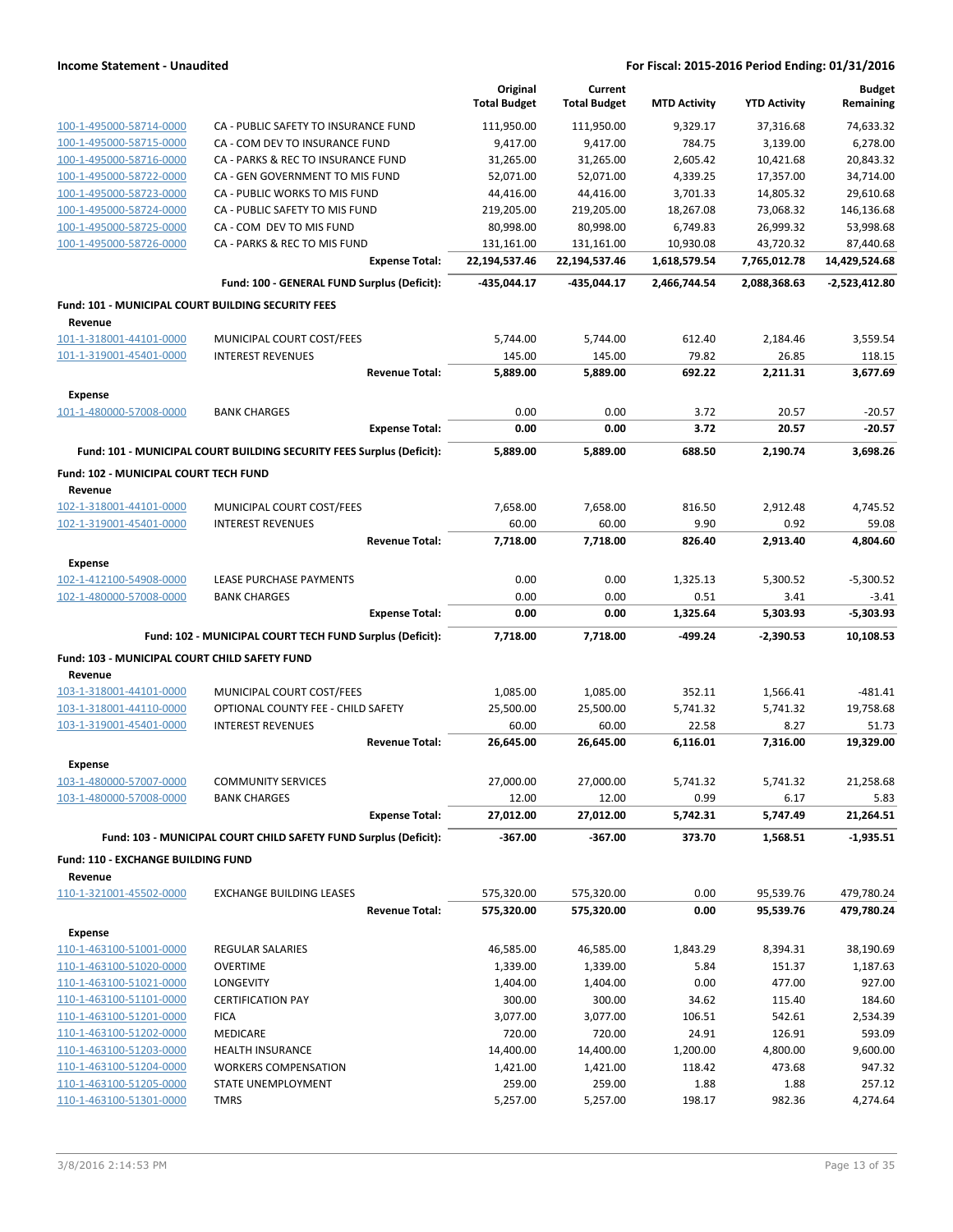|                                                               |                                                                       | Original<br><b>Total Budget</b> | Current<br><b>Total Budget</b> | <b>MTD Activity</b> | <b>YTD Activity</b>    | <b>Budget</b><br>Remaining |
|---------------------------------------------------------------|-----------------------------------------------------------------------|---------------------------------|--------------------------------|---------------------|------------------------|----------------------------|
| 100-1-495000-58714-0000                                       | CA - PUBLIC SAFETY TO INSURANCE FUND                                  | 111,950.00                      | 111,950.00                     | 9,329.17            | 37,316.68              | 74,633.32                  |
| 100-1-495000-58715-0000                                       | CA - COM DEV TO INSURANCE FUND                                        | 9,417.00                        | 9,417.00                       | 784.75              | 3,139.00               | 6,278.00                   |
| 100-1-495000-58716-0000                                       | CA - PARKS & REC TO INSURANCE FUND                                    | 31,265.00                       | 31,265.00                      | 2,605.42            | 10,421.68              | 20,843.32                  |
| 100-1-495000-58722-0000                                       | CA - GEN GOVERNMENT TO MIS FUND                                       | 52,071.00                       | 52,071.00                      | 4,339.25            | 17,357.00              | 34,714.00                  |
| 100-1-495000-58723-0000                                       | CA - PUBLIC WORKS TO MIS FUND                                         | 44,416.00                       | 44,416.00                      | 3,701.33            | 14,805.32              | 29,610.68                  |
| 100-1-495000-58724-0000                                       | CA - PUBLIC SAFETY TO MIS FUND                                        | 219,205.00                      | 219,205.00                     | 18,267.08           | 73,068.32              | 146,136.68                 |
| 100-1-495000-58725-0000                                       | CA - COM DEV TO MIS FUND                                              | 80,998.00                       | 80,998.00                      | 6,749.83            | 26,999.32              | 53,998.68                  |
| 100-1-495000-58726-0000                                       | CA - PARKS & REC TO MIS FUND                                          | 131,161.00                      | 131,161.00                     | 10,930.08           | 43,720.32              | 87,440.68                  |
|                                                               | <b>Expense Total:</b>                                                 | 22,194,537.46                   | 22,194,537.46                  | 1,618,579.54        | 7,765,012.78           | 14,429,524.68              |
|                                                               | Fund: 100 - GENERAL FUND Surplus (Deficit):                           | -435,044.17                     | -435,044.17                    | 2,466,744.54        | 2,088,368.63           | -2,523,412.80              |
| Fund: 101 - MUNICIPAL COURT BUILDING SECURITY FEES<br>Revenue |                                                                       |                                 |                                |                     |                        |                            |
| 101-1-318001-44101-0000                                       | MUNICIPAL COURT COST/FEES                                             | 5,744.00                        | 5,744.00                       | 612.40              | 2,184.46               | 3,559.54                   |
| 101-1-319001-45401-0000                                       | <b>INTEREST REVENUES</b>                                              | 145.00                          | 145.00                         | 79.82               | 26.85                  | 118.15                     |
|                                                               | <b>Revenue Total:</b>                                                 | 5,889.00                        | 5,889.00                       | 692.22              | 2,211.31               | 3,677.69                   |
| <b>Expense</b>                                                |                                                                       |                                 |                                |                     |                        |                            |
| 101-1-480000-57008-0000                                       | <b>BANK CHARGES</b><br><b>Expense Total:</b>                          | 0.00<br>0.00                    | 0.00<br>0.00                   | 3.72<br>3.72        | 20.57<br>20.57         | $-20.57$<br>$-20.57$       |
|                                                               |                                                                       |                                 |                                |                     |                        |                            |
| Fund: 102 - MUNICIPAL COURT TECH FUND                         | Fund: 101 - MUNICIPAL COURT BUILDING SECURITY FEES Surplus (Deficit): | 5,889.00                        | 5,889.00                       | 688.50              | 2,190.74               | 3,698.26                   |
| Revenue<br>102-1-318001-44101-0000                            | MUNICIPAL COURT COST/FEES                                             | 7,658.00                        | 7,658.00                       | 816.50              | 2,912.48               | 4,745.52                   |
| 102-1-319001-45401-0000                                       | <b>INTEREST REVENUES</b>                                              | 60.00                           | 60.00                          | 9.90                | 0.92                   | 59.08                      |
|                                                               | <b>Revenue Total:</b>                                                 | 7,718.00                        | 7,718.00                       | 826.40              | 2,913.40               | 4,804.60                   |
| <b>Expense</b>                                                |                                                                       |                                 |                                |                     |                        |                            |
| 102-1-412100-54908-0000                                       | LEASE PURCHASE PAYMENTS                                               | 0.00                            | 0.00                           | 1,325.13            | 5,300.52               | $-5,300.52$                |
| 102-1-480000-57008-0000                                       | <b>BANK CHARGES</b>                                                   | 0.00                            | 0.00                           | 0.51                | 3.41                   | $-3.41$                    |
|                                                               | <b>Expense Total:</b>                                                 | 0.00                            | 0.00                           | 1,325.64            | 5,303.93               | $-5,303.93$                |
|                                                               | Fund: 102 - MUNICIPAL COURT TECH FUND Surplus (Deficit):              | 7,718.00                        | 7,718.00                       | -499.24             | $-2,390.53$            | 10,108.53                  |
| Fund: 103 - MUNICIPAL COURT CHILD SAFETY FUND                 |                                                                       |                                 |                                |                     |                        |                            |
| Revenue                                                       |                                                                       |                                 |                                |                     |                        |                            |
| 103-1-318001-44101-0000                                       | MUNICIPAL COURT COST/FEES                                             | 1,085.00                        | 1,085.00                       | 352.11              | 1,566.41               | $-481.41$                  |
| 103-1-318001-44110-0000                                       | OPTIONAL COUNTY FEE - CHILD SAFETY                                    | 25,500.00                       | 25,500.00                      | 5,741.32            | 5,741.32               | 19,758.68                  |
| 103-1-319001-45401-0000                                       | <b>INTEREST REVENUES</b><br><b>Revenue Total:</b>                     | 60.00<br>26,645.00              | 60.00<br>26,645.00             | 22.58<br>6,116.01   | 8.27<br>7,316.00       | 51.73<br>19,329.00         |
| Expense                                                       |                                                                       |                                 |                                |                     |                        |                            |
| 103-1-480000-57007-0000                                       | <b>COMMUNITY SERVICES</b>                                             | 27,000.00                       | 27,000.00                      | 5,741.32            | 5,741.32               | 21,258.68                  |
| 103-1-480000-57008-0000                                       | <b>BANK CHARGES</b>                                                   | 12.00                           | 12.00                          | 0.99                | 6.17                   | 5.83                       |
|                                                               | <b>Expense Total:</b>                                                 | 27,012.00                       | 27,012.00                      | 5,742.31            | 5,747.49               | 21,264.51                  |
|                                                               | Fund: 103 - MUNICIPAL COURT CHILD SAFETY FUND Surplus (Deficit):      | $-367.00$                       | $-367.00$                      | 373.70              | 1,568.51               | $-1,935.51$                |
| Fund: 110 - EXCHANGE BUILDING FUND                            |                                                                       |                                 |                                |                     |                        |                            |
| Revenue                                                       |                                                                       |                                 |                                |                     |                        |                            |
| 110-1-321001-45502-0000                                       | <b>EXCHANGE BUILDING LEASES</b><br><b>Revenue Total:</b>              | 575,320.00<br>575,320.00        | 575,320.00<br>575,320.00       | 0.00<br>0.00        | 95,539.76<br>95,539.76 | 479,780.24<br>479,780.24   |
|                                                               |                                                                       |                                 |                                |                     |                        |                            |
| <b>Expense</b><br>110-1-463100-51001-0000                     | REGULAR SALARIES                                                      | 46,585.00                       | 46,585.00                      | 1,843.29            | 8,394.31               | 38,190.69                  |
| 110-1-463100-51020-0000                                       | <b>OVERTIME</b>                                                       | 1,339.00                        | 1,339.00                       | 5.84                | 151.37                 | 1,187.63                   |
| 110-1-463100-51021-0000                                       | LONGEVITY                                                             | 1,404.00                        | 1,404.00                       | 0.00                | 477.00                 | 927.00                     |
| 110-1-463100-51101-0000                                       | <b>CERTIFICATION PAY</b>                                              | 300.00                          | 300.00                         | 34.62               | 115.40                 | 184.60                     |
| 110-1-463100-51201-0000                                       | <b>FICA</b>                                                           | 3,077.00                        | 3,077.00                       | 106.51              | 542.61                 | 2,534.39                   |
| 110-1-463100-51202-0000                                       | MEDICARE                                                              | 720.00                          | 720.00                         | 24.91               | 126.91                 | 593.09                     |
| 110-1-463100-51203-0000                                       | <b>HEALTH INSURANCE</b>                                               | 14,400.00                       | 14,400.00                      | 1,200.00            | 4,800.00               | 9,600.00                   |
| 110-1-463100-51204-0000                                       | <b>WORKERS COMPENSATION</b>                                           | 1,421.00                        | 1,421.00                       | 118.42              | 473.68                 | 947.32                     |
| 110-1-463100-51205-0000                                       | STATE UNEMPLOYMENT                                                    | 259.00                          | 259.00                         | 1.88                | 1.88                   | 257.12                     |
| 110-1-463100-51301-0000                                       | <b>TMRS</b>                                                           | 5,257.00                        | 5,257.00                       | 198.17              | 982.36                 | 4,274.64                   |
|                                                               |                                                                       |                                 |                                |                     |                        |                            |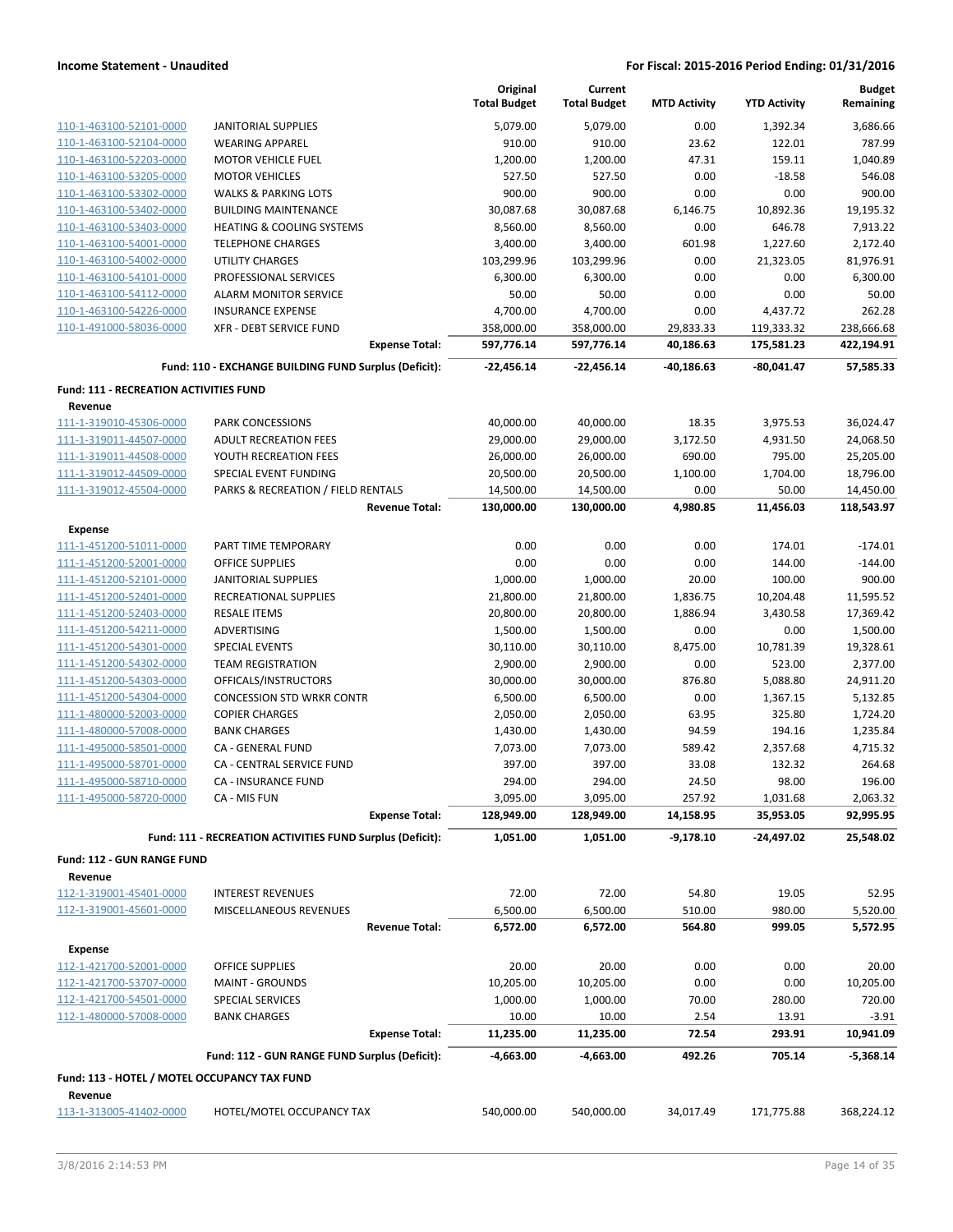|                                               |                                                           | Original            | Current             |                     |                     | <b>Budget</b> |
|-----------------------------------------------|-----------------------------------------------------------|---------------------|---------------------|---------------------|---------------------|---------------|
|                                               |                                                           | <b>Total Budget</b> | <b>Total Budget</b> | <b>MTD Activity</b> | <b>YTD Activity</b> | Remaining     |
| 110-1-463100-52101-0000                       | <b>JANITORIAL SUPPLIES</b>                                | 5,079.00            | 5,079.00            | 0.00                | 1,392.34            | 3,686.66      |
| 110-1-463100-52104-0000                       | <b>WEARING APPAREL</b>                                    | 910.00              | 910.00              | 23.62               | 122.01              | 787.99        |
| 110-1-463100-52203-0000                       | <b>MOTOR VEHICLE FUEL</b>                                 | 1,200.00            | 1,200.00            | 47.31               | 159.11              | 1,040.89      |
| 110-1-463100-53205-0000                       | <b>MOTOR VEHICLES</b>                                     | 527.50              | 527.50              | 0.00                | $-18.58$            | 546.08        |
| 110-1-463100-53302-0000                       | <b>WALKS &amp; PARKING LOTS</b>                           | 900.00              | 900.00              | 0.00                | 0.00                | 900.00        |
| 110-1-463100-53402-0000                       | <b>BUILDING MAINTENANCE</b>                               | 30,087.68           | 30,087.68           | 6,146.75            | 10,892.36           | 19,195.32     |
| 110-1-463100-53403-0000                       | <b>HEATING &amp; COOLING SYSTEMS</b>                      | 8,560.00            | 8,560.00            | 0.00                | 646.78              | 7,913.22      |
| 110-1-463100-54001-0000                       | <b>TELEPHONE CHARGES</b>                                  | 3,400.00            | 3,400.00            | 601.98              | 1,227.60            | 2,172.40      |
| 110-1-463100-54002-0000                       | <b>UTILITY CHARGES</b>                                    | 103,299.96          | 103,299.96          | 0.00                | 21,323.05           | 81,976.91     |
| 110-1-463100-54101-0000                       | PROFESSIONAL SERVICES                                     | 6,300.00            | 6,300.00            | 0.00                | 0.00                | 6,300.00      |
| 110-1-463100-54112-0000                       | <b>ALARM MONITOR SERVICE</b>                              | 50.00               | 50.00               | 0.00                | 0.00                | 50.00         |
| 110-1-463100-54226-0000                       | <b>INSURANCE EXPENSE</b>                                  | 4,700.00            | 4,700.00            | 0.00                | 4,437.72            | 262.28        |
| 110-1-491000-58036-0000                       | XFR - DEBT SERVICE FUND                                   | 358,000.00          | 358,000.00          | 29,833.33           | 119,333.32          | 238,666.68    |
|                                               | <b>Expense Total:</b>                                     | 597,776.14          | 597,776.14          | 40,186.63           | 175,581.23          | 422,194.91    |
|                                               | Fund: 110 - EXCHANGE BUILDING FUND Surplus (Deficit):     | -22,456.14          | $-22,456.14$        | -40,186.63          | $-80,041.47$        | 57,585.33     |
| <b>Fund: 111 - RECREATION ACTIVITIES FUND</b> |                                                           |                     |                     |                     |                     |               |
| Revenue                                       |                                                           |                     |                     |                     |                     |               |
| 111-1-319010-45306-0000                       | PARK CONCESSIONS                                          | 40,000.00           | 40,000.00           | 18.35               | 3,975.53            | 36,024.47     |
| 111-1-319011-44507-0000                       | <b>ADULT RECREATION FEES</b>                              | 29,000.00           | 29,000.00           | 3,172.50            | 4,931.50            | 24,068.50     |
| 111-1-319011-44508-0000                       | YOUTH RECREATION FEES                                     | 26,000.00           | 26,000.00           | 690.00              | 795.00              | 25,205.00     |
| 111-1-319012-44509-0000                       | SPECIAL EVENT FUNDING                                     | 20,500.00           | 20,500.00           | 1,100.00            | 1,704.00            | 18,796.00     |
| 111-1-319012-45504-0000                       | PARKS & RECREATION / FIELD RENTALS                        | 14,500.00           | 14,500.00           | 0.00                | 50.00               | 14,450.00     |
|                                               | <b>Revenue Total:</b>                                     | 130,000.00          | 130,000.00          | 4,980.85            | 11,456.03           | 118,543.97    |
| <b>Expense</b>                                |                                                           |                     |                     |                     |                     |               |
| 111-1-451200-51011-0000                       | PART TIME TEMPORARY                                       | 0.00                | 0.00                | 0.00                | 174.01              | $-174.01$     |
| 111-1-451200-52001-0000                       | <b>OFFICE SUPPLIES</b>                                    | 0.00                | 0.00                | 0.00                | 144.00              | $-144.00$     |
| 111-1-451200-52101-0000                       | <b>JANITORIAL SUPPLIES</b>                                | 1,000.00            | 1,000.00            | 20.00               | 100.00              | 900.00        |
| 111-1-451200-52401-0000                       | RECREATIONAL SUPPLIES                                     | 21,800.00           | 21,800.00           | 1,836.75            | 10,204.48           | 11,595.52     |
| 111-1-451200-52403-0000                       | <b>RESALE ITEMS</b>                                       | 20,800.00           | 20,800.00           | 1,886.94            | 3,430.58            | 17,369.42     |
| 111-1-451200-54211-0000                       | ADVERTISING                                               | 1,500.00            | 1,500.00            | 0.00                | 0.00                | 1,500.00      |
| 111-1-451200-54301-0000                       | <b>SPECIAL EVENTS</b>                                     | 30,110.00           | 30,110.00           | 8,475.00            | 10,781.39           | 19,328.61     |
| 111-1-451200-54302-0000                       | <b>TEAM REGISTRATION</b>                                  | 2,900.00            | 2,900.00            | 0.00                | 523.00              | 2,377.00      |
| 111-1-451200-54303-0000                       | OFFICALS/INSTRUCTORS                                      | 30,000.00           | 30,000.00           | 876.80              | 5,088.80            | 24,911.20     |
| 111-1-451200-54304-0000                       | <b>CONCESSION STD WRKR CONTR</b>                          | 6,500.00            | 6,500.00            | 0.00                | 1,367.15            | 5,132.85      |
| 111-1-480000-52003-0000                       | <b>COPIER CHARGES</b>                                     | 2,050.00            | 2,050.00            | 63.95               | 325.80              | 1,724.20      |
| 111-1-480000-57008-0000                       | <b>BANK CHARGES</b>                                       | 1,430.00            | 1,430.00            | 94.59               | 194.16              | 1,235.84      |
| 111-1-495000-58501-0000                       | CA - GENERAL FUND                                         | 7,073.00            | 7,073.00            | 589.42              | 2,357.68            | 4,715.32      |
| 111-1-495000-58701-0000                       | CA - CENTRAL SERVICE FUND                                 | 397.00              | 397.00              | 33.08               | 132.32              | 264.68        |
| 111-1-495000-58710-0000                       | CA - INSURANCE FUND                                       | 294.00              | 294.00              | 24.50               | 98.00               | 196.00        |
| 111-1-495000-58720-0000                       | CA - MIS FUN                                              | 3,095.00            | 3,095.00            | 257.92              | 1,031.68            | 2,063.32      |
|                                               | <b>Expense Total:</b>                                     | 128,949.00          | 128,949.00          | 14,158.95           | 35,953.05           | 92,995.95     |
|                                               | Fund: 111 - RECREATION ACTIVITIES FUND Surplus (Deficit): | 1,051.00            | 1,051.00            | $-9,178.10$         | -24,497.02          | 25,548.02     |
| Fund: 112 - GUN RANGE FUND                    |                                                           |                     |                     |                     |                     |               |
| Revenue                                       |                                                           |                     |                     |                     |                     |               |
| 112-1-319001-45401-0000                       | <b>INTEREST REVENUES</b>                                  | 72.00               | 72.00               | 54.80               | 19.05               | 52.95         |
| 112-1-319001-45601-0000                       | MISCELLANEOUS REVENUES                                    | 6,500.00            | 6,500.00            | 510.00              | 980.00              | 5,520.00      |
|                                               | <b>Revenue Total:</b>                                     | 6,572.00            | 6,572.00            | 564.80              | 999.05              | 5,572.95      |
| <b>Expense</b>                                |                                                           |                     |                     |                     |                     |               |
| 112-1-421700-52001-0000                       | OFFICE SUPPLIES                                           | 20.00               | 20.00               | 0.00                | 0.00                | 20.00         |
| 112-1-421700-53707-0000                       | <b>MAINT - GROUNDS</b>                                    | 10,205.00           | 10,205.00           | 0.00                | 0.00                | 10,205.00     |
| 112-1-421700-54501-0000                       | SPECIAL SERVICES                                          | 1,000.00            | 1,000.00            | 70.00               | 280.00              | 720.00        |
| 112-1-480000-57008-0000                       | <b>BANK CHARGES</b>                                       | 10.00               | 10.00               | 2.54                | 13.91               | $-3.91$       |
|                                               | <b>Expense Total:</b>                                     | 11,235.00           | 11,235.00           | 72.54               | 293.91              | 10,941.09     |
|                                               | Fund: 112 - GUN RANGE FUND Surplus (Deficit):             | -4,663.00           | -4,663.00           | 492.26              | 705.14              | $-5,368.14$   |
| Fund: 113 - HOTEL / MOTEL OCCUPANCY TAX FUND  |                                                           |                     |                     |                     |                     |               |
| Revenue                                       |                                                           |                     |                     |                     |                     |               |
| 113-1-313005-41402-0000                       | HOTEL/MOTEL OCCUPANCY TAX                                 | 540,000.00          | 540,000.00          | 34,017.49           | 171,775.88          | 368,224.12    |
|                                               |                                                           |                     |                     |                     |                     |               |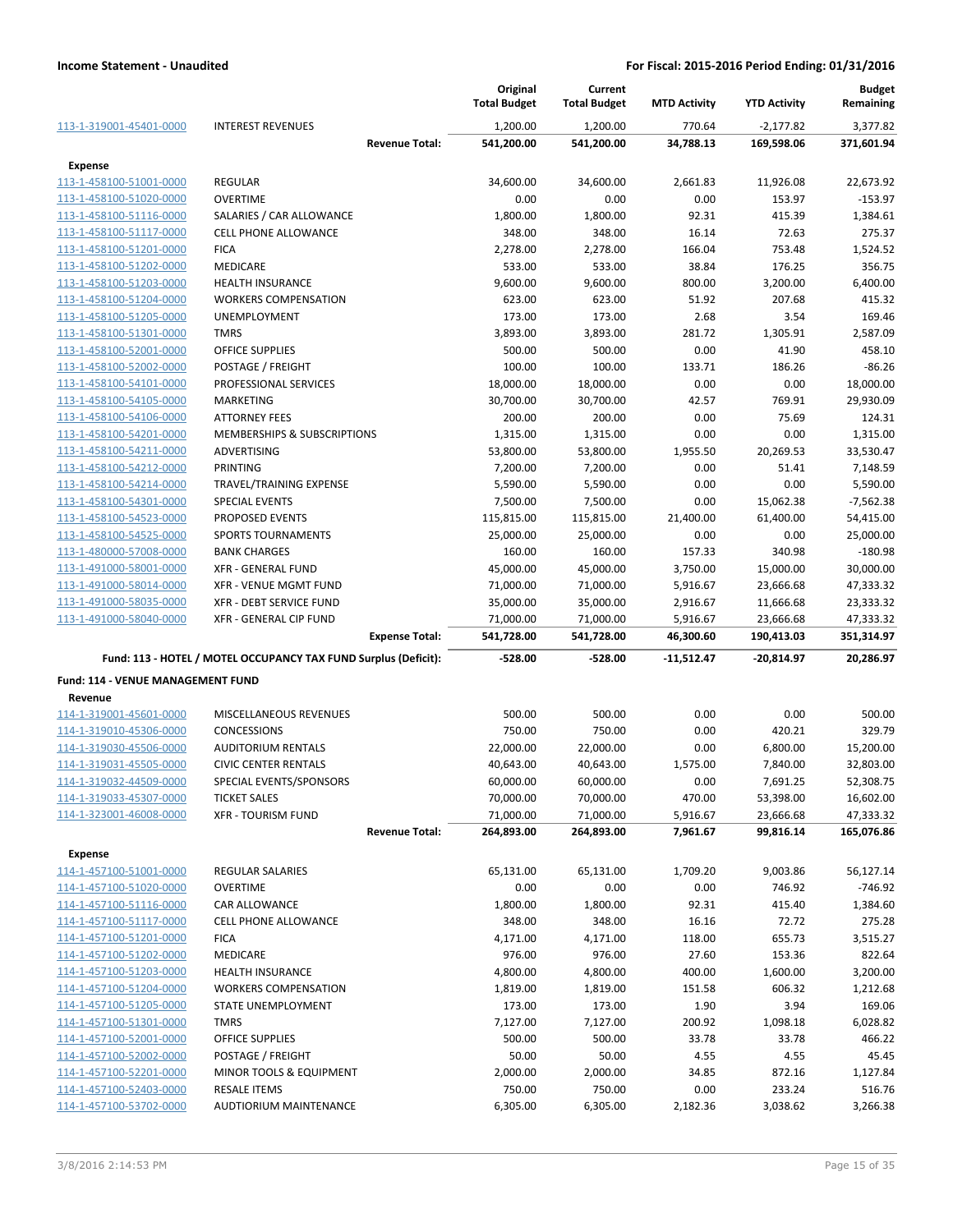|                                   |                                                                 |                       | Original<br><b>Total Budget</b> | Current<br><b>Total Budget</b> | <b>MTD Activity</b> | <b>YTD Activity</b> | <b>Budget</b><br>Remaining |
|-----------------------------------|-----------------------------------------------------------------|-----------------------|---------------------------------|--------------------------------|---------------------|---------------------|----------------------------|
| 113-1-319001-45401-0000           | <b>INTEREST REVENUES</b>                                        |                       | 1,200.00                        | 1,200.00                       | 770.64              | $-2,177.82$         | 3,377.82                   |
|                                   |                                                                 | <b>Revenue Total:</b> | 541,200.00                      | 541,200.00                     | 34,788.13           | 169,598.06          | 371,601.94                 |
| <b>Expense</b>                    |                                                                 |                       |                                 |                                |                     |                     |                            |
| 113-1-458100-51001-0000           | <b>REGULAR</b>                                                  |                       | 34,600.00                       | 34,600.00                      | 2,661.83            | 11,926.08           | 22,673.92                  |
| 113-1-458100-51020-0000           | <b>OVERTIME</b>                                                 |                       | 0.00                            | 0.00                           | 0.00                | 153.97              | $-153.97$                  |
| 113-1-458100-51116-0000           | SALARIES / CAR ALLOWANCE                                        |                       | 1,800.00                        | 1,800.00                       | 92.31               | 415.39              | 1,384.61                   |
| 113-1-458100-51117-0000           | <b>CELL PHONE ALLOWANCE</b>                                     |                       | 348.00                          | 348.00                         | 16.14               | 72.63               | 275.37                     |
| 113-1-458100-51201-0000           | <b>FICA</b>                                                     |                       | 2,278.00                        | 2,278.00                       | 166.04              | 753.48              | 1,524.52                   |
| 113-1-458100-51202-0000           | <b>MEDICARE</b>                                                 |                       | 533.00                          | 533.00                         | 38.84               | 176.25              | 356.75                     |
| 113-1-458100-51203-0000           | <b>HEALTH INSURANCE</b>                                         |                       | 9,600.00                        | 9,600.00                       | 800.00              | 3,200.00            | 6,400.00                   |
| 113-1-458100-51204-0000           | <b>WORKERS COMPENSATION</b>                                     |                       | 623.00                          | 623.00                         | 51.92               | 207.68              | 415.32                     |
| 113-1-458100-51205-0000           | UNEMPLOYMENT                                                    |                       | 173.00                          | 173.00                         | 2.68                | 3.54                | 169.46                     |
| 113-1-458100-51301-0000           | <b>TMRS</b>                                                     |                       | 3,893.00                        | 3,893.00                       | 281.72              | 1,305.91            | 2,587.09                   |
| 113-1-458100-52001-0000           | OFFICE SUPPLIES                                                 |                       | 500.00                          | 500.00                         | 0.00                | 41.90               | 458.10                     |
| 113-1-458100-52002-0000           | POSTAGE / FREIGHT                                               |                       | 100.00                          | 100.00                         | 133.71              | 186.26              | $-86.26$                   |
| 113-1-458100-54101-0000           | PROFESSIONAL SERVICES                                           |                       | 18,000.00                       | 18,000.00                      | 0.00                | 0.00                | 18,000.00                  |
| 113-1-458100-54105-0000           | MARKETING                                                       |                       | 30,700.00                       | 30,700.00                      | 42.57               | 769.91              | 29,930.09                  |
| 113-1-458100-54106-0000           | <b>ATTORNEY FEES</b>                                            |                       | 200.00                          | 200.00                         | 0.00                | 75.69               | 124.31                     |
| 113-1-458100-54201-0000           | MEMBERSHIPS & SUBSCRIPTIONS                                     |                       | 1,315.00                        | 1,315.00                       | 0.00                | 0.00                | 1,315.00                   |
| 113-1-458100-54211-0000           | ADVERTISING                                                     |                       | 53,800.00                       | 53,800.00                      | 1,955.50            | 20,269.53           | 33,530.47                  |
| 113-1-458100-54212-0000           | PRINTING                                                        |                       | 7,200.00                        | 7,200.00                       | 0.00                | 51.41               | 7,148.59                   |
| 113-1-458100-54214-0000           | TRAVEL/TRAINING EXPENSE                                         |                       | 5,590.00                        | 5,590.00                       | 0.00                | 0.00                | 5,590.00                   |
| 113-1-458100-54301-0000           | <b>SPECIAL EVENTS</b>                                           |                       | 7,500.00                        | 7,500.00                       | 0.00                | 15,062.38           | $-7,562.38$                |
| 113-1-458100-54523-0000           | PROPOSED EVENTS                                                 |                       | 115,815.00                      | 115,815.00                     | 21,400.00           | 61,400.00           | 54,415.00                  |
| 113-1-458100-54525-0000           | <b>SPORTS TOURNAMENTS</b>                                       |                       | 25,000.00                       | 25,000.00                      | 0.00                | 0.00                | 25,000.00                  |
| 113-1-480000-57008-0000           | <b>BANK CHARGES</b>                                             |                       | 160.00                          | 160.00                         | 157.33              | 340.98              | $-180.98$                  |
| 113-1-491000-58001-0000           | <b>XFR - GENERAL FUND</b>                                       |                       | 45,000.00                       | 45,000.00                      | 3,750.00            | 15,000.00           | 30,000.00                  |
| 113-1-491000-58014-0000           | XFR - VENUE MGMT FUND                                           |                       | 71,000.00                       | 71,000.00                      | 5,916.67            | 23,666.68           | 47,333.32                  |
| 113-1-491000-58035-0000           | XFR - DEBT SERVICE FUND                                         |                       | 35,000.00                       | 35,000.00                      | 2,916.67            | 11,666.68           | 23,333.32                  |
| 113-1-491000-58040-0000           | XFR - GENERAL CIP FUND                                          |                       | 71,000.00                       | 71,000.00                      | 5,916.67            | 23,666.68           | 47,333.32                  |
|                                   |                                                                 | <b>Expense Total:</b> | 541,728.00                      | 541,728.00                     | 46,300.60           | 190,413.03          | 351,314.97                 |
|                                   | Fund: 113 - HOTEL / MOTEL OCCUPANCY TAX FUND Surplus (Deficit): |                       | -528.00                         | -528.00                        | -11,512.47          | -20,814.97          | 20,286.97                  |
| Fund: 114 - VENUE MANAGEMENT FUND |                                                                 |                       |                                 |                                |                     |                     |                            |
| Revenue                           |                                                                 |                       |                                 |                                |                     |                     |                            |
| 114-1-319001-45601-0000           | MISCELLANEOUS REVENUES                                          |                       | 500.00                          | 500.00                         | 0.00                | 0.00                | 500.00                     |
| 114-1-319010-45306-0000           | <b>CONCESSIONS</b>                                              |                       | 750.00                          | 750.00                         | 0.00                | 420.21              | 329.79                     |
| 114-1-319030-45506-0000           | <b>AUDITORIUM RENTALS</b>                                       |                       | 22,000.00                       | 22,000.00                      | 0.00                | 6,800.00            | 15,200.00                  |
| 114-1-319031-45505-0000           | <b>CIVIC CENTER RENTALS</b>                                     |                       | 40,643.00                       | 40,643.00                      | 1,575.00            | 7,840.00            | 32,803.00                  |
| 114-1-319032-44509-0000           | SPECIAL EVENTS/SPONSORS                                         |                       | 60,000.00                       | 60,000.00                      | 0.00                | 7,691.25            | 52,308.75                  |
| 114-1-319033-45307-0000           | <b>TICKET SALES</b>                                             |                       | 70,000.00                       | 70,000.00                      | 470.00              | 53,398.00           | 16,602.00                  |
| 114-1-323001-46008-0000           | <b>XFR - TOURISM FUND</b>                                       |                       | 71,000.00                       | 71,000.00                      | 5,916.67            | 23,666.68           | 47,333.32                  |
|                                   |                                                                 | <b>Revenue Total:</b> | 264,893.00                      | 264,893.00                     | 7,961.67            | 99,816.14           | 165,076.86                 |
| Expense                           |                                                                 |                       |                                 |                                |                     |                     |                            |
| 114-1-457100-51001-0000           | <b>REGULAR SALARIES</b>                                         |                       | 65,131.00                       | 65,131.00                      | 1,709.20            | 9,003.86            | 56,127.14                  |
| 114-1-457100-51020-0000           | <b>OVERTIME</b>                                                 |                       | 0.00                            | 0.00                           | 0.00                | 746.92              | $-746.92$                  |
| 114-1-457100-51116-0000           | CAR ALLOWANCE                                                   |                       | 1,800.00                        | 1,800.00                       | 92.31               | 415.40              | 1,384.60                   |
| 114-1-457100-51117-0000           | CELL PHONE ALLOWANCE                                            |                       | 348.00                          | 348.00                         | 16.16               | 72.72               | 275.28                     |
| 114-1-457100-51201-0000           | <b>FICA</b>                                                     |                       | 4,171.00                        | 4,171.00                       | 118.00              | 655.73              | 3,515.27                   |
| 114-1-457100-51202-0000           | MEDICARE                                                        |                       | 976.00                          | 976.00                         | 27.60               | 153.36              | 822.64                     |
| 114-1-457100-51203-0000           | <b>HEALTH INSURANCE</b>                                         |                       | 4,800.00                        | 4,800.00                       | 400.00              | 1,600.00            | 3,200.00                   |
| 114-1-457100-51204-0000           | <b>WORKERS COMPENSATION</b>                                     |                       | 1,819.00                        | 1,819.00                       | 151.58              | 606.32              | 1,212.68                   |
| 114-1-457100-51205-0000           | STATE UNEMPLOYMENT                                              |                       | 173.00                          | 173.00                         | 1.90                | 3.94                | 169.06                     |
| 114-1-457100-51301-0000           | <b>TMRS</b>                                                     |                       | 7,127.00                        | 7,127.00                       | 200.92              | 1,098.18            | 6,028.82                   |
| 114-1-457100-52001-0000           | OFFICE SUPPLIES                                                 |                       | 500.00                          | 500.00                         | 33.78               | 33.78               | 466.22                     |
| 114-1-457100-52002-0000           | POSTAGE / FREIGHT                                               |                       | 50.00                           | 50.00                          | 4.55                | 4.55                | 45.45                      |
| 114-1-457100-52201-0000           | MINOR TOOLS & EQUIPMENT                                         |                       | 2,000.00                        | 2,000.00                       | 34.85               | 872.16              | 1,127.84                   |
| 114-1-457100-52403-0000           | <b>RESALE ITEMS</b>                                             |                       | 750.00                          | 750.00                         | 0.00                | 233.24              | 516.76                     |
| 114-1-457100-53702-0000           | AUDTIORIUM MAINTENANCE                                          |                       | 6,305.00                        | 6,305.00                       | 2,182.36            | 3,038.62            | 3,266.38                   |
|                                   |                                                                 |                       |                                 |                                |                     |                     |                            |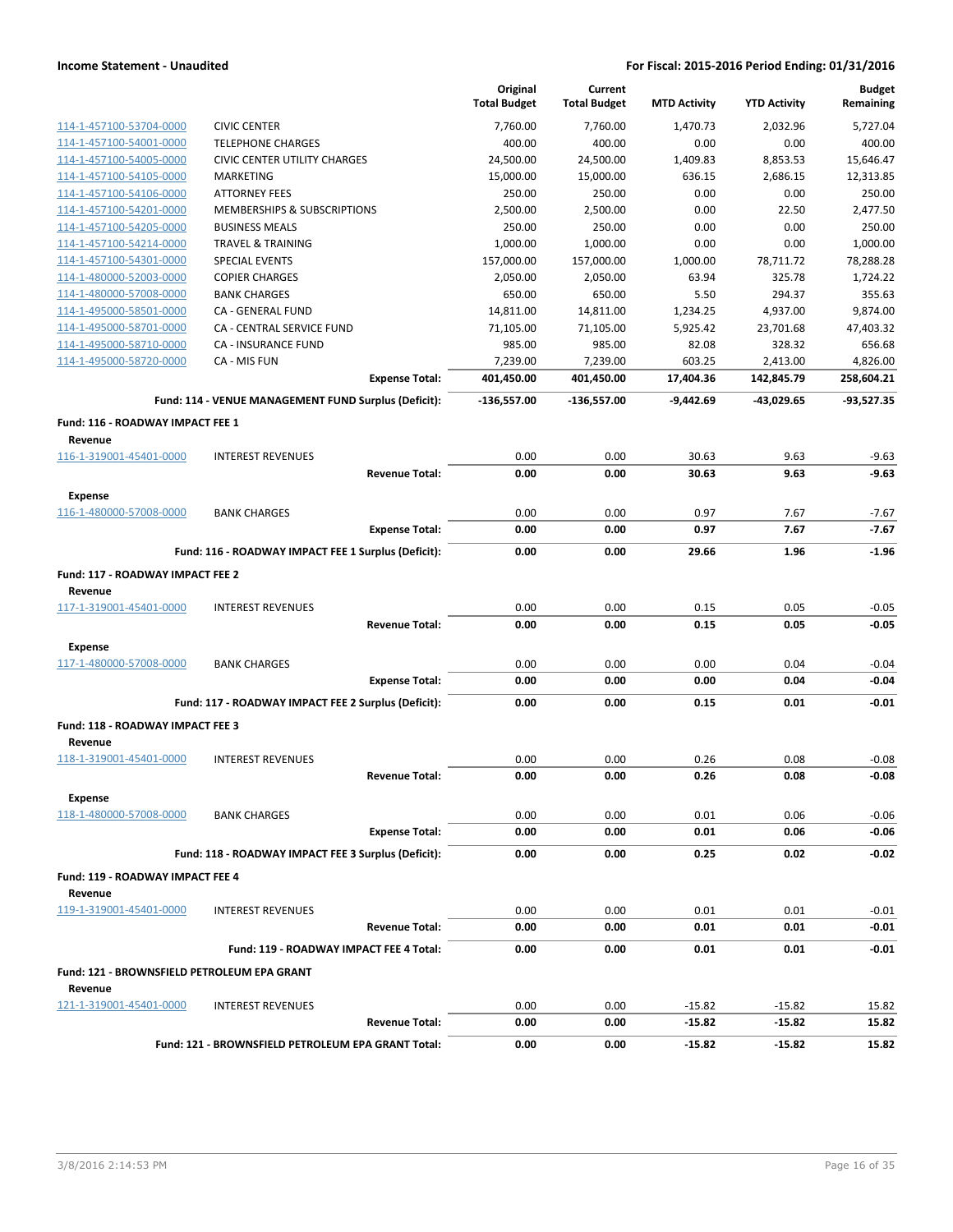|                                             |                                                      | Original<br><b>Total Budget</b> | Current<br><b>Total Budget</b> | <b>MTD Activity</b> | <b>YTD Activity</b> | <b>Budget</b><br>Remaining |
|---------------------------------------------|------------------------------------------------------|---------------------------------|--------------------------------|---------------------|---------------------|----------------------------|
| 114-1-457100-53704-0000                     | <b>CIVIC CENTER</b>                                  | 7,760.00                        | 7,760.00                       | 1.470.73            | 2,032.96            | 5,727.04                   |
| 114-1-457100-54001-0000                     | <b>TELEPHONE CHARGES</b>                             | 400.00                          | 400.00                         | 0.00                | 0.00                | 400.00                     |
| 114-1-457100-54005-0000                     | <b>CIVIC CENTER UTILITY CHARGES</b>                  | 24,500.00                       | 24,500.00                      | 1,409.83            | 8,853.53            | 15.646.47                  |
| 114-1-457100-54105-0000                     | <b>MARKETING</b>                                     | 15,000.00                       | 15,000.00                      | 636.15              | 2,686.15            | 12,313.85                  |
| 114-1-457100-54106-0000                     | <b>ATTORNEY FEES</b>                                 | 250.00                          | 250.00                         | 0.00                | 0.00                | 250.00                     |
| 114-1-457100-54201-0000                     | <b>MEMBERSHIPS &amp; SUBSCRIPTIONS</b>               | 2,500.00                        | 2,500.00                       | 0.00                | 22.50               | 2,477.50                   |
| 114-1-457100-54205-0000                     | <b>BUSINESS MEALS</b>                                | 250.00                          | 250.00                         | 0.00                | 0.00                | 250.00                     |
| 114-1-457100-54214-0000                     | <b>TRAVEL &amp; TRAINING</b>                         | 1,000.00                        | 1,000.00                       | 0.00                | 0.00                | 1,000.00                   |
| 114-1-457100-54301-0000                     | <b>SPECIAL EVENTS</b>                                | 157,000.00                      | 157,000.00                     | 1,000.00            | 78,711.72           | 78,288.28                  |
| 114-1-480000-52003-0000                     | <b>COPIER CHARGES</b>                                | 2,050.00                        | 2,050.00                       | 63.94               | 325.78              | 1,724.22                   |
| 114-1-480000-57008-0000                     | <b>BANK CHARGES</b>                                  | 650.00                          | 650.00                         | 5.50                | 294.37              | 355.63                     |
| 114-1-495000-58501-0000                     | CA - GENERAL FUND                                    | 14,811.00                       | 14,811.00                      | 1,234.25            | 4,937.00            | 9,874.00                   |
| 114-1-495000-58701-0000                     | CA - CENTRAL SERVICE FUND                            | 71,105.00                       | 71,105.00                      | 5,925.42            | 23,701.68           | 47,403.32                  |
| 114-1-495000-58710-0000                     | <b>CA - INSURANCE FUND</b>                           | 985.00                          | 985.00                         | 82.08               | 328.32              | 656.68                     |
| 114-1-495000-58720-0000                     | CA - MIS FUN                                         | 7,239.00                        | 7,239.00                       | 603.25              | 2,413.00            | 4,826.00                   |
|                                             | <b>Expense Total:</b>                                | 401,450.00                      | 401,450.00                     | 17,404.36           | 142,845.79          | 258,604.21                 |
|                                             | Fund: 114 - VENUE MANAGEMENT FUND Surplus (Deficit): | -136,557.00                     | -136,557.00                    | $-9.442.69$         | $-43,029.65$        | $-93,527.35$               |
| Fund: 116 - ROADWAY IMPACT FEE 1<br>Revenue |                                                      |                                 |                                |                     |                     |                            |
| 116-1-319001-45401-0000                     | <b>INTEREST REVENUES</b>                             | 0.00                            | 0.00                           | 30.63               | 9.63                | $-9.63$                    |
|                                             | <b>Revenue Total:</b>                                | 0.00                            | 0.00                           | 30.63               | 9.63                | $-9.63$                    |
| Expense                                     |                                                      |                                 |                                |                     |                     |                            |
| 116-1-480000-57008-0000                     | <b>BANK CHARGES</b>                                  | 0.00                            | 0.00                           | 0.97                | 7.67                | $-7.67$                    |
|                                             | <b>Expense Total:</b>                                | 0.00                            | 0.00                           | 0.97                | 7.67                | $-7.67$                    |
|                                             | Fund: 116 - ROADWAY IMPACT FEE 1 Surplus (Deficit):  | 0.00                            | 0.00                           | 29.66               | 1.96                | $-1.96$                    |
|                                             |                                                      |                                 |                                |                     |                     |                            |
| Fund: 117 - ROADWAY IMPACT FEE 2            |                                                      |                                 |                                |                     |                     |                            |
| Revenue                                     |                                                      |                                 |                                |                     |                     |                            |
| 117-1-319001-45401-0000                     | <b>INTEREST REVENUES</b>                             | 0.00                            | 0.00                           | 0.15                | 0.05                | $-0.05$                    |
| Expense                                     | <b>Revenue Total:</b>                                | 0.00                            | 0.00                           | 0.15                | 0.05                | $-0.05$                    |
| 117-1-480000-57008-0000                     | <b>BANK CHARGES</b>                                  | 0.00                            | 0.00                           | 0.00                | 0.04                | $-0.04$                    |
|                                             | <b>Expense Total:</b>                                | 0.00                            | 0.00                           | 0.00                | 0.04                | $-0.04$                    |
|                                             | Fund: 117 - ROADWAY IMPACT FEE 2 Surplus (Deficit):  | 0.00                            | 0.00                           | 0.15                | 0.01                | $-0.01$                    |
| <b>Fund: 118 - ROADWAY IMPACT FEE 3</b>     |                                                      |                                 |                                |                     |                     |                            |
| Revenue<br>118-1-319001-45401-0000          | <b>INTEREST REVENUES</b>                             | 0.00                            | 0.00                           | 0.26                | 0.08                | $-0.08$                    |
|                                             | <b>Revenue Total:</b>                                | 0.00                            | 0.00                           | 0.26                | 0.08                | $-0.08$                    |
|                                             |                                                      |                                 |                                |                     |                     |                            |
| <b>Expense</b>                              |                                                      |                                 |                                |                     |                     |                            |
| 118-1-480000-57008-0000                     | <b>BANK CHARGES</b>                                  | 0.00                            | 0.00                           | 0.01                | 0.06                | $-0.06$                    |
|                                             | <b>Expense Total:</b>                                | 0.00                            | 0.00                           | 0.01                | 0.06                | $-0.06$                    |
|                                             | Fund: 118 - ROADWAY IMPACT FEE 3 Surplus (Deficit):  | 0.00                            | 0.00                           | 0.25                | 0.02                | $-0.02$                    |
| Fund: 119 - ROADWAY IMPACT FEE 4<br>Revenue |                                                      |                                 |                                |                     |                     |                            |
| 119-1-319001-45401-0000                     | <b>INTEREST REVENUES</b>                             | 0.00                            | 0.00                           | 0.01                | 0.01                | $-0.01$                    |
|                                             | <b>Revenue Total:</b>                                | 0.00                            | 0.00                           | 0.01                | 0.01                | $-0.01$                    |
|                                             | Fund: 119 - ROADWAY IMPACT FEE 4 Total:              | 0.00                            | 0.00                           | 0.01                | 0.01                | $-0.01$                    |
| Fund: 121 - BROWNSFIELD PETROLEUM EPA GRANT |                                                      |                                 |                                |                     |                     |                            |
| Revenue<br>121-1-319001-45401-0000          | <b>INTEREST REVENUES</b>                             | 0.00                            | 0.00                           | $-15.82$            | $-15.82$            | 15.82                      |
|                                             | <b>Revenue Total:</b>                                | 0.00                            | 0.00                           | -15.82              | $-15.82$            | 15.82                      |
|                                             | Fund: 121 - BROWNSFIELD PETROLEUM EPA GRANT Total:   | 0.00                            | 0.00                           | $-15.82$            | $-15.82$            | 15.82                      |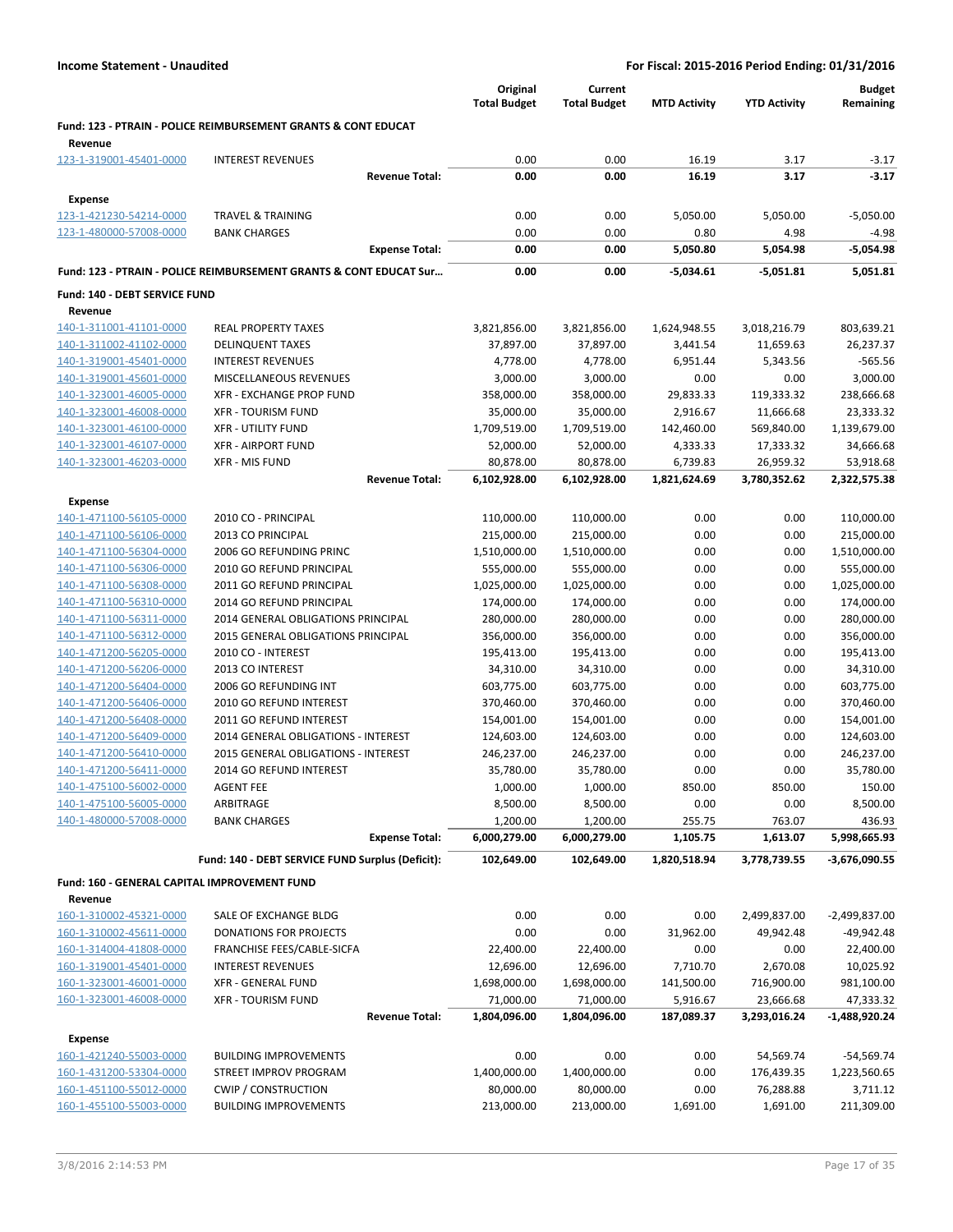|                                                    |                                                                            | Original<br><b>Total Budget</b> | Current<br><b>Total Budget</b> | <b>MTD Activity</b>      | <b>YTD Activity</b>       | <b>Budget</b><br>Remaining |
|----------------------------------------------------|----------------------------------------------------------------------------|---------------------------------|--------------------------------|--------------------------|---------------------------|----------------------------|
| Revenue                                            | <b>Fund: 123 - PTRAIN - POLICE REIMBURSEMENT GRANTS &amp; CONT EDUCAT</b>  |                                 |                                |                          |                           |                            |
| 123-1-319001-45401-0000                            | <b>INTEREST REVENUES</b>                                                   | 0.00                            | 0.00                           | 16.19                    | 3.17                      | $-3.17$                    |
|                                                    | <b>Revenue Total:</b>                                                      | 0.00                            | 0.00                           | 16.19                    | 3.17                      | $-3.17$                    |
| <b>Expense</b>                                     |                                                                            |                                 |                                |                          |                           |                            |
| 123-1-421230-54214-0000                            | <b>TRAVEL &amp; TRAINING</b>                                               | 0.00                            | 0.00                           | 5,050.00                 | 5,050.00                  | $-5,050.00$                |
| 123-1-480000-57008-0000                            | <b>BANK CHARGES</b>                                                        | 0.00                            | 0.00                           | 0.80                     | 4.98                      | $-4.98$                    |
|                                                    | <b>Expense Total:</b>                                                      | 0.00                            | 0.00                           | 5,050.80                 | 5,054.98                  | $-5,054.98$                |
|                                                    | Fund: 123 - PTRAIN - POLICE REIMBURSEMENT GRANTS & CONT EDUCAT Sur         | 0.00                            | 0.00                           | $-5,034.61$              | $-5,051.81$               | 5,051.81                   |
| Fund: 140 - DEBT SERVICE FUND                      |                                                                            |                                 |                                |                          |                           |                            |
| Revenue                                            |                                                                            |                                 |                                |                          |                           |                            |
| 140-1-311001-41101-0000<br>140-1-311002-41102-0000 | <b>REAL PROPERTY TAXES</b><br><b>DELINQUENT TAXES</b>                      | 3,821,856.00<br>37,897.00       | 3,821,856.00<br>37,897.00      | 1,624,948.55<br>3,441.54 | 3,018,216.79<br>11,659.63 | 803,639.21<br>26,237.37    |
| 140-1-319001-45401-0000                            | <b>INTEREST REVENUES</b>                                                   | 4,778.00                        | 4,778.00                       | 6,951.44                 | 5,343.56                  | $-565.56$                  |
| 140-1-319001-45601-0000                            | <b>MISCELLANEOUS REVENUES</b>                                              | 3,000.00                        | 3,000.00                       | 0.00                     | 0.00                      | 3,000.00                   |
| 140-1-323001-46005-0000                            | <b>XFR - EXCHANGE PROP FUND</b>                                            | 358,000.00                      | 358,000.00                     | 29,833.33                | 119,333.32                | 238,666.68                 |
| 140-1-323001-46008-0000                            | <b>XFR - TOURISM FUND</b>                                                  | 35,000.00                       | 35,000.00                      | 2,916.67                 | 11,666.68                 | 23,333.32                  |
| 140-1-323001-46100-0000                            | <b>XFR - UTILITY FUND</b>                                                  | 1,709,519.00                    | 1,709,519.00                   | 142,460.00               | 569,840.00                | 1,139,679.00               |
| 140-1-323001-46107-0000                            | <b>XFR - AIRPORT FUND</b>                                                  | 52,000.00                       | 52,000.00                      | 4,333.33                 | 17,333.32                 | 34,666.68                  |
| 140-1-323001-46203-0000                            | <b>XFR - MIS FUND</b>                                                      | 80,878.00                       | 80,878.00                      | 6,739.83                 | 26,959.32                 | 53,918.68                  |
|                                                    | <b>Revenue Total:</b>                                                      | 6,102,928.00                    | 6,102,928.00                   | 1,821,624.69             | 3,780,352.62              | 2,322,575.38               |
| <b>Expense</b>                                     |                                                                            |                                 |                                |                          |                           |                            |
| 140-1-471100-56105-0000                            | 2010 CO - PRINCIPAL                                                        | 110,000.00                      | 110,000.00                     | 0.00                     | 0.00                      | 110,000.00                 |
| 140-1-471100-56106-0000                            | 2013 CO PRINCIPAL                                                          | 215,000.00                      | 215,000.00                     | 0.00                     | 0.00                      | 215,000.00                 |
| 140-1-471100-56304-0000                            | 2006 GO REFUNDING PRINC                                                    | 1,510,000.00                    | 1,510,000.00                   | 0.00                     | 0.00                      | 1,510,000.00               |
| 140-1-471100-56306-0000                            | 2010 GO REFUND PRINCIPAL                                                   | 555,000.00                      | 555,000.00                     | 0.00                     | 0.00                      | 555,000.00                 |
| 140-1-471100-56308-0000                            | 2011 GO REFUND PRINCIPAL                                                   | 1,025,000.00                    | 1,025,000.00                   | 0.00                     | 0.00                      | 1,025,000.00               |
| 140-1-471100-56310-0000                            | 2014 GO REFUND PRINCIPAL                                                   | 174,000.00                      | 174,000.00                     | 0.00                     | 0.00                      | 174,000.00                 |
| 140-1-471100-56311-0000                            | 2014 GENERAL OBLIGATIONS PRINCIPAL                                         | 280,000.00                      | 280,000.00                     | 0.00                     | 0.00                      | 280,000.00                 |
| 140-1-471100-56312-0000                            | 2015 GENERAL OBLIGATIONS PRINCIPAL                                         | 356,000.00                      | 356,000.00                     | 0.00                     | 0.00                      | 356,000.00                 |
| 140-1-471200-56205-0000                            | 2010 CO - INTEREST                                                         | 195,413.00                      | 195,413.00                     | 0.00                     | 0.00                      | 195,413.00                 |
| 140-1-471200-56206-0000                            | 2013 CO INTEREST                                                           | 34,310.00                       | 34,310.00                      | 0.00                     | 0.00                      | 34,310.00                  |
| 140-1-471200-56404-0000                            | 2006 GO REFUNDING INT                                                      | 603,775.00                      | 603,775.00                     | 0.00                     | 0.00                      | 603,775.00                 |
| 140-1-471200-56406-0000                            | 2010 GO REFUND INTEREST                                                    | 370,460.00                      | 370,460.00                     | 0.00                     | 0.00                      | 370,460.00                 |
| 140-1-471200-56408-0000                            | 2011 GO REFUND INTEREST                                                    | 154,001.00                      | 154,001.00                     | 0.00                     | 0.00                      | 154,001.00                 |
| 140-1-471200-56409-0000<br>140-1-471200-56410-0000 | 2014 GENERAL OBLIGATIONS - INTEREST<br>2015 GENERAL OBLIGATIONS - INTEREST | 124,603.00<br>246,237.00        | 124,603.00                     | 0.00<br>0.00             | 0.00<br>0.00              | 124,603.00                 |
| 140-1-471200-56411-0000                            | 2014 GO REFUND INTEREST                                                    | 35,780.00                       | 246,237.00<br>35,780.00        | 0.00                     | 0.00                      | 246,237.00<br>35,780.00    |
| 140-1-475100-56002-0000                            | <b>AGENT FEE</b>                                                           | 1,000.00                        | 1,000.00                       | 850.00                   | 850.00                    | 150.00                     |
| 140-1-475100-56005-0000                            | ARBITRAGE                                                                  | 8,500.00                        | 8,500.00                       | 0.00                     | 0.00                      | 8,500.00                   |
| 140-1-480000-57008-0000                            | <b>BANK CHARGES</b>                                                        | 1,200.00                        | 1,200.00                       | 255.75                   | 763.07                    | 436.93                     |
|                                                    | <b>Expense Total:</b>                                                      | 6,000,279.00                    | 6,000,279.00                   | 1,105.75                 | 1,613.07                  | 5,998,665.93               |
|                                                    | Fund: 140 - DEBT SERVICE FUND Surplus (Deficit):                           | 102,649.00                      | 102,649.00                     | 1,820,518.94             | 3,778,739.55              | $-3,676,090.55$            |
| Fund: 160 - GENERAL CAPITAL IMPROVEMENT FUND       |                                                                            |                                 |                                |                          |                           |                            |
| Revenue                                            |                                                                            |                                 |                                |                          |                           |                            |
| 160-1-310002-45321-0000                            | SALE OF EXCHANGE BLDG                                                      | 0.00                            | 0.00                           | 0.00                     | 2,499,837.00              | -2,499,837.00              |
| 160-1-310002-45611-0000                            | <b>DONATIONS FOR PROJECTS</b>                                              | 0.00                            | 0.00                           | 31,962.00                | 49,942.48                 | $-49,942.48$               |
| 160-1-314004-41808-0000                            | FRANCHISE FEES/CABLE-SICFA                                                 | 22,400.00                       | 22,400.00                      | 0.00                     | 0.00                      | 22,400.00                  |
| 160-1-319001-45401-0000                            | <b>INTEREST REVENUES</b>                                                   | 12,696.00                       | 12,696.00                      | 7,710.70                 | 2,670.08                  | 10,025.92                  |
| 160-1-323001-46001-0000                            | <b>XFR - GENERAL FUND</b>                                                  | 1,698,000.00                    | 1,698,000.00                   | 141,500.00               | 716,900.00                | 981,100.00                 |
| 160-1-323001-46008-0000                            | <b>XFR - TOURISM FUND</b>                                                  | 71,000.00                       | 71,000.00                      | 5,916.67                 | 23,666.68                 | 47,333.32                  |
|                                                    | <b>Revenue Total:</b>                                                      | 1,804,096.00                    | 1,804,096.00                   | 187,089.37               | 3,293,016.24              | -1,488,920.24              |
| <b>Expense</b>                                     |                                                                            |                                 |                                |                          |                           |                            |
| 160-1-421240-55003-0000                            | <b>BUILDING IMPROVEMENTS</b>                                               | 0.00                            | 0.00                           | 0.00                     | 54,569.74                 | -54,569.74                 |
| 160-1-431200-53304-0000                            | STREET IMPROV PROGRAM                                                      | 1,400,000.00                    | 1,400,000.00                   | 0.00                     | 176,439.35                | 1,223,560.65               |
| 160-1-451100-55012-0000                            | <b>CWIP / CONSTRUCTION</b>                                                 | 80,000.00                       | 80,000.00                      | 0.00                     | 76,288.88                 | 3,711.12                   |
| 160-1-455100-55003-0000                            | <b>BUILDING IMPROVEMENTS</b>                                               | 213,000.00                      | 213,000.00                     | 1,691.00                 | 1,691.00                  | 211,309.00                 |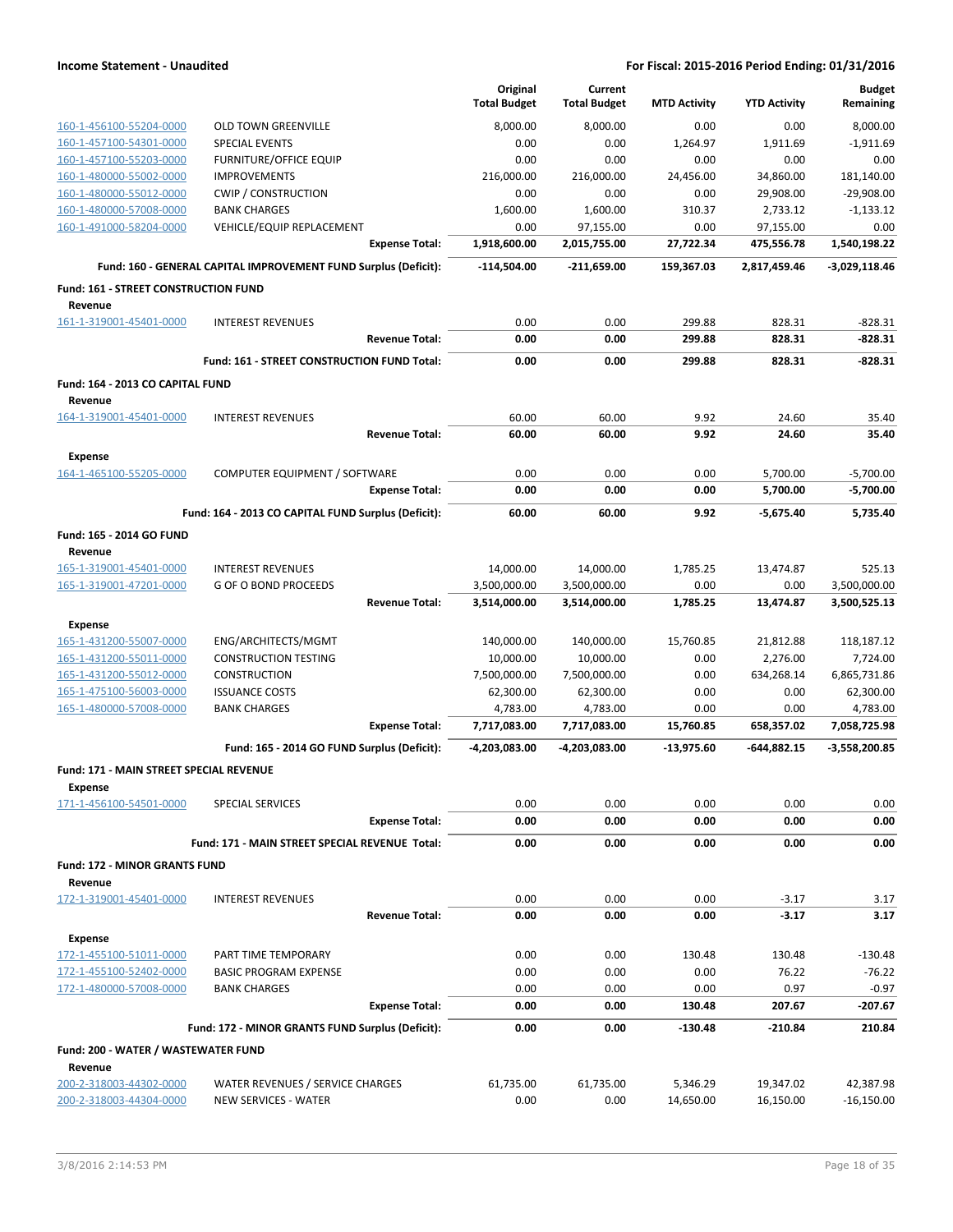|                                                                  |                                                                 | Original<br><b>Total Budget</b> | Current<br><b>Total Budget</b> | <b>MTD Activity</b> | <b>YTD Activity</b> | <b>Budget</b><br>Remaining |
|------------------------------------------------------------------|-----------------------------------------------------------------|---------------------------------|--------------------------------|---------------------|---------------------|----------------------------|
| 160-1-456100-55204-0000                                          | <b>OLD TOWN GREENVILLE</b>                                      | 8,000.00                        | 8,000.00                       | 0.00                | 0.00                | 8,000.00                   |
| 160-1-457100-54301-0000                                          | <b>SPECIAL EVENTS</b>                                           | 0.00                            | 0.00                           | 1,264.97            | 1,911.69            | $-1,911.69$                |
| 160-1-457100-55203-0000                                          | <b>FURNITURE/OFFICE EQUIP</b>                                   | 0.00                            | 0.00                           | 0.00                | 0.00                | 0.00                       |
| 160-1-480000-55002-0000                                          | <b>IMPROVEMENTS</b>                                             | 216,000.00                      | 216,000.00                     | 24,456.00           | 34,860.00           | 181,140.00                 |
| 160-1-480000-55012-0000                                          | <b>CWIP / CONSTRUCTION</b>                                      | 0.00                            | 0.00                           | 0.00                | 29,908.00           | $-29,908.00$               |
| 160-1-480000-57008-0000                                          | <b>BANK CHARGES</b>                                             | 1,600.00                        | 1,600.00                       | 310.37              | 2,733.12            | $-1,133.12$                |
| 160-1-491000-58204-0000                                          | VEHICLE/EQUIP REPLACEMENT                                       | 0.00                            | 97,155.00                      | 0.00                | 97,155.00           | 0.00                       |
|                                                                  | <b>Expense Total:</b>                                           | 1,918,600.00                    | 2,015,755.00                   | 27,722.34           | 475,556.78          | 1,540,198.22               |
|                                                                  | Fund: 160 - GENERAL CAPITAL IMPROVEMENT FUND Surplus (Deficit): | -114,504.00                     | $-211,659.00$                  | 159,367.03          | 2,817,459.46        | $-3,029,118.46$            |
| <b>Fund: 161 - STREET CONSTRUCTION FUND</b><br>Revenue           |                                                                 |                                 |                                |                     |                     |                            |
| 161-1-319001-45401-0000                                          | <b>INTEREST REVENUES</b>                                        | 0.00                            | 0.00                           | 299.88              | 828.31              | $-828.31$                  |
|                                                                  | <b>Revenue Total:</b>                                           | 0.00                            | 0.00                           | 299.88              | 828.31              | $-828.31$                  |
|                                                                  | Fund: 161 - STREET CONSTRUCTION FUND Total:                     | 0.00                            | 0.00                           | 299.88              | 828.31              | $-828.31$                  |
| Fund: 164 - 2013 CO CAPITAL FUND                                 |                                                                 |                                 |                                |                     |                     |                            |
| Revenue<br>164-1-319001-45401-0000                               | <b>INTEREST REVENUES</b>                                        | 60.00                           | 60.00                          | 9.92                | 24.60               | 35.40                      |
|                                                                  | <b>Revenue Total:</b>                                           | 60.00                           | 60.00                          | 9.92                | 24.60               | 35.40                      |
| <b>Expense</b>                                                   |                                                                 |                                 |                                |                     |                     |                            |
| 164-1-465100-55205-0000                                          | COMPUTER EQUIPMENT / SOFTWARE                                   | 0.00                            | 0.00                           | 0.00                | 5,700.00            | $-5,700.00$                |
|                                                                  | <b>Expense Total:</b>                                           | 0.00                            | 0.00                           | 0.00                | 5,700.00            | -5,700.00                  |
|                                                                  | Fund: 164 - 2013 CO CAPITAL FUND Surplus (Deficit):             | 60.00                           | 60.00                          | 9.92                | $-5.675.40$         | 5,735.40                   |
| Fund: 165 - 2014 GO FUND<br>Revenue                              |                                                                 |                                 |                                |                     |                     |                            |
| 165-1-319001-45401-0000                                          | <b>INTEREST REVENUES</b>                                        | 14,000.00                       | 14,000.00                      | 1,785.25            | 13,474.87           | 525.13                     |
| 165-1-319001-47201-0000                                          | <b>G OF O BOND PROCEEDS</b>                                     | 3,500,000.00                    | 3,500,000.00                   | 0.00                | 0.00                | 3,500,000.00               |
|                                                                  | <b>Revenue Total:</b>                                           | 3,514,000.00                    | 3,514,000.00                   | 1,785.25            | 13,474.87           | 3,500,525.13               |
| <b>Expense</b>                                                   |                                                                 |                                 |                                |                     |                     |                            |
| 165-1-431200-55007-0000                                          | ENG/ARCHITECTS/MGMT                                             | 140,000.00                      | 140,000.00                     | 15,760.85           | 21,812.88           | 118,187.12                 |
| 165-1-431200-55011-0000                                          | <b>CONSTRUCTION TESTING</b>                                     | 10,000.00                       | 10,000.00                      | 0.00                | 2,276.00            | 7,724.00                   |
| 165-1-431200-55012-0000                                          | <b>CONSTRUCTION</b>                                             | 7,500,000.00                    | 7,500,000.00                   | 0.00                | 634,268.14          | 6,865,731.86               |
| 165-1-475100-56003-0000                                          | <b>ISSUANCE COSTS</b>                                           | 62,300.00                       | 62,300.00                      | 0.00                | 0.00                | 62,300.00                  |
| 165-1-480000-57008-0000                                          | <b>BANK CHARGES</b>                                             | 4,783.00                        | 4,783.00                       | 0.00                | 0.00                | 4,783.00                   |
|                                                                  | <b>Expense Total:</b>                                           | 7,717,083.00                    | 7,717,083.00                   | 15,760.85           | 658,357.02          | 7,058,725.98               |
|                                                                  | Fund: 165 - 2014 GO FUND Surplus (Deficit):                     | -4,203,083.00                   | -4,203,083.00                  | -13,975.60          | -644,882.15         | -3,558,200.85              |
| <b>Fund: 171 - MAIN STREET SPECIAL REVENUE</b><br><b>Expense</b> |                                                                 |                                 |                                |                     |                     |                            |
| 171-1-456100-54501-0000                                          | SPECIAL SERVICES                                                | 0.00                            | 0.00                           | 0.00                | 0.00                | 0.00                       |
|                                                                  | <b>Expense Total:</b>                                           | 0.00                            | 0.00                           | 0.00                | 0.00                | 0.00                       |
|                                                                  | Fund: 171 - MAIN STREET SPECIAL REVENUE Total:                  | 0.00                            | 0.00                           | 0.00                | 0.00                | 0.00                       |
| <b>Fund: 172 - MINOR GRANTS FUND</b><br>Revenue                  |                                                                 |                                 |                                |                     |                     |                            |
| 172-1-319001-45401-0000                                          | <b>INTEREST REVENUES</b>                                        | 0.00                            | 0.00                           | 0.00                | $-3.17$             | 3.17                       |
|                                                                  | <b>Revenue Total:</b>                                           | 0.00                            | 0.00                           | 0.00                | $-3.17$             | 3.17                       |
| <b>Expense</b>                                                   |                                                                 |                                 |                                |                     |                     |                            |
| 172-1-455100-51011-0000                                          | PART TIME TEMPORARY                                             | 0.00                            | 0.00                           | 130.48              | 130.48              | $-130.48$                  |
| 172-1-455100-52402-0000                                          | <b>BASIC PROGRAM EXPENSE</b>                                    | 0.00                            | 0.00                           | 0.00                | 76.22               | $-76.22$                   |
| 172-1-480000-57008-0000                                          | <b>BANK CHARGES</b>                                             | 0.00                            | 0.00                           | 0.00                | 0.97                | $-0.97$                    |
|                                                                  | <b>Expense Total:</b>                                           | 0.00                            | 0.00                           | 130.48              | 207.67              | -207.67                    |
|                                                                  | Fund: 172 - MINOR GRANTS FUND Surplus (Deficit):                | 0.00                            | 0.00                           | $-130.48$           | $-210.84$           | 210.84                     |
| Fund: 200 - WATER / WASTEWATER FUND                              |                                                                 |                                 |                                |                     |                     |                            |
| Revenue<br>200-2-318003-44302-0000                               | WATER REVENUES / SERVICE CHARGES                                | 61,735.00                       | 61,735.00                      | 5,346.29            | 19,347.02           | 42,387.98                  |
| 200-2-318003-44304-0000                                          | NEW SERVICES - WATER                                            | 0.00                            | 0.00                           | 14,650.00           | 16,150.00           | $-16,150.00$               |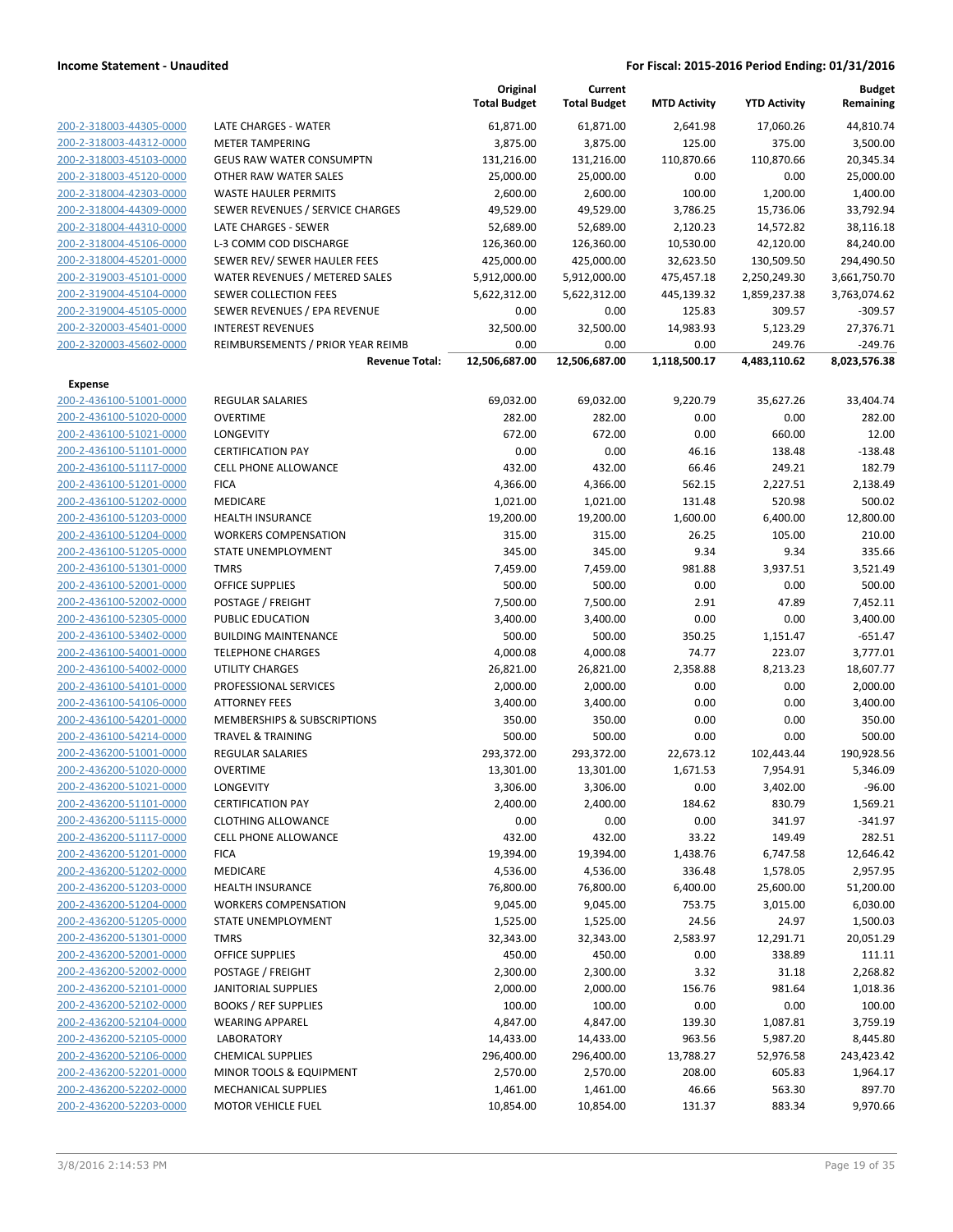|                                                    |                                                            | Original<br><b>Total Budget</b> | Current<br><b>Total Budget</b> | <b>MTD Activity</b>  | <b>YTD Activity</b>    | <b>Budget</b><br>Remaining |
|----------------------------------------------------|------------------------------------------------------------|---------------------------------|--------------------------------|----------------------|------------------------|----------------------------|
| 200-2-318003-44305-0000                            | <b>LATE CHARGES - WATER</b>                                | 61,871.00                       | 61,871.00                      | 2,641.98             | 17,060.26              | 44,810.74                  |
| 200-2-318003-44312-0000                            | <b>METER TAMPERING</b>                                     | 3,875.00                        | 3,875.00                       | 125.00               | 375.00                 | 3,500.00                   |
| 200-2-318003-45103-0000                            | <b>GEUS RAW WATER CONSUMPTN</b>                            | 131,216.00                      | 131,216.00                     | 110,870.66           | 110,870.66             | 20,345.34                  |
| 200-2-318003-45120-0000                            | OTHER RAW WATER SALES                                      | 25,000.00                       | 25,000.00                      | 0.00                 | 0.00                   | 25,000.00                  |
| 200-2-318004-42303-0000                            | <b>WASTE HAULER PERMITS</b>                                | 2,600.00                        | 2,600.00                       | 100.00               | 1,200.00               | 1,400.00                   |
| 200-2-318004-44309-0000                            | SEWER REVENUES / SERVICE CHARGES                           | 49,529.00                       | 49,529.00                      | 3,786.25             | 15,736.06              | 33,792.94                  |
| 200-2-318004-44310-0000                            | LATE CHARGES - SEWER                                       | 52,689.00                       | 52,689.00                      | 2,120.23             | 14,572.82              | 38,116.18                  |
| 200-2-318004-45106-0000                            | L-3 COMM COD DISCHARGE                                     | 126,360.00                      | 126,360.00                     | 10,530.00            | 42,120.00              | 84,240.00                  |
| 200-2-318004-45201-0000                            | SEWER REV/ SEWER HAULER FEES                               | 425,000.00                      | 425,000.00                     | 32,623.50            | 130,509.50             | 294,490.50                 |
| 200-2-319003-45101-0000                            | WATER REVENUES / METERED SALES                             | 5,912,000.00                    | 5,912,000.00                   | 475,457.18           | 2,250,249.30           | 3,661,750.70               |
| 200-2-319004-45104-0000                            | <b>SEWER COLLECTION FEES</b>                               | 5,622,312.00                    | 5,622,312.00                   | 445,139.32           | 1,859,237.38           | 3,763,074.62               |
| 200-2-319004-45105-0000                            | SEWER REVENUES / EPA REVENUE                               | 0.00                            | 0.00                           | 125.83               | 309.57                 | $-309.57$                  |
| 200-2-320003-45401-0000                            | <b>INTEREST REVENUES</b>                                   | 32,500.00                       | 32,500.00                      | 14,983.93            | 5,123.29               | 27,376.71                  |
| 200-2-320003-45602-0000                            | REIMBURSEMENTS / PRIOR YEAR REIMB<br><b>Revenue Total:</b> | 0.00<br>12,506,687.00           | 0.00<br>12,506,687.00          | 0.00<br>1,118,500.17 | 249.76<br>4,483,110.62 | $-249.76$<br>8,023,576.38  |
| <b>Expense</b>                                     |                                                            |                                 |                                |                      |                        |                            |
| 200-2-436100-51001-0000                            | <b>REGULAR SALARIES</b>                                    | 69,032.00                       | 69,032.00                      | 9,220.79             | 35,627.26              | 33,404.74                  |
| 200-2-436100-51020-0000                            | <b>OVERTIME</b>                                            | 282.00                          | 282.00                         | 0.00                 | 0.00                   | 282.00                     |
| 200-2-436100-51021-0000                            | LONGEVITY                                                  | 672.00                          | 672.00                         | 0.00                 | 660.00                 | 12.00                      |
| 200-2-436100-51101-0000                            | <b>CERTIFICATION PAY</b>                                   | 0.00                            | 0.00                           | 46.16                | 138.48                 | $-138.48$                  |
| 200-2-436100-51117-0000                            | <b>CELL PHONE ALLOWANCE</b>                                | 432.00                          | 432.00                         | 66.46                | 249.21                 | 182.79                     |
| 200-2-436100-51201-0000                            | <b>FICA</b>                                                | 4,366.00                        | 4,366.00                       | 562.15               | 2,227.51               | 2,138.49                   |
| 200-2-436100-51202-0000                            | <b>MEDICARE</b>                                            | 1,021.00                        | 1,021.00                       | 131.48               | 520.98                 | 500.02                     |
| 200-2-436100-51203-0000                            | <b>HEALTH INSURANCE</b>                                    | 19,200.00                       | 19,200.00                      | 1,600.00             | 6,400.00               | 12,800.00                  |
| 200-2-436100-51204-0000                            | <b>WORKERS COMPENSATION</b>                                | 315.00                          | 315.00                         | 26.25                | 105.00                 | 210.00                     |
| 200-2-436100-51205-0000                            | STATE UNEMPLOYMENT                                         | 345.00                          | 345.00                         | 9.34                 | 9.34                   | 335.66                     |
| 200-2-436100-51301-0000                            | <b>TMRS</b>                                                | 7,459.00                        | 7,459.00                       | 981.88               | 3,937.51               | 3,521.49                   |
| 200-2-436100-52001-0000                            | <b>OFFICE SUPPLIES</b>                                     | 500.00                          | 500.00                         | 0.00                 | 0.00                   | 500.00                     |
| 200-2-436100-52002-0000                            | POSTAGE / FREIGHT                                          | 7,500.00                        | 7,500.00                       | 2.91                 | 47.89                  | 7,452.11                   |
| 200-2-436100-52305-0000                            | PUBLIC EDUCATION                                           | 3,400.00                        | 3,400.00                       | 0.00                 | 0.00                   | 3,400.00                   |
| 200-2-436100-53402-0000<br>200-2-436100-54001-0000 | <b>BUILDING MAINTENANCE</b><br><b>TELEPHONE CHARGES</b>    | 500.00                          | 500.00                         | 350.25<br>74.77      | 1,151.47               | $-651.47$                  |
| 200-2-436100-54002-0000                            | <b>UTILITY CHARGES</b>                                     | 4,000.08<br>26,821.00           | 4,000.08<br>26,821.00          | 2,358.88             | 223.07<br>8,213.23     | 3,777.01<br>18,607.77      |
| 200-2-436100-54101-0000                            | PROFESSIONAL SERVICES                                      | 2,000.00                        | 2,000.00                       | 0.00                 | 0.00                   | 2,000.00                   |
| 200-2-436100-54106-0000                            | <b>ATTORNEY FEES</b>                                       | 3,400.00                        | 3,400.00                       | 0.00                 | 0.00                   | 3,400.00                   |
| 200-2-436100-54201-0000                            | MEMBERSHIPS & SUBSCRIPTIONS                                | 350.00                          | 350.00                         | 0.00                 | 0.00                   | 350.00                     |
| 200-2-436100-54214-0000                            | <b>TRAVEL &amp; TRAINING</b>                               | 500.00                          | 500.00                         | 0.00                 | 0.00                   | 500.00                     |
| 200-2-436200-51001-0000                            | <b>REGULAR SALARIES</b>                                    | 293,372.00                      | 293,372.00                     | 22,673.12            | 102,443.44             | 190,928.56                 |
| 200-2-436200-51020-0000                            | <b>OVERTIME</b>                                            | 13,301.00                       | 13,301.00                      | 1,671.53             | 7,954.91               | 5,346.09                   |
| 200-2-436200-51021-0000                            | LONGEVITY                                                  | 3,306.00                        | 3,306.00                       | 0.00                 | 3,402.00               | $-96.00$                   |
| 200-2-436200-51101-0000                            | <b>CERTIFICATION PAY</b>                                   | 2,400.00                        | 2,400.00                       | 184.62               | 830.79                 | 1,569.21                   |
| 200-2-436200-51115-0000                            | <b>CLOTHING ALLOWANCE</b>                                  | 0.00                            | 0.00                           | 0.00                 | 341.97                 | $-341.97$                  |
| 200-2-436200-51117-0000                            | <b>CELL PHONE ALLOWANCE</b>                                | 432.00                          | 432.00                         | 33.22                | 149.49                 | 282.51                     |
| 200-2-436200-51201-0000                            | <b>FICA</b>                                                | 19,394.00                       | 19,394.00                      | 1,438.76             | 6,747.58               | 12,646.42                  |
| 200-2-436200-51202-0000                            | MEDICARE                                                   | 4,536.00                        | 4,536.00                       | 336.48               | 1,578.05               | 2,957.95                   |
| 200-2-436200-51203-0000                            | HEALTH INSURANCE                                           | 76,800.00                       | 76,800.00                      | 6,400.00             | 25,600.00              | 51,200.00                  |
| 200-2-436200-51204-0000                            | <b>WORKERS COMPENSATION</b>                                | 9,045.00                        | 9,045.00                       | 753.75               | 3,015.00               | 6,030.00                   |
| 200-2-436200-51205-0000                            | STATE UNEMPLOYMENT                                         | 1,525.00                        | 1,525.00                       | 24.56                | 24.97                  | 1,500.03                   |
| 200-2-436200-51301-0000                            | <b>TMRS</b>                                                | 32,343.00                       | 32,343.00                      | 2,583.97             | 12,291.71              | 20,051.29                  |
| 200-2-436200-52001-0000                            | <b>OFFICE SUPPLIES</b>                                     | 450.00                          | 450.00                         | 0.00                 | 338.89                 | 111.11                     |
| 200-2-436200-52002-0000                            | POSTAGE / FREIGHT                                          | 2,300.00                        | 2,300.00                       | 3.32                 | 31.18                  | 2,268.82                   |
| 200-2-436200-52101-0000                            | <b>JANITORIAL SUPPLIES</b>                                 | 2,000.00                        | 2,000.00                       | 156.76               | 981.64                 | 1,018.36                   |
| 200-2-436200-52102-0000                            | <b>BOOKS / REF SUPPLIES</b>                                | 100.00                          | 100.00                         | 0.00                 | 0.00                   | 100.00                     |
| 200-2-436200-52104-0000                            | <b>WEARING APPAREL</b>                                     | 4,847.00                        | 4,847.00                       | 139.30               | 1,087.81               | 3,759.19                   |
| 200-2-436200-52105-0000                            | <b>LABORATORY</b>                                          | 14,433.00                       | 14,433.00                      | 963.56               | 5,987.20               | 8,445.80                   |
| 200-2-436200-52106-0000                            | <b>CHEMICAL SUPPLIES</b>                                   | 296,400.00                      | 296,400.00                     | 13,788.27            | 52,976.58              | 243,423.42                 |
| 200-2-436200-52201-0000                            | <b>MINOR TOOLS &amp; EQUIPMENT</b>                         | 2,570.00                        | 2,570.00                       | 208.00               | 605.83                 | 1,964.17                   |
| 200-2-436200-52202-0000                            | <b>MECHANICAL SUPPLIES</b>                                 | 1,461.00                        | 1,461.00                       | 46.66                | 563.30                 | 897.70                     |
| 200-2-436200-52203-0000                            | <b>MOTOR VEHICLE FUEL</b>                                  | 10,854.00                       | 10,854.00                      | 131.37               | 883.34                 | 9,970.66                   |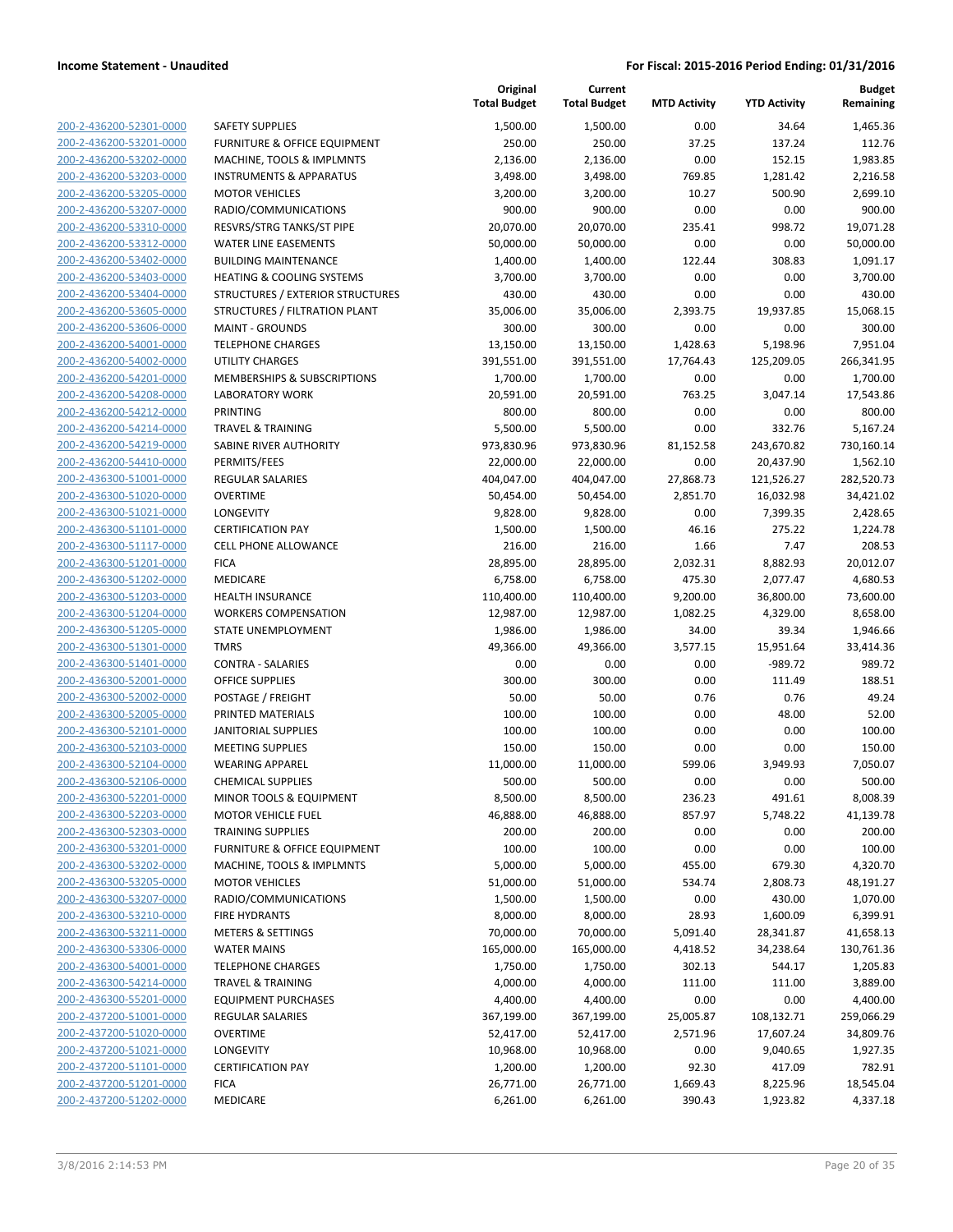|                                                    |                                                      | Original<br><b>Total Budget</b> | Current<br><b>Total Budget</b> | <b>MTD Activity</b> | <b>YTD Activity</b> | <b>Budget</b><br>Remaining |
|----------------------------------------------------|------------------------------------------------------|---------------------------------|--------------------------------|---------------------|---------------------|----------------------------|
| 200-2-436200-52301-0000                            | <b>SAFETY SUPPLIES</b>                               | 1,500.00                        | 1,500.00                       | 0.00                | 34.64               | 1,465.36                   |
| 200-2-436200-53201-0000                            | <b>FURNITURE &amp; OFFICE EQUIPMENT</b>              | 250.00                          | 250.00                         | 37.25               | 137.24              | 112.76                     |
| 200-2-436200-53202-0000                            | MACHINE, TOOLS & IMPLMNTS                            | 2,136.00                        | 2,136.00                       | 0.00                | 152.15              | 1,983.85                   |
| 200-2-436200-53203-0000                            | <b>INSTRUMENTS &amp; APPARATUS</b>                   | 3,498.00                        | 3,498.00                       | 769.85              | 1,281.42            | 2,216.58                   |
| 200-2-436200-53205-0000                            | <b>MOTOR VEHICLES</b>                                | 3,200.00                        | 3,200.00                       | 10.27               | 500.90              | 2,699.10                   |
| 200-2-436200-53207-0000                            | RADIO/COMMUNICATIONS                                 | 900.00                          | 900.00                         | 0.00                | 0.00                | 900.00                     |
| 200-2-436200-53310-0000                            | RESVRS/STRG TANKS/ST PIPE                            | 20,070.00                       | 20,070.00                      | 235.41              | 998.72              | 19,071.28                  |
| 200-2-436200-53312-0000                            | <b>WATER LINE EASEMENTS</b>                          | 50,000.00                       | 50,000.00                      | 0.00                | 0.00                | 50,000.00                  |
| 200-2-436200-53402-0000                            | <b>BUILDING MAINTENANCE</b>                          | 1,400.00                        | 1,400.00                       | 122.44              | 308.83              | 1,091.17                   |
| 200-2-436200-53403-0000                            | <b>HEATING &amp; COOLING SYSTEMS</b>                 | 3,700.00                        | 3,700.00                       | 0.00                | 0.00                | 3,700.00                   |
| 200-2-436200-53404-0000                            | STRUCTURES / EXTERIOR STRUCTURES                     | 430.00                          | 430.00                         | 0.00                | 0.00                | 430.00                     |
| 200-2-436200-53605-0000                            | STRUCTURES / FILTRATION PLANT                        | 35,006.00                       | 35,006.00                      | 2,393.75            | 19,937.85           | 15,068.15                  |
| 200-2-436200-53606-0000                            | <b>MAINT - GROUNDS</b>                               | 300.00                          | 300.00                         | 0.00                | 0.00                | 300.00                     |
| 200-2-436200-54001-0000                            | <b>TELEPHONE CHARGES</b>                             | 13,150.00                       | 13,150.00                      | 1,428.63            | 5,198.96            | 7,951.04                   |
| 200-2-436200-54002-0000                            | <b>UTILITY CHARGES</b>                               | 391,551.00                      | 391,551.00                     | 17,764.43           | 125,209.05          | 266,341.95                 |
| 200-2-436200-54201-0000                            | MEMBERSHIPS & SUBSCRIPTIONS                          | 1,700.00                        | 1,700.00                       | 0.00                | 0.00                | 1,700.00                   |
| 200-2-436200-54208-0000                            | <b>LABORATORY WORK</b>                               | 20,591.00                       | 20,591.00                      | 763.25              | 3,047.14            | 17,543.86                  |
| 200-2-436200-54212-0000                            | <b>PRINTING</b>                                      | 800.00                          | 800.00                         | 0.00                | 0.00                | 800.00                     |
| 200-2-436200-54214-0000                            | <b>TRAVEL &amp; TRAINING</b>                         | 5,500.00                        | 5,500.00                       | 0.00                | 332.76              | 5,167.24                   |
| 200-2-436200-54219-0000                            | SABINE RIVER AUTHORITY                               | 973,830.96                      | 973,830.96                     | 81,152.58           | 243,670.82          | 730,160.14                 |
| 200-2-436200-54410-0000                            | PERMITS/FEES                                         | 22,000.00                       | 22,000.00                      | 0.00                | 20,437.90           | 1,562.10                   |
| 200-2-436300-51001-0000                            | <b>REGULAR SALARIES</b>                              | 404,047.00                      | 404,047.00                     | 27,868.73           | 121,526.27          | 282,520.73                 |
| 200-2-436300-51020-0000                            | <b>OVERTIME</b>                                      | 50,454.00                       | 50,454.00                      | 2,851.70            | 16,032.98           | 34,421.02                  |
| 200-2-436300-51021-0000                            | LONGEVITY                                            | 9,828.00                        | 9,828.00                       | 0.00                | 7,399.35            | 2,428.65                   |
| 200-2-436300-51101-0000                            | <b>CERTIFICATION PAY</b>                             | 1,500.00                        | 1,500.00                       | 46.16               | 275.22              | 1,224.78                   |
| 200-2-436300-51117-0000                            | <b>CELL PHONE ALLOWANCE</b>                          | 216.00                          | 216.00                         | 1.66                | 7.47                | 208.53                     |
| 200-2-436300-51201-0000                            | <b>FICA</b>                                          | 28,895.00                       | 28,895.00                      | 2,032.31            | 8,882.93            | 20,012.07                  |
| 200-2-436300-51202-0000                            | MEDICARE                                             | 6,758.00                        | 6,758.00                       | 475.30              | 2,077.47            | 4,680.53                   |
| 200-2-436300-51203-0000                            | <b>HEALTH INSURANCE</b>                              | 110,400.00                      | 110,400.00                     | 9,200.00            | 36,800.00           | 73,600.00                  |
| 200-2-436300-51204-0000                            | <b>WORKERS COMPENSATION</b>                          | 12,987.00                       | 12,987.00                      | 1,082.25            | 4,329.00            | 8,658.00                   |
| 200-2-436300-51205-0000                            | STATE UNEMPLOYMENT                                   | 1,986.00                        | 1,986.00                       | 34.00               | 39.34               | 1,946.66                   |
| 200-2-436300-51301-0000                            | <b>TMRS</b>                                          | 49,366.00                       | 49,366.00                      | 3,577.15            | 15,951.64           | 33,414.36                  |
| 200-2-436300-51401-0000                            | <b>CONTRA - SALARIES</b>                             | 0.00                            | 0.00                           | 0.00                | $-989.72$           | 989.72                     |
| 200-2-436300-52001-0000                            | <b>OFFICE SUPPLIES</b>                               | 300.00                          | 300.00                         | 0.00                | 111.49              | 188.51                     |
| 200-2-436300-52002-0000                            | POSTAGE / FREIGHT                                    | 50.00                           | 50.00                          | 0.76                | 0.76                | 49.24                      |
| 200-2-436300-52005-0000                            | PRINTED MATERIALS                                    | 100.00                          | 100.00                         | 0.00                | 48.00               | 52.00                      |
| 200-2-436300-52101-0000                            | <b>JANITORIAL SUPPLIES</b>                           | 100.00                          | 100.00                         | 0.00                | 0.00                | 100.00                     |
| 200-2-436300-52103-0000                            | <b>MEETING SUPPLIES</b>                              | 150.00                          | 150.00                         | 0.00                | 0.00                | 150.00                     |
| 200-2-436300-52104-0000<br>200-2-436300-52106-0000 | <b>WEARING APPAREL</b><br><b>CHEMICAL SUPPLIES</b>   | 11,000.00                       | 11,000.00                      | 599.06              | 3,949.93            | 7,050.07                   |
|                                                    |                                                      | 500.00                          | 500.00<br>8,500.00             | 0.00                | 0.00                | 500.00<br>8,008.39         |
| 200-2-436300-52201-0000<br>200-2-436300-52203-0000 | MINOR TOOLS & EQUIPMENT<br><b>MOTOR VEHICLE FUEL</b> | 8,500.00<br>46,888.00           | 46,888.00                      | 236.23<br>857.97    | 491.61<br>5,748.22  | 41,139.78                  |
| 200-2-436300-52303-0000                            | <b>TRAINING SUPPLIES</b>                             | 200.00                          | 200.00                         | 0.00                | 0.00                | 200.00                     |
| 200-2-436300-53201-0000                            | FURNITURE & OFFICE EQUIPMENT                         | 100.00                          | 100.00                         | 0.00                | 0.00                |                            |
| 200-2-436300-53202-0000                            | MACHINE, TOOLS & IMPLMNTS                            | 5,000.00                        | 5,000.00                       | 455.00              | 679.30              | 100.00<br>4,320.70         |
| 200-2-436300-53205-0000                            | <b>MOTOR VEHICLES</b>                                | 51,000.00                       | 51,000.00                      | 534.74              | 2,808.73            | 48,191.27                  |
| 200-2-436300-53207-0000                            | RADIO/COMMUNICATIONS                                 | 1,500.00                        |                                | 0.00                | 430.00              | 1,070.00                   |
| 200-2-436300-53210-0000                            | <b>FIRE HYDRANTS</b>                                 | 8,000.00                        | 1,500.00<br>8,000.00           | 28.93               | 1,600.09            | 6,399.91                   |
| 200-2-436300-53211-0000                            | <b>METERS &amp; SETTINGS</b>                         | 70,000.00                       | 70,000.00                      | 5,091.40            | 28,341.87           | 41,658.13                  |
| 200-2-436300-53306-0000                            | <b>WATER MAINS</b>                                   | 165,000.00                      | 165,000.00                     | 4,418.52            | 34,238.64           | 130,761.36                 |
| 200-2-436300-54001-0000                            | <b>TELEPHONE CHARGES</b>                             | 1,750.00                        | 1,750.00                       | 302.13              | 544.17              | 1,205.83                   |
| 200-2-436300-54214-0000                            | <b>TRAVEL &amp; TRAINING</b>                         | 4,000.00                        | 4,000.00                       | 111.00              | 111.00              | 3,889.00                   |
| 200-2-436300-55201-0000                            | <b>EQUIPMENT PURCHASES</b>                           | 4,400.00                        | 4,400.00                       | 0.00                | 0.00                | 4,400.00                   |
| 200-2-437200-51001-0000                            | <b>REGULAR SALARIES</b>                              | 367,199.00                      | 367,199.00                     | 25,005.87           | 108,132.71          | 259,066.29                 |
| 200-2-437200-51020-0000                            | <b>OVERTIME</b>                                      | 52,417.00                       | 52,417.00                      | 2,571.96            | 17,607.24           | 34,809.76                  |
| 200-2-437200-51021-0000                            | LONGEVITY                                            | 10,968.00                       | 10,968.00                      | 0.00                | 9,040.65            | 1,927.35                   |
| 200-2-437200-51101-0000                            | <b>CERTIFICATION PAY</b>                             |                                 |                                | 92.30               | 417.09              | 782.91                     |
| 200-2-437200-51201-0000                            |                                                      | 1,200.00                        | 1,200.00                       |                     |                     |                            |
|                                                    | <b>FICA</b>                                          | 26,771.00                       | 26,771.00                      | 1,669.43            | 8,225.96            | 18,545.04                  |
| 200-2-437200-51202-0000                            | MEDICARE                                             | 6,261.00                        | 6,261.00                       | 390.43              | 1,923.82            | 4,337.18                   |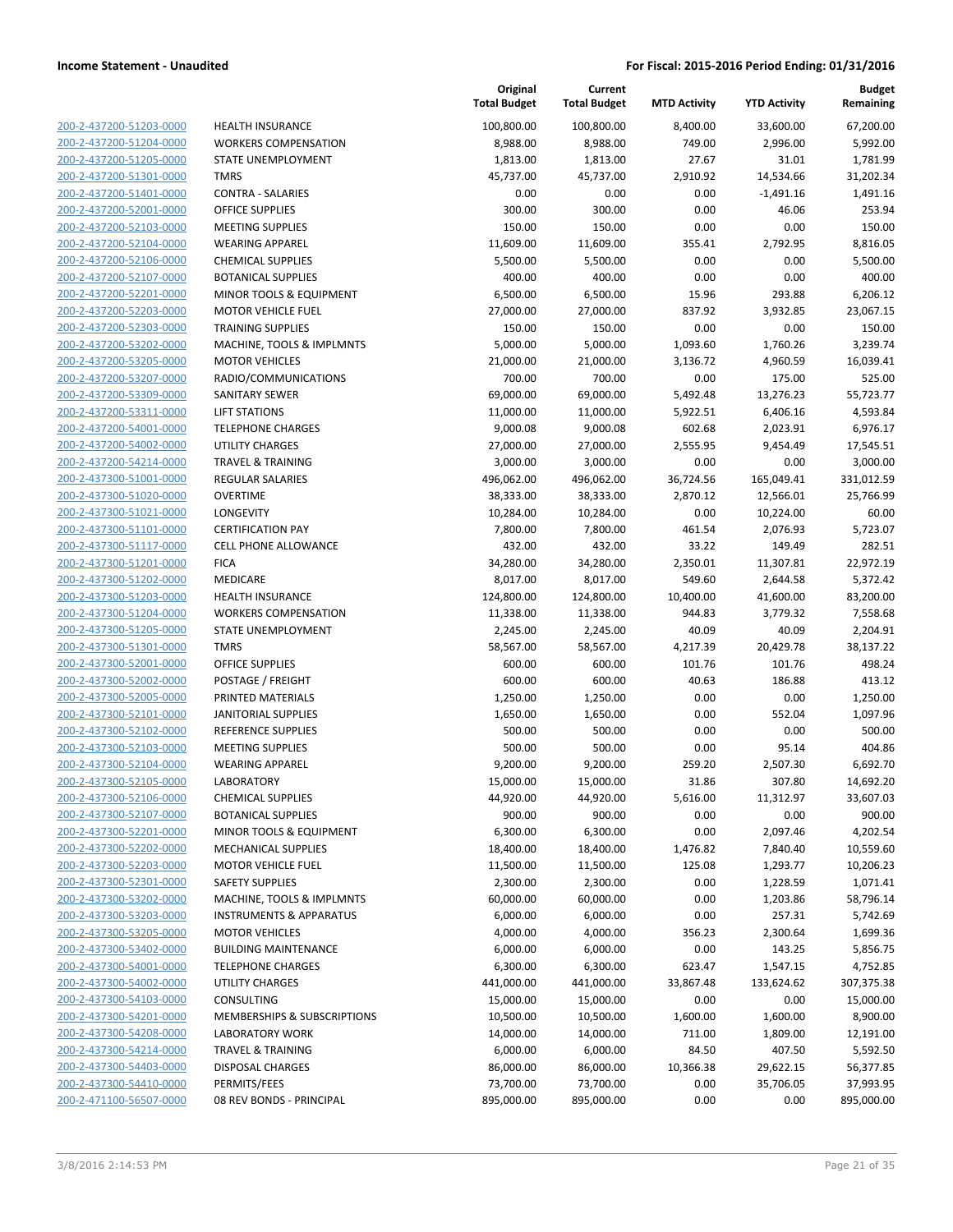| 200-2-437200-51203-0000                            |
|----------------------------------------------------|
| 200-2-437200-51204-0000                            |
| 200-2-437200-51205-0000                            |
| 200-2-437200-51301-0000                            |
| 200-2-437200-51401-0000                            |
| 200-2-437200-52001-0000                            |
| 200-2-437200-52103-0000                            |
|                                                    |
| 200-2-437200-52104-0000                            |
| 200-2-437200-52106-0000                            |
| 2-437200-52107-0000<br>200-                        |
| 200-2-437200-52201-0000                            |
| 200-2-437200-52203-0000                            |
| 200-2-437200-52303-0000                            |
| 200-2-437200-53202-0000                            |
| 2-437200-53205-0000<br>200-                        |
| 200-2-437200-53207-0000                            |
| 200-2-437200-53309-0000                            |
| 200-2-437200-53311-0000                            |
|                                                    |
| 200-2-437200-54001-0000                            |
| 2-437200-54002-0000<br>200-                        |
| 200-2-437200-54214-0000                            |
| 200-2-437300-51001-0000                            |
| 200-2-437300-51020-0000                            |
| 200-2-437300-51021-0000                            |
| 2-437300-51101-0000<br>200-                        |
| 200-2-437300-51117-0000                            |
| 200-2-437300-51201-0000                            |
| 200-2-437300-51202-0000                            |
| 200-2-437300-51203-0000                            |
|                                                    |
| 2-437300-51204-0000<br>200-                        |
| 200-2-437300-51205-0000                            |
| 200-2-437300-51301-0000                            |
| 200-2-437300-52001-0000                            |
| 200-2-437300-52002-0000                            |
| 200-2-437300-52005-0000                            |
| 200-2-437300-52101-0000                            |
| 200-2-437300-52102-0000                            |
| 200-2-437300-52103-0000                            |
| 200-2-437300-52104-0000                            |
| 200-2-437300-52105-0000                            |
| 200-2-437300-52106-0000                            |
|                                                    |
|                                                    |
| 200-2-437300-52107-0000                            |
| <u>200-2-437300-52201-0000</u>                     |
| 200-2-437300-52202-0000                            |
| 200-2-437300-52203-0000                            |
| 200-2-437300-52301-0000                            |
| 200-2-437300-53202-0000                            |
| <u>200-2-437300-53203-0000</u>                     |
| 200-2-437300-53205-0000                            |
| 200-2-437300-53402-0000                            |
| 200-2-437300-54001-0000                            |
| 200-2-437300-54002-0000                            |
|                                                    |
| <u>200-2-437300-54103-0000</u>                     |
| 200-2-437300-54201-0000                            |
| 200-2-437300-54208-0000                            |
| 200-2-437300-54214-0000                            |
| 200-2-437300-54403-0000                            |
| 200-2-437300-54410-0000<br>200-2-471100-56507-0000 |

| HEALTH INSURANCE                         |
|------------------------------------------|
| <b>WORKERS COMPENSATION</b>              |
| <b>STATE UNEMPLOYMENT</b>                |
|                                          |
| <b>TMRS</b>                              |
| CONTRA - SALARIES                        |
| OFFICE SUPPLIES                          |
| <b>MEETING SUPPLIES</b>                  |
| <b>WEARING APPAREL</b>                   |
|                                          |
| <b>CHEMICAL SUPPLIES</b>                 |
| <b>BOTANICAL SUPPLIES</b>                |
| MINOR TOOLS & EQUIPMENT                  |
| <b>MOTOR VEHICLE FUEL</b>                |
| <b>TRAINING SUPPLIES</b>                 |
| MACHINE, TOOLS & IMPLMNTS                |
| <b>MOTOR VEHICLES</b>                    |
|                                          |
| RADIO/COMMUNICATIONS                     |
| SANITARY SEWER                           |
| <b>LIFT STATIONS</b>                     |
| <b>TELEPHONE CHARGES</b>                 |
| UTILITY CHARGES                          |
| <b>TRAVEL &amp; TRAINING</b>             |
|                                          |
| <b>REGULAR SALARIES</b>                  |
| <b>OVERTIME</b>                          |
| <b>LONGEVITY</b>                         |
| <b>CERTIFICATION PAY</b>                 |
| <b>CELL PHONE ALLOWANCE</b>              |
| <b>FICA</b>                              |
|                                          |
| <b>MEDICARE</b>                          |
| <b>HEALTH INSURANCE</b>                  |
| <b>WORKERS COMPENSATION</b>              |
| STATE UNEMPLOYMENT                       |
| <b>TMRS</b>                              |
| OFFICE SUPPLIES                          |
| POSTAGE / FREIGHT                        |
| PRINTED MATERIALS                        |
|                                          |
| <b>JANITORIAL SUPPLIES</b>               |
| REFERENCE SUPPLIES                       |
| <b>MEETING SUPPLIES</b>                  |
| <b>WEARING APPAREL</b>                   |
| LABORATORY                               |
| <b>CHEMICAL SUPPLIES</b>                 |
| BOTANICAL SUPPLIES                       |
|                                          |
|                                          |
| MINOR TOOLS & EQUIPMENT                  |
| <b>MECHANICAL SUPPLIES</b>               |
| <b>MOTOR VEHICLE FUEL</b>                |
| <b>SAFETY SUPPLIES</b>                   |
| MACHINE, TOOLS & IMPLMNTS                |
| <b>INSTRUMENTS &amp; APPARATUS</b>       |
|                                          |
| <b>MOTOR VEHICLES</b>                    |
| <b>BUILDING MAINTENANCE</b>              |
| <b>TELEPHONE CHARGES</b>                 |
| <b>UTILITY CHARGES</b>                   |
| <b>CONSULTING</b>                        |
| MEMBERSHIPS & SUBSCRIPTIONS              |
| <b>LABORATORY WORK</b>                   |
| TRAVEL & TRAINING                        |
|                                          |
| <b>DISPOSAL CHARGES</b>                  |
| PERMITS/FEES<br>08 REV BONDS - PRINCIPAL |

|                         |                                    | Original<br><b>Total Budget</b> | Current<br><b>Total Budget</b> | <b>MTD Activity</b> | <b>YTD Activity</b> | <b>Budget</b><br>Remaining |
|-------------------------|------------------------------------|---------------------------------|--------------------------------|---------------------|---------------------|----------------------------|
| 200-2-437200-51203-0000 | <b>HEALTH INSURANCE</b>            | 100,800.00                      | 100,800.00                     | 8,400.00            | 33,600.00           | 67,200.00                  |
| 200-2-437200-51204-0000 | <b>WORKERS COMPENSATION</b>        | 8,988.00                        | 8,988.00                       | 749.00              | 2,996.00            | 5,992.00                   |
| 200-2-437200-51205-0000 | STATE UNEMPLOYMENT                 | 1,813.00                        | 1,813.00                       | 27.67               | 31.01               | 1,781.99                   |
| 200-2-437200-51301-0000 | <b>TMRS</b>                        | 45,737.00                       | 45,737.00                      | 2,910.92            | 14,534.66           | 31,202.34                  |
| 200-2-437200-51401-0000 | <b>CONTRA - SALARIES</b>           | 0.00                            | 0.00                           | 0.00                | $-1,491.16$         | 1,491.16                   |
| 200-2-437200-52001-0000 | <b>OFFICE SUPPLIES</b>             | 300.00                          | 300.00                         | 0.00                | 46.06               | 253.94                     |
| 200-2-437200-52103-0000 | <b>MEETING SUPPLIES</b>            | 150.00                          | 150.00                         | 0.00                | 0.00                | 150.00                     |
| 200-2-437200-52104-0000 | <b>WEARING APPAREL</b>             | 11,609.00                       | 11,609.00                      | 355.41              | 2,792.95            | 8,816.05                   |
| 200-2-437200-52106-0000 | <b>CHEMICAL SUPPLIES</b>           | 5,500.00                        | 5,500.00                       | 0.00                | 0.00                | 5,500.00                   |
| 200-2-437200-52107-0000 | <b>BOTANICAL SUPPLIES</b>          | 400.00                          | 400.00                         | 0.00                | 0.00                | 400.00                     |
| 200-2-437200-52201-0000 | MINOR TOOLS & EQUIPMENT            | 6,500.00                        | 6,500.00                       | 15.96               | 293.88              | 6,206.12                   |
| 200-2-437200-52203-0000 | <b>MOTOR VEHICLE FUEL</b>          | 27,000.00                       | 27,000.00                      | 837.92              | 3,932.85            | 23,067.15                  |
| 200-2-437200-52303-0000 | <b>TRAINING SUPPLIES</b>           | 150.00                          | 150.00                         | 0.00                | 0.00                | 150.00                     |
| 200-2-437200-53202-0000 | MACHINE, TOOLS & IMPLMNTS          | 5,000.00                        | 5,000.00                       | 1,093.60            | 1,760.26            | 3,239.74                   |
| 200-2-437200-53205-0000 | <b>MOTOR VEHICLES</b>              | 21,000.00                       | 21,000.00                      | 3,136.72            | 4,960.59            | 16,039.41                  |
| 200-2-437200-53207-0000 | RADIO/COMMUNICATIONS               | 700.00                          | 700.00                         | 0.00                | 175.00              | 525.00                     |
| 200-2-437200-53309-0000 | SANITARY SEWER                     | 69,000.00                       | 69,000.00                      | 5,492.48            | 13,276.23           | 55,723.77                  |
| 200-2-437200-53311-0000 | <b>LIFT STATIONS</b>               | 11,000.00                       | 11,000.00                      | 5,922.51            | 6,406.16            | 4,593.84                   |
| 200-2-437200-54001-0000 | <b>TELEPHONE CHARGES</b>           | 9,000.08                        | 9,000.08                       | 602.68              | 2,023.91            | 6,976.17                   |
| 200-2-437200-54002-0000 | <b>UTILITY CHARGES</b>             | 27,000.00                       | 27,000.00                      | 2,555.95            | 9,454.49            | 17,545.51                  |
| 200-2-437200-54214-0000 | <b>TRAVEL &amp; TRAINING</b>       | 3,000.00                        | 3,000.00                       | 0.00                | 0.00                | 3,000.00                   |
| 200-2-437300-51001-0000 | REGULAR SALARIES                   | 496,062.00                      | 496,062.00                     | 36,724.56           | 165,049.41          | 331,012.59                 |
| 200-2-437300-51020-0000 | <b>OVERTIME</b>                    | 38,333.00                       | 38,333.00                      | 2,870.12            | 12,566.01           | 25,766.99                  |
| 200-2-437300-51021-0000 | LONGEVITY                          | 10,284.00                       | 10,284.00                      | 0.00                | 10,224.00           | 60.00                      |
| 200-2-437300-51101-0000 | <b>CERTIFICATION PAY</b>           | 7,800.00                        | 7,800.00                       | 461.54              | 2,076.93            | 5,723.07                   |
| 200-2-437300-51117-0000 | <b>CELL PHONE ALLOWANCE</b>        | 432.00                          | 432.00                         | 33.22               | 149.49              | 282.51                     |
| 200-2-437300-51201-0000 | <b>FICA</b>                        | 34,280.00                       | 34,280.00                      | 2,350.01            | 11,307.81           | 22,972.19                  |
| 200-2-437300-51202-0000 | MEDICARE                           | 8,017.00                        | 8,017.00                       | 549.60              | 2,644.58            | 5,372.42                   |
| 200-2-437300-51203-0000 | <b>HEALTH INSURANCE</b>            | 124,800.00                      | 124,800.00                     | 10,400.00           | 41,600.00           | 83,200.00                  |
| 200-2-437300-51204-0000 | <b>WORKERS COMPENSATION</b>        | 11,338.00                       | 11,338.00                      | 944.83              | 3,779.32            | 7,558.68                   |
| 200-2-437300-51205-0000 | STATE UNEMPLOYMENT                 | 2,245.00                        | 2,245.00                       | 40.09               | 40.09               | 2,204.91                   |
| 200-2-437300-51301-0000 | <b>TMRS</b>                        | 58,567.00                       | 58,567.00                      | 4,217.39            | 20,429.78           | 38,137.22                  |
| 200-2-437300-52001-0000 | <b>OFFICE SUPPLIES</b>             | 600.00                          | 600.00                         | 101.76              | 101.76              | 498.24                     |
| 200-2-437300-52002-0000 | POSTAGE / FREIGHT                  | 600.00                          | 600.00                         | 40.63               | 186.88              | 413.12                     |
| 200-2-437300-52005-0000 | PRINTED MATERIALS                  | 1,250.00                        | 1,250.00                       | 0.00                | 0.00                | 1,250.00                   |
| 200-2-437300-52101-0000 | <b>JANITORIAL SUPPLIES</b>         | 1,650.00                        | 1,650.00                       | 0.00                | 552.04              | 1,097.96                   |
| 200-2-437300-52102-0000 | REFERENCE SUPPLIES                 | 500.00                          | 500.00                         | 0.00                | 0.00                | 500.00                     |
| 200-2-437300-52103-0000 | <b>MEETING SUPPLIES</b>            | 500.00                          | 500.00                         | 0.00                | 95.14               | 404.86                     |
| 200-2-437300-52104-0000 | <b>WEARING APPAREL</b>             | 9,200.00                        | 9,200.00                       | 259.20              | 2,507.30            | 6,692.70                   |
| 200-2-437300-52105-0000 | LABORATORY                         | 15,000.00                       | 15,000.00                      | 31.86               | 307.80              | 14,692.20                  |
| 200-2-437300-52106-0000 | <b>CHEMICAL SUPPLIES</b>           | 44,920.00                       | 44,920.00                      | 5,616.00            | 11,312.97           | 33,607.03                  |
| 200-2-437300-52107-0000 | <b>BOTANICAL SUPPLIES</b>          | 900.00                          | 900.00                         | 0.00                | 0.00                | 900.00                     |
| 200-2-437300-52201-0000 | MINOR TOOLS & EQUIPMENT            | 6,300.00                        | 6,300.00                       | 0.00                | 2,097.46            | 4,202.54                   |
| 200-2-437300-52202-0000 | <b>MECHANICAL SUPPLIES</b>         | 18,400.00                       | 18,400.00                      | 1,476.82            | 7,840.40            | 10,559.60                  |
| 200-2-437300-52203-0000 | <b>MOTOR VEHICLE FUEL</b>          | 11,500.00                       | 11,500.00                      | 125.08              | 1,293.77            | 10,206.23                  |
| 200-2-437300-52301-0000 | <b>SAFETY SUPPLIES</b>             | 2,300.00                        | 2,300.00                       | 0.00                | 1,228.59            | 1,071.41                   |
| 200-2-437300-53202-0000 | MACHINE, TOOLS & IMPLMNTS          | 60,000.00                       | 60,000.00                      | 0.00                | 1,203.86            | 58,796.14                  |
| 200-2-437300-53203-0000 | <b>INSTRUMENTS &amp; APPARATUS</b> | 6,000.00                        | 6,000.00                       | 0.00                | 257.31              | 5,742.69                   |
| 200-2-437300-53205-0000 | <b>MOTOR VEHICLES</b>              | 4,000.00                        | 4,000.00                       | 356.23              | 2,300.64            | 1,699.36                   |
| 200-2-437300-53402-0000 | <b>BUILDING MAINTENANCE</b>        | 6,000.00                        | 6,000.00                       | 0.00                | 143.25              | 5,856.75                   |
| 200-2-437300-54001-0000 | <b>TELEPHONE CHARGES</b>           | 6,300.00                        | 6,300.00                       | 623.47              | 1,547.15            | 4,752.85                   |
| 200-2-437300-54002-0000 | UTILITY CHARGES                    | 441,000.00                      | 441,000.00                     | 33,867.48           | 133,624.62          | 307,375.38                 |
| 200-2-437300-54103-0000 | CONSULTING                         | 15,000.00                       | 15,000.00                      | 0.00                | 0.00                | 15,000.00                  |
| 200-2-437300-54201-0000 | MEMBERSHIPS & SUBSCRIPTIONS        | 10,500.00                       | 10,500.00                      | 1,600.00            | 1,600.00            | 8,900.00                   |
| 200-2-437300-54208-0000 | LABORATORY WORK                    | 14,000.00                       | 14,000.00                      | 711.00              | 1,809.00            | 12,191.00                  |
| 200-2-437300-54214-0000 | <b>TRAVEL &amp; TRAINING</b>       | 6,000.00                        | 6,000.00                       | 84.50               | 407.50              | 5,592.50                   |
| 200-2-437300-54403-0000 | DISPOSAL CHARGES                   | 86,000.00                       | 86,000.00                      | 10,366.38           | 29,622.15           | 56,377.85                  |
| 200-2-437300-54410-0000 | PERMITS/FEES                       | 73,700.00                       | 73,700.00                      | 0.00                | 35,706.05           | 37,993.95                  |
| 200-2-471100-56507-0000 | 08 REV BONDS - PRINCIPAL           | 895,000.00                      | 895,000.00                     | 0.00                | 0.00                | 895,000.00                 |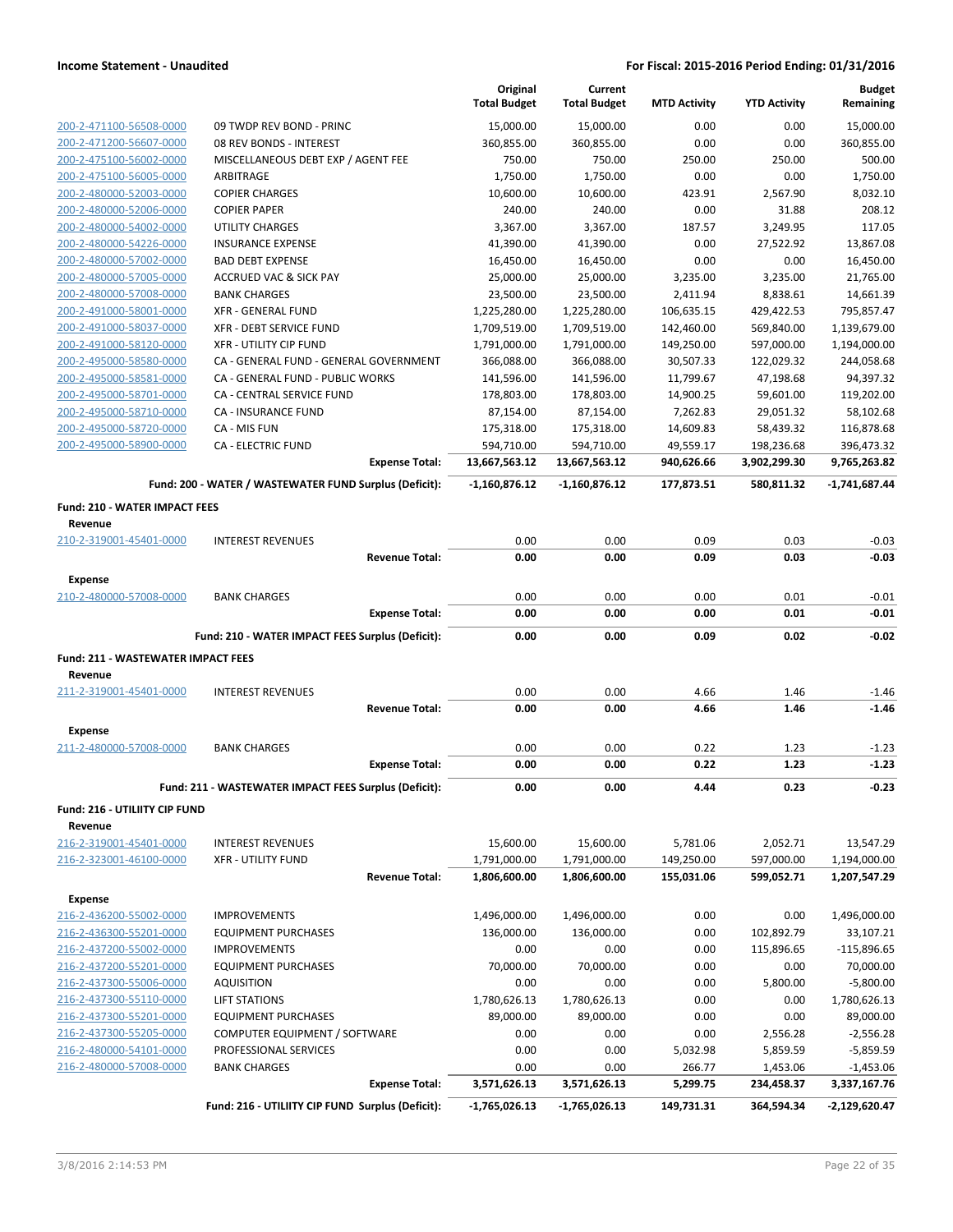|                                                    |                                                               | Original<br><b>Total Budget</b> | Current<br><b>Total Budget</b> | <b>MTD Activity</b>    | <b>YTD Activity</b>     | <b>Budget</b><br>Remaining |
|----------------------------------------------------|---------------------------------------------------------------|---------------------------------|--------------------------------|------------------------|-------------------------|----------------------------|
|                                                    |                                                               |                                 |                                |                        |                         |                            |
| 200-2-471100-56508-0000                            | 09 TWDP REV BOND - PRINC                                      | 15,000.00                       | 15,000.00                      | 0.00                   | 0.00                    | 15.000.00                  |
| 200-2-471200-56607-0000                            | 08 REV BONDS - INTEREST<br>MISCELLANEOUS DEBT EXP / AGENT FEE | 360,855.00                      | 360,855.00                     | 0.00                   | 0.00                    | 360,855.00                 |
| 200-2-475100-56002-0000<br>200-2-475100-56005-0000 | ARBITRAGE                                                     | 750.00<br>1,750.00              | 750.00<br>1,750.00             | 250.00<br>0.00         | 250.00<br>0.00          | 500.00<br>1,750.00         |
| 200-2-480000-52003-0000                            | <b>COPIER CHARGES</b>                                         | 10,600.00                       | 10,600.00                      | 423.91                 | 2,567.90                | 8,032.10                   |
| 200-2-480000-52006-0000                            | <b>COPIER PAPER</b>                                           | 240.00                          | 240.00                         | 0.00                   | 31.88                   | 208.12                     |
| 200-2-480000-54002-0000                            | <b>UTILITY CHARGES</b>                                        | 3,367.00                        | 3,367.00                       | 187.57                 | 3,249.95                | 117.05                     |
| 200-2-480000-54226-0000                            | <b>INSURANCE EXPENSE</b>                                      | 41,390.00                       | 41,390.00                      | 0.00                   | 27,522.92               | 13,867.08                  |
| 200-2-480000-57002-0000                            | <b>BAD DEBT EXPENSE</b>                                       | 16,450.00                       | 16,450.00                      | 0.00                   | 0.00                    | 16,450.00                  |
| 200-2-480000-57005-0000                            | <b>ACCRUED VAC &amp; SICK PAY</b>                             | 25,000.00                       | 25,000.00                      | 3,235.00               | 3,235.00                | 21,765.00                  |
| 200-2-480000-57008-0000                            | <b>BANK CHARGES</b>                                           | 23,500.00                       | 23,500.00                      | 2,411.94               | 8,838.61                | 14,661.39                  |
| 200-2-491000-58001-0000                            | <b>XFR - GENERAL FUND</b>                                     | 1,225,280.00                    | 1,225,280.00                   | 106,635.15             | 429,422.53              | 795,857.47                 |
| 200-2-491000-58037-0000                            | <b>XFR - DEBT SERVICE FUND</b>                                | 1,709,519.00                    | 1,709,519.00                   | 142,460.00             | 569,840.00              | 1,139,679.00               |
| 200-2-491000-58120-0000                            | <b>XFR - UTILITY CIP FUND</b>                                 | 1,791,000.00                    | 1,791,000.00                   | 149,250.00             | 597,000.00              | 1,194,000.00               |
| 200-2-495000-58580-0000                            | CA - GENERAL FUND - GENERAL GOVERNMENT                        | 366,088.00                      | 366,088.00                     | 30,507.33              | 122,029.32              | 244,058.68                 |
| 200-2-495000-58581-0000                            | CA - GENERAL FUND - PUBLIC WORKS                              | 141,596.00                      | 141,596.00                     | 11,799.67              | 47,198.68               | 94,397.32                  |
| 200-2-495000-58701-0000                            | <b>CA - CENTRAL SERVICE FUND</b>                              | 178,803.00                      | 178,803.00                     | 14,900.25              | 59,601.00               | 119,202.00                 |
| 200-2-495000-58710-0000                            | CA - INSURANCE FUND                                           | 87,154.00                       | 87,154.00                      | 7,262.83               | 29,051.32               | 58,102.68                  |
| 200-2-495000-58720-0000<br>200-2-495000-58900-0000 | CA - MIS FUN<br><b>CA - ELECTRIC FUND</b>                     | 175,318.00<br>594,710.00        | 175,318.00<br>594,710.00       | 14,609.83<br>49,559.17 | 58,439.32<br>198,236.68 | 116,878.68<br>396,473.32   |
|                                                    | <b>Expense Total:</b>                                         | 13,667,563.12                   | 13,667,563.12                  | 940,626.66             | 3,902,299.30            | 9,765,263.82               |
|                                                    |                                                               |                                 |                                |                        |                         |                            |
|                                                    | Fund: 200 - WATER / WASTEWATER FUND Surplus (Deficit):        | $-1,160,876.12$                 | $-1,160,876.12$                | 177,873.51             | 580,811.32              | $-1,741,687.44$            |
| <b>Fund: 210 - WATER IMPACT FEES</b>               |                                                               |                                 |                                |                        |                         |                            |
| Revenue                                            |                                                               |                                 |                                |                        |                         |                            |
| 210-2-319001-45401-0000                            | <b>INTEREST REVENUES</b><br><b>Revenue Total:</b>             | 0.00<br>0.00                    | 0.00<br>0.00                   | 0.09<br>0.09           | 0.03<br>0.03            | $-0.03$<br>$-0.03$         |
|                                                    |                                                               |                                 |                                |                        |                         |                            |
| <b>Expense</b>                                     |                                                               |                                 |                                |                        |                         |                            |
| 210-2-480000-57008-0000                            | <b>BANK CHARGES</b>                                           | 0.00                            | 0.00                           | 0.00                   | 0.01                    | $-0.01$                    |
|                                                    | <b>Expense Total:</b>                                         | 0.00                            | 0.00                           | 0.00                   | 0.01                    | $-0.01$                    |
|                                                    | Fund: 210 - WATER IMPACT FEES Surplus (Deficit):              | 0.00                            | 0.00                           | 0.09                   | 0.02                    | $-0.02$                    |
| <b>Fund: 211 - WASTEWATER IMPACT FEES</b>          |                                                               |                                 |                                |                        |                         |                            |
| Revenue                                            |                                                               |                                 |                                |                        |                         |                            |
| 211-2-319001-45401-0000                            | <b>INTEREST REVENUES</b>                                      | 0.00                            | 0.00                           | 4.66                   | 1.46                    | $-1.46$                    |
|                                                    | <b>Revenue Total:</b>                                         | 0.00                            | 0.00                           | 4.66                   | 1.46                    | $-1.46$                    |
| <b>Expense</b>                                     |                                                               |                                 |                                |                        |                         |                            |
| 211-2-480000-57008-0000                            | <b>BANK CHARGES</b>                                           | 0.00                            | 0.00                           | 0.22                   | 1.23                    | $-1.23$                    |
|                                                    | <b>Expense Total:</b>                                         | 0.00                            | 0.00                           | 0.22                   | 1.23                    | $-1.23$                    |
|                                                    | Fund: 211 - WASTEWATER IMPACT FEES Surplus (Deficit):         | 0.00                            | 0.00                           | 4.44                   | 0.23                    | $-0.23$                    |
| Fund: 216 - UTILIITY CIP FUND                      |                                                               |                                 |                                |                        |                         |                            |
| Revenue                                            |                                                               |                                 |                                |                        |                         |                            |
| 216-2-319001-45401-0000                            | <b>INTEREST REVENUES</b>                                      | 15,600.00                       | 15,600.00                      | 5,781.06               | 2,052.71                | 13,547.29                  |
| 216-2-323001-46100-0000                            | <b>XFR - UTILITY FUND</b>                                     | 1,791,000.00                    | 1,791,000.00                   | 149,250.00             | 597,000.00              | 1,194,000.00               |
|                                                    | <b>Revenue Total:</b>                                         | 1,806,600.00                    | 1,806,600.00                   | 155,031.06             | 599,052.71              | 1,207,547.29               |
| Expense                                            |                                                               |                                 |                                |                        |                         |                            |
| 216-2-436200-55002-0000                            | <b>IMPROVEMENTS</b>                                           | 1,496,000.00                    | 1,496,000.00                   | 0.00                   | 0.00                    | 1,496,000.00               |
| 216-2-436300-55201-0000                            | <b>EQUIPMENT PURCHASES</b>                                    | 136,000.00                      | 136,000.00                     | 0.00                   | 102,892.79              | 33,107.21                  |
| 216-2-437200-55002-0000                            | <b>IMPROVEMENTS</b>                                           | 0.00                            | 0.00                           | 0.00                   | 115,896.65              | $-115,896.65$              |
| 216-2-437200-55201-0000                            | <b>EQUIPMENT PURCHASES</b>                                    | 70,000.00                       | 70,000.00                      | 0.00                   | 0.00                    | 70,000.00                  |
| 216-2-437300-55006-0000                            | <b>AQUISITION</b>                                             | 0.00                            | 0.00                           | 0.00                   | 5,800.00                | $-5,800.00$                |
| 216-2-437300-55110-0000                            | <b>LIFT STATIONS</b>                                          | 1,780,626.13                    | 1,780,626.13                   | 0.00                   | 0.00                    | 1,780,626.13               |
| 216-2-437300-55201-0000                            | <b>EQUIPMENT PURCHASES</b>                                    | 89,000.00                       | 89,000.00                      | 0.00                   | 0.00                    | 89,000.00                  |
| 216-2-437300-55205-0000<br>216-2-480000-54101-0000 | COMPUTER EQUIPMENT / SOFTWARE<br>PROFESSIONAL SERVICES        | 0.00<br>0.00                    | 0.00<br>0.00                   | 0.00<br>5,032.98       | 2,556.28<br>5,859.59    | $-2,556.28$<br>$-5,859.59$ |
| 216-2-480000-57008-0000                            | <b>BANK CHARGES</b>                                           | 0.00                            | 0.00                           | 266.77                 | 1,453.06                | $-1,453.06$                |
|                                                    | <b>Expense Total:</b>                                         | 3,571,626.13                    | 3,571,626.13                   | 5,299.75               | 234,458.37              | 3,337,167.76               |
|                                                    | Fund: 216 - UTILIITY CIP FUND Surplus (Deficit):              | $-1,765,026.13$                 | $-1,765,026.13$                | 149,731.31             | 364,594.34              | -2,129,620.47              |
|                                                    |                                                               |                                 |                                |                        |                         |                            |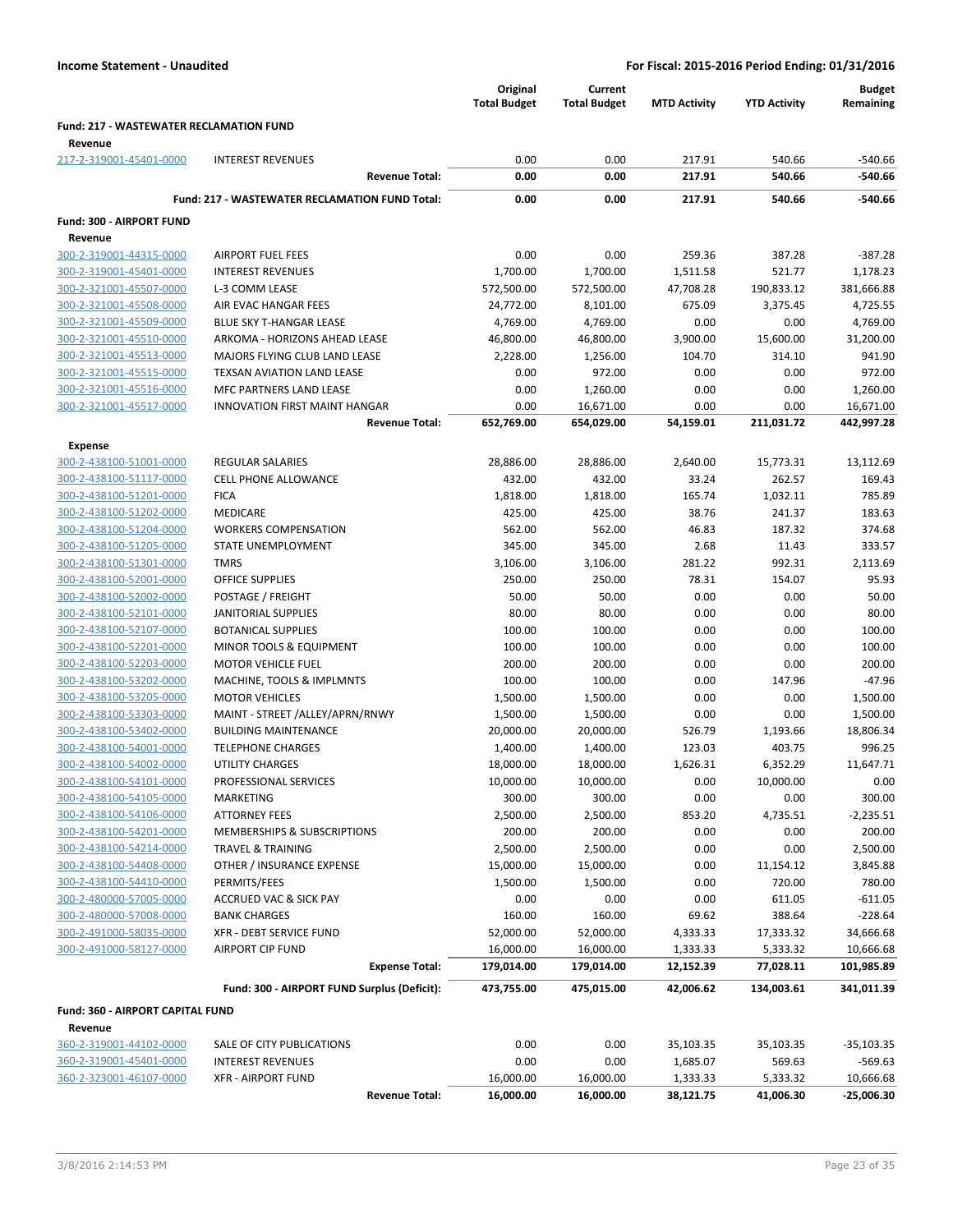|                                                    |                                                       | Original<br><b>Total Budget</b> | Current<br><b>Total Budget</b> | <b>MTD Activity</b> | <b>YTD Activity</b> | <b>Budget</b><br>Remaining |
|----------------------------------------------------|-------------------------------------------------------|---------------------------------|--------------------------------|---------------------|---------------------|----------------------------|
| <b>Fund: 217 - WASTEWATER RECLAMATION FUND</b>     |                                                       |                                 |                                |                     |                     |                            |
| Revenue<br>217-2-319001-45401-0000                 | <b>INTEREST REVENUES</b>                              | 0.00                            | 0.00                           | 217.91              | 540.66              | $-540.66$                  |
|                                                    | <b>Revenue Total:</b>                                 | 0.00                            | 0.00                           | 217.91              | 540.66              | $-540.66$                  |
|                                                    | <b>Fund: 217 - WASTEWATER RECLAMATION FUND Total:</b> | 0.00                            | 0.00                           | 217.91              | 540.66              | $-540.66$                  |
| Fund: 300 - AIRPORT FUND<br>Revenue                |                                                       |                                 |                                |                     |                     |                            |
| 300-2-319001-44315-0000                            | <b>AIRPORT FUEL FEES</b>                              | 0.00                            | 0.00                           | 259.36              | 387.28              | $-387.28$                  |
| 300-2-319001-45401-0000                            | <b>INTEREST REVENUES</b>                              | 1,700.00                        | 1,700.00                       | 1,511.58            | 521.77              | 1,178.23                   |
| 300-2-321001-45507-0000                            | L-3 COMM LEASE                                        | 572,500.00                      | 572,500.00                     | 47,708.28           | 190,833.12          | 381,666.88                 |
| 300-2-321001-45508-0000                            | AIR EVAC HANGAR FEES                                  | 24,772.00                       | 8,101.00                       | 675.09              | 3,375.45            | 4,725.55                   |
| 300-2-321001-45509-0000                            | <b>BLUE SKY T-HANGAR LEASE</b>                        | 4,769.00                        | 4,769.00                       | 0.00                | 0.00                | 4,769.00                   |
| 300-2-321001-45510-0000                            | ARKOMA - HORIZONS AHEAD LEASE                         | 46,800.00                       | 46,800.00                      | 3,900.00            | 15,600.00           | 31,200.00                  |
| 300-2-321001-45513-0000                            | MAJORS FLYING CLUB LAND LEASE                         | 2,228.00                        | 1,256.00                       | 104.70              | 314.10              | 941.90                     |
| 300-2-321001-45515-0000                            | TEXSAN AVIATION LAND LEASE                            | 0.00                            | 972.00                         | 0.00                | 0.00                | 972.00                     |
| 300-2-321001-45516-0000                            | MFC PARTNERS LAND LEASE                               | 0.00                            | 1,260.00                       | 0.00                | 0.00                | 1,260.00                   |
| 300-2-321001-45517-0000                            | <b>INNOVATION FIRST MAINT HANGAR</b>                  | 0.00                            | 16,671.00                      | 0.00                | 0.00                | 16,671.00                  |
|                                                    | <b>Revenue Total:</b>                                 | 652,769.00                      | 654,029.00                     | 54,159.01           | 211,031.72          | 442,997.28                 |
| <b>Expense</b>                                     |                                                       |                                 |                                |                     |                     |                            |
| 300-2-438100-51001-0000                            | <b>REGULAR SALARIES</b>                               | 28,886.00                       | 28,886.00                      | 2,640.00            | 15,773.31           | 13,112.69                  |
| 300-2-438100-51117-0000                            | <b>CELL PHONE ALLOWANCE</b>                           | 432.00                          | 432.00                         | 33.24               | 262.57              | 169.43                     |
| 300-2-438100-51201-0000                            | <b>FICA</b>                                           | 1,818.00                        | 1,818.00                       | 165.74              | 1,032.11            | 785.89                     |
| 300-2-438100-51202-0000                            | <b>MEDICARE</b>                                       | 425.00                          | 425.00                         | 38.76               | 241.37              | 183.63                     |
| 300-2-438100-51204-0000                            | <b>WORKERS COMPENSATION</b>                           | 562.00                          | 562.00                         | 46.83               | 187.32              | 374.68                     |
| 300-2-438100-51205-0000                            | STATE UNEMPLOYMENT                                    | 345.00                          | 345.00                         | 2.68                | 11.43               | 333.57                     |
| 300-2-438100-51301-0000                            | <b>TMRS</b>                                           | 3,106.00                        | 3,106.00                       | 281.22              | 992.31              | 2,113.69                   |
| 300-2-438100-52001-0000                            | <b>OFFICE SUPPLIES</b>                                | 250.00                          | 250.00                         | 78.31               | 154.07              | 95.93                      |
| 300-2-438100-52002-0000                            | POSTAGE / FREIGHT                                     | 50.00                           | 50.00                          | 0.00                | 0.00                | 50.00                      |
| 300-2-438100-52101-0000                            | JANITORIAL SUPPLIES                                   | 80.00                           | 80.00                          | 0.00                | 0.00                | 80.00                      |
| 300-2-438100-52107-0000                            | <b>BOTANICAL SUPPLIES</b>                             | 100.00                          | 100.00                         | 0.00                | 0.00                | 100.00                     |
| 300-2-438100-52201-0000                            | MINOR TOOLS & EQUIPMENT                               | 100.00                          | 100.00                         | 0.00                | 0.00                | 100.00                     |
| 300-2-438100-52203-0000                            | <b>MOTOR VEHICLE FUEL</b>                             | 200.00                          | 200.00                         | 0.00                | 0.00                | 200.00                     |
| 300-2-438100-53202-0000                            | MACHINE, TOOLS & IMPLMNTS<br><b>MOTOR VEHICLES</b>    | 100.00                          | 100.00                         | 0.00                | 147.96              | $-47.96$                   |
| 300-2-438100-53205-0000                            | MAINT - STREET /ALLEY/APRN/RNWY                       | 1,500.00                        | 1,500.00<br>1,500.00           | 0.00                | 0.00                | 1,500.00                   |
| 300-2-438100-53303-0000<br>300-2-438100-53402-0000 | <b>BUILDING MAINTENANCE</b>                           | 1,500.00<br>20,000.00           | 20,000.00                      | 0.00<br>526.79      | 0.00<br>1,193.66    | 1,500.00<br>18,806.34      |
| 300-2-438100-54001-0000                            | <b>TELEPHONE CHARGES</b>                              | 1,400.00                        | 1,400.00                       | 123.03              | 403.75              | 996.25                     |
| 300-2-438100-54002-0000                            | <b>UTILITY CHARGES</b>                                | 18,000.00                       | 18,000.00                      | 1,626.31            | 6,352.29            | 11,647.71                  |
| 300-2-438100-54101-0000                            | PROFESSIONAL SERVICES                                 | 10,000.00                       | 10,000.00                      | 0.00                | 10,000.00           | 0.00                       |
| 300-2-438100-54105-0000                            | <b>MARKETING</b>                                      | 300.00                          | 300.00                         | 0.00                | 0.00                | 300.00                     |
| 300-2-438100-54106-0000                            | <b>ATTORNEY FEES</b>                                  | 2,500.00                        | 2,500.00                       | 853.20              | 4,735.51            | $-2,235.51$                |
| 300-2-438100-54201-0000                            | MEMBERSHIPS & SUBSCRIPTIONS                           | 200.00                          | 200.00                         | 0.00                | 0.00                | 200.00                     |
| 300-2-438100-54214-0000                            | TRAVEL & TRAINING                                     | 2,500.00                        | 2,500.00                       | 0.00                | 0.00                | 2,500.00                   |
| 300-2-438100-54408-0000                            | OTHER / INSURANCE EXPENSE                             | 15,000.00                       | 15,000.00                      | 0.00                | 11,154.12           | 3,845.88                   |
| 300-2-438100-54410-0000                            | PERMITS/FEES                                          | 1,500.00                        | 1,500.00                       | 0.00                | 720.00              | 780.00                     |
| 300-2-480000-57005-0000                            | <b>ACCRUED VAC &amp; SICK PAY</b>                     | 0.00                            | 0.00                           | 0.00                | 611.05              | $-611.05$                  |
| 300-2-480000-57008-0000                            | <b>BANK CHARGES</b>                                   | 160.00                          | 160.00                         | 69.62               | 388.64              | $-228.64$                  |
| 300-2-491000-58035-0000                            | <b>XFR - DEBT SERVICE FUND</b>                        | 52,000.00                       | 52,000.00                      | 4,333.33            | 17,333.32           | 34,666.68                  |
| 300-2-491000-58127-0000                            | <b>AIRPORT CIP FUND</b>                               | 16,000.00                       | 16,000.00                      | 1,333.33            | 5,333.32            | 10,666.68                  |
|                                                    | <b>Expense Total:</b>                                 | 179,014.00                      | 179,014.00                     | 12,152.39           | 77,028.11           | 101,985.89                 |
|                                                    | Fund: 300 - AIRPORT FUND Surplus (Deficit):           | 473,755.00                      | 475,015.00                     | 42,006.62           | 134,003.61          | 341,011.39                 |
| Fund: 360 - AIRPORT CAPITAL FUND                   |                                                       |                                 |                                |                     |                     |                            |
| Revenue                                            |                                                       |                                 |                                |                     |                     |                            |
| 360-2-319001-44102-0000                            | SALE OF CITY PUBLICATIONS                             | 0.00                            | 0.00                           | 35,103.35           | 35,103.35           | $-35,103.35$               |
| 360-2-319001-45401-0000                            | <b>INTEREST REVENUES</b>                              | 0.00                            | 0.00                           | 1,685.07            | 569.63              | $-569.63$                  |
| 360-2-323001-46107-0000                            | <b>XFR - AIRPORT FUND</b>                             | 16,000.00                       | 16,000.00                      | 1,333.33            | 5,333.32            | 10,666.68                  |
|                                                    | <b>Revenue Total:</b>                                 | 16,000.00                       | 16,000.00                      | 38,121.75           | 41,006.30           | $-25,006.30$               |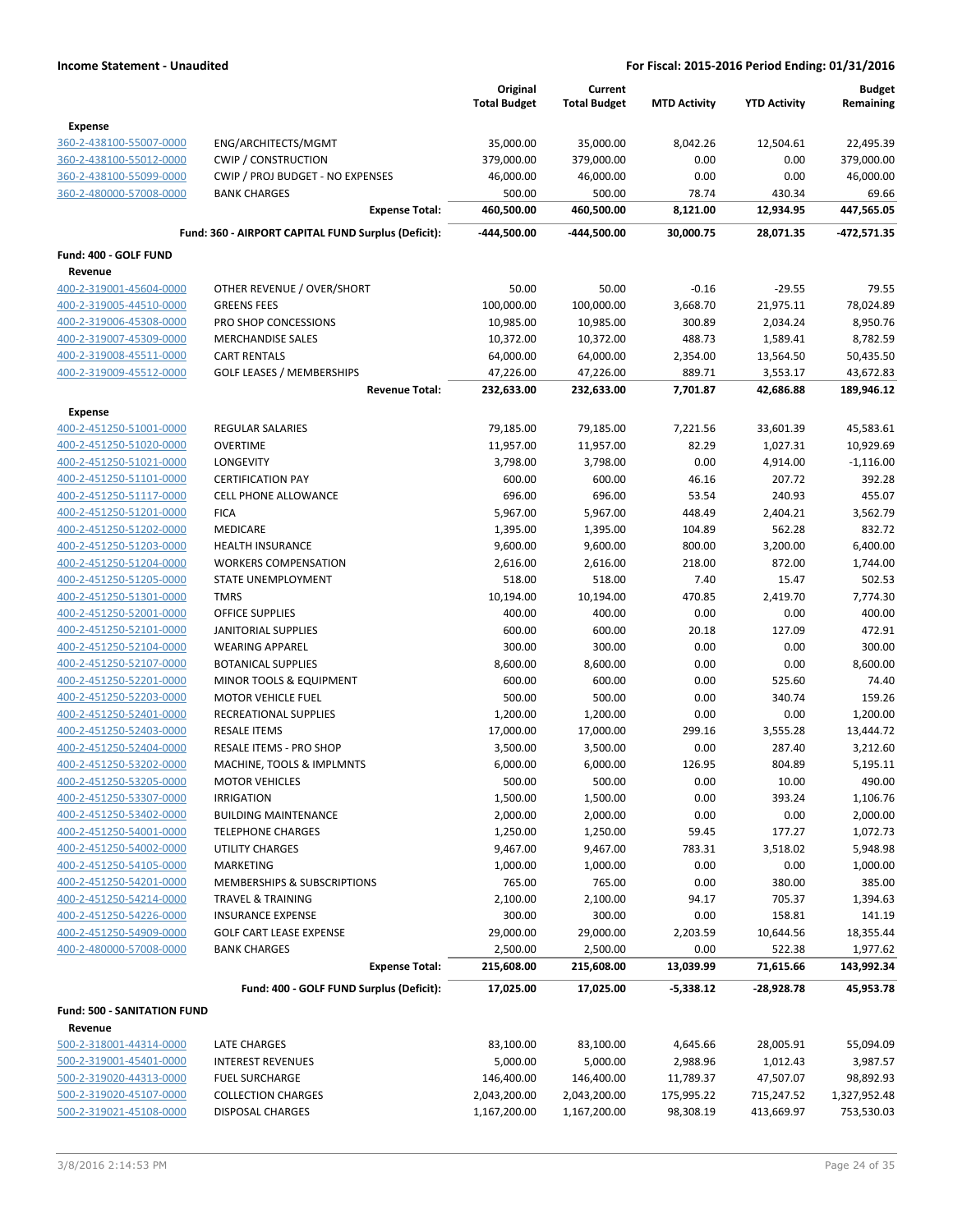|                                    |                                                     | Original               | Current                |                     |                     | <b>Budget</b>          |
|------------------------------------|-----------------------------------------------------|------------------------|------------------------|---------------------|---------------------|------------------------|
|                                    |                                                     | <b>Total Budget</b>    | <b>Total Budget</b>    | <b>MTD Activity</b> | <b>YTD Activity</b> | Remaining              |
| Expense                            |                                                     |                        |                        |                     |                     |                        |
| 360-2-438100-55007-0000            | ENG/ARCHITECTS/MGMT                                 | 35,000.00              | 35,000.00              | 8,042.26            | 12,504.61           | 22,495.39              |
| 360-2-438100-55012-0000            | <b>CWIP / CONSTRUCTION</b>                          | 379,000.00             | 379,000.00             | 0.00                | 0.00                | 379,000.00             |
| 360-2-438100-55099-0000            | CWIP / PROJ BUDGET - NO EXPENSES                    | 46,000.00              | 46,000.00              | 0.00                | 0.00                | 46,000.00              |
| 360-2-480000-57008-0000            | <b>BANK CHARGES</b>                                 | 500.00                 | 500.00                 | 78.74               | 430.34              | 69.66                  |
|                                    | <b>Expense Total:</b>                               | 460,500.00             | 460,500.00             | 8,121.00            | 12,934.95           | 447,565.05             |
|                                    | Fund: 360 - AIRPORT CAPITAL FUND Surplus (Deficit): | -444,500.00            | -444,500.00            | 30,000.75           | 28,071.35           | -472,571.35            |
| Fund: 400 - GOLF FUND              |                                                     |                        |                        |                     |                     |                        |
| Revenue                            |                                                     |                        |                        |                     |                     |                        |
| 400-2-319001-45604-0000            | OTHER REVENUE / OVER/SHORT                          | 50.00                  | 50.00                  | $-0.16$             | $-29.55$            | 79.55                  |
| 400-2-319005-44510-0000            | <b>GREENS FEES</b>                                  | 100,000.00             | 100,000.00             | 3,668.70            | 21,975.11           | 78,024.89              |
| 400-2-319006-45308-0000            | PRO SHOP CONCESSIONS                                | 10,985.00              | 10,985.00              | 300.89              | 2,034.24            | 8,950.76               |
| 400-2-319007-45309-0000            | <b>MERCHANDISE SALES</b>                            | 10,372.00              | 10,372.00              | 488.73              | 1,589.41            | 8,782.59               |
| 400-2-319008-45511-0000            | <b>CART RENTALS</b>                                 | 64,000.00              | 64,000.00              | 2,354.00            | 13,564.50           | 50,435.50              |
| 400-2-319009-45512-0000            | <b>GOLF LEASES / MEMBERSHIPS</b>                    | 47,226.00              | 47,226.00              | 889.71              | 3,553.17            | 43,672.83              |
|                                    | <b>Revenue Total:</b>                               | 232,633.00             | 232,633.00             | 7,701.87            | 42,686.88           | 189,946.12             |
| <b>Expense</b>                     |                                                     |                        |                        |                     |                     |                        |
| 400-2-451250-51001-0000            | <b>REGULAR SALARIES</b>                             | 79,185.00              | 79,185.00              | 7,221.56            | 33,601.39           | 45,583.61              |
| 400-2-451250-51020-0000            | <b>OVERTIME</b>                                     | 11,957.00              | 11,957.00              | 82.29               | 1,027.31            | 10,929.69              |
| 400-2-451250-51021-0000            | <b>LONGEVITY</b>                                    | 3,798.00               | 3,798.00               | 0.00                | 4,914.00            | $-1,116.00$            |
| 400-2-451250-51101-0000            | <b>CERTIFICATION PAY</b>                            | 600.00                 | 600.00                 | 46.16               | 207.72              | 392.28                 |
| 400-2-451250-51117-0000            | <b>CELL PHONE ALLOWANCE</b>                         | 696.00                 | 696.00                 | 53.54               | 240.93              | 455.07                 |
| 400-2-451250-51201-0000            | <b>FICA</b>                                         | 5,967.00               | 5,967.00               | 448.49              | 2,404.21            | 3,562.79               |
| 400-2-451250-51202-0000            | MEDICARE                                            | 1,395.00               | 1,395.00               | 104.89              | 562.28              | 832.72                 |
| 400-2-451250-51203-0000            | <b>HEALTH INSURANCE</b>                             | 9,600.00               | 9,600.00               | 800.00              | 3,200.00            | 6,400.00               |
| 400-2-451250-51204-0000            | <b>WORKERS COMPENSATION</b>                         | 2,616.00               | 2,616.00               | 218.00              | 872.00              | 1,744.00               |
| 400-2-451250-51205-0000            | STATE UNEMPLOYMENT                                  | 518.00                 | 518.00                 | 7.40                | 15.47               | 502.53                 |
| 400-2-451250-51301-0000            | <b>TMRS</b>                                         | 10,194.00              | 10,194.00              | 470.85              | 2,419.70            | 7,774.30               |
| 400-2-451250-52001-0000            | <b>OFFICE SUPPLIES</b>                              | 400.00                 | 400.00                 | 0.00                | 0.00                | 400.00                 |
| 400-2-451250-52101-0000            | <b>JANITORIAL SUPPLIES</b>                          | 600.00                 | 600.00                 | 20.18               | 127.09              | 472.91                 |
| 400-2-451250-52104-0000            | <b>WEARING APPAREL</b>                              | 300.00                 | 300.00                 | 0.00                | 0.00                | 300.00                 |
| 400-2-451250-52107-0000            | <b>BOTANICAL SUPPLIES</b>                           | 8,600.00               | 8,600.00               | 0.00                | 0.00                | 8,600.00               |
| 400-2-451250-52201-0000            | MINOR TOOLS & EQUIPMENT                             | 600.00                 | 600.00                 | 0.00                | 525.60              | 74.40                  |
| 400-2-451250-52203-0000            | <b>MOTOR VEHICLE FUEL</b>                           | 500.00                 | 500.00                 | 0.00                | 340.74              | 159.26                 |
| 400-2-451250-52401-0000            | <b>RECREATIONAL SUPPLIES</b>                        | 1,200.00               | 1,200.00               | 0.00                | 0.00                | 1,200.00               |
| 400-2-451250-52403-0000            | <b>RESALE ITEMS</b>                                 | 17,000.00              | 17,000.00              | 299.16              | 3,555.28            | 13,444.72              |
| 400-2-451250-52404-0000            | RESALE ITEMS - PRO SHOP                             | 3,500.00               | 3,500.00               | 0.00                | 287.40              | 3,212.60               |
| 400-2-451250-53202-0000            | MACHINE, TOOLS & IMPLMNTS                           | 6,000.00               | 6,000.00               | 126.95              | 804.89              | 5,195.11               |
| 400-2-451250-53205-0000            | <b>MOTOR VEHICLES</b>                               | 500.00                 | 500.00                 | 0.00                | 10.00               | 490.00                 |
| 400-2-451250-53307-0000            | <b>IRRIGATION</b>                                   | 1,500.00               | 1,500.00               | 0.00                | 393.24              | 1,106.76               |
| 400-2-451250-53402-0000            | <b>BUILDING MAINTENANCE</b>                         | 2,000.00               | 2,000.00               | 0.00                | 0.00                | 2,000.00               |
| 400-2-451250-54001-0000            | <b>TELEPHONE CHARGES</b>                            | 1,250.00               | 1,250.00               | 59.45               | 177.27              | 1,072.73               |
| 400-2-451250-54002-0000            | UTILITY CHARGES                                     | 9,467.00               | 9,467.00               | 783.31              | 3,518.02            | 5,948.98               |
| 400-2-451250-54105-0000            | <b>MARKETING</b>                                    | 1,000.00               | 1,000.00               | 0.00                | 0.00                | 1,000.00               |
| 400-2-451250-54201-0000            | MEMBERSHIPS & SUBSCRIPTIONS                         | 765.00                 | 765.00                 | 0.00                | 380.00              | 385.00                 |
| 400-2-451250-54214-0000            | TRAVEL & TRAINING                                   | 2,100.00               | 2,100.00               | 94.17               | 705.37              | 1,394.63               |
| 400-2-451250-54226-0000            | <b>INSURANCE EXPENSE</b>                            | 300.00                 | 300.00                 | 0.00                | 158.81              | 141.19                 |
| 400-2-451250-54909-0000            | <b>GOLF CART LEASE EXPENSE</b>                      | 29,000.00              | 29,000.00              | 2,203.59            | 10,644.56           | 18,355.44              |
| 400-2-480000-57008-0000            | <b>BANK CHARGES</b>                                 |                        |                        | 0.00                |                     |                        |
|                                    | <b>Expense Total:</b>                               | 2,500.00<br>215,608.00 | 2,500.00<br>215,608.00 | 13,039.99           | 522.38<br>71,615.66 | 1,977.62<br>143,992.34 |
|                                    |                                                     |                        |                        |                     |                     |                        |
|                                    | Fund: 400 - GOLF FUND Surplus (Deficit):            | 17,025.00              | 17,025.00              | $-5,338.12$         | -28,928.78          | 45,953.78              |
| Fund: 500 - SANITATION FUND        |                                                     |                        |                        |                     |                     |                        |
| Revenue<br>500-2-318001-44314-0000 |                                                     |                        |                        |                     |                     |                        |
|                                    | LATE CHARGES                                        | 83,100.00              | 83,100.00              | 4,645.66            | 28,005.91           | 55,094.09              |
| 500-2-319001-45401-0000            | <b>INTEREST REVENUES</b>                            | 5,000.00               | 5,000.00               | 2,988.96            | 1,012.43            | 3,987.57               |
| 500-2-319020-44313-0000            | <b>FUEL SURCHARGE</b>                               | 146,400.00             | 146,400.00             | 11,789.37           | 47,507.07           | 98,892.93              |
| 500-2-319020-45107-0000            | <b>COLLECTION CHARGES</b>                           | 2,043,200.00           | 2,043,200.00           | 175,995.22          | 715,247.52          | 1,327,952.48           |
| 500-2-319021-45108-0000            | <b>DISPOSAL CHARGES</b>                             | 1,167,200.00           | 1,167,200.00           | 98,308.19           | 413,669.97          | 753,530.03             |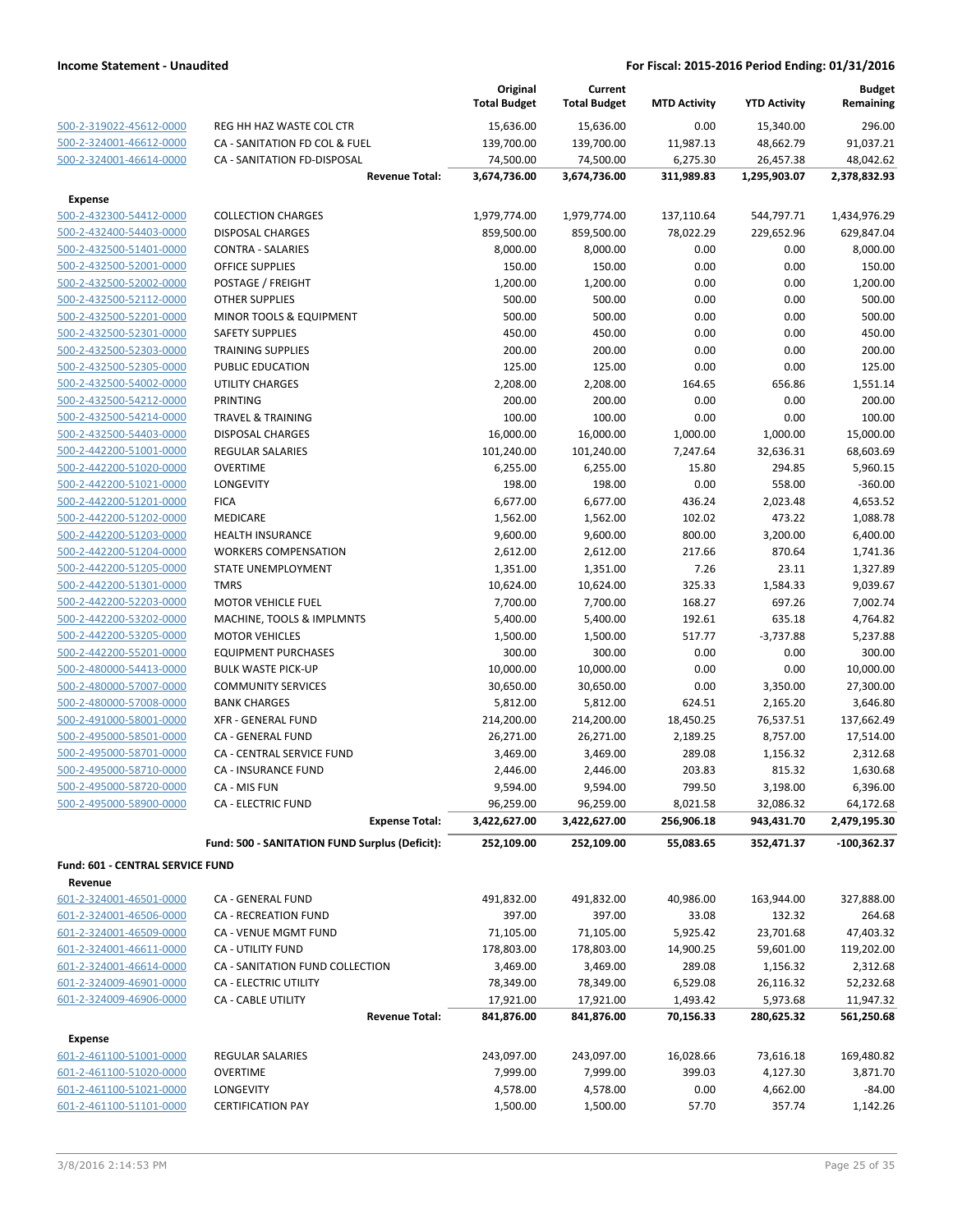|                                  |                                                | Original<br><b>Total Budget</b> | Current<br><b>Total Budget</b> | <b>MTD Activity</b> | <b>YTD Activity</b> | <b>Budget</b><br>Remaining |
|----------------------------------|------------------------------------------------|---------------------------------|--------------------------------|---------------------|---------------------|----------------------------|
| 500-2-319022-45612-0000          | REG HH HAZ WASTE COL CTR                       | 15,636.00                       | 15,636.00                      | 0.00                | 15,340.00           | 296.00                     |
| 500-2-324001-46612-0000          | CA - SANITATION FD COL & FUEL                  | 139,700.00                      | 139,700.00                     | 11,987.13           | 48,662.79           | 91,037.21                  |
| 500-2-324001-46614-0000          | CA - SANITATION FD-DISPOSAL                    | 74,500.00                       | 74,500.00                      | 6,275.30            | 26,457.38           | 48,042.62                  |
|                                  | <b>Revenue Total:</b>                          | 3,674,736.00                    | 3,674,736.00                   | 311,989.83          | 1,295,903.07        | 2,378,832.93               |
| <b>Expense</b>                   |                                                |                                 |                                |                     |                     |                            |
| 500-2-432300-54412-0000          | <b>COLLECTION CHARGES</b>                      | 1,979,774.00                    | 1,979,774.00                   | 137,110.64          | 544,797.71          | 1,434,976.29               |
| 500-2-432400-54403-0000          | <b>DISPOSAL CHARGES</b>                        | 859,500.00                      | 859,500.00                     | 78,022.29           | 229,652.96          | 629,847.04                 |
| 500-2-432500-51401-0000          | <b>CONTRA - SALARIES</b>                       | 8,000.00                        | 8,000.00                       | 0.00                | 0.00                | 8,000.00                   |
| 500-2-432500-52001-0000          | OFFICE SUPPLIES                                | 150.00                          | 150.00                         | 0.00                | 0.00                | 150.00                     |
| 500-2-432500-52002-0000          | POSTAGE / FREIGHT                              | 1,200.00                        | 1,200.00                       | 0.00                | 0.00                | 1,200.00                   |
| 500-2-432500-52112-0000          | <b>OTHER SUPPLIES</b>                          | 500.00                          | 500.00                         | 0.00                | 0.00                | 500.00                     |
| 500-2-432500-52201-0000          | MINOR TOOLS & EQUIPMENT                        | 500.00                          | 500.00                         | 0.00                | 0.00                | 500.00                     |
| 500-2-432500-52301-0000          | <b>SAFETY SUPPLIES</b>                         | 450.00                          | 450.00                         | 0.00                | 0.00                | 450.00                     |
| 500-2-432500-52303-0000          | <b>TRAINING SUPPLIES</b>                       | 200.00                          | 200.00                         | 0.00                | 0.00                | 200.00                     |
| 500-2-432500-52305-0000          | PUBLIC EDUCATION                               | 125.00                          | 125.00                         | 0.00                | 0.00                | 125.00                     |
| 500-2-432500-54002-0000          | <b>UTILITY CHARGES</b>                         | 2,208.00                        | 2,208.00                       | 164.65              | 656.86              | 1,551.14                   |
| 500-2-432500-54212-0000          | PRINTING                                       | 200.00                          | 200.00                         | 0.00                | 0.00                | 200.00                     |
| 500-2-432500-54214-0000          | <b>TRAVEL &amp; TRAINING</b>                   | 100.00                          | 100.00                         | 0.00                | 0.00                | 100.00                     |
| 500-2-432500-54403-0000          | <b>DISPOSAL CHARGES</b>                        | 16,000.00                       | 16,000.00                      | 1,000.00            | 1,000.00            | 15,000.00                  |
| 500-2-442200-51001-0000          | REGULAR SALARIES                               | 101,240.00                      | 101,240.00                     | 7,247.64            | 32,636.31           | 68,603.69                  |
| 500-2-442200-51020-0000          | <b>OVERTIME</b>                                | 6,255.00                        | 6,255.00                       | 15.80               | 294.85              | 5,960.15                   |
| 500-2-442200-51021-0000          | LONGEVITY                                      | 198.00                          | 198.00                         | 0.00                | 558.00              | $-360.00$                  |
| 500-2-442200-51201-0000          | <b>FICA</b>                                    | 6,677.00                        | 6,677.00                       | 436.24              | 2,023.48            | 4,653.52                   |
| 500-2-442200-51202-0000          | MEDICARE                                       | 1,562.00                        | 1,562.00                       | 102.02              | 473.22              | 1,088.78                   |
| 500-2-442200-51203-0000          | <b>HEALTH INSURANCE</b>                        | 9,600.00                        | 9,600.00                       | 800.00              | 3,200.00            | 6,400.00                   |
| 500-2-442200-51204-0000          | <b>WORKERS COMPENSATION</b>                    | 2,612.00                        | 2,612.00                       | 217.66              | 870.64              | 1,741.36                   |
| 500-2-442200-51205-0000          | STATE UNEMPLOYMENT                             | 1,351.00                        | 1,351.00                       | 7.26                | 23.11               | 1,327.89                   |
| 500-2-442200-51301-0000          | <b>TMRS</b>                                    | 10,624.00                       | 10,624.00                      | 325.33              | 1,584.33            | 9,039.67                   |
| 500-2-442200-52203-0000          | <b>MOTOR VEHICLE FUEL</b>                      | 7,700.00                        | 7,700.00                       | 168.27              | 697.26              | 7,002.74                   |
| 500-2-442200-53202-0000          | MACHINE, TOOLS & IMPLMNTS                      | 5,400.00                        | 5,400.00                       | 192.61              | 635.18              | 4,764.82                   |
| 500-2-442200-53205-0000          | <b>MOTOR VEHICLES</b>                          | 1,500.00                        | 1,500.00                       | 517.77              | $-3,737.88$         | 5,237.88                   |
| 500-2-442200-55201-0000          | <b>EQUIPMENT PURCHASES</b>                     | 300.00                          | 300.00                         | 0.00                | 0.00                | 300.00                     |
| 500-2-480000-54413-0000          | <b>BULK WASTE PICK-UP</b>                      | 10,000.00                       | 10,000.00                      | 0.00                | 0.00                | 10,000.00                  |
| 500-2-480000-57007-0000          | <b>COMMUNITY SERVICES</b>                      | 30,650.00                       | 30,650.00                      | 0.00                | 3,350.00            | 27,300.00                  |
| 500-2-480000-57008-0000          | <b>BANK CHARGES</b>                            | 5,812.00                        | 5,812.00                       | 624.51              | 2,165.20            | 3,646.80                   |
| 500-2-491000-58001-0000          | <b>XFR - GENERAL FUND</b>                      | 214,200.00                      | 214,200.00                     | 18,450.25           | 76,537.51           | 137,662.49                 |
| 500-2-495000-58501-0000          | CA - GENERAL FUND                              | 26,271.00                       | 26,271.00                      | 2,189.25            | 8,757.00            | 17,514.00                  |
| 500-2-495000-58701-0000          | CA - CENTRAL SERVICE FUND                      | 3,469.00                        | 3,469.00                       | 289.08              | 1,156.32            | 2,312.68                   |
| 500-2-495000-58710-0000          | CA - INSURANCE FUND                            | 2,446.00                        | 2,446.00                       | 203.83              | 815.32              | 1,630.68                   |
| 500-2-495000-58720-0000          | CA - MIS FUN                                   | 9,594.00                        | 9,594.00                       | 799.50              | 3,198.00            | 6,396.00                   |
| 500-2-495000-58900-0000          | <b>CA - ELECTRIC FUND</b>                      | 96,259.00                       | 96,259.00                      | 8,021.58            | 32,086.32           | 64,172.68                  |
|                                  | <b>Expense Total:</b>                          | 3,422,627.00                    | 3,422,627.00                   | 256,906.18          | 943,431.70          | 2,479,195.30               |
|                                  | Fund: 500 - SANITATION FUND Surplus (Deficit): | 252,109.00                      | 252,109.00                     | 55,083.65           | 352,471.37          | $-100,362.37$              |
| Fund: 601 - CENTRAL SERVICE FUND |                                                |                                 |                                |                     |                     |                            |
| Revenue                          |                                                |                                 |                                |                     |                     |                            |
| 601-2-324001-46501-0000          | CA - GENERAL FUND                              | 491,832.00                      | 491,832.00                     | 40,986.00           | 163,944.00          | 327,888.00                 |
| 601-2-324001-46506-0000          | CA - RECREATION FUND                           | 397.00                          | 397.00                         | 33.08               | 132.32              | 264.68                     |
| 601-2-324001-46509-0000          | CA - VENUE MGMT FUND                           | 71,105.00                       | 71,105.00                      | 5,925.42            | 23,701.68           | 47,403.32                  |
| 601-2-324001-46611-0000          | CA - UTILITY FUND                              | 178,803.00                      | 178,803.00                     | 14,900.25           | 59,601.00           | 119,202.00                 |
| 601-2-324001-46614-0000          | CA - SANITATION FUND COLLECTION                | 3,469.00                        | 3,469.00                       | 289.08              | 1,156.32            | 2,312.68                   |
| 601-2-324009-46901-0000          | CA - ELECTRIC UTILITY                          | 78,349.00                       | 78,349.00                      | 6,529.08            | 26,116.32           | 52,232.68                  |
| 601-2-324009-46906-0000          | <b>CA - CABLE UTILITY</b>                      | 17,921.00                       | 17,921.00                      | 1,493.42            | 5,973.68            | 11,947.32                  |
|                                  | <b>Revenue Total:</b>                          | 841,876.00                      | 841,876.00                     | 70,156.33           | 280,625.32          | 561,250.68                 |
|                                  |                                                |                                 |                                |                     |                     |                            |
| <b>Expense</b>                   |                                                |                                 |                                |                     |                     |                            |
| 601-2-461100-51001-0000          | REGULAR SALARIES                               | 243,097.00                      | 243,097.00                     | 16,028.66           | 73,616.18           | 169,480.82                 |
| 601-2-461100-51020-0000          | OVERTIME                                       | 7,999.00                        | 7,999.00                       | 399.03              | 4,127.30            | 3,871.70                   |
| 601-2-461100-51021-0000          | LONGEVITY                                      | 4,578.00                        | 4,578.00                       | 0.00                | 4,662.00            | $-84.00$                   |
| 601-2-461100-51101-0000          | <b>CERTIFICATION PAY</b>                       | 1,500.00                        | 1,500.00                       | 57.70               | 357.74              | 1,142.26                   |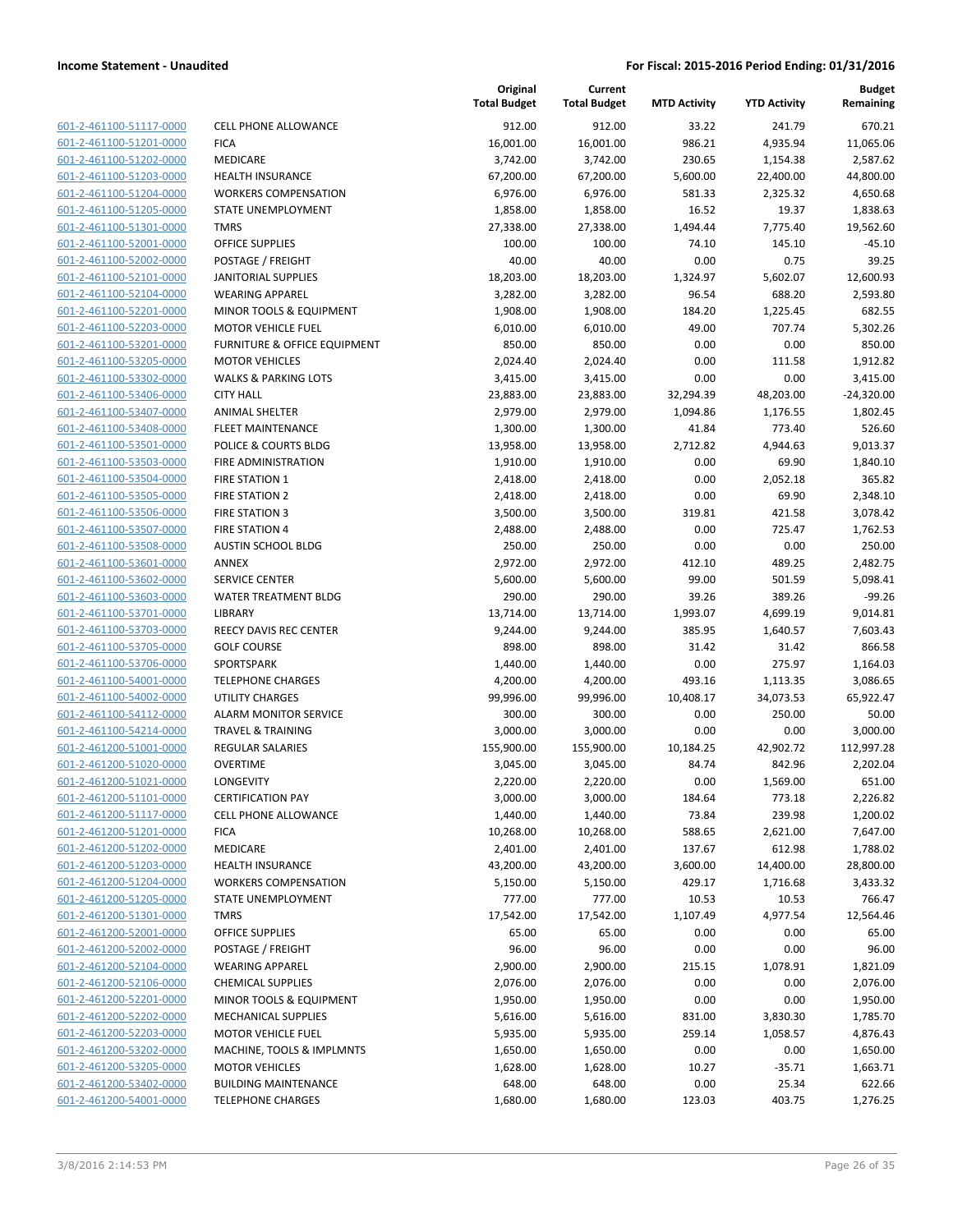| 601-2-461100-51117-0000        |
|--------------------------------|
| 601-2-461100-51201-0000        |
| 601-2-461100-51202-0000        |
| 601-2-461100-51203-0000        |
| 601-2-461100-51204-0000        |
| 601-2-461100-51205-0000        |
| 601-2-461100-51301-0000        |
| 601-2-461100-52001-0000        |
| 601-2-461100-52002-0000        |
| 601-2-461100-52101-0000        |
| 601-2-461100-52104-0000        |
| 601-2-461100-52201-0000        |
| 601-2-461100-52203-0000        |
| 601-2-461100-53201-0000        |
| 601-2-461100-53205-0000        |
|                                |
| 601-2-461100-53302-0000        |
| 601-2-461100-53406-0000        |
| 601-2-461100-53407-0000        |
| 601-2-461100-53408-0000        |
| <u>601-2-461100-53501-0000</u> |
| 601-2-461100-53503-0000        |
| 601-2-461100-53504-0000        |
| 601-2-461100-53505-0000        |
| 601-2-461100-53506-0000        |
| 601-2-461100-53507-0000        |
| 601-2-461100-53508-0000        |
| 601-2-461100-53601-0000        |
| 601-2-461100-53602-0000        |
| 601-2-461100-53603-0000        |
| 601-2-461100-53701-0000        |
| 601-2-461100-53703-0000        |
| 601-2-461100-53705-0000        |
|                                |
| 601-2-461100-53706-0000        |
| 601-2-461100-54001-0000        |
| <u>601-2-461100-54002-0000</u> |
| 601-2-461100-54112-0000        |
| 601-2-461100-54214-0000        |
| 601-2-461200-51001-0000        |
| 601-2-461200-51020-0000        |
| 601-2-461200-51021-0000        |
| 601-2-461200-51101-0000        |
| 601-2-461200-51117-0000        |
| 601-2-461200-51201-0000        |
| 601-2-461200-51202-0000        |
| <u>601-2-461200-51203-0000</u> |
| 601-2-461200-51204-0000        |
| 601-2-461200-51205-0000        |
| 601-2-461200-51301-0000        |
|                                |
| 601-2-461200-52001-0000        |
| <u>601-2-461200-52002-0000</u> |
| 601-2-461200-52104-0000        |
| 601-2-461200-52106-0000        |
| 601-2-461200-52201-0000        |
| 601-2-461200-52202-0000        |
| <u>601-2-461200-52203-0000</u> |
| <u>601-2-461200-53202-0000</u> |
| 601-2-461200-53205-0000        |
| 601-2-461200-53402-0000        |
| 601-2-461200-54001-0000        |
|                                |

|                         |                                         | Original<br><b>Total Budget</b> | Current<br><b>Total Budget</b> | <b>MTD Activity</b> | <b>YTD Activity</b> | <b>Budget</b><br>Remaining |
|-------------------------|-----------------------------------------|---------------------------------|--------------------------------|---------------------|---------------------|----------------------------|
| 601-2-461100-51117-0000 | <b>CELL PHONE ALLOWANCE</b>             | 912.00                          | 912.00                         | 33.22               | 241.79              | 670.21                     |
| 601-2-461100-51201-0000 | <b>FICA</b>                             | 16,001.00                       | 16,001.00                      | 986.21              | 4,935.94            | 11,065.06                  |
| 601-2-461100-51202-0000 | MEDICARE                                | 3,742.00                        | 3,742.00                       | 230.65              | 1,154.38            | 2,587.62                   |
| 601-2-461100-51203-0000 | <b>HEALTH INSURANCE</b>                 | 67,200.00                       | 67,200.00                      | 5,600.00            | 22,400.00           | 44,800.00                  |
| 601-2-461100-51204-0000 | <b>WORKERS COMPENSATION</b>             | 6,976.00                        | 6,976.00                       | 581.33              | 2,325.32            | 4,650.68                   |
| 601-2-461100-51205-0000 | STATE UNEMPLOYMENT                      | 1,858.00                        | 1,858.00                       | 16.52               | 19.37               | 1,838.63                   |
| 601-2-461100-51301-0000 | <b>TMRS</b>                             | 27,338.00                       | 27,338.00                      | 1,494.44            | 7,775.40            | 19,562.60                  |
| 601-2-461100-52001-0000 | <b>OFFICE SUPPLIES</b>                  | 100.00                          | 100.00                         | 74.10               | 145.10              | $-45.10$                   |
| 601-2-461100-52002-0000 | POSTAGE / FREIGHT                       | 40.00                           | 40.00                          | 0.00                | 0.75                | 39.25                      |
| 601-2-461100-52101-0000 | <b>JANITORIAL SUPPLIES</b>              | 18,203.00                       | 18,203.00                      | 1,324.97            | 5,602.07            | 12,600.93                  |
| 601-2-461100-52104-0000 | <b>WEARING APPAREL</b>                  | 3,282.00                        | 3,282.00                       | 96.54               | 688.20              | 2,593.80                   |
| 601-2-461100-52201-0000 | MINOR TOOLS & EQUIPMENT                 | 1,908.00                        | 1,908.00                       | 184.20              | 1,225.45            | 682.55                     |
| 601-2-461100-52203-0000 | <b>MOTOR VEHICLE FUEL</b>               | 6,010.00                        | 6,010.00                       | 49.00               | 707.74              | 5,302.26                   |
| 601-2-461100-53201-0000 | <b>FURNITURE &amp; OFFICE EQUIPMENT</b> | 850.00                          | 850.00                         | 0.00                | 0.00                | 850.00                     |
| 601-2-461100-53205-0000 | <b>MOTOR VEHICLES</b>                   | 2,024.40                        | 2,024.40                       | 0.00                | 111.58              | 1,912.82                   |
| 601-2-461100-53302-0000 | <b>WALKS &amp; PARKING LOTS</b>         | 3,415.00                        | 3,415.00                       | 0.00                | 0.00                | 3,415.00                   |
| 601-2-461100-53406-0000 | <b>CITY HALL</b>                        | 23,883.00                       | 23,883.00                      | 32,294.39           | 48,203.00           | $-24,320.00$               |
| 601-2-461100-53407-0000 | <b>ANIMAL SHELTER</b>                   | 2,979.00                        | 2,979.00                       | 1,094.86            | 1,176.55            | 1,802.45                   |
| 601-2-461100-53408-0000 | <b>FLEET MAINTENANCE</b>                | 1,300.00                        | 1,300.00                       | 41.84               | 773.40              | 526.60                     |
| 601-2-461100-53501-0000 | POLICE & COURTS BLDG                    | 13,958.00                       | 13,958.00                      | 2,712.82            | 4,944.63            | 9,013.37                   |
| 601-2-461100-53503-0000 | FIRE ADMINISTRATION                     | 1,910.00                        | 1,910.00                       | 0.00                | 69.90               | 1,840.10                   |
| 601-2-461100-53504-0000 | <b>FIRE STATION 1</b>                   | 2,418.00                        | 2,418.00                       | 0.00                | 2,052.18            | 365.82                     |
| 601-2-461100-53505-0000 | <b>FIRE STATION 2</b>                   | 2,418.00                        | 2,418.00                       | 0.00                | 69.90               | 2,348.10                   |
| 601-2-461100-53506-0000 | <b>FIRE STATION 3</b>                   | 3,500.00                        | 3,500.00                       | 319.81              | 421.58              | 3,078.42                   |
| 601-2-461100-53507-0000 | <b>FIRE STATION 4</b>                   | 2,488.00                        | 2,488.00                       | 0.00                | 725.47              | 1,762.53                   |
| 601-2-461100-53508-0000 | AUSTIN SCHOOL BLDG                      | 250.00                          | 250.00                         | 0.00                | 0.00                | 250.00                     |
| 601-2-461100-53601-0000 | <b>ANNEX</b>                            | 2,972.00                        | 2,972.00                       | 412.10              | 489.25              | 2,482.75                   |
| 601-2-461100-53602-0000 | <b>SERVICE CENTER</b>                   | 5,600.00                        | 5,600.00                       | 99.00               | 501.59              | 5,098.41                   |
| 601-2-461100-53603-0000 | WATER TREATMENT BLDG                    | 290.00                          | 290.00                         | 39.26               | 389.26              | $-99.26$                   |
| 601-2-461100-53701-0000 | <b>LIBRARY</b>                          | 13,714.00                       | 13,714.00                      | 1,993.07            | 4,699.19            | 9,014.81                   |
| 601-2-461100-53703-0000 | REECY DAVIS REC CENTER                  | 9,244.00                        | 9,244.00                       | 385.95              | 1,640.57            | 7,603.43                   |
| 601-2-461100-53705-0000 | <b>GOLF COURSE</b>                      | 898.00                          | 898.00                         | 31.42               | 31.42               | 866.58                     |
| 601-2-461100-53706-0000 | SPORTSPARK                              | 1,440.00                        | 1,440.00                       | 0.00                | 275.97              | 1,164.03                   |
| 601-2-461100-54001-0000 | <b>TELEPHONE CHARGES</b>                | 4,200.00                        | 4,200.00                       | 493.16              | 1,113.35            | 3,086.65                   |
| 601-2-461100-54002-0000 | <b>UTILITY CHARGES</b>                  | 99,996.00                       | 99,996.00                      | 10,408.17           | 34,073.53           | 65,922.47                  |
| 601-2-461100-54112-0000 | ALARM MONITOR SERVICE                   | 300.00                          | 300.00                         | 0.00                | 250.00              | 50.00                      |
| 601-2-461100-54214-0000 | <b>TRAVEL &amp; TRAINING</b>            | 3,000.00                        | 3,000.00                       | 0.00                | 0.00                | 3,000.00                   |
| 601-2-461200-51001-0000 | REGULAR SALARIES                        | 155,900.00                      | 155,900.00                     | 10,184.25           | 42,902.72           | 112,997.28                 |
| 601-2-461200-51020-0000 | <b>OVERTIME</b>                         | 3,045.00                        | 3,045.00                       | 84.74               | 842.96              | 2,202.04                   |
| 601-2-461200-51021-0000 | LONGEVITY                               | 2,220.00                        | 2,220.00                       | 0.00                | 1,569.00            | 651.00                     |
| 601-2-461200-51101-0000 | <b>CERTIFICATION PAY</b>                | 3,000.00                        | 3,000.00                       | 184.64              | 773.18              | 2,226.82                   |
| 601-2-461200-51117-0000 | CELL PHONE ALLOWANCE                    | 1,440.00                        | 1,440.00                       | 73.84               | 239.98              | 1,200.02                   |
| 601-2-461200-51201-0000 | <b>FICA</b>                             | 10,268.00                       | 10,268.00                      | 588.65              | 2,621.00            | 7,647.00                   |
| 601-2-461200-51202-0000 | MEDICARE                                | 2,401.00                        | 2,401.00                       | 137.67              | 612.98              | 1,788.02                   |
| 601-2-461200-51203-0000 | <b>HEALTH INSURANCE</b>                 | 43,200.00                       | 43,200.00                      | 3,600.00            | 14,400.00           | 28,800.00                  |
| 601-2-461200-51204-0000 | <b>WORKERS COMPENSATION</b>             | 5,150.00                        | 5,150.00                       | 429.17              | 1,716.68            | 3,433.32                   |
| 601-2-461200-51205-0000 | STATE UNEMPLOYMENT                      | 777.00                          | 777.00                         | 10.53               | 10.53               | 766.47                     |
| 601-2-461200-51301-0000 | <b>TMRS</b>                             | 17,542.00                       | 17,542.00                      | 1,107.49            | 4,977.54            | 12,564.46                  |
| 601-2-461200-52001-0000 | OFFICE SUPPLIES                         | 65.00                           | 65.00                          | 0.00                | 0.00                | 65.00                      |
| 601-2-461200-52002-0000 | POSTAGE / FREIGHT                       | 96.00                           | 96.00                          | 0.00                | 0.00                | 96.00                      |
| 601-2-461200-52104-0000 | <b>WEARING APPAREL</b>                  | 2,900.00                        | 2,900.00                       | 215.15              | 1,078.91            | 1,821.09                   |
| 601-2-461200-52106-0000 | <b>CHEMICAL SUPPLIES</b>                | 2,076.00                        | 2,076.00                       | 0.00                | 0.00                | 2,076.00                   |
| 601-2-461200-52201-0000 | MINOR TOOLS & EQUIPMENT                 | 1,950.00                        | 1,950.00                       | 0.00                | 0.00                | 1,950.00                   |
| 601-2-461200-52202-0000 | MECHANICAL SUPPLIES                     | 5,616.00                        | 5,616.00                       | 831.00              | 3,830.30            | 1,785.70                   |
| 601-2-461200-52203-0000 | <b>MOTOR VEHICLE FUEL</b>               | 5,935.00                        | 5,935.00                       | 259.14              | 1,058.57            | 4,876.43                   |
| 601-2-461200-53202-0000 | MACHINE, TOOLS & IMPLMNTS               | 1,650.00                        | 1,650.00                       | 0.00                | 0.00                | 1,650.00                   |
| 601-2-461200-53205-0000 | <b>MOTOR VEHICLES</b>                   | 1,628.00                        | 1,628.00                       | 10.27               | $-35.71$            | 1,663.71                   |
| 601-2-461200-53402-0000 | <b>BUILDING MAINTENANCE</b>             | 648.00                          | 648.00                         | 0.00                | 25.34               | 622.66                     |
| 601-2-461200-54001-0000 | <b>TELEPHONE CHARGES</b>                | 1,680.00                        | 1,680.00                       | 123.03              | 403.75              | 1,276.25                   |
|                         |                                         |                                 |                                |                     |                     |                            |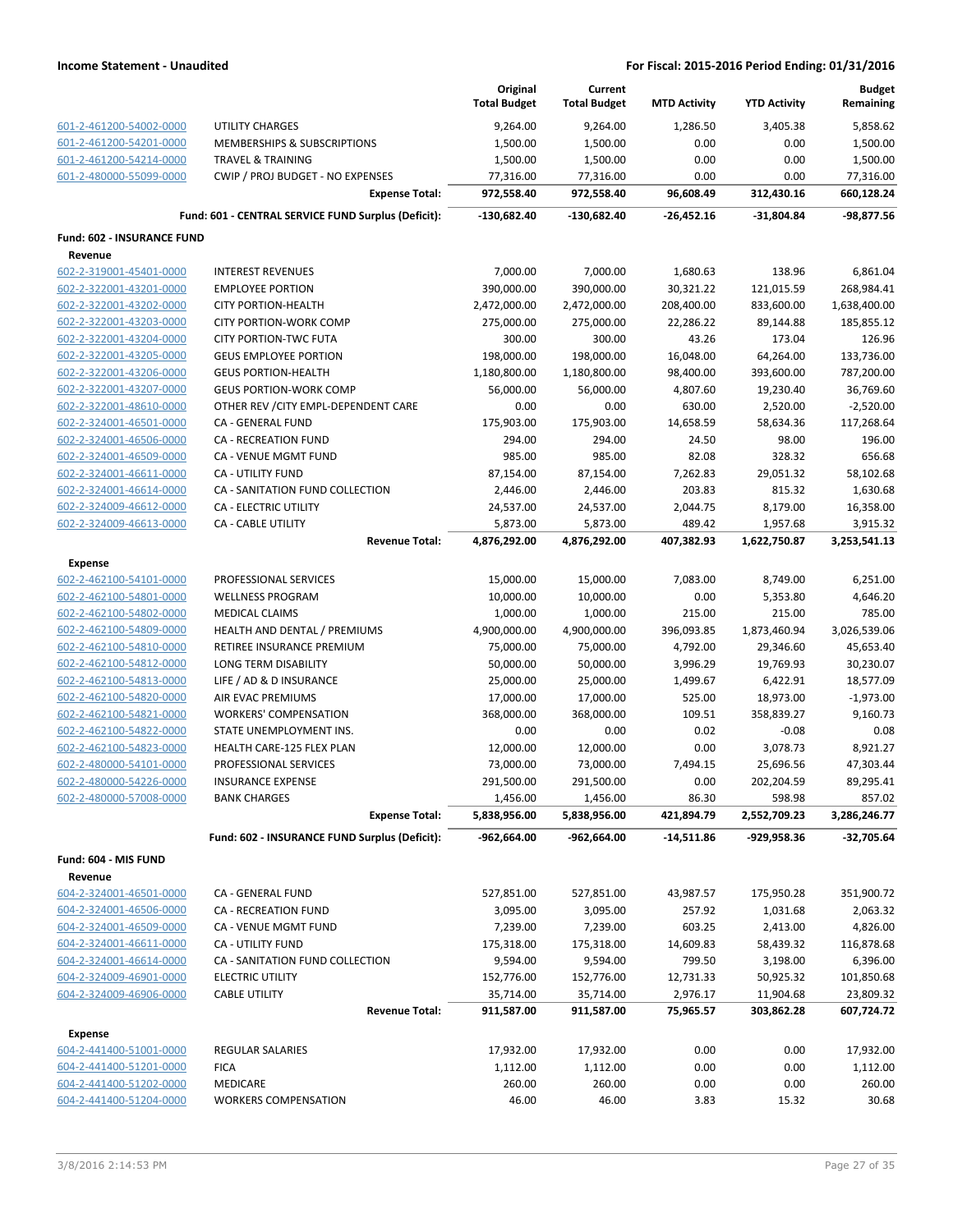|                                                    |                                                       | Original<br><b>Total Budget</b> | Current<br><b>Total Budget</b> | <b>MTD Activity</b>  | <b>YTD Activity</b>      | <b>Budget</b><br>Remaining |
|----------------------------------------------------|-------------------------------------------------------|---------------------------------|--------------------------------|----------------------|--------------------------|----------------------------|
| 601-2-461200-54002-0000                            | <b>UTILITY CHARGES</b>                                | 9,264.00                        | 9,264.00                       | 1,286.50             | 3,405.38                 | 5,858.62                   |
| 601-2-461200-54201-0000                            | MEMBERSHIPS & SUBSCRIPTIONS                           | 1,500.00                        | 1,500.00                       | 0.00                 | 0.00                     | 1,500.00                   |
| 601-2-461200-54214-0000                            | <b>TRAVEL &amp; TRAINING</b>                          | 1,500.00                        | 1,500.00                       | 0.00                 | 0.00                     | 1,500.00                   |
| 601-2-480000-55099-0000                            | CWIP / PROJ BUDGET - NO EXPENSES                      | 77,316.00                       | 77,316.00                      | 0.00                 | 0.00                     | 77,316.00                  |
|                                                    | <b>Expense Total:</b>                                 | 972,558.40                      | 972,558.40                     | 96,608.49            | 312,430.16               | 660,128.24                 |
|                                                    | Fund: 601 - CENTRAL SERVICE FUND Surplus (Deficit):   | -130,682.40                     | -130,682.40                    | -26,452.16           | $-31,804.84$             | -98,877.56                 |
| Fund: 602 - INSURANCE FUND                         |                                                       |                                 |                                |                      |                          |                            |
| Revenue                                            |                                                       |                                 |                                |                      |                          |                            |
| 602-2-319001-45401-0000                            | <b>INTEREST REVENUES</b>                              | 7,000.00                        | 7,000.00                       | 1,680.63             | 138.96                   | 6,861.04                   |
| 602-2-322001-43201-0000                            | <b>EMPLOYEE PORTION</b>                               | 390,000.00                      | 390,000.00                     | 30,321.22            | 121,015.59               | 268,984.41                 |
| 602-2-322001-43202-0000                            | <b>CITY PORTION-HEALTH</b>                            | 2,472,000.00                    | 2,472,000.00                   | 208,400.00           | 833,600.00               | 1,638,400.00               |
| 602-2-322001-43203-0000                            | <b>CITY PORTION-WORK COMP</b>                         | 275,000.00                      | 275,000.00                     | 22,286.22            | 89,144.88                | 185,855.12                 |
| 602-2-322001-43204-0000                            | <b>CITY PORTION-TWC FUTA</b>                          | 300.00                          | 300.00                         | 43.26                | 173.04                   | 126.96                     |
| 602-2-322001-43205-0000                            | <b>GEUS EMPLOYEE PORTION</b>                          | 198,000.00                      | 198,000.00                     | 16,048.00            | 64,264.00                | 133,736.00                 |
| 602-2-322001-43206-0000                            | <b>GEUS PORTION-HEALTH</b>                            | 1,180,800.00                    | 1,180,800.00                   | 98,400.00            | 393,600.00               | 787,200.00                 |
| 602-2-322001-43207-0000                            | <b>GEUS PORTION-WORK COMP</b>                         | 56,000.00                       | 56,000.00                      | 4,807.60             | 19,230.40                | 36,769.60                  |
| 602-2-322001-48610-0000                            | OTHER REV / CITY EMPL-DEPENDENT CARE                  | 0.00                            | 0.00                           | 630.00               | 2,520.00                 | $-2,520.00$                |
| 602-2-324001-46501-0000                            | CA - GENERAL FUND                                     | 175,903.00                      | 175,903.00                     | 14,658.59            | 58,634.36                | 117,268.64                 |
| 602-2-324001-46506-0000                            | <b>CA - RECREATION FUND</b>                           | 294.00                          | 294.00                         | 24.50                | 98.00                    | 196.00                     |
| 602-2-324001-46509-0000                            | CA - VENUE MGMT FUND                                  | 985.00                          | 985.00                         | 82.08                | 328.32                   | 656.68                     |
| 602-2-324001-46611-0000                            | CA - UTILITY FUND                                     | 87,154.00                       | 87,154.00                      | 7,262.83<br>203.83   | 29,051.32                | 58,102.68                  |
| 602-2-324001-46614-0000                            | CA - SANITATION FUND COLLECTION                       | 2,446.00                        | 2,446.00                       |                      | 815.32                   | 1,630.68                   |
| 602-2-324009-46612-0000<br>602-2-324009-46613-0000 | <b>CA - ELECTRIC UTILITY</b>                          | 24,537.00                       | 24,537.00                      | 2,044.75             | 8,179.00                 | 16,358.00                  |
|                                                    | <b>CA - CABLE UTILITY</b><br><b>Revenue Total:</b>    | 5,873.00<br>4,876,292.00        | 5,873.00<br>4,876,292.00       | 489.42<br>407,382.93 | 1,957.68<br>1,622,750.87 | 3,915.32<br>3,253,541.13   |
|                                                    |                                                       |                                 |                                |                      |                          |                            |
| <b>Expense</b>                                     |                                                       |                                 |                                |                      |                          |                            |
| 602-2-462100-54101-0000                            | PROFESSIONAL SERVICES                                 | 15,000.00                       | 15,000.00                      | 7,083.00             | 8,749.00                 | 6,251.00                   |
| 602-2-462100-54801-0000                            | <b>WELLNESS PROGRAM</b>                               | 10,000.00                       | 10,000.00                      | 0.00                 | 5,353.80                 | 4,646.20<br>785.00         |
| 602-2-462100-54802-0000<br>602-2-462100-54809-0000 | <b>MEDICAL CLAIMS</b><br>HEALTH AND DENTAL / PREMIUMS | 1,000.00<br>4,900,000.00        | 1,000.00<br>4,900,000.00       | 215.00<br>396,093.85 | 215.00<br>1,873,460.94   | 3,026,539.06               |
| 602-2-462100-54810-0000                            | RETIREE INSURANCE PREMIUM                             | 75,000.00                       | 75,000.00                      | 4,792.00             | 29,346.60                | 45,653.40                  |
| 602-2-462100-54812-0000                            | LONG TERM DISABILITY                                  | 50,000.00                       | 50,000.00                      | 3,996.29             | 19,769.93                | 30,230.07                  |
| 602-2-462100-54813-0000                            | LIFE / AD & D INSURANCE                               | 25,000.00                       | 25,000.00                      | 1,499.67             | 6,422.91                 | 18,577.09                  |
| 602-2-462100-54820-0000                            | AIR EVAC PREMIUMS                                     | 17,000.00                       | 17,000.00                      | 525.00               | 18,973.00                | $-1,973.00$                |
| 602-2-462100-54821-0000                            | <b>WORKERS' COMPENSATION</b>                          | 368,000.00                      | 368,000.00                     | 109.51               | 358,839.27               | 9,160.73                   |
| 602-2-462100-54822-0000                            | STATE UNEMPLOYMENT INS.                               | 0.00                            | 0.00                           | 0.02                 | $-0.08$                  | 0.08                       |
| 602-2-462100-54823-0000                            | HEALTH CARE-125 FLEX PLAN                             | 12,000.00                       | 12,000.00                      | 0.00                 | 3,078.73                 | 8,921.27                   |
| 602-2-480000-54101-0000                            | PROFESSIONAL SERVICES                                 | 73,000.00                       | 73,000.00                      | 7,494.15             | 25,696.56                | 47,303.44                  |
| 602-2-480000-54226-0000                            | <b>INSURANCE EXPENSE</b>                              | 291,500.00                      | 291,500.00                     | 0.00                 | 202,204.59               | 89,295.41                  |
| 602-2-480000-57008-0000                            | <b>BANK CHARGES</b>                                   | 1,456.00                        | 1,456.00                       | 86.30                | 598.98                   | 857.02                     |
|                                                    | <b>Expense Total:</b>                                 | 5,838,956.00                    | 5,838,956.00                   | 421,894.79           | 2,552,709.23             | 3,286,246.77               |
|                                                    | Fund: 602 - INSURANCE FUND Surplus (Deficit):         | -962,664.00                     | $-962,664.00$                  | $-14,511.86$         | -929,958.36              | $-32,705.64$               |
| Fund: 604 - MIS FUND                               |                                                       |                                 |                                |                      |                          |                            |
| Revenue                                            |                                                       |                                 |                                |                      |                          |                            |
| 604-2-324001-46501-0000                            | CA - GENERAL FUND                                     | 527,851.00                      | 527,851.00                     | 43,987.57            | 175,950.28               | 351,900.72                 |
| 604-2-324001-46506-0000                            | <b>CA - RECREATION FUND</b>                           | 3,095.00                        | 3,095.00                       | 257.92               | 1,031.68                 | 2,063.32                   |
| 604-2-324001-46509-0000                            | CA - VENUE MGMT FUND                                  | 7,239.00                        | 7,239.00                       | 603.25               | 2,413.00                 | 4,826.00                   |
| 604-2-324001-46611-0000                            | CA - UTILITY FUND                                     | 175,318.00                      | 175,318.00                     | 14,609.83            | 58,439.32                | 116,878.68                 |
| 604-2-324001-46614-0000                            | CA - SANITATION FUND COLLECTION                       | 9,594.00                        | 9,594.00                       | 799.50               | 3,198.00                 | 6,396.00                   |
| 604-2-324009-46901-0000                            | <b>ELECTRIC UTILITY</b>                               | 152,776.00                      | 152,776.00                     | 12,731.33            | 50,925.32                | 101,850.68                 |
| 604-2-324009-46906-0000                            | <b>CABLE UTILITY</b>                                  | 35,714.00                       | 35,714.00                      | 2,976.17             | 11,904.68                | 23,809.32                  |
|                                                    | <b>Revenue Total:</b>                                 | 911,587.00                      | 911,587.00                     | 75,965.57            | 303,862.28               | 607,724.72                 |
| <b>Expense</b>                                     |                                                       |                                 |                                |                      |                          |                            |
| 604-2-441400-51001-0000                            | REGULAR SALARIES                                      | 17,932.00                       | 17,932.00                      | 0.00                 | 0.00                     | 17,932.00                  |
| 604-2-441400-51201-0000                            | <b>FICA</b>                                           | 1,112.00                        | 1,112.00                       | 0.00                 | 0.00                     | 1,112.00                   |
| 604-2-441400-51202-0000                            | MEDICARE                                              | 260.00                          | 260.00                         | 0.00                 | 0.00                     | 260.00                     |
| 604-2-441400-51204-0000                            | <b>WORKERS COMPENSATION</b>                           | 46.00                           | 46.00                          | 3.83                 | 15.32                    | 30.68                      |
|                                                    |                                                       |                                 |                                |                      |                          |                            |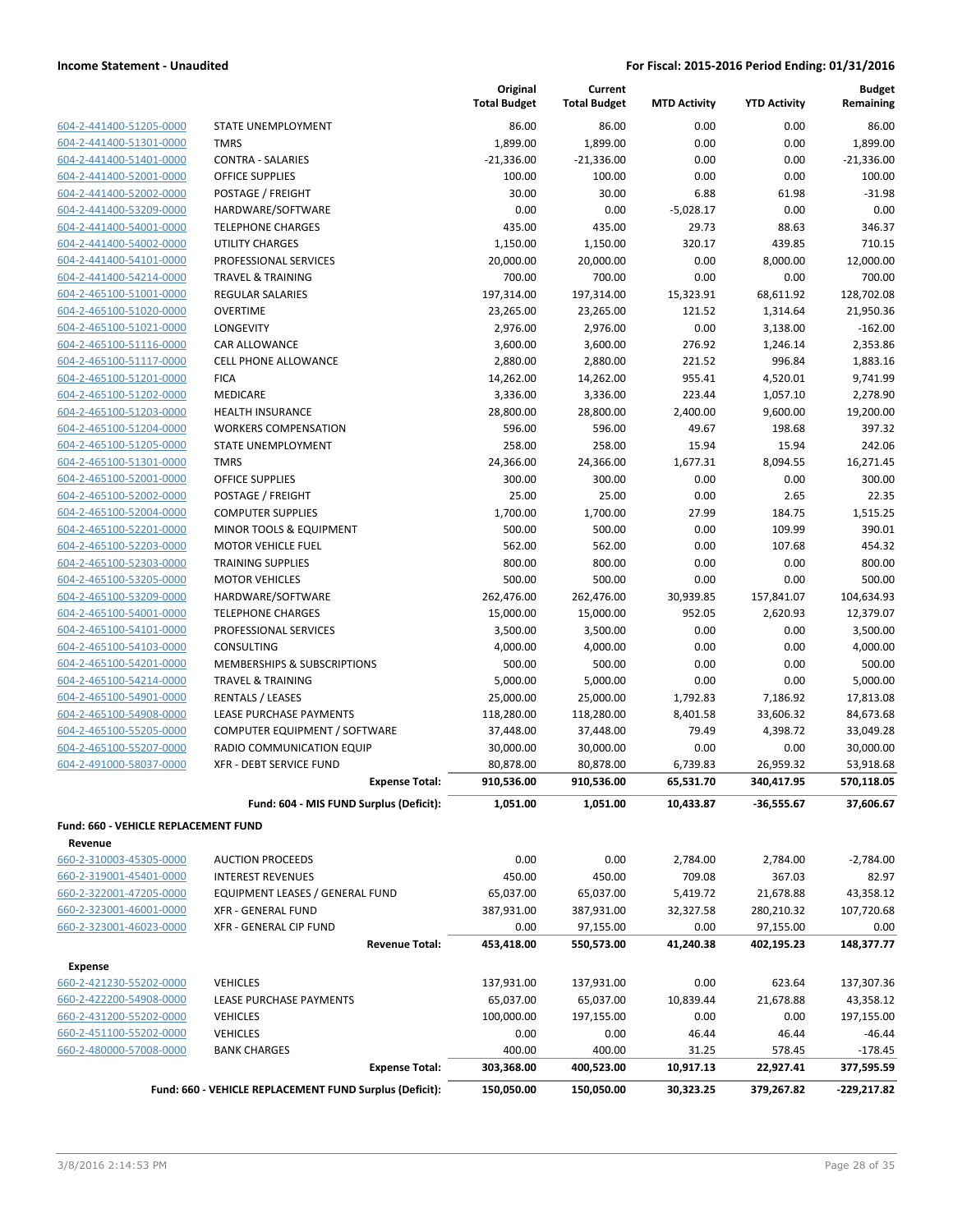| 604-2-441400-51205-0000     |
|-----------------------------|
| 604-2-441400-51301-0000     |
| 604-2-441400-51401-0000     |
| 604-2-441400-52001-0000     |
| 604-2-441400-52002-0000     |
| 604-2-441400-53209-0000     |
| 604-2-441400-54001-0000     |
| 604-2-441400-54002-0000     |
| 604-2-441400-54101-0000     |
| 604-2-441400-54214-0000     |
| 604-2-465100-51001-0000     |
| 604-2-465100-51020-0000     |
| 604-2-465100-51021-0000     |
| 604-2-465100-51116-0000     |
| 604-2-465100-51117-0000     |
| 604-2-465100-51201-0000     |
| 604-2-465100-51202-0000     |
| 604-2-465100-51203-0000     |
| 604-2-465100-51204-0000     |
| 604-2-465100-51205-0000     |
| 604-2-465100-51301-0000     |
| 604-2-465100-52001-0000     |
| 604-2-465100-52002-0000     |
| 604-2-465100-52004-0000     |
| 604-2-465100-52201-0000     |
| 604-2-465100-52203-0000     |
| 604-2-465100-52303-0000     |
| 604-2-465100-53205-0000     |
| 604-2-465100-53209-0000     |
| 604-2-465100-54001-0000     |
| 604-2-465100-54101-0000     |
| 604-2-465100-54103-0000     |
| 604-2-465100-54201-0000     |
| 604-2-465100-54214-0000     |
| 2-465100-54901-0000<br>604- |
| 604-2-465100-54908-0000     |
| 604-2-465100-55205-0000     |
| 604-2-465100-55207-0000     |
| 604-2-491000-58037-0000     |

|                                           |                                                             | Original<br><b>Total Budget</b> | Current<br><b>Total Budget</b> | <b>MTD Activity</b> | <b>YTD Activity</b>     | <b>Budget</b><br>Remaining |
|-------------------------------------------|-------------------------------------------------------------|---------------------------------|--------------------------------|---------------------|-------------------------|----------------------------|
| 604-2-441400-51205-0000                   | STATE UNEMPLOYMENT                                          | 86.00                           | 86.00                          | 0.00                | 0.00                    | 86.00                      |
| 604-2-441400-51301-0000                   | <b>TMRS</b>                                                 | 1,899.00                        | 1,899.00                       | 0.00                | 0.00                    | 1,899.00                   |
| 604-2-441400-51401-0000                   | <b>CONTRA - SALARIES</b>                                    | $-21,336.00$                    | $-21,336.00$                   | 0.00                | 0.00                    | $-21,336.00$               |
| 604-2-441400-52001-0000                   | <b>OFFICE SUPPLIES</b>                                      | 100.00                          | 100.00                         | 0.00                | 0.00                    | 100.00                     |
| 604-2-441400-52002-0000                   | POSTAGE / FREIGHT                                           | 30.00                           | 30.00                          | 6.88                | 61.98                   | $-31.98$                   |
| 604-2-441400-53209-0000                   | HARDWARE/SOFTWARE                                           | 0.00                            | 0.00                           | $-5,028.17$         | 0.00                    | 0.00                       |
| 604-2-441400-54001-0000                   | <b>TELEPHONE CHARGES</b>                                    | 435.00                          | 435.00                         | 29.73               | 88.63                   | 346.37                     |
| 604-2-441400-54002-0000                   | <b>UTILITY CHARGES</b>                                      | 1,150.00                        | 1,150.00                       | 320.17              | 439.85                  | 710.15                     |
| 604-2-441400-54101-0000                   | PROFESSIONAL SERVICES                                       | 20,000.00                       | 20,000.00                      | 0.00                | 8,000.00                | 12,000.00                  |
| 604-2-441400-54214-0000                   | <b>TRAVEL &amp; TRAINING</b>                                | 700.00                          | 700.00                         | 0.00                | 0.00                    | 700.00                     |
| 604-2-465100-51001-0000                   | <b>REGULAR SALARIES</b>                                     | 197,314.00                      | 197,314.00                     | 15,323.91           | 68,611.92               | 128,702.08                 |
| 604-2-465100-51020-0000                   | <b>OVERTIME</b>                                             | 23,265.00                       | 23,265.00                      | 121.52              | 1,314.64                | 21,950.36                  |
| 604-2-465100-51021-0000                   | LONGEVITY                                                   | 2,976.00                        | 2,976.00                       | 0.00                | 3,138.00                | $-162.00$                  |
| 604-2-465100-51116-0000                   | CAR ALLOWANCE                                               | 3,600.00                        | 3,600.00                       | 276.92              | 1,246.14                | 2,353.86                   |
| 604-2-465100-51117-0000                   | <b>CELL PHONE ALLOWANCE</b>                                 | 2,880.00                        | 2,880.00                       | 221.52              | 996.84                  | 1,883.16                   |
| 604-2-465100-51201-0000                   | <b>FICA</b>                                                 | 14,262.00                       | 14,262.00                      | 955.41              | 4,520.01                | 9,741.99                   |
| 604-2-465100-51202-0000                   | MEDICARE                                                    | 3,336.00                        | 3,336.00                       | 223.44              | 1,057.10                | 2,278.90                   |
| 604-2-465100-51203-0000                   | HEALTH INSURANCE                                            | 28,800.00                       | 28,800.00                      | 2,400.00            | 9,600.00                | 19,200.00                  |
| 604-2-465100-51204-0000                   | <b>WORKERS COMPENSATION</b>                                 | 596.00                          | 596.00                         | 49.67               | 198.68                  | 397.32                     |
| 604-2-465100-51205-0000                   | STATE UNEMPLOYMENT                                          | 258.00                          | 258.00                         | 15.94               | 15.94                   | 242.06                     |
| 604-2-465100-51301-0000                   | <b>TMRS</b>                                                 | 24,366.00                       | 24,366.00                      | 1,677.31            | 8,094.55                | 16,271.45                  |
| 604-2-465100-52001-0000                   | <b>OFFICE SUPPLIES</b>                                      | 300.00                          | 300.00                         | 0.00                | 0.00                    | 300.00                     |
| 604-2-465100-52002-0000                   | POSTAGE / FREIGHT                                           | 25.00                           | 25.00                          | 0.00                | 2.65                    | 22.35                      |
| 604-2-465100-52004-0000                   | <b>COMPUTER SUPPLIES</b>                                    | 1,700.00                        | 1,700.00                       | 27.99               | 184.75                  | 1,515.25                   |
| 604-2-465100-52201-0000                   | MINOR TOOLS & EQUIPMENT                                     | 500.00                          | 500.00                         | 0.00                | 109.99                  | 390.01                     |
| 604-2-465100-52203-0000                   | <b>MOTOR VEHICLE FUEL</b>                                   | 562.00                          | 562.00                         | 0.00                | 107.68                  | 454.32                     |
| 604-2-465100-52303-0000                   | <b>TRAINING SUPPLIES</b>                                    | 800.00                          | 800.00                         | 0.00                | 0.00                    | 800.00                     |
| 604-2-465100-53205-0000                   | <b>MOTOR VEHICLES</b>                                       | 500.00                          | 500.00                         | 0.00                | 0.00                    | 500.00                     |
| 604-2-465100-53209-0000                   | HARDWARE/SOFTWARE                                           | 262,476.00                      | 262,476.00                     | 30,939.85           | 157,841.07              | 104,634.93                 |
| 604-2-465100-54001-0000                   | <b>TELEPHONE CHARGES</b>                                    | 15,000.00                       | 15,000.00                      | 952.05              | 2,620.93                | 12,379.07                  |
| 604-2-465100-54101-0000                   | PROFESSIONAL SERVICES                                       | 3,500.00                        | 3,500.00                       | 0.00                | 0.00                    | 3,500.00                   |
| 604-2-465100-54103-0000                   | CONSULTING                                                  | 4,000.00                        | 4,000.00                       | 0.00                | 0.00                    | 4,000.00                   |
| 604-2-465100-54201-0000                   | MEMBERSHIPS & SUBSCRIPTIONS                                 | 500.00                          | 500.00                         | 0.00                | 0.00                    | 500.00                     |
| 604-2-465100-54214-0000                   | <b>TRAVEL &amp; TRAINING</b>                                | 5,000.00                        | 5,000.00                       | 0.00                | 0.00                    | 5,000.00                   |
| 604-2-465100-54901-0000                   | <b>RENTALS / LEASES</b>                                     | 25,000.00                       | 25,000.00                      | 1,792.83            | 7,186.92                | 17,813.08                  |
| 604-2-465100-54908-0000                   | LEASE PURCHASE PAYMENTS                                     | 118,280.00                      | 118,280.00                     | 8,401.58            | 33,606.32               | 84,673.68                  |
| 604-2-465100-55205-0000                   | COMPUTER EQUIPMENT / SOFTWARE                               | 37,448.00                       | 37,448.00                      | 79.49               | 4,398.72                | 33,049.28                  |
| 604-2-465100-55207-0000                   | RADIO COMMUNICATION EQUIP                                   | 30,000.00                       | 30,000.00                      | 0.00                | 0.00                    | 30,000.00                  |
| 604-2-491000-58037-0000                   | XFR - DEBT SERVICE FUND                                     | 80,878.00                       | 80,878.00                      | 6,739.83            | 26,959.32               | 53,918.68                  |
|                                           | <b>Expense Total:</b>                                       | 910,536.00                      | 910,536.00                     | 65,531.70           | 340,417.95              | 570,118.05                 |
|                                           | Fund: 604 - MIS FUND Surplus (Deficit):                     | 1,051.00                        | 1,051.00                       | 10,433.87           | -36,555.67              | 37,606.67                  |
| Fund: 660 - VEHICLE REPLACEMENT FUND      |                                                             |                                 |                                |                     |                         |                            |
| Revenue<br>660-2-310003-45305-0000        | <b>AUCTION PROCEEDS</b>                                     | 0.00                            | 0.00                           | 2,784.00            | 2,784.00                | $-2,784.00$                |
| 660-2-319001-45401-0000                   |                                                             |                                 |                                |                     |                         |                            |
| 660-2-322001-47205-0000                   | <b>INTEREST REVENUES</b><br>EQUIPMENT LEASES / GENERAL FUND | 450.00<br>65,037.00             | 450.00<br>65,037.00            | 709.08<br>5,419.72  | 367.03<br>21,678.88     | 82.97                      |
| 660-2-323001-46001-0000                   |                                                             | 387,931.00                      |                                |                     |                         | 43,358.12                  |
|                                           | <b>XFR - GENERAL FUND</b>                                   |                                 | 387,931.00                     | 32,327.58           | 280,210.32              | 107,720.68                 |
| 660-2-323001-46023-0000                   | XFR - GENERAL CIP FUND<br><b>Revenue Total:</b>             | 0.00<br>453,418.00              | 97,155.00<br>550,573.00        | 0.00<br>41,240.38   | 97,155.00<br>402,195.23 | 0.00<br>148,377.77         |
|                                           |                                                             |                                 |                                |                     |                         |                            |
| <b>Expense</b><br>660-2-421230-55202-0000 | <b>VEHICLES</b>                                             | 137,931.00                      | 137,931.00                     | 0.00                | 623.64                  |                            |
| 660-2-422200-54908-0000                   | LEASE PURCHASE PAYMENTS                                     | 65,037.00                       | 65,037.00                      | 10,839.44           | 21,678.88               | 137,307.36<br>43,358.12    |
| 660-2-431200-55202-0000                   | <b>VEHICLES</b>                                             | 100,000.00                      | 197,155.00                     | 0.00                | 0.00                    | 197,155.00                 |
| 660-2-451100-55202-0000                   | <b>VEHICLES</b>                                             | 0.00                            | 0.00                           | 46.44               | 46.44                   | $-46.44$                   |
| 660-2-480000-57008-0000                   | <b>BANK CHARGES</b>                                         | 400.00                          | 400.00                         | 31.25               | 578.45                  | $-178.45$                  |
|                                           | <b>Expense Total:</b>                                       | 303,368.00                      | 400,523.00                     | 10,917.13           | 22,927.41               | 377,595.59                 |
|                                           | Fund: 660 - VEHICLE REPLACEMENT FUND Surplus (Deficit):     | 150,050.00                      | 150,050.00                     | 30,323.25           | 379,267.82              | $-229,217.82$              |
|                                           |                                                             |                                 |                                |                     |                         |                            |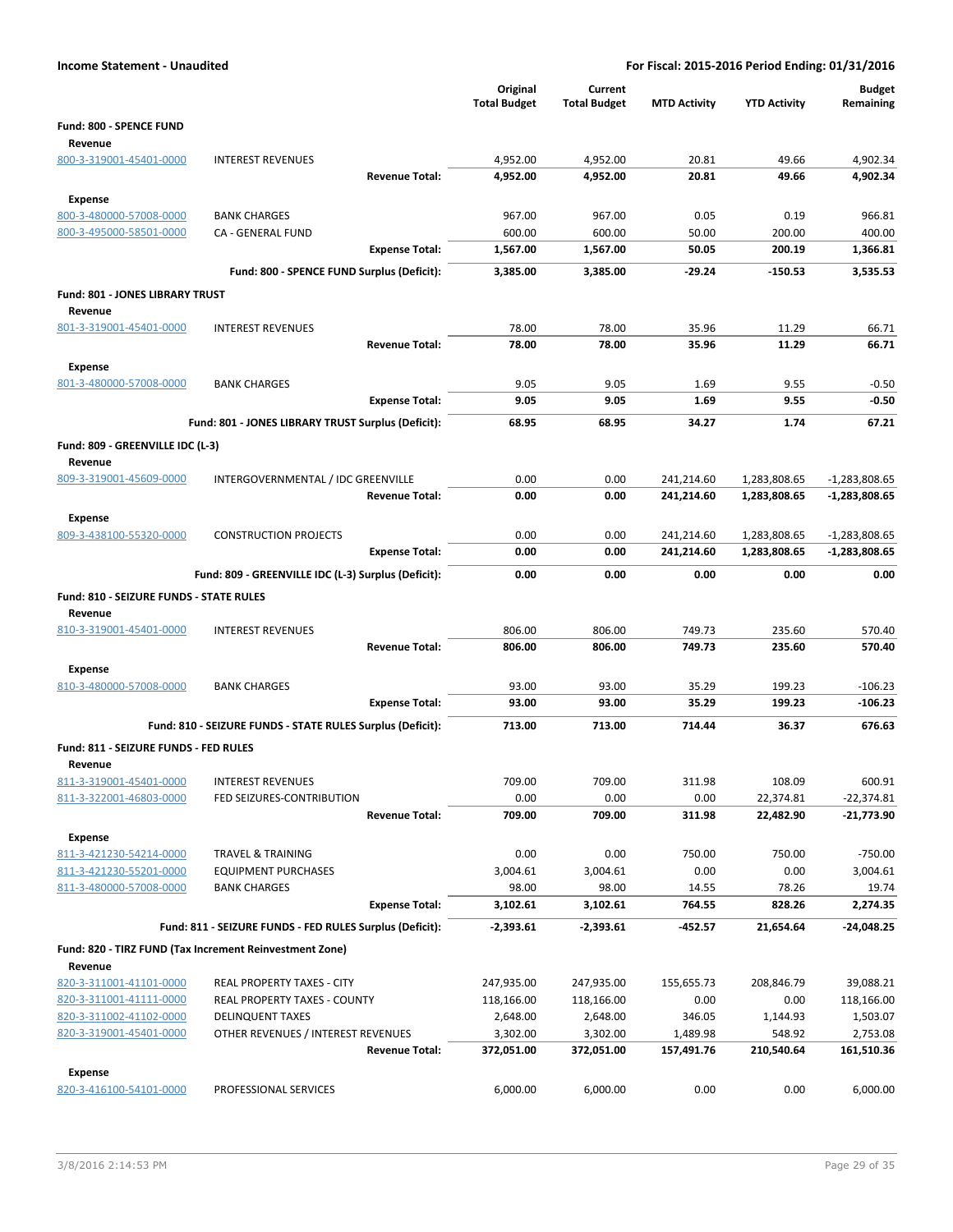| <b>Income Statement - Unaudited</b>     |                                                             |                                 |                                | For Fiscal: 2015-2016 Period Ending: 01/31/2016 |                              |                                  |
|-----------------------------------------|-------------------------------------------------------------|---------------------------------|--------------------------------|-------------------------------------------------|------------------------------|----------------------------------|
|                                         |                                                             | Original<br><b>Total Budget</b> | Current<br><b>Total Budget</b> | <b>MTD Activity</b>                             | <b>YTD Activity</b>          | <b>Budget</b><br>Remaining       |
| Fund: 800 - SPENCE FUND<br>Revenue      |                                                             |                                 |                                |                                                 |                              |                                  |
| 800-3-319001-45401-0000                 | <b>INTEREST REVENUES</b>                                    | 4,952.00                        | 4,952.00                       | 20.81                                           | 49.66                        | 4,902.34                         |
|                                         | <b>Revenue Total:</b>                                       | 4,952.00                        | 4,952.00                       | 20.81                                           | 49.66                        | 4,902.34                         |
| <b>Expense</b>                          |                                                             |                                 |                                |                                                 |                              |                                  |
| 800-3-480000-57008-0000                 | <b>BANK CHARGES</b>                                         | 967.00                          | 967.00                         | 0.05                                            | 0.19                         | 966.81                           |
| 800-3-495000-58501-0000                 | CA - GENERAL FUND                                           | 600.00                          | 600.00                         | 50.00                                           | 200.00                       | 400.00                           |
|                                         | <b>Expense Total:</b>                                       | 1,567.00                        | 1,567.00                       | 50.05                                           | 200.19                       | 1,366.81                         |
|                                         | Fund: 800 - SPENCE FUND Surplus (Deficit):                  | 3,385.00                        | 3,385.00                       | $-29.24$                                        | $-150.53$                    | 3,535.53                         |
| Fund: 801 - JONES LIBRARY TRUST         |                                                             |                                 |                                |                                                 |                              |                                  |
| Revenue<br>801-3-319001-45401-0000      | <b>INTEREST REVENUES</b>                                    | 78.00                           | 78.00                          | 35.96                                           | 11.29                        | 66.71                            |
|                                         | <b>Revenue Total:</b>                                       | 78.00                           | 78.00                          | 35.96                                           | 11.29                        | 66.71                            |
| <b>Expense</b>                          |                                                             |                                 |                                |                                                 |                              |                                  |
| 801-3-480000-57008-0000                 | <b>BANK CHARGES</b>                                         | 9.05                            | 9.05                           | 1.69                                            | 9.55                         | $-0.50$                          |
|                                         | <b>Expense Total:</b>                                       | 9.05                            | 9.05                           | 1.69                                            | 9.55                         | $-0.50$                          |
|                                         | Fund: 801 - JONES LIBRARY TRUST Surplus (Deficit):          | 68.95                           | 68.95                          | 34.27                                           | 1.74                         | 67.21                            |
| Fund: 809 - GREENVILLE IDC (L-3)        |                                                             |                                 |                                |                                                 |                              |                                  |
| Revenue                                 |                                                             |                                 |                                |                                                 |                              |                                  |
| 809-3-319001-45609-0000                 | INTERGOVERNMENTAL / IDC GREENVILLE<br><b>Revenue Total:</b> | 0.00<br>0.00                    | 0.00<br>0.00                   | 241,214.60<br>241,214.60                        | 1,283,808.65<br>1,283,808.65 | $-1,283,808.65$<br>-1,283,808.65 |
| <b>Expense</b>                          |                                                             |                                 |                                |                                                 |                              |                                  |
| 809-3-438100-55320-0000                 | <b>CONSTRUCTION PROJECTS</b>                                | 0.00                            | 0.00                           | 241,214.60                                      | 1,283,808.65                 | $-1,283,808.65$                  |
|                                         | <b>Expense Total:</b>                                       | 0.00                            | 0.00                           | 241,214.60                                      | 1,283,808.65                 | $-1,283,808.65$                  |
|                                         | Fund: 809 - GREENVILLE IDC (L-3) Surplus (Deficit):         | 0.00                            | 0.00                           | 0.00                                            | 0.00                         | 0.00                             |
| Fund: 810 - SEIZURE FUNDS - STATE RULES |                                                             |                                 |                                |                                                 |                              |                                  |
| Revenue                                 |                                                             |                                 |                                |                                                 |                              |                                  |
| 810-3-319001-45401-0000                 | <b>INTEREST REVENUES</b><br><b>Revenue Total:</b>           | 806.00                          | 806.00<br>806.00               | 749.73<br>749.73                                | 235.60                       | 570.40<br>570.40                 |
| <b>Expense</b>                          |                                                             | 806.00                          |                                |                                                 | 235.60                       |                                  |
| 810-3-480000-57008-0000                 | <b>BANK CHARGES</b>                                         | 93.00                           | 93.00                          | 35.29                                           | 199.23                       | $-106.23$                        |
|                                         | <b>Expense Total:</b>                                       | 93.00                           | 93.00                          | 35.29                                           | 199.23                       | $-106.23$                        |
|                                         | Fund: 810 - SEIZURE FUNDS - STATE RULES Surplus (Deficit):  | 713.00                          | 713.00                         | 714.44                                          | 36.37                        | 676.63                           |
| Fund: 811 - SEIZURE FUNDS - FED RULES   |                                                             |                                 |                                |                                                 |                              |                                  |
| Revenue                                 |                                                             |                                 |                                |                                                 |                              |                                  |
| 811-3-319001-45401-0000                 | <b>INTEREST REVENUES</b>                                    | 709.00                          | 709.00                         | 311.98                                          | 108.09                       | 600.91                           |
| 811-3-322001-46803-0000                 | FED SEIZURES-CONTRIBUTION<br><b>Revenue Total:</b>          | 0.00<br>709.00                  | 0.00<br>709.00                 | 0.00<br>311.98                                  | 22,374.81<br>22,482.90       | $-22,374.81$<br>-21,773.90       |
| <b>Expense</b>                          |                                                             |                                 |                                |                                                 |                              |                                  |
| 811-3-421230-54214-0000                 | <b>TRAVEL &amp; TRAINING</b>                                | 0.00                            | 0.00                           | 750.00                                          | 750.00                       | $-750.00$                        |
| 811-3-421230-55201-0000                 | <b>EQUIPMENT PURCHASES</b>                                  | 3,004.61                        | 3,004.61                       | 0.00                                            | 0.00                         | 3,004.61                         |
| 811-3-480000-57008-0000                 | <b>BANK CHARGES</b>                                         | 98.00                           | 98.00                          | 14.55                                           | 78.26                        | 19.74                            |
|                                         | <b>Expense Total:</b>                                       | 3,102.61                        | 3,102.61                       | 764.55                                          | 828.26                       | 2,274.35                         |
|                                         | Fund: 811 - SEIZURE FUNDS - FED RULES Surplus (Deficit):    | $-2,393.61$                     | -2,393.61                      | -452.57                                         | 21,654.64                    | -24,048.25                       |
|                                         | Fund: 820 - TIRZ FUND (Tax Increment Reinvestment Zone)     |                                 |                                |                                                 |                              |                                  |
| Revenue                                 |                                                             |                                 |                                |                                                 |                              |                                  |
| 820-3-311001-41101-0000                 | REAL PROPERTY TAXES - CITY                                  | 247,935.00                      | 247,935.00                     | 155,655.73                                      | 208,846.79                   | 39,088.21                        |
| 820-3-311001-41111-0000                 | <b>REAL PROPERTY TAXES - COUNTY</b>                         | 118,166.00                      | 118,166.00                     | 0.00                                            | 0.00                         | 118,166.00                       |
| 820-3-311002-41102-0000                 | <b>DELINQUENT TAXES</b>                                     | 2,648.00                        | 2,648.00                       | 346.05                                          | 1,144.93                     | 1,503.07                         |
| 820-3-319001-45401-0000                 | OTHER REVENUES / INTEREST REVENUES<br><b>Revenue Total:</b> | 3,302.00<br>372,051.00          | 3,302.00<br>372,051.00         | 1,489.98<br>157,491.76                          | 548.92<br>210,540.64         | 2,753.08<br>161,510.36           |
| <b>Expense</b>                          |                                                             |                                 |                                |                                                 |                              |                                  |
| 820-3-416100-54101-0000                 | PROFESSIONAL SERVICES                                       | 6,000.00                        | 6,000.00                       | 0.00                                            | 0.00                         | 6,000.00                         |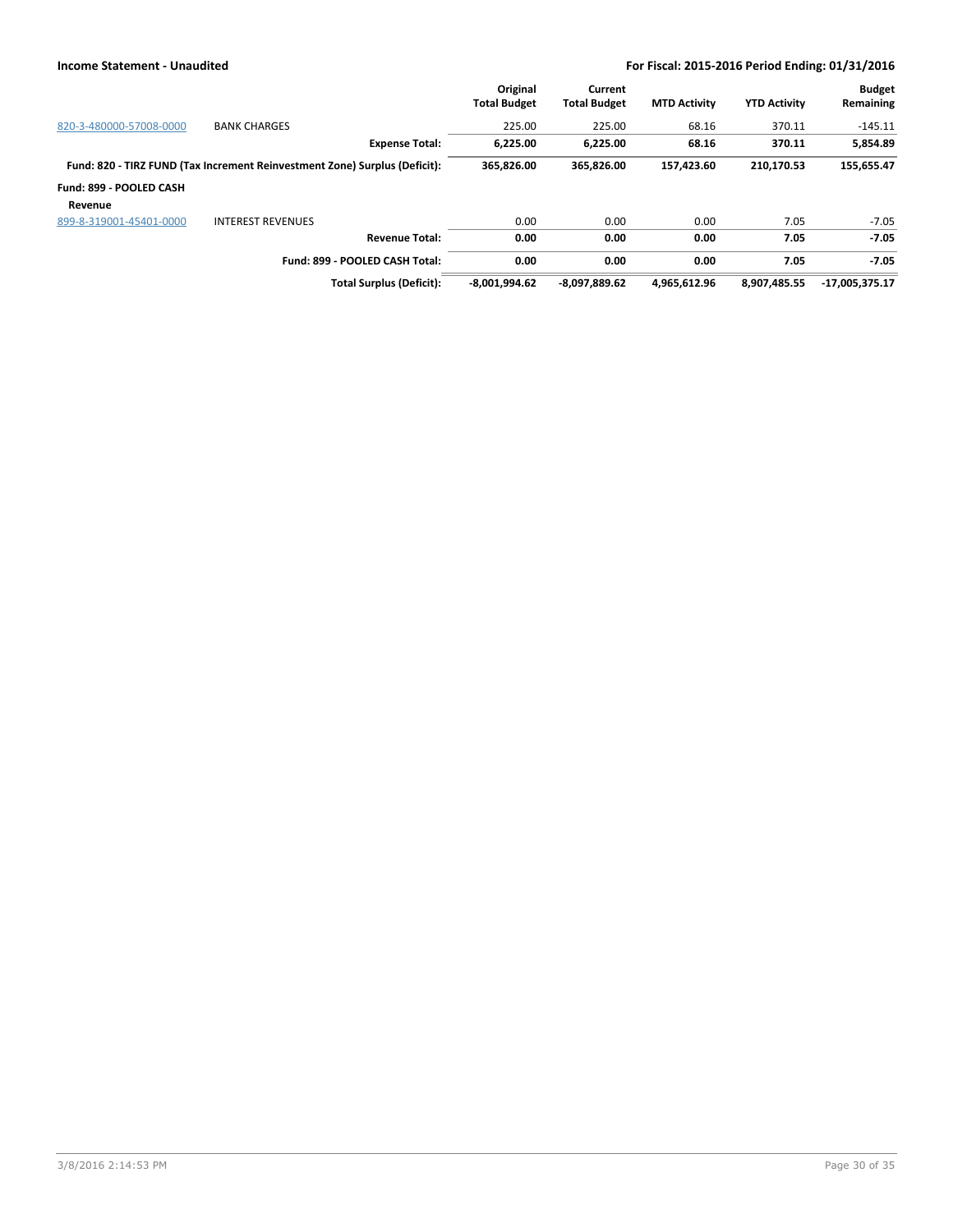|                         |                                                                            | Original<br><b>Total Budget</b> | Current<br><b>Total Budget</b> | <b>MTD Activity</b> | <b>YTD Activity</b> | <b>Budget</b><br>Remaining |
|-------------------------|----------------------------------------------------------------------------|---------------------------------|--------------------------------|---------------------|---------------------|----------------------------|
| 820-3-480000-57008-0000 | <b>BANK CHARGES</b>                                                        | 225.00                          | 225.00                         | 68.16               | 370.11              | $-145.11$                  |
|                         | <b>Expense Total:</b>                                                      | 6,225.00                        | 6,225.00                       | 68.16               | 370.11              | 5,854.89                   |
|                         | Fund: 820 - TIRZ FUND (Tax Increment Reinvestment Zone) Surplus (Deficit): | 365,826.00                      | 365,826.00                     | 157,423.60          | 210,170.53          | 155,655.47                 |
| Fund: 899 - POOLED CASH |                                                                            |                                 |                                |                     |                     |                            |
| Revenue                 |                                                                            |                                 |                                |                     |                     |                            |
| 899-8-319001-45401-0000 | <b>INTEREST REVENUES</b>                                                   | 0.00                            | 0.00                           | 0.00                | 7.05                | $-7.05$                    |
|                         | <b>Revenue Total:</b>                                                      | 0.00                            | 0.00                           | 0.00                | 7.05                | $-7.05$                    |
|                         | Fund: 899 - POOLED CASH Total:                                             | 0.00                            | 0.00                           | 0.00                | 7.05                | $-7.05$                    |
|                         | <b>Total Surplus (Deficit):</b>                                            | $-8,001,994.62$                 | -8,097,889.62                  | 4,965,612.96        | 8.907.485.55        | $-17,005,375.17$           |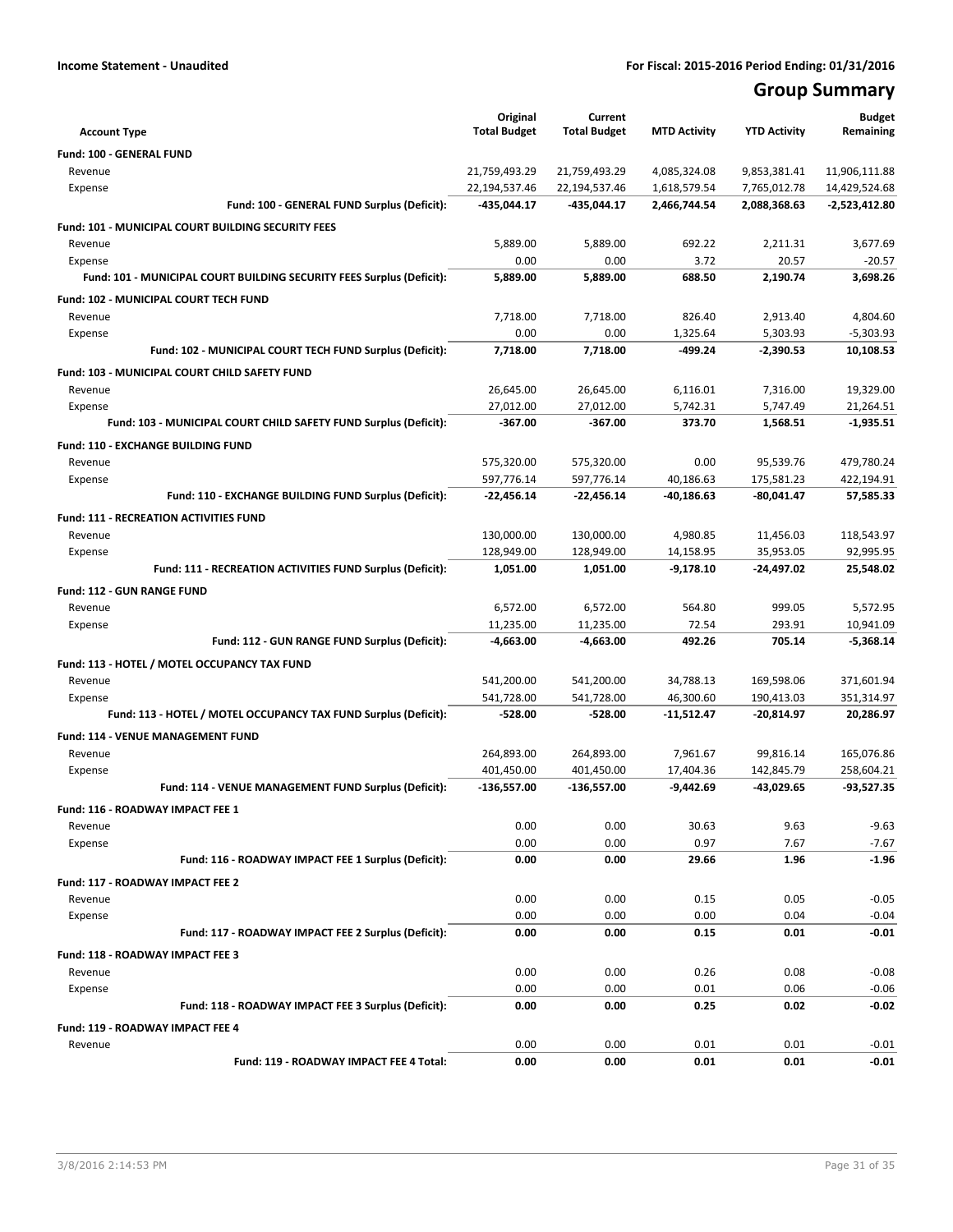# **Group Summary**

| <b>Account Type</b>                                                   | Original<br><b>Total Budget</b> | Current<br><b>Total Budget</b> | <b>MTD Activity</b> | <b>YTD Activity</b> | <b>Budget</b><br>Remaining |
|-----------------------------------------------------------------------|---------------------------------|--------------------------------|---------------------|---------------------|----------------------------|
| Fund: 100 - GENERAL FUND                                              |                                 |                                |                     |                     |                            |
| Revenue                                                               | 21,759,493.29                   | 21,759,493.29                  | 4,085,324.08        | 9,853,381.41        | 11,906,111.88              |
| Expense                                                               | 22,194,537.46                   | 22,194,537.46                  | 1,618,579.54        | 7,765,012.78        | 14,429,524.68              |
| Fund: 100 - GENERAL FUND Surplus (Deficit):                           | -435,044.17                     | -435,044.17                    | 2,466,744.54        | 2,088,368.63        | $-2,523,412.80$            |
| <b>Fund: 101 - MUNICIPAL COURT BUILDING SECURITY FEES</b>             |                                 |                                |                     |                     |                            |
| Revenue                                                               | 5,889.00                        | 5,889.00                       | 692.22              | 2,211.31            | 3,677.69                   |
| Expense                                                               | 0.00                            | 0.00                           | 3.72                | 20.57               | $-20.57$                   |
| Fund: 101 - MUNICIPAL COURT BUILDING SECURITY FEES Surplus (Deficit): | 5,889.00                        | 5,889.00                       | 688.50              | 2,190.74            | 3,698.26                   |
| Fund: 102 - MUNICIPAL COURT TECH FUND                                 |                                 |                                |                     |                     |                            |
| Revenue                                                               | 7,718.00                        | 7,718.00                       | 826.40              | 2,913.40            | 4,804.60                   |
| Expense                                                               | 0.00                            | 0.00                           | 1,325.64            | 5,303.93            | $-5,303.93$                |
| Fund: 102 - MUNICIPAL COURT TECH FUND Surplus (Deficit):              | 7,718.00                        | 7,718.00                       | $-499.24$           | $-2,390.53$         | 10,108.53                  |
| Fund: 103 - MUNICIPAL COURT CHILD SAFETY FUND                         |                                 |                                |                     |                     |                            |
| Revenue                                                               | 26,645.00                       | 26,645.00                      | 6,116.01            | 7,316.00            | 19,329.00                  |
| Expense                                                               | 27,012.00                       | 27,012.00                      | 5,742.31            | 5,747.49            | 21,264.51                  |
| Fund: 103 - MUNICIPAL COURT CHILD SAFETY FUND Surplus (Deficit):      | $-367.00$                       | $-367.00$                      | 373.70              | 1,568.51            | $-1.935.51$                |
| Fund: 110 - EXCHANGE BUILDING FUND                                    |                                 |                                |                     |                     |                            |
| Revenue                                                               | 575,320.00                      | 575,320.00                     | 0.00                | 95,539.76           | 479,780.24                 |
| Expense                                                               | 597,776.14                      | 597,776.14                     | 40,186.63           | 175,581.23          | 422,194.91                 |
| Fund: 110 - EXCHANGE BUILDING FUND Surplus (Deficit):                 | -22,456.14                      | -22,456.14                     | -40,186.63          | $-80,041.47$        | 57,585.33                  |
| <b>Fund: 111 - RECREATION ACTIVITIES FUND</b>                         |                                 |                                |                     |                     |                            |
| Revenue                                                               | 130,000.00                      | 130,000.00                     | 4,980.85            | 11,456.03           | 118,543.97                 |
| Expense                                                               | 128,949.00                      | 128,949.00                     | 14,158.95           | 35,953.05           | 92,995.95                  |
| Fund: 111 - RECREATION ACTIVITIES FUND Surplus (Deficit):             | 1,051.00                        | 1,051.00                       | $-9,178.10$         | -24,497.02          | 25,548.02                  |
| <b>Fund: 112 - GUN RANGE FUND</b>                                     |                                 |                                |                     |                     |                            |
| Revenue                                                               | 6,572.00                        | 6,572.00                       | 564.80              | 999.05              | 5,572.95                   |
| Expense                                                               | 11,235.00                       | 11,235.00                      | 72.54               | 293.91              | 10,941.09                  |
| Fund: 112 - GUN RANGE FUND Surplus (Deficit):                         | -4,663.00                       | -4,663.00                      | 492.26              | 705.14              | $-5,368.14$                |
| Fund: 113 - HOTEL / MOTEL OCCUPANCY TAX FUND                          |                                 |                                |                     |                     |                            |
| Revenue                                                               | 541,200.00                      | 541,200.00                     | 34,788.13           | 169,598.06          | 371,601.94                 |
| Expense                                                               | 541,728.00                      | 541,728.00                     | 46,300.60           | 190,413.03          | 351,314.97                 |
| Fund: 113 - HOTEL / MOTEL OCCUPANCY TAX FUND Surplus (Deficit):       | $-528.00$                       | $-528.00$                      | $-11,512.47$        | $-20,814.97$        | 20,286.97                  |
| <b>Fund: 114 - VENUE MANAGEMENT FUND</b>                              |                                 |                                |                     |                     |                            |
| Revenue                                                               | 264,893.00                      | 264,893.00                     | 7,961.67            | 99,816.14           | 165,076.86                 |
| Expense                                                               | 401,450.00                      | 401,450.00                     | 17,404.36           | 142,845.79          | 258,604.21                 |
| Fund: 114 - VENUE MANAGEMENT FUND Surplus (Deficit):                  | -136,557.00                     | -136,557.00                    | $-9,442.69$         | -43,029.65          | $-93,527.35$               |
| Fund: 116 - ROADWAY IMPACT FEE 1                                      |                                 |                                |                     |                     |                            |
| Revenue                                                               | 0.00                            | 0.00                           | 30.63               | 9.63                | $-9.63$                    |
| Expense                                                               | 0.00                            | 0.00                           | 0.97                | 7.67                | $-7.67$                    |
| Fund: 116 - ROADWAY IMPACT FEE 1 Surplus (Deficit):                   | 0.00                            | 0.00                           | 29.66               | 1.96                | $-1.96$                    |
| Fund: 117 - ROADWAY IMPACT FEE 2                                      |                                 |                                |                     |                     |                            |
| Revenue                                                               | 0.00                            | 0.00                           | 0.15                | 0.05                | $-0.05$                    |
| Expense                                                               | 0.00                            | 0.00                           | 0.00                | 0.04                | $-0.04$                    |
| Fund: 117 - ROADWAY IMPACT FEE 2 Surplus (Deficit):                   | 0.00                            | 0.00                           | 0.15                | 0.01                | $-0.01$                    |
| Fund: 118 - ROADWAY IMPACT FEE 3                                      |                                 |                                |                     |                     |                            |
| Revenue                                                               | 0.00                            | 0.00                           | 0.26                | 0.08                | $-0.08$                    |
| Expense                                                               | 0.00                            | 0.00                           | 0.01                | 0.06                | $-0.06$                    |
| Fund: 118 - ROADWAY IMPACT FEE 3 Surplus (Deficit):                   | 0.00                            | 0.00                           | 0.25                | 0.02                | -0.02                      |
| <b>Fund: 119 - ROADWAY IMPACT FEE 4</b>                               |                                 |                                |                     |                     |                            |
| Revenue                                                               | 0.00                            | 0.00                           | 0.01                | 0.01                | $-0.01$                    |
| Fund: 119 - ROADWAY IMPACT FEE 4 Total:                               | 0.00                            | 0.00                           | 0.01                | 0.01                | $-0.01$                    |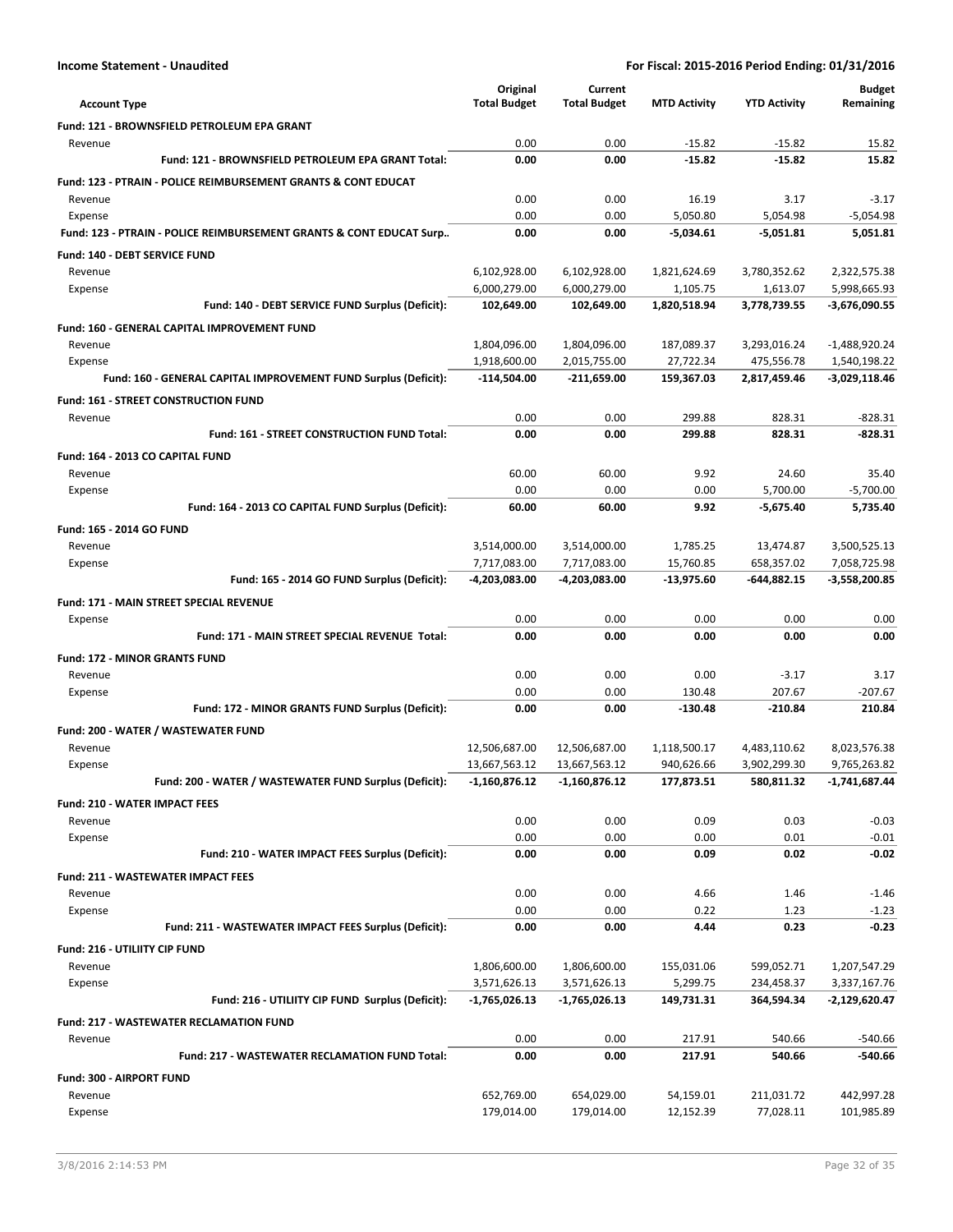|                                                                           | Original                 | Current                  |                        |                         | <b>Budget</b>            |
|---------------------------------------------------------------------------|--------------------------|--------------------------|------------------------|-------------------------|--------------------------|
| <b>Account Type</b>                                                       | <b>Total Budget</b>      | <b>Total Budget</b>      | <b>MTD Activity</b>    | <b>YTD Activity</b>     | Remaining                |
| Fund: 121 - BROWNSFIELD PETROLEUM EPA GRANT                               |                          |                          |                        |                         |                          |
| Revenue<br>Fund: 121 - BROWNSFIELD PETROLEUM EPA GRANT Total:             | 0.00<br>0.00             | 0.00<br>0.00             | $-15.82$<br>$-15.82$   | $-15.82$<br>$-15.82$    | 15.82<br>15.82           |
| <b>Fund: 123 - PTRAIN - POLICE REIMBURSEMENT GRANTS &amp; CONT EDUCAT</b> |                          |                          |                        |                         |                          |
| Revenue                                                                   | 0.00                     | 0.00                     | 16.19                  | 3.17                    | $-3.17$                  |
| Expense                                                                   | 0.00                     | 0.00                     | 5,050.80               | 5,054.98                | $-5,054.98$              |
| Fund: 123 - PTRAIN - POLICE REIMBURSEMENT GRANTS & CONT EDUCAT Surp       | 0.00                     | 0.00                     | $-5,034.61$            | $-5,051.81$             | 5,051.81                 |
| Fund: 140 - DEBT SERVICE FUND                                             |                          |                          |                        |                         |                          |
| Revenue                                                                   | 6,102,928.00             | 6,102,928.00             | 1,821,624.69           | 3,780,352.62            | 2.322.575.38             |
| Expense                                                                   | 6,000,279.00             | 6,000,279.00             | 1,105.75               | 1.613.07                | 5,998,665.93             |
| Fund: 140 - DEBT SERVICE FUND Surplus (Deficit):                          | 102,649.00               | 102,649.00               | 1,820,518.94           | 3,778,739.55            | -3,676,090.55            |
| <b>Fund: 160 - GENERAL CAPITAL IMPROVEMENT FUND</b>                       |                          |                          |                        |                         |                          |
| Revenue                                                                   | 1,804,096.00             | 1,804,096.00             | 187,089.37             | 3,293,016.24            | $-1,488,920.24$          |
| Expense                                                                   | 1,918,600.00             | 2,015,755.00             | 27,722.34              | 475,556.78              | 1,540,198.22             |
| Fund: 160 - GENERAL CAPITAL IMPROVEMENT FUND Surplus (Deficit):           | $-114,504.00$            | $-211,659.00$            | 159,367.03             | 2,817,459.46            | -3,029,118.46            |
| <b>Fund: 161 - STREET CONSTRUCTION FUND</b>                               |                          |                          |                        |                         |                          |
| Revenue                                                                   | 0.00                     | 0.00                     | 299.88                 | 828.31                  | $-828.31$                |
| Fund: 161 - STREET CONSTRUCTION FUND Total:                               | 0.00                     | 0.00                     | 299.88                 | 828.31                  | $-828.31$                |
| Fund: 164 - 2013 CO CAPITAL FUND                                          |                          |                          |                        |                         |                          |
| Revenue                                                                   | 60.00                    | 60.00                    | 9.92                   | 24.60                   | 35.40                    |
| Expense                                                                   | 0.00                     | 0.00                     | 0.00                   | 5,700.00                | $-5,700.00$              |
| Fund: 164 - 2013 CO CAPITAL FUND Surplus (Deficit):                       | 60.00                    | 60.00                    | 9.92                   | $-5,675.40$             | 5,735.40                 |
| Fund: 165 - 2014 GO FUND                                                  |                          |                          |                        |                         |                          |
| Revenue                                                                   | 3,514,000.00             | 3,514,000.00             | 1,785.25               | 13,474.87               | 3,500,525.13             |
| Expense                                                                   | 7,717,083.00             | 7,717,083.00             | 15,760.85              | 658,357.02              | 7,058,725.98             |
| Fund: 165 - 2014 GO FUND Surplus (Deficit):                               | -4,203,083.00            | -4,203,083.00            | $-13,975.60$           | $-644,882.15$           | -3,558,200.85            |
| Fund: 171 - MAIN STREET SPECIAL REVENUE                                   |                          |                          |                        |                         |                          |
| Expense                                                                   | 0.00                     | 0.00                     | 0.00                   | 0.00                    | 0.00                     |
| Fund: 171 - MAIN STREET SPECIAL REVENUE Total:                            | 0.00                     | 0.00                     | 0.00                   | 0.00                    | 0.00                     |
| <b>Fund: 172 - MINOR GRANTS FUND</b>                                      |                          |                          |                        |                         |                          |
| Revenue                                                                   | 0.00                     | 0.00                     | 0.00                   | $-3.17$                 | 3.17                     |
| Expense                                                                   | 0.00                     | 0.00                     | 130.48                 | 207.67                  | $-207.67$                |
| Fund: 172 - MINOR GRANTS FUND Surplus (Deficit):                          | 0.00                     | 0.00                     | $-130.48$              | $-210.84$               | 210.84                   |
| Fund: 200 - WATER / WASTEWATER FUND                                       |                          |                          |                        |                         |                          |
| Revenue                                                                   | 12,506,687.00            | 12,506,687.00            | 1,118,500.17           | 4,483,110.62            | 8,023,576.38             |
| Expense                                                                   | 13,667,563.12            | 13,667,563.12            | 940,626.66             | 3,902,299.30            | 9,765,263.82             |
| Fund: 200 - WATER / WASTEWATER FUND Surplus (Deficit):                    | $-1,160,876.12$          | -1,160,876.12            | 177,873.51             | 580,811.32              | -1,741,687.44            |
| <b>Fund: 210 - WATER IMPACT FEES</b>                                      |                          |                          |                        |                         |                          |
| Revenue                                                                   | 0.00                     | 0.00                     | 0.09                   | 0.03                    | $-0.03$                  |
| Expense                                                                   | 0.00                     | 0.00                     | 0.00                   | 0.01                    | $-0.01$                  |
| Fund: 210 - WATER IMPACT FEES Surplus (Deficit):                          | 0.00                     | 0.00                     | 0.09                   | 0.02                    | $-0.02$                  |
| <b>Fund: 211 - WASTEWATER IMPACT FEES</b>                                 |                          |                          |                        |                         |                          |
| Revenue                                                                   | 0.00                     | 0.00                     | 4.66                   | 1.46                    | $-1.46$                  |
| Expense                                                                   | 0.00                     | 0.00                     | 0.22                   | 1.23                    | $-1.23$                  |
| Fund: 211 - WASTEWATER IMPACT FEES Surplus (Deficit):                     | 0.00                     | 0.00                     | 4.44                   | 0.23                    | $-0.23$                  |
| Fund: 216 - UTILIITY CIP FUND                                             |                          |                          |                        |                         |                          |
| Revenue                                                                   | 1,806,600.00             | 1,806,600.00             | 155,031.06             | 599,052.71              | 1,207,547.29             |
| Expense                                                                   | 3,571,626.13             | 3,571,626.13             | 5,299.75               | 234,458.37              | 3,337,167.76             |
| Fund: 216 - UTILIITY CIP FUND Surplus (Deficit):                          | -1,765,026.13            | -1,765,026.13            | 149,731.31             | 364,594.34              | -2,129,620.47            |
| <b>Fund: 217 - WASTEWATER RECLAMATION FUND</b>                            |                          |                          |                        |                         |                          |
| Revenue                                                                   | 0.00                     | 0.00                     | 217.91                 | 540.66                  | $-540.66$                |
| Fund: 217 - WASTEWATER RECLAMATION FUND Total:                            | 0.00                     | 0.00                     | 217.91                 | 540.66                  | $-540.66$                |
| Fund: 300 - AIRPORT FUND                                                  |                          |                          |                        |                         |                          |
|                                                                           |                          |                          |                        |                         |                          |
| Revenue<br>Expense                                                        | 652,769.00<br>179,014.00 | 654,029.00<br>179,014.00 | 54,159.01<br>12,152.39 | 211,031.72<br>77,028.11 | 442,997.28<br>101,985.89 |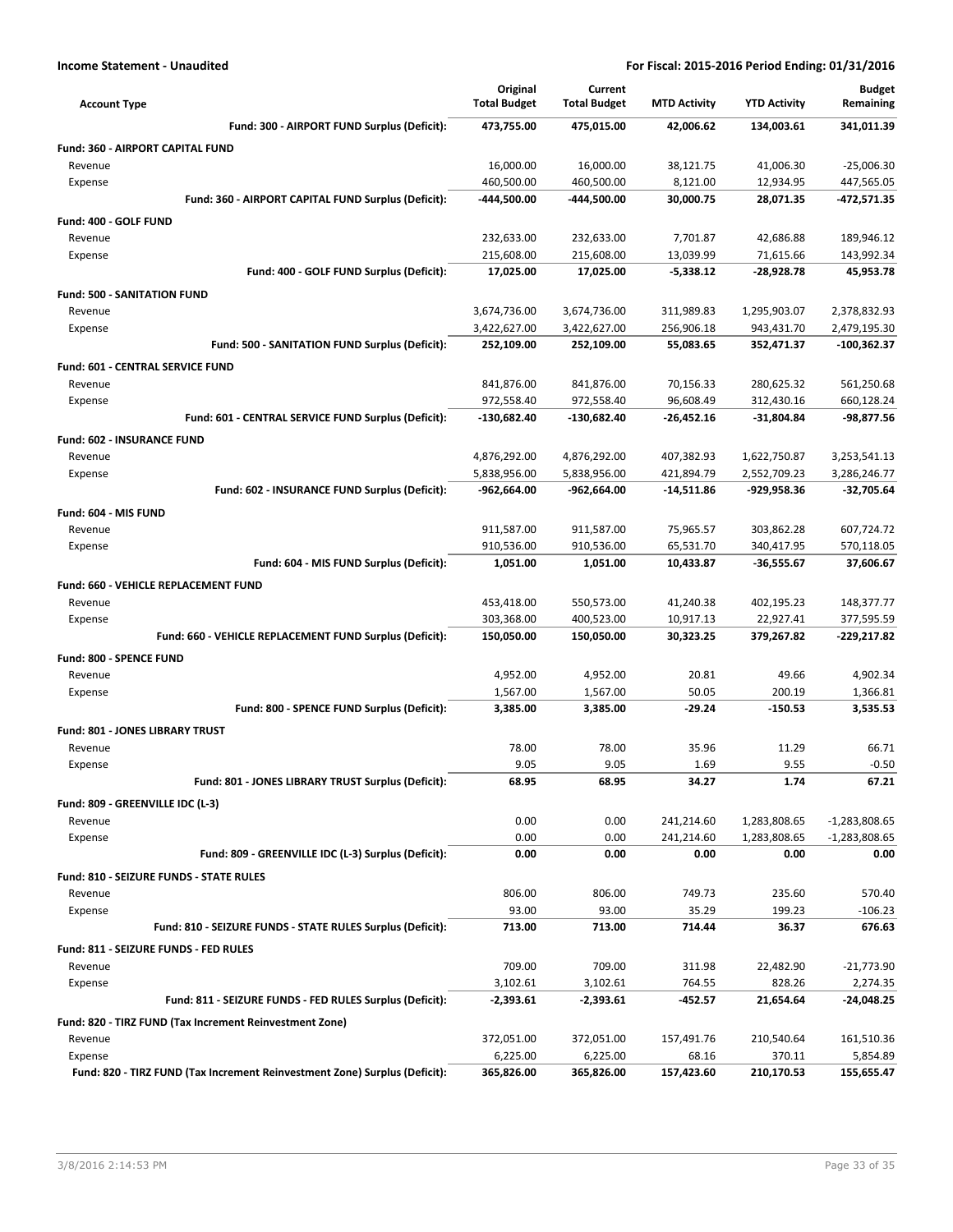| Fund: 300 - AIRPORT FUND Surplus (Deficit):<br>473,755.00<br>475,015.00<br>42,006.62<br>134,003.61<br>341,011.39<br>Fund: 360 - AIRPORT CAPITAL FUND<br>Revenue<br>16,000.00<br>16,000.00<br>38,121.75<br>41,006.30<br>$-25,006.30$<br>460,500.00<br>460,500.00<br>8,121.00<br>12,934.95<br>447,565.05<br>Expense<br>Fund: 360 - AIRPORT CAPITAL FUND Surplus (Deficit):<br>-444,500.00<br>-444,500.00<br>30,000.75<br>28,071.35<br>-472,571.35<br>Fund: 400 - GOLF FUND<br>232,633.00<br>232,633.00<br>7,701.87<br>42,686.88<br>189,946.12<br>Revenue<br>215,608.00<br>215,608.00<br>13,039.99<br>71,615.66<br>143,992.34<br>Expense<br>Fund: 400 - GOLF FUND Surplus (Deficit):<br>17,025.00<br>17,025.00<br>$-5,338.12$<br>-28,928.78<br>45,953.78<br><b>Fund: 500 - SANITATION FUND</b><br>3,674,736.00<br>3,674,736.00<br>311,989.83<br>1,295,903.07<br>2,378,832.93<br>Revenue<br>3,422,627.00<br>3,422,627.00<br>256,906.18<br>943,431.70<br>2,479,195.30<br>Expense<br>Fund: 500 - SANITATION FUND Surplus (Deficit):<br>252,109.00<br>252,109.00<br>55,083.65<br>352,471.37<br>$-100,362.37$<br><b>Fund: 601 - CENTRAL SERVICE FUND</b><br>841,876.00<br>841,876.00<br>70,156.33<br>280,625.32<br>561,250.68<br>Revenue<br>96,608.49<br>972,558.40<br>972,558.40<br>312,430.16<br>660,128.24<br>Expense<br>Fund: 601 - CENTRAL SERVICE FUND Surplus (Deficit):<br>$-130,682.40$<br>$-130,682.40$<br>$-26,452.16$<br>-31,804.84<br>-98,877.56<br><b>Fund: 602 - INSURANCE FUND</b><br>4,876,292.00<br>4,876,292.00<br>407,382.93<br>1,622,750.87<br>3,253,541.13<br>Revenue<br>5,838,956.00<br>5,838,956.00<br>421,894.79<br>2,552,709.23<br>3,286,246.77<br>Expense<br>Fund: 602 - INSURANCE FUND Surplus (Deficit):<br>-962,664.00<br>-962,664.00<br>$-14,511.86$<br>-929,958.36<br>$-32,705.64$<br>Fund: 604 - MIS FUND<br>Revenue<br>911,587.00<br>911,587.00<br>75,965.57<br>303,862.28<br>607,724.72<br>910,536.00<br>910,536.00<br>65,531.70<br>340,417.95<br>570,118.05<br>Expense<br>Fund: 604 - MIS FUND Surplus (Deficit):<br>1,051.00<br>1,051.00<br>10,433.87<br>-36,555.67<br>37,606.67<br>Fund: 660 - VEHICLE REPLACEMENT FUND<br>453,418.00<br>550,573.00<br>41,240.38<br>402,195.23<br>148,377.77<br>Revenue<br>303,368.00<br>400,523.00<br>10,917.13<br>22,927.41<br>377,595.59<br>Expense<br>Fund: 660 - VEHICLE REPLACEMENT FUND Surplus (Deficit):<br>150,050.00<br>150,050.00<br>30,323.25<br>379,267.82<br>-229,217.82<br>Fund: 800 - SPENCE FUND<br>4,952.00<br>4,952.00<br>20.81<br>49.66<br>4,902.34<br>Revenue<br>50.05<br>200.19<br>1,366.81<br>Expense<br>1,567.00<br>1,567.00<br>Fund: 800 - SPENCE FUND Surplus (Deficit):<br>3,385.00<br>3,385.00<br>$-29.24$<br>$-150.53$<br>3,535.53<br><b>Fund: 801 - JONES LIBRARY TRUST</b><br>78.00<br>78.00<br>35.96<br>11.29<br>66.71<br>Revenue<br>$-0.50$<br>9.05<br>9.05<br>1.69<br>9.55<br>Expense<br>68.95<br>68.95<br>34.27<br>1.74<br>67.21<br>Fund: 801 - JONES LIBRARY TRUST Surplus (Deficit):<br>Fund: 809 - GREENVILLE IDC (L-3)<br>0.00<br>0.00<br>241,214.60<br>1,283,808.65<br>$-1,283,808.65$<br>Revenue<br>0.00<br>0.00<br>241,214.60<br>1,283,808.65<br>$-1,283,808.65$<br>Expense<br>Fund: 809 - GREENVILLE IDC (L-3) Surplus (Deficit):<br>0.00<br>0.00<br>0.00<br>0.00<br>0.00<br>Fund: 810 - SEIZURE FUNDS - STATE RULES<br>806.00<br>806.00<br>749.73<br>235.60<br>570.40<br>Revenue<br>93.00<br>93.00<br>35.29<br>199.23<br>$-106.23$<br>Expense<br>Fund: 810 - SEIZURE FUNDS - STATE RULES Surplus (Deficit):<br>713.00<br>713.00<br>714.44<br>36.37<br>676.63<br>Fund: 811 - SEIZURE FUNDS - FED RULES<br>709.00<br>709.00<br>311.98<br>22,482.90<br>$-21,773.90$<br>Revenue<br>3,102.61<br>3,102.61<br>764.55<br>828.26<br>Expense<br>2,274.35<br>Fund: 811 - SEIZURE FUNDS - FED RULES Surplus (Deficit):<br>-452.57<br>21,654.64<br>-2,393.61<br>-2,393.61<br>-24,048.25<br>Fund: 820 - TIRZ FUND (Tax Increment Reinvestment Zone) | <b>Account Type</b> | Original<br><b>Total Budget</b> | Current<br><b>Total Budget</b> | <b>MTD Activity</b> | <b>YTD Activity</b> | <b>Budget</b><br>Remaining |
|--------------------------------------------------------------------------------------------------------------------------------------------------------------------------------------------------------------------------------------------------------------------------------------------------------------------------------------------------------------------------------------------------------------------------------------------------------------------------------------------------------------------------------------------------------------------------------------------------------------------------------------------------------------------------------------------------------------------------------------------------------------------------------------------------------------------------------------------------------------------------------------------------------------------------------------------------------------------------------------------------------------------------------------------------------------------------------------------------------------------------------------------------------------------------------------------------------------------------------------------------------------------------------------------------------------------------------------------------------------------------------------------------------------------------------------------------------------------------------------------------------------------------------------------------------------------------------------------------------------------------------------------------------------------------------------------------------------------------------------------------------------------------------------------------------------------------------------------------------------------------------------------------------------------------------------------------------------------------------------------------------------------------------------------------------------------------------------------------------------------------------------------------------------------------------------------------------------------------------------------------------------------------------------------------------------------------------------------------------------------------------------------------------------------------------------------------------------------------------------------------------------------------------------------------------------------------------------------------------------------------------------------------------------------------------------------------------------------------------------------------------------------------------------------------------------------------------------------------------------------------------------------------------------------------------------------------------------------------------------------------------------------------------------------------------------------------------------------------------------------------------------------------------------------------------------------------------------------------------------------------------------------------------------------------------------------------------------------------------------------------------------------------------------------------------------------------------------------------------------------------------------------------------------------------------------------------------------------------------------------------------------------------------------------------------------------------------------------------------------------------------------------------------------------------------------------------------------------------------------------------------------------------------------------------------------------------|---------------------|---------------------------------|--------------------------------|---------------------|---------------------|----------------------------|
|                                                                                                                                                                                                                                                                                                                                                                                                                                                                                                                                                                                                                                                                                                                                                                                                                                                                                                                                                                                                                                                                                                                                                                                                                                                                                                                                                                                                                                                                                                                                                                                                                                                                                                                                                                                                                                                                                                                                                                                                                                                                                                                                                                                                                                                                                                                                                                                                                                                                                                                                                                                                                                                                                                                                                                                                                                                                                                                                                                                                                                                                                                                                                                                                                                                                                                                                                                                                                                                                                                                                                                                                                                                                                                                                                                                                                                                                                                                                                  |                     |                                 |                                |                     |                     |                            |
|                                                                                                                                                                                                                                                                                                                                                                                                                                                                                                                                                                                                                                                                                                                                                                                                                                                                                                                                                                                                                                                                                                                                                                                                                                                                                                                                                                                                                                                                                                                                                                                                                                                                                                                                                                                                                                                                                                                                                                                                                                                                                                                                                                                                                                                                                                                                                                                                                                                                                                                                                                                                                                                                                                                                                                                                                                                                                                                                                                                                                                                                                                                                                                                                                                                                                                                                                                                                                                                                                                                                                                                                                                                                                                                                                                                                                                                                                                                                                  |                     |                                 |                                |                     |                     |                            |
|                                                                                                                                                                                                                                                                                                                                                                                                                                                                                                                                                                                                                                                                                                                                                                                                                                                                                                                                                                                                                                                                                                                                                                                                                                                                                                                                                                                                                                                                                                                                                                                                                                                                                                                                                                                                                                                                                                                                                                                                                                                                                                                                                                                                                                                                                                                                                                                                                                                                                                                                                                                                                                                                                                                                                                                                                                                                                                                                                                                                                                                                                                                                                                                                                                                                                                                                                                                                                                                                                                                                                                                                                                                                                                                                                                                                                                                                                                                                                  |                     |                                 |                                |                     |                     |                            |
|                                                                                                                                                                                                                                                                                                                                                                                                                                                                                                                                                                                                                                                                                                                                                                                                                                                                                                                                                                                                                                                                                                                                                                                                                                                                                                                                                                                                                                                                                                                                                                                                                                                                                                                                                                                                                                                                                                                                                                                                                                                                                                                                                                                                                                                                                                                                                                                                                                                                                                                                                                                                                                                                                                                                                                                                                                                                                                                                                                                                                                                                                                                                                                                                                                                                                                                                                                                                                                                                                                                                                                                                                                                                                                                                                                                                                                                                                                                                                  |                     |                                 |                                |                     |                     |                            |
|                                                                                                                                                                                                                                                                                                                                                                                                                                                                                                                                                                                                                                                                                                                                                                                                                                                                                                                                                                                                                                                                                                                                                                                                                                                                                                                                                                                                                                                                                                                                                                                                                                                                                                                                                                                                                                                                                                                                                                                                                                                                                                                                                                                                                                                                                                                                                                                                                                                                                                                                                                                                                                                                                                                                                                                                                                                                                                                                                                                                                                                                                                                                                                                                                                                                                                                                                                                                                                                                                                                                                                                                                                                                                                                                                                                                                                                                                                                                                  |                     |                                 |                                |                     |                     |                            |
|                                                                                                                                                                                                                                                                                                                                                                                                                                                                                                                                                                                                                                                                                                                                                                                                                                                                                                                                                                                                                                                                                                                                                                                                                                                                                                                                                                                                                                                                                                                                                                                                                                                                                                                                                                                                                                                                                                                                                                                                                                                                                                                                                                                                                                                                                                                                                                                                                                                                                                                                                                                                                                                                                                                                                                                                                                                                                                                                                                                                                                                                                                                                                                                                                                                                                                                                                                                                                                                                                                                                                                                                                                                                                                                                                                                                                                                                                                                                                  |                     |                                 |                                |                     |                     |                            |
|                                                                                                                                                                                                                                                                                                                                                                                                                                                                                                                                                                                                                                                                                                                                                                                                                                                                                                                                                                                                                                                                                                                                                                                                                                                                                                                                                                                                                                                                                                                                                                                                                                                                                                                                                                                                                                                                                                                                                                                                                                                                                                                                                                                                                                                                                                                                                                                                                                                                                                                                                                                                                                                                                                                                                                                                                                                                                                                                                                                                                                                                                                                                                                                                                                                                                                                                                                                                                                                                                                                                                                                                                                                                                                                                                                                                                                                                                                                                                  |                     |                                 |                                |                     |                     |                            |
|                                                                                                                                                                                                                                                                                                                                                                                                                                                                                                                                                                                                                                                                                                                                                                                                                                                                                                                                                                                                                                                                                                                                                                                                                                                                                                                                                                                                                                                                                                                                                                                                                                                                                                                                                                                                                                                                                                                                                                                                                                                                                                                                                                                                                                                                                                                                                                                                                                                                                                                                                                                                                                                                                                                                                                                                                                                                                                                                                                                                                                                                                                                                                                                                                                                                                                                                                                                                                                                                                                                                                                                                                                                                                                                                                                                                                                                                                                                                                  |                     |                                 |                                |                     |                     |                            |
|                                                                                                                                                                                                                                                                                                                                                                                                                                                                                                                                                                                                                                                                                                                                                                                                                                                                                                                                                                                                                                                                                                                                                                                                                                                                                                                                                                                                                                                                                                                                                                                                                                                                                                                                                                                                                                                                                                                                                                                                                                                                                                                                                                                                                                                                                                                                                                                                                                                                                                                                                                                                                                                                                                                                                                                                                                                                                                                                                                                                                                                                                                                                                                                                                                                                                                                                                                                                                                                                                                                                                                                                                                                                                                                                                                                                                                                                                                                                                  |                     |                                 |                                |                     |                     |                            |
|                                                                                                                                                                                                                                                                                                                                                                                                                                                                                                                                                                                                                                                                                                                                                                                                                                                                                                                                                                                                                                                                                                                                                                                                                                                                                                                                                                                                                                                                                                                                                                                                                                                                                                                                                                                                                                                                                                                                                                                                                                                                                                                                                                                                                                                                                                                                                                                                                                                                                                                                                                                                                                                                                                                                                                                                                                                                                                                                                                                                                                                                                                                                                                                                                                                                                                                                                                                                                                                                                                                                                                                                                                                                                                                                                                                                                                                                                                                                                  |                     |                                 |                                |                     |                     |                            |
|                                                                                                                                                                                                                                                                                                                                                                                                                                                                                                                                                                                                                                                                                                                                                                                                                                                                                                                                                                                                                                                                                                                                                                                                                                                                                                                                                                                                                                                                                                                                                                                                                                                                                                                                                                                                                                                                                                                                                                                                                                                                                                                                                                                                                                                                                                                                                                                                                                                                                                                                                                                                                                                                                                                                                                                                                                                                                                                                                                                                                                                                                                                                                                                                                                                                                                                                                                                                                                                                                                                                                                                                                                                                                                                                                                                                                                                                                                                                                  |                     |                                 |                                |                     |                     |                            |
|                                                                                                                                                                                                                                                                                                                                                                                                                                                                                                                                                                                                                                                                                                                                                                                                                                                                                                                                                                                                                                                                                                                                                                                                                                                                                                                                                                                                                                                                                                                                                                                                                                                                                                                                                                                                                                                                                                                                                                                                                                                                                                                                                                                                                                                                                                                                                                                                                                                                                                                                                                                                                                                                                                                                                                                                                                                                                                                                                                                                                                                                                                                                                                                                                                                                                                                                                                                                                                                                                                                                                                                                                                                                                                                                                                                                                                                                                                                                                  |                     |                                 |                                |                     |                     |                            |
|                                                                                                                                                                                                                                                                                                                                                                                                                                                                                                                                                                                                                                                                                                                                                                                                                                                                                                                                                                                                                                                                                                                                                                                                                                                                                                                                                                                                                                                                                                                                                                                                                                                                                                                                                                                                                                                                                                                                                                                                                                                                                                                                                                                                                                                                                                                                                                                                                                                                                                                                                                                                                                                                                                                                                                                                                                                                                                                                                                                                                                                                                                                                                                                                                                                                                                                                                                                                                                                                                                                                                                                                                                                                                                                                                                                                                                                                                                                                                  |                     |                                 |                                |                     |                     |                            |
|                                                                                                                                                                                                                                                                                                                                                                                                                                                                                                                                                                                                                                                                                                                                                                                                                                                                                                                                                                                                                                                                                                                                                                                                                                                                                                                                                                                                                                                                                                                                                                                                                                                                                                                                                                                                                                                                                                                                                                                                                                                                                                                                                                                                                                                                                                                                                                                                                                                                                                                                                                                                                                                                                                                                                                                                                                                                                                                                                                                                                                                                                                                                                                                                                                                                                                                                                                                                                                                                                                                                                                                                                                                                                                                                                                                                                                                                                                                                                  |                     |                                 |                                |                     |                     |                            |
|                                                                                                                                                                                                                                                                                                                                                                                                                                                                                                                                                                                                                                                                                                                                                                                                                                                                                                                                                                                                                                                                                                                                                                                                                                                                                                                                                                                                                                                                                                                                                                                                                                                                                                                                                                                                                                                                                                                                                                                                                                                                                                                                                                                                                                                                                                                                                                                                                                                                                                                                                                                                                                                                                                                                                                                                                                                                                                                                                                                                                                                                                                                                                                                                                                                                                                                                                                                                                                                                                                                                                                                                                                                                                                                                                                                                                                                                                                                                                  |                     |                                 |                                |                     |                     |                            |
|                                                                                                                                                                                                                                                                                                                                                                                                                                                                                                                                                                                                                                                                                                                                                                                                                                                                                                                                                                                                                                                                                                                                                                                                                                                                                                                                                                                                                                                                                                                                                                                                                                                                                                                                                                                                                                                                                                                                                                                                                                                                                                                                                                                                                                                                                                                                                                                                                                                                                                                                                                                                                                                                                                                                                                                                                                                                                                                                                                                                                                                                                                                                                                                                                                                                                                                                                                                                                                                                                                                                                                                                                                                                                                                                                                                                                                                                                                                                                  |                     |                                 |                                |                     |                     |                            |
|                                                                                                                                                                                                                                                                                                                                                                                                                                                                                                                                                                                                                                                                                                                                                                                                                                                                                                                                                                                                                                                                                                                                                                                                                                                                                                                                                                                                                                                                                                                                                                                                                                                                                                                                                                                                                                                                                                                                                                                                                                                                                                                                                                                                                                                                                                                                                                                                                                                                                                                                                                                                                                                                                                                                                                                                                                                                                                                                                                                                                                                                                                                                                                                                                                                                                                                                                                                                                                                                                                                                                                                                                                                                                                                                                                                                                                                                                                                                                  |                     |                                 |                                |                     |                     |                            |
|                                                                                                                                                                                                                                                                                                                                                                                                                                                                                                                                                                                                                                                                                                                                                                                                                                                                                                                                                                                                                                                                                                                                                                                                                                                                                                                                                                                                                                                                                                                                                                                                                                                                                                                                                                                                                                                                                                                                                                                                                                                                                                                                                                                                                                                                                                                                                                                                                                                                                                                                                                                                                                                                                                                                                                                                                                                                                                                                                                                                                                                                                                                                                                                                                                                                                                                                                                                                                                                                                                                                                                                                                                                                                                                                                                                                                                                                                                                                                  |                     |                                 |                                |                     |                     |                            |
|                                                                                                                                                                                                                                                                                                                                                                                                                                                                                                                                                                                                                                                                                                                                                                                                                                                                                                                                                                                                                                                                                                                                                                                                                                                                                                                                                                                                                                                                                                                                                                                                                                                                                                                                                                                                                                                                                                                                                                                                                                                                                                                                                                                                                                                                                                                                                                                                                                                                                                                                                                                                                                                                                                                                                                                                                                                                                                                                                                                                                                                                                                                                                                                                                                                                                                                                                                                                                                                                                                                                                                                                                                                                                                                                                                                                                                                                                                                                                  |                     |                                 |                                |                     |                     |                            |
|                                                                                                                                                                                                                                                                                                                                                                                                                                                                                                                                                                                                                                                                                                                                                                                                                                                                                                                                                                                                                                                                                                                                                                                                                                                                                                                                                                                                                                                                                                                                                                                                                                                                                                                                                                                                                                                                                                                                                                                                                                                                                                                                                                                                                                                                                                                                                                                                                                                                                                                                                                                                                                                                                                                                                                                                                                                                                                                                                                                                                                                                                                                                                                                                                                                                                                                                                                                                                                                                                                                                                                                                                                                                                                                                                                                                                                                                                                                                                  |                     |                                 |                                |                     |                     |                            |
|                                                                                                                                                                                                                                                                                                                                                                                                                                                                                                                                                                                                                                                                                                                                                                                                                                                                                                                                                                                                                                                                                                                                                                                                                                                                                                                                                                                                                                                                                                                                                                                                                                                                                                                                                                                                                                                                                                                                                                                                                                                                                                                                                                                                                                                                                                                                                                                                                                                                                                                                                                                                                                                                                                                                                                                                                                                                                                                                                                                                                                                                                                                                                                                                                                                                                                                                                                                                                                                                                                                                                                                                                                                                                                                                                                                                                                                                                                                                                  |                     |                                 |                                |                     |                     |                            |
|                                                                                                                                                                                                                                                                                                                                                                                                                                                                                                                                                                                                                                                                                                                                                                                                                                                                                                                                                                                                                                                                                                                                                                                                                                                                                                                                                                                                                                                                                                                                                                                                                                                                                                                                                                                                                                                                                                                                                                                                                                                                                                                                                                                                                                                                                                                                                                                                                                                                                                                                                                                                                                                                                                                                                                                                                                                                                                                                                                                                                                                                                                                                                                                                                                                                                                                                                                                                                                                                                                                                                                                                                                                                                                                                                                                                                                                                                                                                                  |                     |                                 |                                |                     |                     |                            |
|                                                                                                                                                                                                                                                                                                                                                                                                                                                                                                                                                                                                                                                                                                                                                                                                                                                                                                                                                                                                                                                                                                                                                                                                                                                                                                                                                                                                                                                                                                                                                                                                                                                                                                                                                                                                                                                                                                                                                                                                                                                                                                                                                                                                                                                                                                                                                                                                                                                                                                                                                                                                                                                                                                                                                                                                                                                                                                                                                                                                                                                                                                                                                                                                                                                                                                                                                                                                                                                                                                                                                                                                                                                                                                                                                                                                                                                                                                                                                  |                     |                                 |                                |                     |                     |                            |
|                                                                                                                                                                                                                                                                                                                                                                                                                                                                                                                                                                                                                                                                                                                                                                                                                                                                                                                                                                                                                                                                                                                                                                                                                                                                                                                                                                                                                                                                                                                                                                                                                                                                                                                                                                                                                                                                                                                                                                                                                                                                                                                                                                                                                                                                                                                                                                                                                                                                                                                                                                                                                                                                                                                                                                                                                                                                                                                                                                                                                                                                                                                                                                                                                                                                                                                                                                                                                                                                                                                                                                                                                                                                                                                                                                                                                                                                                                                                                  |                     |                                 |                                |                     |                     |                            |
|                                                                                                                                                                                                                                                                                                                                                                                                                                                                                                                                                                                                                                                                                                                                                                                                                                                                                                                                                                                                                                                                                                                                                                                                                                                                                                                                                                                                                                                                                                                                                                                                                                                                                                                                                                                                                                                                                                                                                                                                                                                                                                                                                                                                                                                                                                                                                                                                                                                                                                                                                                                                                                                                                                                                                                                                                                                                                                                                                                                                                                                                                                                                                                                                                                                                                                                                                                                                                                                                                                                                                                                                                                                                                                                                                                                                                                                                                                                                                  |                     |                                 |                                |                     |                     |                            |
|                                                                                                                                                                                                                                                                                                                                                                                                                                                                                                                                                                                                                                                                                                                                                                                                                                                                                                                                                                                                                                                                                                                                                                                                                                                                                                                                                                                                                                                                                                                                                                                                                                                                                                                                                                                                                                                                                                                                                                                                                                                                                                                                                                                                                                                                                                                                                                                                                                                                                                                                                                                                                                                                                                                                                                                                                                                                                                                                                                                                                                                                                                                                                                                                                                                                                                                                                                                                                                                                                                                                                                                                                                                                                                                                                                                                                                                                                                                                                  |                     |                                 |                                |                     |                     |                            |
|                                                                                                                                                                                                                                                                                                                                                                                                                                                                                                                                                                                                                                                                                                                                                                                                                                                                                                                                                                                                                                                                                                                                                                                                                                                                                                                                                                                                                                                                                                                                                                                                                                                                                                                                                                                                                                                                                                                                                                                                                                                                                                                                                                                                                                                                                                                                                                                                                                                                                                                                                                                                                                                                                                                                                                                                                                                                                                                                                                                                                                                                                                                                                                                                                                                                                                                                                                                                                                                                                                                                                                                                                                                                                                                                                                                                                                                                                                                                                  |                     |                                 |                                |                     |                     |                            |
|                                                                                                                                                                                                                                                                                                                                                                                                                                                                                                                                                                                                                                                                                                                                                                                                                                                                                                                                                                                                                                                                                                                                                                                                                                                                                                                                                                                                                                                                                                                                                                                                                                                                                                                                                                                                                                                                                                                                                                                                                                                                                                                                                                                                                                                                                                                                                                                                                                                                                                                                                                                                                                                                                                                                                                                                                                                                                                                                                                                                                                                                                                                                                                                                                                                                                                                                                                                                                                                                                                                                                                                                                                                                                                                                                                                                                                                                                                                                                  |                     |                                 |                                |                     |                     |                            |
|                                                                                                                                                                                                                                                                                                                                                                                                                                                                                                                                                                                                                                                                                                                                                                                                                                                                                                                                                                                                                                                                                                                                                                                                                                                                                                                                                                                                                                                                                                                                                                                                                                                                                                                                                                                                                                                                                                                                                                                                                                                                                                                                                                                                                                                                                                                                                                                                                                                                                                                                                                                                                                                                                                                                                                                                                                                                                                                                                                                                                                                                                                                                                                                                                                                                                                                                                                                                                                                                                                                                                                                                                                                                                                                                                                                                                                                                                                                                                  |                     |                                 |                                |                     |                     |                            |
|                                                                                                                                                                                                                                                                                                                                                                                                                                                                                                                                                                                                                                                                                                                                                                                                                                                                                                                                                                                                                                                                                                                                                                                                                                                                                                                                                                                                                                                                                                                                                                                                                                                                                                                                                                                                                                                                                                                                                                                                                                                                                                                                                                                                                                                                                                                                                                                                                                                                                                                                                                                                                                                                                                                                                                                                                                                                                                                                                                                                                                                                                                                                                                                                                                                                                                                                                                                                                                                                                                                                                                                                                                                                                                                                                                                                                                                                                                                                                  |                     |                                 |                                |                     |                     |                            |
|                                                                                                                                                                                                                                                                                                                                                                                                                                                                                                                                                                                                                                                                                                                                                                                                                                                                                                                                                                                                                                                                                                                                                                                                                                                                                                                                                                                                                                                                                                                                                                                                                                                                                                                                                                                                                                                                                                                                                                                                                                                                                                                                                                                                                                                                                                                                                                                                                                                                                                                                                                                                                                                                                                                                                                                                                                                                                                                                                                                                                                                                                                                                                                                                                                                                                                                                                                                                                                                                                                                                                                                                                                                                                                                                                                                                                                                                                                                                                  |                     |                                 |                                |                     |                     |                            |
|                                                                                                                                                                                                                                                                                                                                                                                                                                                                                                                                                                                                                                                                                                                                                                                                                                                                                                                                                                                                                                                                                                                                                                                                                                                                                                                                                                                                                                                                                                                                                                                                                                                                                                                                                                                                                                                                                                                                                                                                                                                                                                                                                                                                                                                                                                                                                                                                                                                                                                                                                                                                                                                                                                                                                                                                                                                                                                                                                                                                                                                                                                                                                                                                                                                                                                                                                                                                                                                                                                                                                                                                                                                                                                                                                                                                                                                                                                                                                  |                     |                                 |                                |                     |                     |                            |
|                                                                                                                                                                                                                                                                                                                                                                                                                                                                                                                                                                                                                                                                                                                                                                                                                                                                                                                                                                                                                                                                                                                                                                                                                                                                                                                                                                                                                                                                                                                                                                                                                                                                                                                                                                                                                                                                                                                                                                                                                                                                                                                                                                                                                                                                                                                                                                                                                                                                                                                                                                                                                                                                                                                                                                                                                                                                                                                                                                                                                                                                                                                                                                                                                                                                                                                                                                                                                                                                                                                                                                                                                                                                                                                                                                                                                                                                                                                                                  |                     |                                 |                                |                     |                     |                            |
|                                                                                                                                                                                                                                                                                                                                                                                                                                                                                                                                                                                                                                                                                                                                                                                                                                                                                                                                                                                                                                                                                                                                                                                                                                                                                                                                                                                                                                                                                                                                                                                                                                                                                                                                                                                                                                                                                                                                                                                                                                                                                                                                                                                                                                                                                                                                                                                                                                                                                                                                                                                                                                                                                                                                                                                                                                                                                                                                                                                                                                                                                                                                                                                                                                                                                                                                                                                                                                                                                                                                                                                                                                                                                                                                                                                                                                                                                                                                                  |                     |                                 |                                |                     |                     |                            |
|                                                                                                                                                                                                                                                                                                                                                                                                                                                                                                                                                                                                                                                                                                                                                                                                                                                                                                                                                                                                                                                                                                                                                                                                                                                                                                                                                                                                                                                                                                                                                                                                                                                                                                                                                                                                                                                                                                                                                                                                                                                                                                                                                                                                                                                                                                                                                                                                                                                                                                                                                                                                                                                                                                                                                                                                                                                                                                                                                                                                                                                                                                                                                                                                                                                                                                                                                                                                                                                                                                                                                                                                                                                                                                                                                                                                                                                                                                                                                  |                     |                                 |                                |                     |                     |                            |
|                                                                                                                                                                                                                                                                                                                                                                                                                                                                                                                                                                                                                                                                                                                                                                                                                                                                                                                                                                                                                                                                                                                                                                                                                                                                                                                                                                                                                                                                                                                                                                                                                                                                                                                                                                                                                                                                                                                                                                                                                                                                                                                                                                                                                                                                                                                                                                                                                                                                                                                                                                                                                                                                                                                                                                                                                                                                                                                                                                                                                                                                                                                                                                                                                                                                                                                                                                                                                                                                                                                                                                                                                                                                                                                                                                                                                                                                                                                                                  |                     |                                 |                                |                     |                     |                            |
|                                                                                                                                                                                                                                                                                                                                                                                                                                                                                                                                                                                                                                                                                                                                                                                                                                                                                                                                                                                                                                                                                                                                                                                                                                                                                                                                                                                                                                                                                                                                                                                                                                                                                                                                                                                                                                                                                                                                                                                                                                                                                                                                                                                                                                                                                                                                                                                                                                                                                                                                                                                                                                                                                                                                                                                                                                                                                                                                                                                                                                                                                                                                                                                                                                                                                                                                                                                                                                                                                                                                                                                                                                                                                                                                                                                                                                                                                                                                                  |                     |                                 |                                |                     |                     |                            |
|                                                                                                                                                                                                                                                                                                                                                                                                                                                                                                                                                                                                                                                                                                                                                                                                                                                                                                                                                                                                                                                                                                                                                                                                                                                                                                                                                                                                                                                                                                                                                                                                                                                                                                                                                                                                                                                                                                                                                                                                                                                                                                                                                                                                                                                                                                                                                                                                                                                                                                                                                                                                                                                                                                                                                                                                                                                                                                                                                                                                                                                                                                                                                                                                                                                                                                                                                                                                                                                                                                                                                                                                                                                                                                                                                                                                                                                                                                                                                  |                     |                                 |                                |                     |                     |                            |
|                                                                                                                                                                                                                                                                                                                                                                                                                                                                                                                                                                                                                                                                                                                                                                                                                                                                                                                                                                                                                                                                                                                                                                                                                                                                                                                                                                                                                                                                                                                                                                                                                                                                                                                                                                                                                                                                                                                                                                                                                                                                                                                                                                                                                                                                                                                                                                                                                                                                                                                                                                                                                                                                                                                                                                                                                                                                                                                                                                                                                                                                                                                                                                                                                                                                                                                                                                                                                                                                                                                                                                                                                                                                                                                                                                                                                                                                                                                                                  |                     |                                 |                                |                     |                     |                            |
|                                                                                                                                                                                                                                                                                                                                                                                                                                                                                                                                                                                                                                                                                                                                                                                                                                                                                                                                                                                                                                                                                                                                                                                                                                                                                                                                                                                                                                                                                                                                                                                                                                                                                                                                                                                                                                                                                                                                                                                                                                                                                                                                                                                                                                                                                                                                                                                                                                                                                                                                                                                                                                                                                                                                                                                                                                                                                                                                                                                                                                                                                                                                                                                                                                                                                                                                                                                                                                                                                                                                                                                                                                                                                                                                                                                                                                                                                                                                                  |                     |                                 |                                |                     |                     |                            |
|                                                                                                                                                                                                                                                                                                                                                                                                                                                                                                                                                                                                                                                                                                                                                                                                                                                                                                                                                                                                                                                                                                                                                                                                                                                                                                                                                                                                                                                                                                                                                                                                                                                                                                                                                                                                                                                                                                                                                                                                                                                                                                                                                                                                                                                                                                                                                                                                                                                                                                                                                                                                                                                                                                                                                                                                                                                                                                                                                                                                                                                                                                                                                                                                                                                                                                                                                                                                                                                                                                                                                                                                                                                                                                                                                                                                                                                                                                                                                  |                     |                                 |                                |                     |                     |                            |
|                                                                                                                                                                                                                                                                                                                                                                                                                                                                                                                                                                                                                                                                                                                                                                                                                                                                                                                                                                                                                                                                                                                                                                                                                                                                                                                                                                                                                                                                                                                                                                                                                                                                                                                                                                                                                                                                                                                                                                                                                                                                                                                                                                                                                                                                                                                                                                                                                                                                                                                                                                                                                                                                                                                                                                                                                                                                                                                                                                                                                                                                                                                                                                                                                                                                                                                                                                                                                                                                                                                                                                                                                                                                                                                                                                                                                                                                                                                                                  |                     |                                 |                                |                     |                     |                            |
|                                                                                                                                                                                                                                                                                                                                                                                                                                                                                                                                                                                                                                                                                                                                                                                                                                                                                                                                                                                                                                                                                                                                                                                                                                                                                                                                                                                                                                                                                                                                                                                                                                                                                                                                                                                                                                                                                                                                                                                                                                                                                                                                                                                                                                                                                                                                                                                                                                                                                                                                                                                                                                                                                                                                                                                                                                                                                                                                                                                                                                                                                                                                                                                                                                                                                                                                                                                                                                                                                                                                                                                                                                                                                                                                                                                                                                                                                                                                                  |                     |                                 |                                |                     |                     |                            |
|                                                                                                                                                                                                                                                                                                                                                                                                                                                                                                                                                                                                                                                                                                                                                                                                                                                                                                                                                                                                                                                                                                                                                                                                                                                                                                                                                                                                                                                                                                                                                                                                                                                                                                                                                                                                                                                                                                                                                                                                                                                                                                                                                                                                                                                                                                                                                                                                                                                                                                                                                                                                                                                                                                                                                                                                                                                                                                                                                                                                                                                                                                                                                                                                                                                                                                                                                                                                                                                                                                                                                                                                                                                                                                                                                                                                                                                                                                                                                  |                     |                                 |                                |                     |                     |                            |
|                                                                                                                                                                                                                                                                                                                                                                                                                                                                                                                                                                                                                                                                                                                                                                                                                                                                                                                                                                                                                                                                                                                                                                                                                                                                                                                                                                                                                                                                                                                                                                                                                                                                                                                                                                                                                                                                                                                                                                                                                                                                                                                                                                                                                                                                                                                                                                                                                                                                                                                                                                                                                                                                                                                                                                                                                                                                                                                                                                                                                                                                                                                                                                                                                                                                                                                                                                                                                                                                                                                                                                                                                                                                                                                                                                                                                                                                                                                                                  |                     |                                 |                                |                     |                     |                            |
|                                                                                                                                                                                                                                                                                                                                                                                                                                                                                                                                                                                                                                                                                                                                                                                                                                                                                                                                                                                                                                                                                                                                                                                                                                                                                                                                                                                                                                                                                                                                                                                                                                                                                                                                                                                                                                                                                                                                                                                                                                                                                                                                                                                                                                                                                                                                                                                                                                                                                                                                                                                                                                                                                                                                                                                                                                                                                                                                                                                                                                                                                                                                                                                                                                                                                                                                                                                                                                                                                                                                                                                                                                                                                                                                                                                                                                                                                                                                                  |                     |                                 |                                |                     |                     |                            |
|                                                                                                                                                                                                                                                                                                                                                                                                                                                                                                                                                                                                                                                                                                                                                                                                                                                                                                                                                                                                                                                                                                                                                                                                                                                                                                                                                                                                                                                                                                                                                                                                                                                                                                                                                                                                                                                                                                                                                                                                                                                                                                                                                                                                                                                                                                                                                                                                                                                                                                                                                                                                                                                                                                                                                                                                                                                                                                                                                                                                                                                                                                                                                                                                                                                                                                                                                                                                                                                                                                                                                                                                                                                                                                                                                                                                                                                                                                                                                  |                     |                                 |                                |                     |                     |                            |
|                                                                                                                                                                                                                                                                                                                                                                                                                                                                                                                                                                                                                                                                                                                                                                                                                                                                                                                                                                                                                                                                                                                                                                                                                                                                                                                                                                                                                                                                                                                                                                                                                                                                                                                                                                                                                                                                                                                                                                                                                                                                                                                                                                                                                                                                                                                                                                                                                                                                                                                                                                                                                                                                                                                                                                                                                                                                                                                                                                                                                                                                                                                                                                                                                                                                                                                                                                                                                                                                                                                                                                                                                                                                                                                                                                                                                                                                                                                                                  |                     |                                 |                                |                     |                     |                            |
|                                                                                                                                                                                                                                                                                                                                                                                                                                                                                                                                                                                                                                                                                                                                                                                                                                                                                                                                                                                                                                                                                                                                                                                                                                                                                                                                                                                                                                                                                                                                                                                                                                                                                                                                                                                                                                                                                                                                                                                                                                                                                                                                                                                                                                                                                                                                                                                                                                                                                                                                                                                                                                                                                                                                                                                                                                                                                                                                                                                                                                                                                                                                                                                                                                                                                                                                                                                                                                                                                                                                                                                                                                                                                                                                                                                                                                                                                                                                                  |                     |                                 |                                |                     |                     |                            |
|                                                                                                                                                                                                                                                                                                                                                                                                                                                                                                                                                                                                                                                                                                                                                                                                                                                                                                                                                                                                                                                                                                                                                                                                                                                                                                                                                                                                                                                                                                                                                                                                                                                                                                                                                                                                                                                                                                                                                                                                                                                                                                                                                                                                                                                                                                                                                                                                                                                                                                                                                                                                                                                                                                                                                                                                                                                                                                                                                                                                                                                                                                                                                                                                                                                                                                                                                                                                                                                                                                                                                                                                                                                                                                                                                                                                                                                                                                                                                  |                     |                                 |                                |                     |                     |                            |
|                                                                                                                                                                                                                                                                                                                                                                                                                                                                                                                                                                                                                                                                                                                                                                                                                                                                                                                                                                                                                                                                                                                                                                                                                                                                                                                                                                                                                                                                                                                                                                                                                                                                                                                                                                                                                                                                                                                                                                                                                                                                                                                                                                                                                                                                                                                                                                                                                                                                                                                                                                                                                                                                                                                                                                                                                                                                                                                                                                                                                                                                                                                                                                                                                                                                                                                                                                                                                                                                                                                                                                                                                                                                                                                                                                                                                                                                                                                                                  |                     |                                 |                                |                     |                     |                            |
| 372,051.00<br>372,051.00<br>161,510.36<br>Revenue<br>157,491.76<br>210,540.64<br>6,225.00<br>68.16<br>Expense<br>6,225.00<br>370.11<br>5,854.89                                                                                                                                                                                                                                                                                                                                                                                                                                                                                                                                                                                                                                                                                                                                                                                                                                                                                                                                                                                                                                                                                                                                                                                                                                                                                                                                                                                                                                                                                                                                                                                                                                                                                                                                                                                                                                                                                                                                                                                                                                                                                                                                                                                                                                                                                                                                                                                                                                                                                                                                                                                                                                                                                                                                                                                                                                                                                                                                                                                                                                                                                                                                                                                                                                                                                                                                                                                                                                                                                                                                                                                                                                                                                                                                                                                                  |                     |                                 |                                |                     |                     |                            |
| Fund: 820 - TIRZ FUND (Tax Increment Reinvestment Zone) Surplus (Deficit):<br>365,826.00<br>365,826.00<br>157,423.60<br>210,170.53<br>155,655.47                                                                                                                                                                                                                                                                                                                                                                                                                                                                                                                                                                                                                                                                                                                                                                                                                                                                                                                                                                                                                                                                                                                                                                                                                                                                                                                                                                                                                                                                                                                                                                                                                                                                                                                                                                                                                                                                                                                                                                                                                                                                                                                                                                                                                                                                                                                                                                                                                                                                                                                                                                                                                                                                                                                                                                                                                                                                                                                                                                                                                                                                                                                                                                                                                                                                                                                                                                                                                                                                                                                                                                                                                                                                                                                                                                                                 |                     |                                 |                                |                     |                     |                            |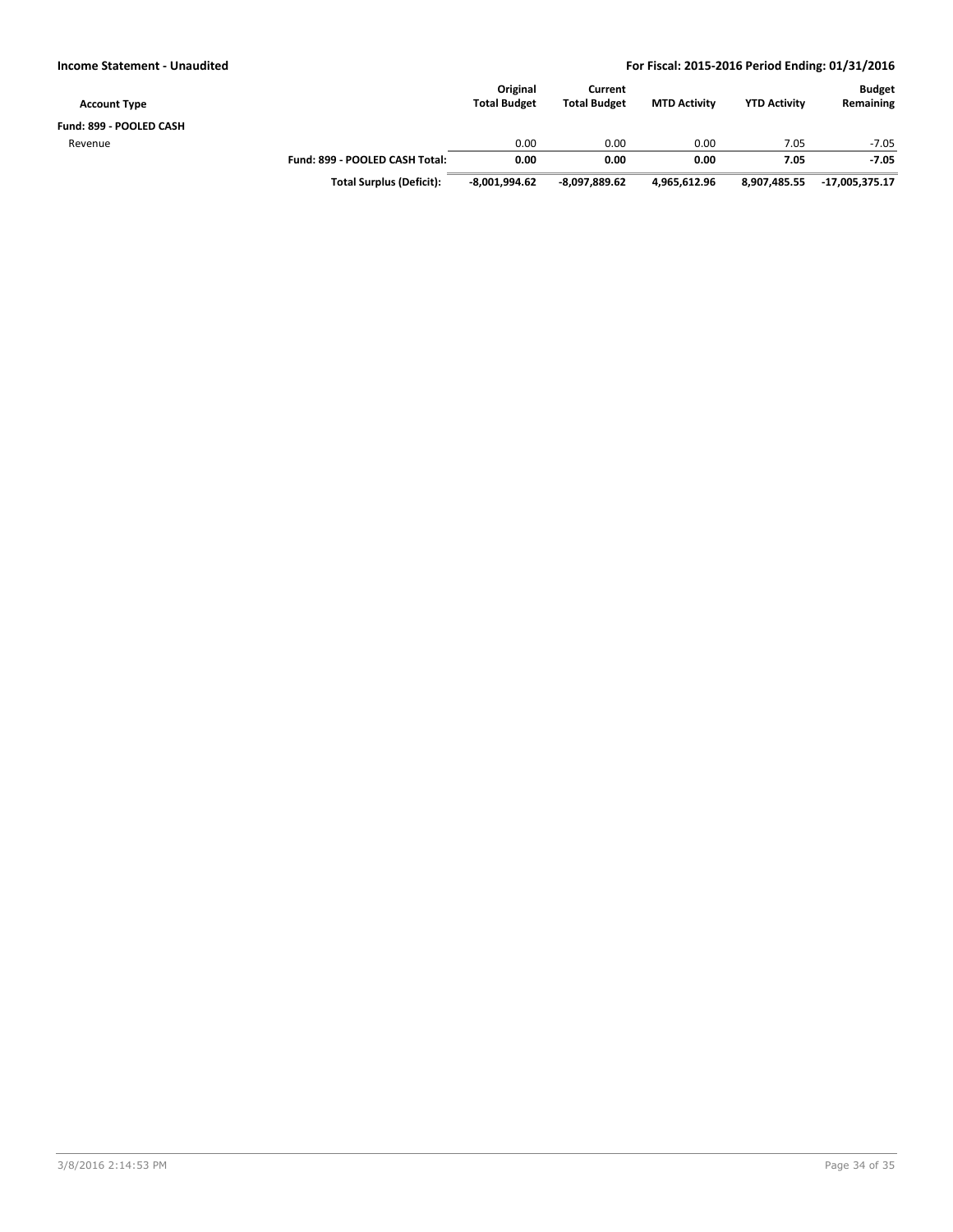| <b>Account Type</b>     |                                 | Original<br><b>Total Budget</b> | Current<br><b>Total Budget</b> | <b>MTD Activity</b> | <b>YTD Activity</b> | <b>Budget</b><br>Remaining |
|-------------------------|---------------------------------|---------------------------------|--------------------------------|---------------------|---------------------|----------------------------|
| Fund: 899 - POOLED CASH |                                 |                                 |                                |                     |                     |                            |
| Revenue                 |                                 | 0.00                            | 0.00                           | 0.00                | 7.05                | $-7.05$                    |
|                         | Fund: 899 - POOLED CASH Total:  | 0.00                            | 0.00                           | 0.00                | 7.05                | $-7.05$                    |
|                         | <b>Total Surplus (Deficit):</b> | $-8.001.994.62$                 | $-8,097,889.62$                | 4.965.612.96        | 8,907,485.55        | -17,005,375.17             |

3/8/2016 2:14:53 PM Page 34 of 35